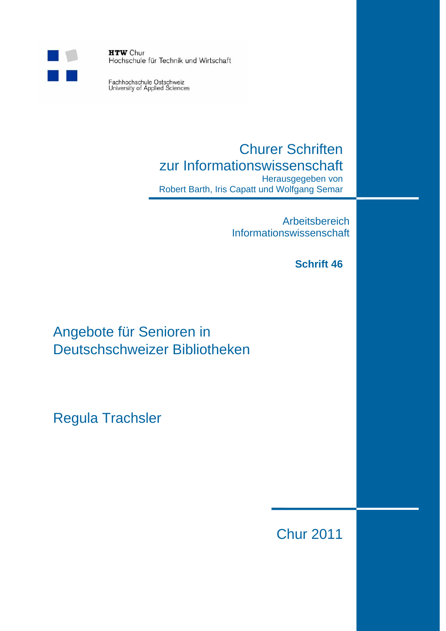

**HTW** Chur Hochschule für Technik und Wirtschaft

Fachhochschule Ostschweiz<br>University of Applied Sciences

# Churer Schriften zur Informationswissenschaft

Herausgegeben von Robert Barth, Iris Capatt und Wolfgang Semar

> Arbeitsbereich Informationswissenschaft

## **Schrift 46**

Angebote für Senioren in Deutschschweizer Bibliotheken

Regula Trachsler

Chur 2011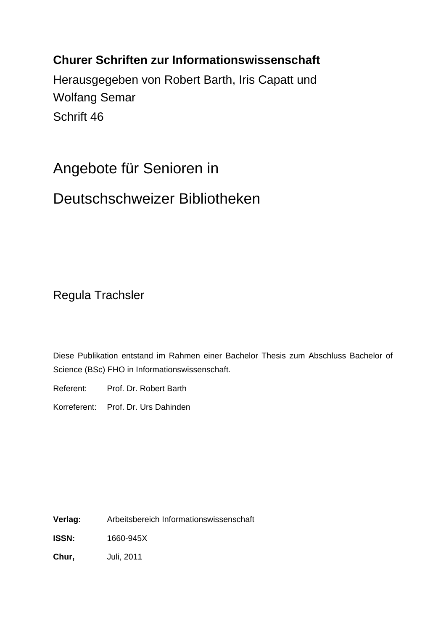## **Churer Schriften zur Informationswissenschaft**

Herausgegeben von Robert Barth, Iris Capatt und Wolfang Semar Schrift 46

# Angebote für Senioren in

# Deutschschweizer Bibliotheken

Regula Trachsler

Diese Publikation entstand im Rahmen einer Bachelor Thesis zum Abschluss Bachelor of Science (BSc) FHO in Informationswissenschaft.

Referent: Prof. Dr. Robert Barth

Korreferent: Prof. Dr. Urs Dahinden

**Verlag:** Arbeitsbereich Informationswissenschaft

**ISSN:** 1660-945X

**Chur,** Juli, 2011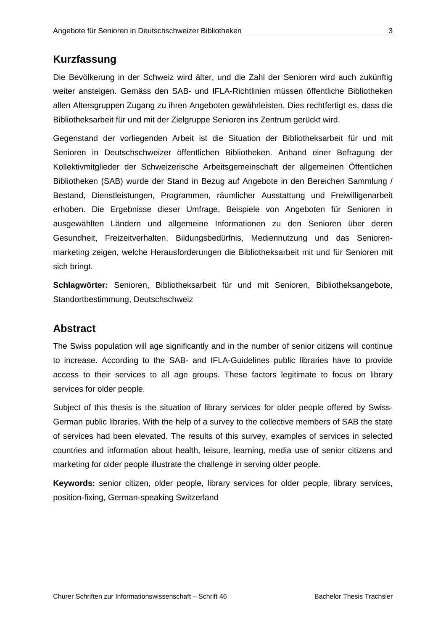### **Kurzfassung**

Die Bevölkerung in der Schweiz wird älter, und die Zahl der Senioren wird auch zukünftig weiter ansteigen. Gemäss den SAB- und IFLA-Richtlinien müssen öffentliche Bibliotheken allen Altersgruppen Zugang zu ihren Angeboten gewährleisten. Dies rechtfertigt es, dass die Bibliotheksarbeit für und mit der Zielgruppe Senioren ins Zentrum gerückt wird.

Gegenstand der vorliegenden Arbeit ist die Situation der Bibliotheksarbeit für und mit Senioren in Deutschschweizer öffentlichen Bibliotheken. Anhand einer Befragung der Kollektivmitglieder der Schweizerische Arbeitsgemeinschaft der allgemeinen Öffentlichen Bibliotheken (SAB) wurde der Stand in Bezug auf Angebote in den Bereichen Sammlung / Bestand, Dienstleistungen, Programmen, räumlicher Ausstattung und Freiwilligenarbeit erhoben. Die Ergebnisse dieser Umfrage, Beispiele von Angeboten für Senioren in ausgewählten Ländern und allgemeine Informationen zu den Senioren über deren Gesundheit, Freizeitverhalten, Bildungsbedürfnis, Mediennutzung und das Seniorenmarketing zeigen, welche Herausforderungen die Bibliotheksarbeit mit und für Senioren mit sich bringt.

**Schlagwörter:** Senioren, Bibliotheksarbeit für und mit Senioren, Bibliotheksangebote, Standortbestimmung, Deutschschweiz

#### **Abstract**

The Swiss population will age significantly and in the number of senior citizens will continue to increase. According to the SAB- and IFLA-Guidelines public libraries have to provide access to their services to all age groups. These factors legitimate to focus on library services for older people.

Subject of this thesis is the situation of library services for older people offered by Swiss-German public libraries. With the help of a survey to the collective members of SAB the state of services had been elevated. The results of this survey, examples of services in selected countries and information about health, leisure, learning, media use of senior citizens and marketing for older people illustrate the challenge in serving older people.

**Keywords:** senior citizen, older people, library services for older people, library services, position-fixing, German-speaking Switzerland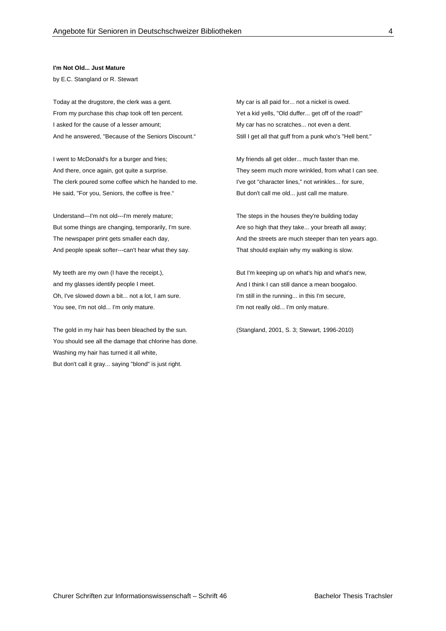#### **I'm Not Old... Just Mature**

by E.C. Stangland or R. Stewart

Today at the drugstore, the clerk was a gent. From my purchase this chap took off ten percent. I asked for the cause of a lesser amount; And he answered, "Because of the Seniors Discount."

I went to McDonald's for a burger and fries; And there, once again, got quite a surprise. The clerk poured some coffee which he handed to me. He said, "For you, Seniors, the coffee is free."

Understand---I'm not old---I'm merely mature; But some things are changing, temporarily, I'm sure. The newspaper print gets smaller each day, And people speak softer---can't hear what they say.

My teeth are my own (I have the receipt.), and my glasses identify people I meet. Oh, I've slowed down a bit... not a lot, I am sure. You see, I'm not old... I'm only mature.

The gold in my hair has been bleached by the sun. You should see all the damage that chlorine has done. Washing my hair has turned it all white, But don't call it gray... saying "blond" is just right.

My car is all paid for... not a nickel is owed. Yet a kid yells, "Old duffer... get off of the road!" My car has no scratches... not even a dent. Still I get all that guff from a punk who's "Hell bent."

My friends all get older... much faster than me. They seem much more wrinkled, from what I can see. I've got "character lines," not wrinkles... for sure, But don't call me old... just call me mature.

The steps in the houses they're building today Are so high that they take... your breath all away: And the streets are much steeper than ten years ago. That should explain why my walking is slow.

But I'm keeping up on what's hip and what's new, And I think I can still dance a mean boogaloo. I'm still in the running... in this I'm secure, I'm not really old... I'm only mature.

(Stangland, 2001, S. 3; Stewart, 1996-2010)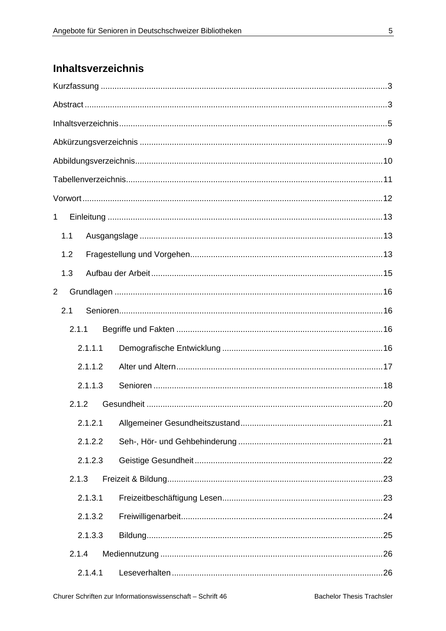## Inhaltsverzeichnis

| 1              |       |         |  |
|----------------|-------|---------|--|
|                | 1.1   |         |  |
|                | 1.2   |         |  |
|                | 1.3   |         |  |
| $\overline{2}$ |       |         |  |
|                | 2.1   |         |  |
|                | 2.1.1 |         |  |
|                |       | 2.1.1.1 |  |
|                |       | 2.1.1.2 |  |
|                |       | 2.1.1.3 |  |
|                | 2.1.2 |         |  |
|                |       | 2.1.2.1 |  |
|                |       | 2.1.2.2 |  |
|                |       | 2.1.2.3 |  |
|                | 2.1.3 |         |  |
|                |       | 2.1.3.1 |  |
|                |       | 2.1.3.2 |  |
|                |       | 2.1.3.3 |  |
|                | 2.1.4 |         |  |
|                |       | 2.1.4.1 |  |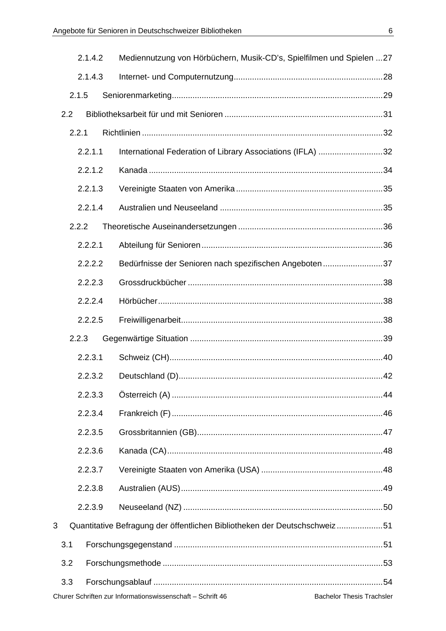|     | 2.1.4.2                                                                                        | Mediennutzung von Hörbüchern, Musik-CD's, Spielfilmen und Spielen  27     |  |  |  |  |  |  |  |
|-----|------------------------------------------------------------------------------------------------|---------------------------------------------------------------------------|--|--|--|--|--|--|--|
|     | 2.1.4.3                                                                                        |                                                                           |  |  |  |  |  |  |  |
|     | 2.1.5                                                                                          |                                                                           |  |  |  |  |  |  |  |
| 2.2 |                                                                                                |                                                                           |  |  |  |  |  |  |  |
|     | 2.2.1                                                                                          |                                                                           |  |  |  |  |  |  |  |
|     | 2.2.1.1                                                                                        | International Federation of Library Associations (IFLA) 32                |  |  |  |  |  |  |  |
|     | 2.2.1.2                                                                                        |                                                                           |  |  |  |  |  |  |  |
|     | 2.2.1.3                                                                                        |                                                                           |  |  |  |  |  |  |  |
|     | 2.2.1.4                                                                                        |                                                                           |  |  |  |  |  |  |  |
|     | 2.2.2                                                                                          |                                                                           |  |  |  |  |  |  |  |
|     | 2.2.2.1                                                                                        |                                                                           |  |  |  |  |  |  |  |
|     | 2.2.2.2                                                                                        | Bedürfnisse der Senioren nach spezifischen Angeboten 37                   |  |  |  |  |  |  |  |
|     | 2.2.2.3                                                                                        |                                                                           |  |  |  |  |  |  |  |
|     | 2.2.2.4                                                                                        |                                                                           |  |  |  |  |  |  |  |
|     | 2.2.2.5                                                                                        |                                                                           |  |  |  |  |  |  |  |
|     | 2.2.3                                                                                          |                                                                           |  |  |  |  |  |  |  |
|     | 2.2.3.1                                                                                        |                                                                           |  |  |  |  |  |  |  |
|     | 2.2.3.2                                                                                        |                                                                           |  |  |  |  |  |  |  |
|     | 2.2.3.3                                                                                        |                                                                           |  |  |  |  |  |  |  |
|     | 2.2.3.4                                                                                        |                                                                           |  |  |  |  |  |  |  |
|     | 2.2.3.5                                                                                        |                                                                           |  |  |  |  |  |  |  |
|     | 2.2.3.6                                                                                        |                                                                           |  |  |  |  |  |  |  |
|     | 2.2.3.7                                                                                        |                                                                           |  |  |  |  |  |  |  |
|     | 2.2.3.8                                                                                        |                                                                           |  |  |  |  |  |  |  |
|     | 2.2.3.9                                                                                        |                                                                           |  |  |  |  |  |  |  |
| 3   |                                                                                                | Quantitative Befragung der öffentlichen Bibliotheken der Deutschschweiz51 |  |  |  |  |  |  |  |
| 3.1 |                                                                                                |                                                                           |  |  |  |  |  |  |  |
| 3.2 |                                                                                                |                                                                           |  |  |  |  |  |  |  |
| 3.3 |                                                                                                |                                                                           |  |  |  |  |  |  |  |
|     | Churer Schriften zur Informationswissenschaft - Schrift 46<br><b>Bachelor Thesis Trachsler</b> |                                                                           |  |  |  |  |  |  |  |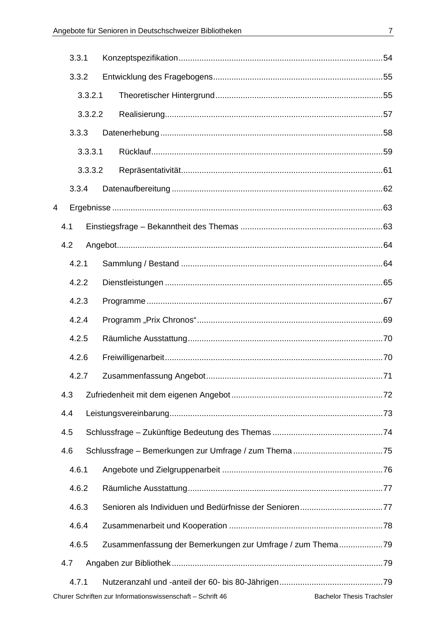|       | 3.3.1 |         |                                                            |                                  |  |
|-------|-------|---------|------------------------------------------------------------|----------------------------------|--|
|       | 3.3.2 |         |                                                            |                                  |  |
|       |       | 3.3.2.1 |                                                            |                                  |  |
|       |       | 3.3.2.2 |                                                            |                                  |  |
|       | 3.3.3 |         |                                                            |                                  |  |
|       |       | 3.3.3.1 |                                                            |                                  |  |
|       |       | 3.3.3.2 |                                                            |                                  |  |
|       | 3.3.4 |         |                                                            |                                  |  |
| 4     |       |         |                                                            |                                  |  |
|       | 4.1   |         |                                                            |                                  |  |
|       | 4.2   |         |                                                            |                                  |  |
|       | 4.2.1 |         |                                                            |                                  |  |
| 4.2.2 |       |         |                                                            |                                  |  |
|       | 4.2.3 |         |                                                            |                                  |  |
|       | 4.2.4 |         |                                                            |                                  |  |
|       | 4.2.5 |         |                                                            |                                  |  |
|       | 4.2.6 |         |                                                            |                                  |  |
|       | 4.2.7 |         |                                                            |                                  |  |
|       | 4.3   |         |                                                            |                                  |  |
|       | 4.4   |         |                                                            |                                  |  |
|       | 4.5   |         |                                                            |                                  |  |
|       | 4.6   |         |                                                            |                                  |  |
|       | 4.6.1 |         |                                                            |                                  |  |
|       | 4.6.2 |         |                                                            |                                  |  |
|       | 4.6.3 |         |                                                            |                                  |  |
|       | 4.6.4 |         |                                                            |                                  |  |
|       | 4.6.5 |         | Zusammenfassung der Bemerkungen zur Umfrage / zum Thema79  |                                  |  |
|       | 4.7   |         |                                                            |                                  |  |
|       | 4.7.1 |         |                                                            |                                  |  |
|       |       |         | Churer Schriften zur Informationswissenschaft - Schrift 46 | <b>Bachelor Thesis Trachsler</b> |  |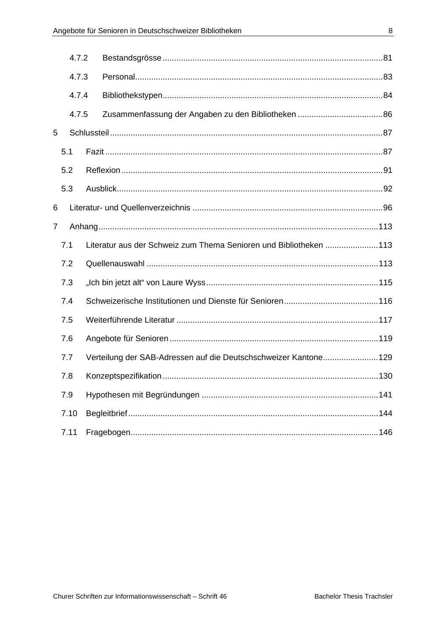|                | 4.7.2 |                                                                   |  |
|----------------|-------|-------------------------------------------------------------------|--|
|                | 4.7.3 |                                                                   |  |
|                | 4.7.4 |                                                                   |  |
|                | 4.7.5 |                                                                   |  |
| 5              |       |                                                                   |  |
|                | 5.1   |                                                                   |  |
|                | 5.2   |                                                                   |  |
|                | 5.3   |                                                                   |  |
| 6              |       |                                                                   |  |
| $\overline{7}$ |       |                                                                   |  |
|                | 7.1   | Literatur aus der Schweiz zum Thema Senioren und Bibliotheken 113 |  |
|                | 7.2   |                                                                   |  |
|                | 7.3   |                                                                   |  |
|                | 7.4   |                                                                   |  |
|                | 7.5   |                                                                   |  |
|                | 7.6   |                                                                   |  |
|                | 7.7   | Verteilung der SAB-Adressen auf die Deutschschweizer Kantone129   |  |
|                | 7.8   |                                                                   |  |
|                | 7.9   |                                                                   |  |
|                | 7.10  |                                                                   |  |
|                | 7.11  |                                                                   |  |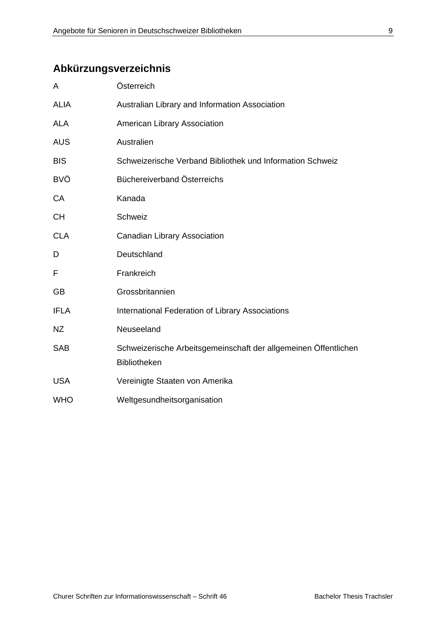## **Abkürzungsverzeichnis**

| A           | Österreich                                                                             |
|-------------|----------------------------------------------------------------------------------------|
| <b>ALIA</b> | Australian Library and Information Association                                         |
| <b>ALA</b>  | American Library Association                                                           |
| <b>AUS</b>  | Australien                                                                             |
| <b>BIS</b>  | Schweizerische Verband Bibliothek und Information Schweiz                              |
| <b>BVÖ</b>  | Büchereiverband Österreichs                                                            |
| <b>CA</b>   | Kanada                                                                                 |
| <b>CH</b>   | Schweiz                                                                                |
| <b>CLA</b>  | Canadian Library Association                                                           |
| D           | Deutschland                                                                            |
| F           | Frankreich                                                                             |
| <b>GB</b>   | Grossbritannien                                                                        |
| <b>IFLA</b> | International Federation of Library Associations                                       |
| <b>NZ</b>   | Neuseeland                                                                             |
| <b>SAB</b>  | Schweizerische Arbeitsgemeinschaft der allgemeinen Öffentlichen<br><b>Bibliotheken</b> |
| <b>USA</b>  | Vereinigte Staaten von Amerika                                                         |
| <b>WHO</b>  | Weltgesundheitsorganisation                                                            |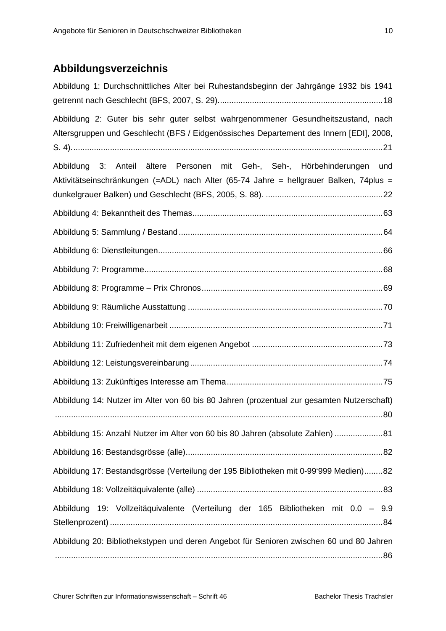## **Abbildungsverzeichnis**

| Abbildung 1: Durchschnittliches Alter bei Ruhestandsbeginn der Jahrgänge 1932 bis 1941                                                                                      |  |  |  |  |  |  |
|-----------------------------------------------------------------------------------------------------------------------------------------------------------------------------|--|--|--|--|--|--|
| Abbildung 2: Guter bis sehr guter selbst wahrgenommener Gesundheitszustand, nach<br>Altersgruppen und Geschlecht (BFS / Eidgenössisches Departement des Innern [EDI], 2008, |  |  |  |  |  |  |
| Abbildung 3: Anteil ältere Personen mit Geh-, Seh-, Hörbehinderungen und<br>Aktivitätseinschränkungen (=ADL) nach Alter (65-74 Jahre = hellgrauer Balken, 74plus =          |  |  |  |  |  |  |
|                                                                                                                                                                             |  |  |  |  |  |  |
|                                                                                                                                                                             |  |  |  |  |  |  |
|                                                                                                                                                                             |  |  |  |  |  |  |
|                                                                                                                                                                             |  |  |  |  |  |  |
|                                                                                                                                                                             |  |  |  |  |  |  |
|                                                                                                                                                                             |  |  |  |  |  |  |
|                                                                                                                                                                             |  |  |  |  |  |  |
|                                                                                                                                                                             |  |  |  |  |  |  |
|                                                                                                                                                                             |  |  |  |  |  |  |
|                                                                                                                                                                             |  |  |  |  |  |  |
| Abbildung 14: Nutzer im Alter von 60 bis 80 Jahren (prozentual zur gesamten Nutzerschaft)                                                                                   |  |  |  |  |  |  |
| Abbildung 15: Anzahl Nutzer im Alter von 60 bis 80 Jahren (absolute Zahlen)  81                                                                                             |  |  |  |  |  |  |
|                                                                                                                                                                             |  |  |  |  |  |  |
| Abbildung 17: Bestandsgrösse (Verteilung der 195 Bibliotheken mit 0-99'999 Medien)82                                                                                        |  |  |  |  |  |  |
|                                                                                                                                                                             |  |  |  |  |  |  |
| Abbildung 19: Vollzeitäquivalente (Verteilung der 165 Bibliotheken mit 0.0 - 9.9                                                                                            |  |  |  |  |  |  |
| Abbildung 20: Bibliothekstypen und deren Angebot für Senioren zwischen 60 und 80 Jahren                                                                                     |  |  |  |  |  |  |
|                                                                                                                                                                             |  |  |  |  |  |  |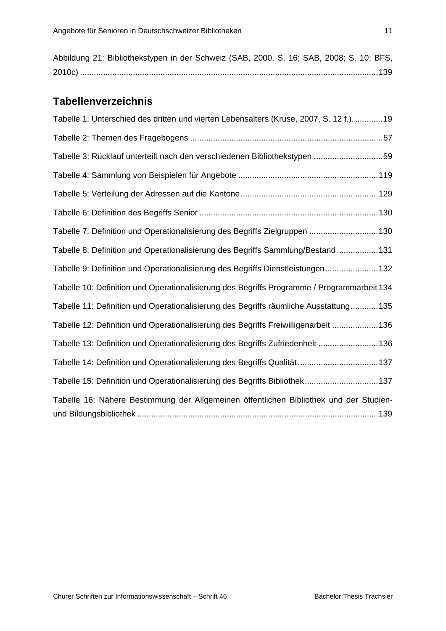| Abbildung 21: Bibliothekstypen in der Schweiz (SAB, 2000, S. 16; SAB, 2008; S. 10; BFS, |  |  |  |  |  |  |  |  |  |
|-----------------------------------------------------------------------------------------|--|--|--|--|--|--|--|--|--|
|                                                                                         |  |  |  |  |  |  |  |  |  |

## **Tabellenverzeichnis**

| Tabelle 1: Unterschied des dritten und vierten Lebensalters (Kruse, 2007, S. 12 f.)19      |
|--------------------------------------------------------------------------------------------|
|                                                                                            |
| Tabelle 3: Rücklauf unterteilt nach den verschiedenen Bibliothekstypen 59                  |
|                                                                                            |
|                                                                                            |
|                                                                                            |
| Tabelle 7: Definition und Operationalisierung des Begriffs Zielgruppen 130                 |
| Tabelle 8: Definition und Operationalisierung des Begriffs Sammlung/Bestand131             |
| Tabelle 9: Definition und Operationalisierung des Begriffs Dienstleistungen132             |
| Tabelle 10: Definition und Operationalisierung des Begriffs Programme / Programmarbeit 134 |
| Tabelle 11: Definition und Operationalisierung des Begriffs räumliche Ausstattung135       |
| Tabelle 12: Definition und Operationalisierung des Begriffs Freiwilligenarbeit 136         |
| Tabelle 13: Definition und Operationalisierung des Begriffs Zufriedenheit 136              |
| Tabelle 14: Definition und Operationalisierung des Begriffs Qualität137                    |
| Tabelle 15: Definition und Operationalisierung des Begriffs Bibliothek137                  |
| Tabelle 16: Nähere Bestimmung der Allgemeinen öffentlichen Bibliothek und der Studien-     |
|                                                                                            |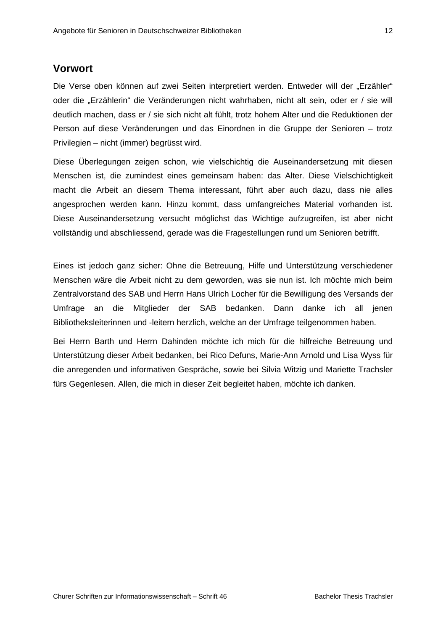### **Vorwort**

Die Verse oben können auf zwei Seiten interpretiert werden. Entweder will der "Erzähler" oder die "Erzählerin" die Veränderungen nicht wahrhaben, nicht alt sein, oder er / sie will deutlich machen, dass er / sie sich nicht alt fühlt, trotz hohem Alter und die Reduktionen der Person auf diese Veränderungen und das Einordnen in die Gruppe der Senioren – trotz Privilegien – nicht (immer) begrüsst wird.

Diese Überlegungen zeigen schon, wie vielschichtig die Auseinandersetzung mit diesen Menschen ist, die zumindest eines gemeinsam haben: das Alter. Diese Vielschichtigkeit macht die Arbeit an diesem Thema interessant, führt aber auch dazu, dass nie alles angesprochen werden kann. Hinzu kommt, dass umfangreiches Material vorhanden ist. Diese Auseinandersetzung versucht möglichst das Wichtige aufzugreifen, ist aber nicht vollständig und abschliessend, gerade was die Fragestellungen rund um Senioren betrifft.

Eines ist jedoch ganz sicher: Ohne die Betreuung, Hilfe und Unterstützung verschiedener Menschen wäre die Arbeit nicht zu dem geworden, was sie nun ist. Ich möchte mich beim Zentralvorstand des SAB und Herrn Hans Ulrich Locher für die Bewilligung des Versands der Umfrage an die Mitglieder der SAB bedanken. Dann danke ich all jenen Bibliotheksleiterinnen und -leitern herzlich, welche an der Umfrage teilgenommen haben.

Bei Herrn Barth und Herrn Dahinden möchte ich mich für die hilfreiche Betreuung und Unterstützung dieser Arbeit bedanken, bei Rico Defuns, Marie-Ann Arnold und Lisa Wyss für die anregenden und informativen Gespräche, sowie bei Silvia Witzig und Mariette Trachsler fürs Gegenlesen. Allen, die mich in dieser Zeit begleitet haben, möchte ich danken.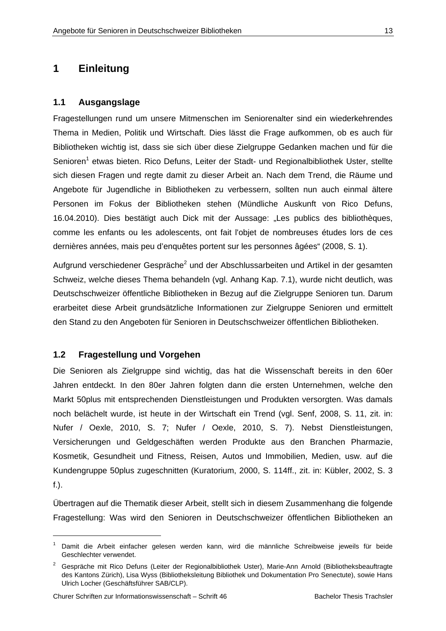## **1 Einleitung**

#### **1.1 Ausgangslage**

Fragestellungen rund um unsere Mitmenschen im Seniorenalter sind ein wiederkehrendes Thema in Medien, Politik und Wirtschaft. Dies lässt die Frage aufkommen, ob es auch für Bibliotheken wichtig ist, dass sie sich über diese Zielgruppe Gedanken machen und für die Senioren<sup>1</sup> etwas bieten. Rico Defuns, Leiter der Stadt- und Regionalbibliothek Uster, stellte sich diesen Fragen und regte damit zu dieser Arbeit an. Nach dem Trend, die Räume und Angebote für Jugendliche in Bibliotheken zu verbessern, sollten nun auch einmal ältere Personen im Fokus der Bibliotheken stehen (Mündliche Auskunft von Rico Defuns, 16.04.2010). Dies bestätigt auch Dick mit der Aussage: "Les publics des bibliothèques, comme les enfants ou les adolescents, ont fait l'objet de nombreuses études lors de ces dernières années, mais peu d'enquêtes portent sur les personnes âgées" (2008, S. 1).

Aufgrund verschiedener Gespräche<sup>2</sup> und der Abschlussarbeiten und Artikel in der gesamten Schweiz, welche dieses Thema behandeln (vgl. Anhang Kap. 7.1), wurde nicht deutlich, was Deutschschweizer öffentliche Bibliotheken in Bezug auf die Zielgruppe Senioren tun. Darum erarbeitet diese Arbeit grundsätzliche Informationen zur Zielgruppe Senioren und ermittelt den Stand zu den Angeboten für Senioren in Deutschschweizer öffentlichen Bibliotheken.

#### **1.2 Fragestellung und Vorgehen**

Die Senioren als Zielgruppe sind wichtig, das hat die Wissenschaft bereits in den 60er Jahren entdeckt. In den 80er Jahren folgten dann die ersten Unternehmen, welche den Markt 50plus mit entsprechenden Dienstleistungen und Produkten versorgten. Was damals noch belächelt wurde, ist heute in der Wirtschaft ein Trend (vgl. Senf, 2008, S. 11, zit. in: Nufer / Oexle, 2010, S. 7; Nufer / Oexle, 2010, S. 7). Nebst Dienstleistungen, Versicherungen und Geldgeschäften werden Produkte aus den Branchen Pharmazie, Kosmetik, Gesundheit und Fitness, Reisen, Autos und Immobilien, Medien, usw. auf die Kundengruppe 50plus zugeschnitten (Kuratorium, 2000, S. 114ff., zit. in: Kübler, 2002, S. 3 f.).

Übertragen auf die Thematik dieser Arbeit, stellt sich in diesem Zusammenhang die folgende Fragestellung: Was wird den Senioren in Deutschschweizer öffentlichen Bibliotheken an

-

<sup>1</sup> Damit die Arbeit einfacher gelesen werden kann, wird die männliche Schreibweise jeweils für beide Geschlechter verwendet.

<sup>2</sup> Gespräche mit Rico Defuns (Leiter der Regionalbibliothek Uster), Marie-Ann Arnold (Bibliotheksbeauftragte des Kantons Zürich), Lisa Wyss (Bibliotheksleitung Bibliothek und Dokumentation Pro Senectute), sowie Hans Ulrich Locher (Geschäftsführer SAB/CLP).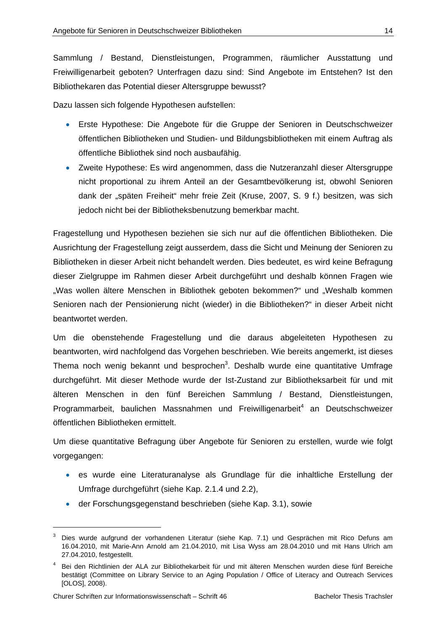Sammlung / Bestand, Dienstleistungen, Programmen, räumlicher Ausstattung und Freiwilligenarbeit geboten? Unterfragen dazu sind: Sind Angebote im Entstehen? Ist den Bibliothekaren das Potential dieser Altersgruppe bewusst?

Dazu lassen sich folgende Hypothesen aufstellen:

- Erste Hypothese: Die Angebote für die Gruppe der Senioren in Deutschschweizer öffentlichen Bibliotheken und Studien- und Bildungsbibliotheken mit einem Auftrag als öffentliche Bibliothek sind noch ausbaufähig.
- Zweite Hypothese: Es wird angenommen, dass die Nutzeranzahl dieser Altersgruppe nicht proportional zu ihrem Anteil an der Gesamtbevölkerung ist, obwohl Senioren dank der "späten Freiheit" mehr freie Zeit (Kruse, 2007, S. 9 f.) besitzen, was sich jedoch nicht bei der Bibliotheksbenutzung bemerkbar macht.

Fragestellung und Hypothesen beziehen sie sich nur auf die öffentlichen Bibliotheken. Die Ausrichtung der Fragestellung zeigt ausserdem, dass die Sicht und Meinung der Senioren zu Bibliotheken in dieser Arbeit nicht behandelt werden. Dies bedeutet, es wird keine Befragung dieser Zielgruppe im Rahmen dieser Arbeit durchgeführt und deshalb können Fragen wie "Was wollen ältere Menschen in Bibliothek geboten bekommen?" und "Weshalb kommen Senioren nach der Pensionierung nicht (wieder) in die Bibliotheken?" in dieser Arbeit nicht beantwortet werden.

Um die obenstehende Fragestellung und die daraus abgeleiteten Hypothesen zu beantworten, wird nachfolgend das Vorgehen beschrieben. Wie bereits angemerkt, ist dieses Thema noch wenig bekannt und besprochen<sup>3</sup>. Deshalb wurde eine quantitative Umfrage durchgeführt. Mit dieser Methode wurde der Ist-Zustand zur Bibliotheksarbeit für und mit älteren Menschen in den fünf Bereichen Sammlung / Bestand, Dienstleistungen, Programmarbeit, baulichen Massnahmen und Freiwilligenarbeit<sup>4</sup> an Deutschschweizer öffentlichen Bibliotheken ermittelt.

Um diese quantitative Befragung über Angebote für Senioren zu erstellen, wurde wie folgt vorgegangen:

- es wurde eine Literaturanalyse als Grundlage für die inhaltliche Erstellung der Umfrage durchgeführt (siehe Kap. 2.1.4 und 2.2),
- der Forschungsgegenstand beschrieben (siehe Kap. 3.1), sowie

-

<sup>3</sup> Dies wurde aufgrund der vorhandenen Literatur (siehe Kap. 7.1) und Gesprächen mit Rico Defuns am 16.04.2010, mit Marie-Ann Arnold am 21.04.2010, mit Lisa Wyss am 28.04.2010 und mit Hans Ulrich am 27.04.2010, festgestellt.

<sup>&</sup>lt;sup>4</sup> Bei den Richtlinien der ALA zur Bibliothekarbeit für und mit älteren Menschen wurden diese fünf Bereiche bestätigt (Committee on Library Service to an Aging Population / Office of Literacy and Outreach Services [OLOS], 2008).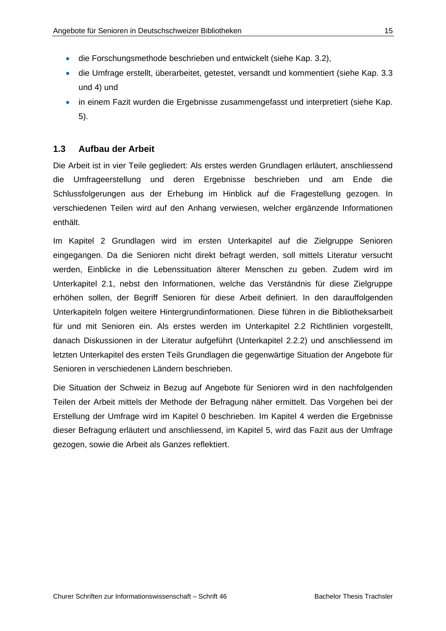- die Forschungsmethode beschrieben und entwickelt (siehe Kap. 3.2),
- die Umfrage erstellt, überarbeitet, getestet, versandt und kommentiert (siehe Kap. 3.3 und 4) und
- in einem Fazit wurden die Ergebnisse zusammengefasst und interpretiert (siehe Kap. 5).

### **1.3 Aufbau der Arbeit**

Die Arbeit ist in vier Teile gegliedert: Als erstes werden Grundlagen erläutert, anschliessend die Umfrageerstellung und deren Ergebnisse beschrieben und am Ende die Schlussfolgerungen aus der Erhebung im Hinblick auf die Fragestellung gezogen. In verschiedenen Teilen wird auf den Anhang verwiesen, welcher ergänzende Informationen enthält.

Im Kapitel 2 Grundlagen wird im ersten Unterkapitel auf die Zielgruppe Senioren eingegangen. Da die Senioren nicht direkt befragt werden, soll mittels Literatur versucht werden, Einblicke in die Lebenssituation älterer Menschen zu geben. Zudem wird im Unterkapitel 2.1, nebst den Informationen, welche das Verständnis für diese Zielgruppe erhöhen sollen, der Begriff Senioren für diese Arbeit definiert. In den darauffolgenden Unterkapiteln folgen weitere Hintergrundinformationen. Diese führen in die Bibliotheksarbeit für und mit Senioren ein. Als erstes werden im Unterkapitel 2.2 Richtlinien vorgestellt, danach Diskussionen in der Literatur aufgeführt (Unterkapitel 2.2.2) und anschliessend im letzten Unterkapitel des ersten Teils Grundlagen die gegenwärtige Situation der Angebote für Senioren in verschiedenen Ländern beschrieben.

Die Situation der Schweiz in Bezug auf Angebote für Senioren wird in den nachfolgenden Teilen der Arbeit mittels der Methode der Befragung näher ermittelt. Das Vorgehen bei der Erstellung der Umfrage wird im Kapitel 0 beschrieben. Im Kapitel 4 werden die Ergebnisse dieser Befragung erläutert und anschliessend, im Kapitel 5, wird das Fazit aus der Umfrage gezogen, sowie die Arbeit als Ganzes reflektiert.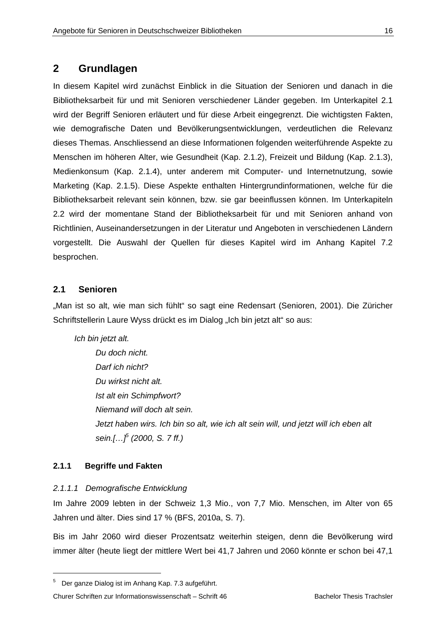## **2 Grundlagen**

In diesem Kapitel wird zunächst Einblick in die Situation der Senioren und danach in die Bibliotheksarbeit für und mit Senioren verschiedener Länder gegeben. Im Unterkapitel 2.1 wird der Begriff Senioren erläutert und für diese Arbeit eingegrenzt. Die wichtigsten Fakten, wie demografische Daten und Bevölkerungsentwicklungen, verdeutlichen die Relevanz dieses Themas. Anschliessend an diese Informationen folgenden weiterführende Aspekte zu Menschen im höheren Alter, wie Gesundheit (Kap. 2.1.2), Freizeit und Bildung (Kap. 2.1.3), Medienkonsum (Kap. 2.1.4), unter anderem mit Computer- und Internetnutzung, sowie Marketing (Kap. 2.1.5). Diese Aspekte enthalten Hintergrundinformationen, welche für die Bibliotheksarbeit relevant sein können, bzw. sie gar beeinflussen können. Im Unterkapiteln 2.2 wird der momentane Stand der Bibliotheksarbeit für und mit Senioren anhand von Richtlinien, Auseinandersetzungen in der Literatur und Angeboten in verschiedenen Ländern vorgestellt. Die Auswahl der Quellen für dieses Kapitel wird im Anhang Kapitel 7.2 besprochen.

### **2.1 Senioren**

"Man ist so alt, wie man sich fühlt" so sagt eine Redensart (Senioren, 2001). Die Züricher Schriftstellerin Laure Wyss drückt es im Dialog "Ich bin jetzt alt" so aus:

*Ich bin jetzt alt.* 

 *Du doch nicht. Darf ich nicht? Du wirkst nicht alt. Ist alt ein Schimpfwort? Niemand will doch alt sein. Jetzt haben wirs. Ich bin so alt, wie ich alt sein will, und jetzt will ich eben alt sein.[…]5 (2000, S. 7 ff.)* 

### **2.1.1 Begriffe und Fakten**

-

#### *2.1.1.1 Demografische Entwicklung*

Im Jahre 2009 lebten in der Schweiz 1,3 Mio., von 7,7 Mio. Menschen, im Alter von 65 Jahren und älter. Dies sind 17 % (BFS, 2010a, S. 7).

Bis im Jahr 2060 wird dieser Prozentsatz weiterhin steigen, denn die Bevölkerung wird immer älter (heute liegt der mittlere Wert bei 41,7 Jahren und 2060 könnte er schon bei 47,1

Churer Schriften zur Informationswissenschaft – Schrift 46 Bachelor Thesis Trachsler

<sup>&</sup>lt;sup>5</sup> Der ganze Dialog ist im Anhang Kap. 7.3 aufgeführt.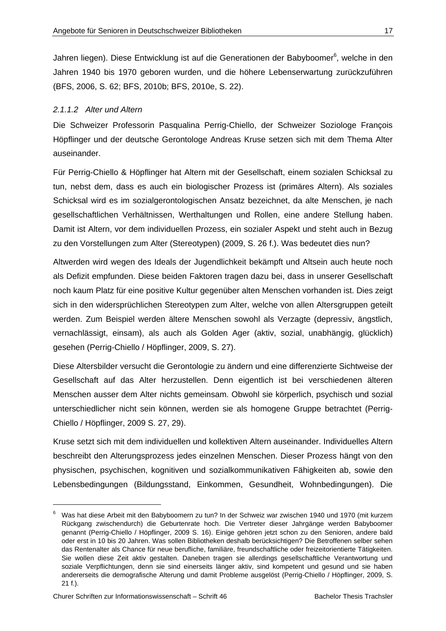Jahren liegen). Diese Entwicklung ist auf die Generationen der Babyboomer<sup>6</sup>, welche in den Jahren 1940 bis 1970 geboren wurden, und die höhere Lebenserwartung zurückzuführen (BFS, 2006, S. 62; BFS, 2010b; BFS, 2010e, S. 22).

#### *2.1.1.2 Alter und Altern*

Die Schweizer Professorin Pasqualina Perrig-Chiello, der Schweizer Soziologe François Höpflinger und der deutsche Gerontologe Andreas Kruse setzen sich mit dem Thema Alter auseinander.

Für Perrig-Chiello & Höpflinger hat Altern mit der Gesellschaft, einem sozialen Schicksal zu tun, nebst dem, dass es auch ein biologischer Prozess ist (primäres Altern). Als soziales Schicksal wird es im sozialgerontologischen Ansatz bezeichnet, da alte Menschen, je nach gesellschaftlichen Verhältnissen, Werthaltungen und Rollen, eine andere Stellung haben. Damit ist Altern, vor dem individuellen Prozess, ein sozialer Aspekt und steht auch in Bezug zu den Vorstellungen zum Alter (Stereotypen) (2009, S. 26 f.). Was bedeutet dies nun?

Altwerden wird wegen des Ideals der Jugendlichkeit bekämpft und Altsein auch heute noch als Defizit empfunden. Diese beiden Faktoren tragen dazu bei, dass in unserer Gesellschaft noch kaum Platz für eine positive Kultur gegenüber alten Menschen vorhanden ist. Dies zeigt sich in den widersprüchlichen Stereotypen zum Alter, welche von allen Altersgruppen geteilt werden. Zum Beispiel werden ältere Menschen sowohl als Verzagte (depressiv, ängstlich, vernachlässigt, einsam), als auch als Golden Ager (aktiv, sozial, unabhängig, glücklich) gesehen (Perrig-Chiello / Höpflinger, 2009, S. 27).

Diese Altersbilder versucht die Gerontologie zu ändern und eine differenzierte Sichtweise der Gesellschaft auf das Alter herzustellen. Denn eigentlich ist bei verschiedenen älteren Menschen ausser dem Alter nichts gemeinsam. Obwohl sie körperlich, psychisch und sozial unterschiedlicher nicht sein können, werden sie als homogene Gruppe betrachtet (Perrig-Chiello / Höpflinger, 2009 S. 27, 29).

Kruse setzt sich mit dem individuellen und kollektiven Altern auseinander. Individuelles Altern beschreibt den Alterungsprozess jedes einzelnen Menschen. Dieser Prozess hängt von den physischen, psychischen, kognitiven und sozialkommunikativen Fähigkeiten ab, sowie den Lebensbedingungen (Bildungsstand, Einkommen, Gesundheit, Wohnbedingungen). Die

-

<sup>&</sup>lt;sup>6</sup> Was hat diese Arbeit mit den Babyboomern zu tun? In der Schweiz war zwischen 1940 und 1970 (mit kurzem Rückgang zwischendurch) die Geburtenrate hoch. Die Vertreter dieser Jahrgänge werden Babyboomer genannt (Perrig-Chiello / Höpflinger, 2009 S. 16). Einige gehören jetzt schon zu den Senioren, andere bald oder erst in 10 bis 20 Jahren. Was sollen Bibliotheken deshalb berücksichtigen? Die Betroffenen selber sehen das Rentenalter als Chance für neue berufliche, familiäre, freundschaftliche oder freizeitorientierte Tätigkeiten. Sie wollen diese Zeit aktiv gestalten. Daneben tragen sie allerdings gesellschaftliche Verantwortung und soziale Verpflichtungen, denn sie sind einerseits länger aktiv, sind kompetent und gesund und sie haben andererseits die demografische Alterung und damit Probleme ausgelöst (Perrig-Chiello / Höpflinger, 2009, S. 21 f.).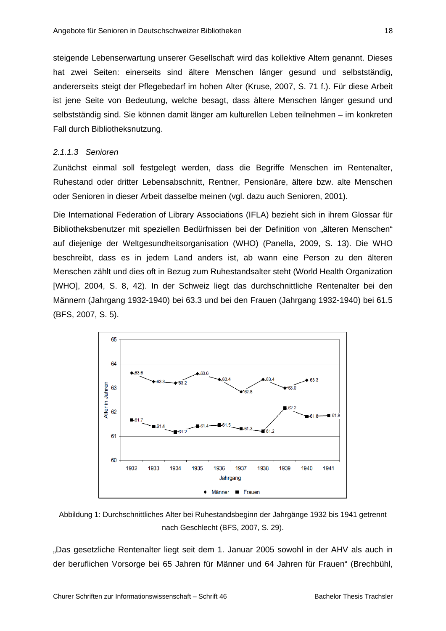steigende Lebenserwartung unserer Gesellschaft wird das kollektive Altern genannt. Dieses hat zwei Seiten: einerseits sind ältere Menschen länger gesund und selbstständig, andererseits steigt der Pflegebedarf im hohen Alter (Kruse, 2007, S. 71 f.). Für diese Arbeit ist jene Seite von Bedeutung, welche besagt, dass ältere Menschen länger gesund und selbstständig sind. Sie können damit länger am kulturellen Leben teilnehmen – im konkreten Fall durch Bibliotheksnutzung.

#### *2.1.1.3 Senioren*

Zunächst einmal soll festgelegt werden, dass die Begriffe Menschen im Rentenalter, Ruhestand oder dritter Lebensabschnitt, Rentner, Pensionäre, ältere bzw. alte Menschen oder Senioren in dieser Arbeit dasselbe meinen (vgl. dazu auch Senioren, 2001).

Die International Federation of Library Associations (IFLA) bezieht sich in ihrem Glossar für Bibliotheksbenutzer mit speziellen Bedürfnissen bei der Definition von "älteren Menschen" auf diejenige der Weltgesundheitsorganisation (WHO) (Panella, 2009, S. 13). Die WHO beschreibt, dass es in jedem Land anders ist, ab wann eine Person zu den älteren Menschen zählt und dies oft in Bezug zum Ruhestandsalter steht (World Health Organization [WHO], 2004, S. 8, 42). In der Schweiz liegt das durchschnittliche Rentenalter bei den Männern (Jahrgang 1932-1940) bei 63.3 und bei den Frauen (Jahrgang 1932-1940) bei 61.5 (BFS, 2007, S. 5).



Abbildung 1: Durchschnittliches Alter bei Ruhestandsbeginn der Jahrgänge 1932 bis 1941 getrennt nach Geschlecht (BFS, 2007, S. 29).

"Das gesetzliche Rentenalter liegt seit dem 1. Januar 2005 sowohl in der AHV als auch in der beruflichen Vorsorge bei 65 Jahren für Männer und 64 Jahren für Frauen" (Brechbühl,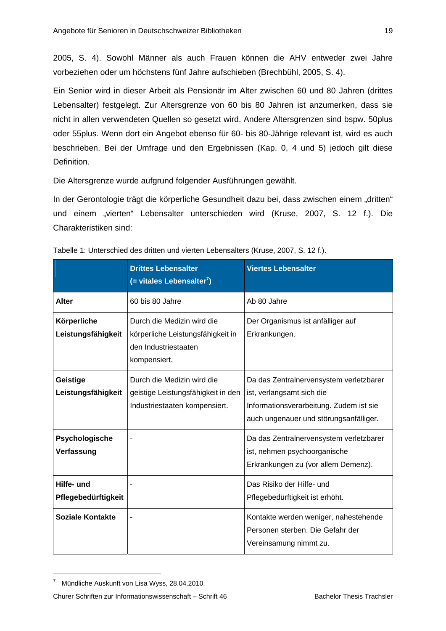2005, S. 4). Sowohl Männer als auch Frauen können die AHV entweder zwei Jahre vorbeziehen oder um höchstens fünf Jahre aufschieben (Brechbühl, 2005, S. 4).

Ein Senior wird in dieser Arbeit als Pensionär im Alter zwischen 60 und 80 Jahren (drittes Lebensalter) festgelegt. Zur Altersgrenze von 60 bis 80 Jahren ist anzumerken, dass sie nicht in allen verwendeten Quellen so gesetzt wird. Andere Altersgrenzen sind bspw. 50plus oder 55plus. Wenn dort ein Angebot ebenso für 60- bis 80-Jährige relevant ist, wird es auch beschrieben. Bei der Umfrage und den Ergebnissen (Kap. 0, 4 und 5) jedoch gilt diese Definition.

Die Altersgrenze wurde aufgrund folgender Ausführungen gewählt.

In der Gerontologie trägt die körperliche Gesundheit dazu bei, dass zwischen einem "dritten" und einem "vierten" Lebensalter unterschieden wird (Kruse, 2007, S. 12 f.). Die Charakteristiken sind:

|                                   | <b>Drittes Lebensalter</b><br>$($ = vitales Lebensalter <sup>7</sup> )                                  | <b>Viertes Lebensalter</b>                                                                                                                                |
|-----------------------------------|---------------------------------------------------------------------------------------------------------|-----------------------------------------------------------------------------------------------------------------------------------------------------------|
| <b>Alter</b>                      | 60 bis 80 Jahre                                                                                         | Ab 80 Jahre                                                                                                                                               |
| Körperliche<br>Leistungsfähigkeit | Durch die Medizin wird die<br>körperliche Leistungsfähigkeit in<br>den Industriestaaten<br>kompensiert. | Der Organismus ist anfälliger auf<br>Erkrankungen.                                                                                                        |
| Geistige<br>Leistungsfähigkeit    | Durch die Medizin wird die<br>geistige Leistungsfähigkeit in den<br>Industriestaaten kompensiert.       | Da das Zentralnervensystem verletzbarer<br>ist, verlangsamt sich die<br>Informationsverarbeitung. Zudem ist sie<br>auch ungenauer und störungsanfälliger. |
| Psychologische<br>Verfassung      |                                                                                                         | Da das Zentralnervensystem verletzbarer<br>ist, nehmen psychoorganische<br>Erkrankungen zu (vor allem Demenz).                                            |
| Hilfe- und<br>Pflegebedürftigkeit |                                                                                                         | Das Risiko der Hilfe- und<br>Pflegebedürftigkeit ist erhöht.                                                                                              |
| Soziale Kontakte                  | $\blacksquare$                                                                                          | Kontakte werden weniger, nahestehende<br>Personen sterben. Die Gefahr der<br>Vereinsamung nimmt zu.                                                       |

| Tabelle 1: Unterschied des dritten und vierten Lebensalters (Kruse, 2007, S. 12 f.). |  |
|--------------------------------------------------------------------------------------|--|
|                                                                                      |  |

-

Churer Schriften zur Informationswissenschaft – Schrift 46 Bachelor Thesis Trachsler

<sup>&</sup>lt;sup>7</sup> Mündliche Auskunft von Lisa Wyss, 28.04.2010.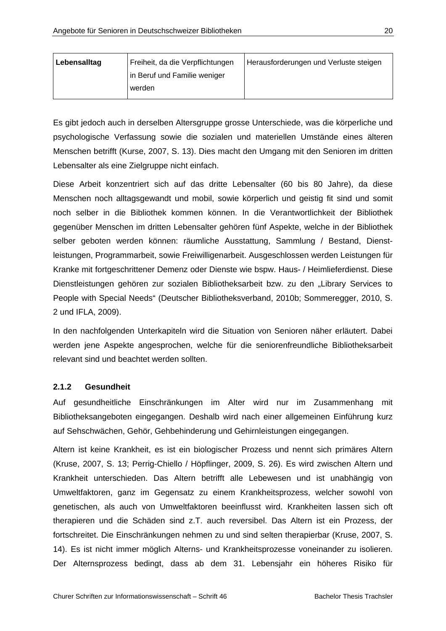| Lebensalltag | Freiheit, da die Verpflichtungen | Herausforderungen und Verluste steigen |  |  |  |
|--------------|----------------------------------|----------------------------------------|--|--|--|
|              | in Beruf und Familie weniger     |                                        |  |  |  |
|              | werden                           |                                        |  |  |  |

Es gibt jedoch auch in derselben Altersgruppe grosse Unterschiede, was die körperliche und psychologische Verfassung sowie die sozialen und materiellen Umstände eines älteren Menschen betrifft (Kurse, 2007, S. 13). Dies macht den Umgang mit den Senioren im dritten Lebensalter als eine Zielgruppe nicht einfach.

Diese Arbeit konzentriert sich auf das dritte Lebensalter (60 bis 80 Jahre), da diese Menschen noch alltagsgewandt und mobil, sowie körperlich und geistig fit sind und somit noch selber in die Bibliothek kommen können. In die Verantwortlichkeit der Bibliothek gegenüber Menschen im dritten Lebensalter gehören fünf Aspekte, welche in der Bibliothek selber geboten werden können: räumliche Ausstattung, Sammlung / Bestand, Dienstleistungen, Programmarbeit, sowie Freiwilligenarbeit. Ausgeschlossen werden Leistungen für Kranke mit fortgeschrittener Demenz oder Dienste wie bspw. Haus- / Heimlieferdienst. Diese Dienstleistungen gehören zur sozialen Bibliotheksarbeit bzw. zu den "Library Services to People with Special Needs" (Deutscher Bibliotheksverband, 2010b; Sommeregger, 2010, S. 2 und IFLA, 2009).

In den nachfolgenden Unterkapiteln wird die Situation von Senioren näher erläutert. Dabei werden jene Aspekte angesprochen, welche für die seniorenfreundliche Bibliotheksarbeit relevant sind und beachtet werden sollten.

#### **2.1.2 Gesundheit**

Auf gesundheitliche Einschränkungen im Alter wird nur im Zusammenhang mit Bibliotheksangeboten eingegangen. Deshalb wird nach einer allgemeinen Einführung kurz auf Sehschwächen, Gehör, Gehbehinderung und Gehirnleistungen eingegangen.

Altern ist keine Krankheit, es ist ein biologischer Prozess und nennt sich primäres Altern (Kruse, 2007, S. 13; Perrig-Chiello / Höpflinger, 2009, S. 26). Es wird zwischen Altern und Krankheit unterschieden. Das Altern betrifft alle Lebewesen und ist unabhängig von Umweltfaktoren, ganz im Gegensatz zu einem Krankheitsprozess, welcher sowohl von genetischen, als auch von Umweltfaktoren beeinflusst wird. Krankheiten lassen sich oft therapieren und die Schäden sind z.T. auch reversibel. Das Altern ist ein Prozess, der fortschreitet. Die Einschränkungen nehmen zu und sind selten therapierbar (Kruse, 2007, S. 14). Es ist nicht immer möglich Alterns- und Krankheitsprozesse voneinander zu isolieren. Der Alternsprozess bedingt, dass ab dem 31. Lebensjahr ein höheres Risiko für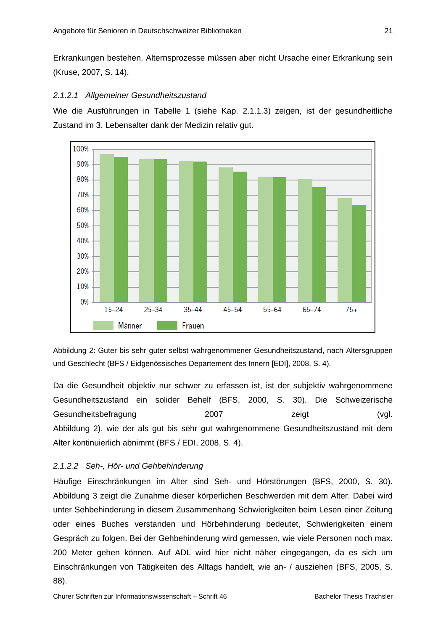Erkrankungen bestehen. Alternsprozesse müssen aber nicht Ursache einer Erkrankung sein (Kruse, 2007, S. 14).

#### *2.1.2.1 Allgemeiner Gesundheitszustand*

Wie die Ausführungen in Tabelle 1 (siehe Kap. 2.1.1.3) zeigen, ist der gesundheitliche Zustand im 3. Lebensalter dank der Medizin relativ gut.



Abbildung 2: Guter bis sehr guter selbst wahrgenommener Gesundheitszustand, nach Altersgruppen und Geschlecht (BFS / Eidgenössisches Departement des Innern [EDI], 2008, S. 4).

Da die Gesundheit objektiv nur schwer zu erfassen ist, ist der subjektiv wahrgenommene Gesundheitszustand ein solider Behelf (BFS, 2000, S. 30). Die Schweizerische Gesundheitsbefragung 2007 zeigt (vgl. Abbildung 2), wie der als gut bis sehr gut wahrgenommene Gesundheitszustand mit dem Alter kontinuierlich abnimmt (BFS / EDI, 2008, S. 4).

#### *2.1.2.2 Seh-, Hör- und Gehbehinderung*

Häufige Einschränkungen im Alter sind Seh- und Hörstörungen (BFS, 2000, S. 30). Abbildung 3 zeigt die Zunahme dieser körperlichen Beschwerden mit dem Alter. Dabei wird unter Sehbehinderung in diesem Zusammenhang Schwierigkeiten beim Lesen einer Zeitung oder eines Buches verstanden und Hörbehinderung bedeutet, Schwierigkeiten einem Gespräch zu folgen. Bei der Gehbehinderung wird gemessen, wie viele Personen noch max. 200 Meter gehen können. Auf ADL wird hier nicht näher eingegangen, da es sich um Einschränkungen von Tätigkeiten des Alltags handelt, wie an- / ausziehen (BFS, 2005, S. 88).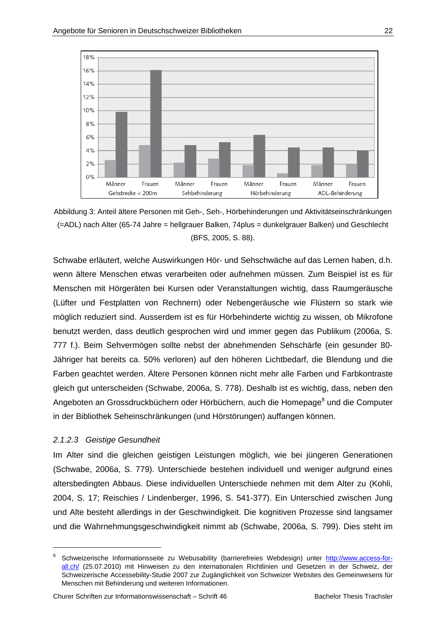

Abbildung 3: Anteil ältere Personen mit Geh-, Seh-, Hörbehinderungen und Aktivitätseinschränkungen (=ADL) nach Alter (65-74 Jahre = hellgrauer Balken, 74plus = dunkelgrauer Balken) und Geschlecht (BFS, 2005, S. 88).

Schwabe erläutert, welche Auswirkungen Hör- und Sehschwäche auf das Lernen haben, d.h. wenn ältere Menschen etwas verarbeiten oder aufnehmen müssen. Zum Beispiel ist es für Menschen mit Hörgeräten bei Kursen oder Veranstaltungen wichtig, dass Raumgeräusche (Lüfter und Festplatten von Rechnern) oder Nebengeräusche wie Flüstern so stark wie möglich reduziert sind. Ausserdem ist es für Hörbehinderte wichtig zu wissen, ob Mikrofone benutzt werden, dass deutlich gesprochen wird und immer gegen das Publikum (2006a, S. 777 f.). Beim Sehvermögen sollte nebst der abnehmenden Sehschärfe (ein gesunder 80- Jähriger hat bereits ca. 50% verloren) auf den höheren Lichtbedarf, die Blendung und die Farben geachtet werden. Ältere Personen können nicht mehr alle Farben und Farbkontraste gleich gut unterscheiden (Schwabe, 2006a, S. 778). Deshalb ist es wichtig, dass, neben den Angeboten an Grossdruckbüchern oder Hörbüchern, auch die Homepage<sup>8</sup> und die Computer in der Bibliothek Seheinschränkungen (und Hörstörungen) auffangen können.

#### *2.1.2.3 Geistige Gesundheit*

-

Im Alter sind die gleichen geistigen Leistungen möglich, wie bei jüngeren Generationen (Schwabe, 2006a, S. 779). Unterschiede bestehen individuell und weniger aufgrund eines altersbedingten Abbaus. Diese individuellen Unterschiede nehmen mit dem Alter zu (Kohli, 2004, S. 17; Reischies / Lindenberger, 1996, S. 541-377). Ein Unterschied zwischen Jung und Alte besteht allerdings in der Geschwindigkeit. Die kognitiven Prozesse sind langsamer und die Wahrnehmungsgeschwindigkeit nimmt ab (Schwabe, 2006a, S. 799). Dies steht im

<sup>8</sup> Schweizerische Informationsseite zu Webusability (barrierefreies Webdesign) unter http://www.access-forall.ch/ (25.07.2010) mit Hinweisen zu den internationalen Richtlinien und Gesetzen in der Schweiz, der Schweizerische Accessebility-Studie 2007 zur Zugänglichkeit von Schweizer Websites des Gemeinwesens für Menschen mit Behinderung und weiteren Informationen.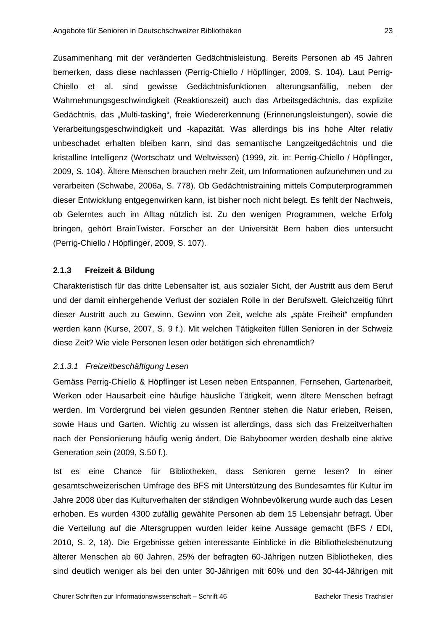Zusammenhang mit der veränderten Gedächtnisleistung. Bereits Personen ab 45 Jahren bemerken, dass diese nachlassen (Perrig-Chiello / Höpflinger, 2009, S. 104). Laut Perrig-Chiello et al. sind gewisse Gedächtnisfunktionen alterungsanfällig, neben der Wahrnehmungsgeschwindigkeit (Reaktionszeit) auch das Arbeitsgedächtnis, das explizite Gedächtnis, das "Multi-tasking", freie Wiedererkennung (Erinnerungsleistungen), sowie die Verarbeitungsgeschwindigkeit und -kapazität. Was allerdings bis ins hohe Alter relativ unbeschadet erhalten bleiben kann, sind das semantische Langzeitgedächtnis und die kristalline Intelligenz (Wortschatz und Weltwissen) (1999, zit. in: Perrig-Chiello / Höpflinger, 2009, S. 104). Ältere Menschen brauchen mehr Zeit, um Informationen aufzunehmen und zu verarbeiten (Schwabe, 2006a, S. 778). Ob Gedächtnistraining mittels Computerprogrammen dieser Entwicklung entgegenwirken kann, ist bisher noch nicht belegt. Es fehlt der Nachweis, ob Gelerntes auch im Alltag nützlich ist. Zu den wenigen Programmen, welche Erfolg bringen, gehört BrainTwister. Forscher an der Universität Bern haben dies untersucht (Perrig-Chiello / Höpflinger, 2009, S. 107).

#### **2.1.3 Freizeit & Bildung**

Charakteristisch für das dritte Lebensalter ist, aus sozialer Sicht, der Austritt aus dem Beruf und der damit einhergehende Verlust der sozialen Rolle in der Berufswelt. Gleichzeitig führt dieser Austritt auch zu Gewinn. Gewinn von Zeit, welche als "späte Freiheit" empfunden werden kann (Kurse, 2007, S. 9 f.). Mit welchen Tätigkeiten füllen Senioren in der Schweiz diese Zeit? Wie viele Personen lesen oder betätigen sich ehrenamtlich?

#### *2.1.3.1 Freizeitbeschäftigung Lesen*

Gemäss Perrig-Chiello & Höpflinger ist Lesen neben Entspannen, Fernsehen, Gartenarbeit, Werken oder Hausarbeit eine häufige häusliche Tätigkeit, wenn ältere Menschen befragt werden. Im Vordergrund bei vielen gesunden Rentner stehen die Natur erleben, Reisen, sowie Haus und Garten. Wichtig zu wissen ist allerdings, dass sich das Freizeitverhalten nach der Pensionierung häufig wenig ändert. Die Babyboomer werden deshalb eine aktive Generation sein (2009, S.50 f.).

Ist es eine Chance für Bibliotheken, dass Senioren gerne lesen? In einer gesamtschweizerischen Umfrage des BFS mit Unterstützung des Bundesamtes für Kultur im Jahre 2008 über das Kulturverhalten der ständigen Wohnbevölkerung wurde auch das Lesen erhoben. Es wurden 4300 zufällig gewählte Personen ab dem 15 Lebensjahr befragt. Über die Verteilung auf die Altersgruppen wurden leider keine Aussage gemacht (BFS / EDI, 2010, S. 2, 18). Die Ergebnisse geben interessante Einblicke in die Bibliotheksbenutzung älterer Menschen ab 60 Jahren. 25% der befragten 60-Jährigen nutzen Bibliotheken, dies sind deutlich weniger als bei den unter 30-Jährigen mit 60% und den 30-44-Jährigen mit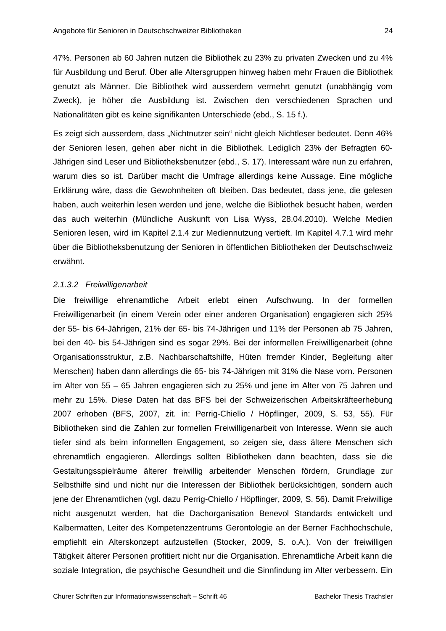47%. Personen ab 60 Jahren nutzen die Bibliothek zu 23% zu privaten Zwecken und zu 4% für Ausbildung und Beruf. Über alle Altersgruppen hinweg haben mehr Frauen die Bibliothek genutzt als Männer. Die Bibliothek wird ausserdem vermehrt genutzt (unabhängig vom Zweck), je höher die Ausbildung ist. Zwischen den verschiedenen Sprachen und Nationalitäten gibt es keine signifikanten Unterschiede (ebd., S. 15 f.).

Es zeigt sich ausserdem, dass "Nichtnutzer sein" nicht gleich Nichtleser bedeutet. Denn 46% der Senioren lesen, gehen aber nicht in die Bibliothek. Lediglich 23% der Befragten 60- Jährigen sind Leser und Bibliotheksbenutzer (ebd., S. 17). Interessant wäre nun zu erfahren, warum dies so ist. Darüber macht die Umfrage allerdings keine Aussage. Eine mögliche Erklärung wäre, dass die Gewohnheiten oft bleiben. Das bedeutet, dass jene, die gelesen haben, auch weiterhin lesen werden und jene, welche die Bibliothek besucht haben, werden das auch weiterhin (Mündliche Auskunft von Lisa Wyss, 28.04.2010). Welche Medien Senioren lesen, wird im Kapitel 2.1.4 zur Mediennutzung vertieft. Im Kapitel 4.7.1 wird mehr über die Bibliotheksbenutzung der Senioren in öffentlichen Bibliotheken der Deutschschweiz erwähnt.

#### *2.1.3.2 Freiwilligenarbeit*

Die freiwillige ehrenamtliche Arbeit erlebt einen Aufschwung. In der formellen Freiwilligenarbeit (in einem Verein oder einer anderen Organisation) engagieren sich 25% der 55- bis 64-Jährigen, 21% der 65- bis 74-Jährigen und 11% der Personen ab 75 Jahren, bei den 40- bis 54-Jährigen sind es sogar 29%. Bei der informellen Freiwilligenarbeit (ohne Organisationsstruktur, z.B. Nachbarschaftshilfe, Hüten fremder Kinder, Begleitung alter Menschen) haben dann allerdings die 65- bis 74-Jährigen mit 31% die Nase vorn. Personen im Alter von 55 – 65 Jahren engagieren sich zu 25% und jene im Alter von 75 Jahren und mehr zu 15%. Diese Daten hat das BFS bei der Schweizerischen Arbeitskräfteerhebung 2007 erhoben (BFS, 2007, zit. in: Perrig-Chiello / Höpflinger, 2009, S. 53, 55). Für Bibliotheken sind die Zahlen zur formellen Freiwilligenarbeit von Interesse. Wenn sie auch tiefer sind als beim informellen Engagement, so zeigen sie, dass ältere Menschen sich ehrenamtlich engagieren. Allerdings sollten Bibliotheken dann beachten, dass sie die Gestaltungsspielräume älterer freiwillig arbeitender Menschen fördern, Grundlage zur Selbsthilfe sind und nicht nur die Interessen der Bibliothek berücksichtigen, sondern auch jene der Ehrenamtlichen (vgl. dazu Perrig-Chiello / Höpflinger, 2009, S. 56). Damit Freiwillige nicht ausgenutzt werden, hat die Dachorganisation Benevol Standards entwickelt und Kalbermatten, Leiter des Kompetenzzentrums Gerontologie an der Berner Fachhochschule, empfiehlt ein Alterskonzept aufzustellen (Stocker, 2009, S. o.A.). Von der freiwilligen Tätigkeit älterer Personen profitiert nicht nur die Organisation. Ehrenamtliche Arbeit kann die soziale Integration, die psychische Gesundheit und die Sinnfindung im Alter verbessern. Ein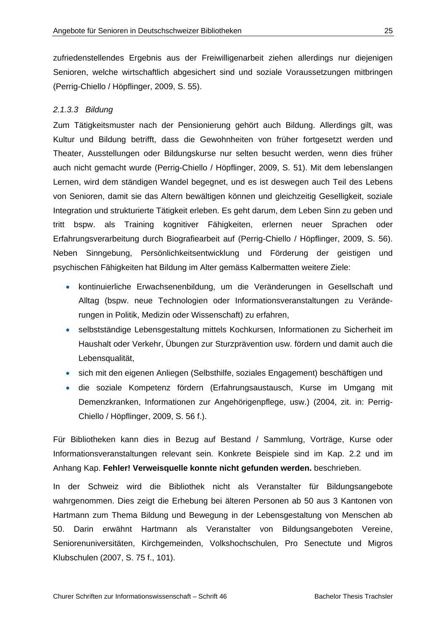zufriedenstellendes Ergebnis aus der Freiwilligenarbeit ziehen allerdings nur diejenigen Senioren, welche wirtschaftlich abgesichert sind und soziale Voraussetzungen mitbringen (Perrig-Chiello / Höpflinger, 2009, S. 55).

#### *2.1.3.3 Bildung*

Zum Tätigkeitsmuster nach der Pensionierung gehört auch Bildung. Allerdings gilt, was Kultur und Bildung betrifft, dass die Gewohnheiten von früher fortgesetzt werden und Theater, Ausstellungen oder Bildungskurse nur selten besucht werden, wenn dies früher auch nicht gemacht wurde (Perrig-Chiello / Höpflinger, 2009, S. 51). Mit dem lebenslangen Lernen, wird dem ständigen Wandel begegnet, und es ist deswegen auch Teil des Lebens von Senioren, damit sie das Altern bewältigen können und gleichzeitig Geselligkeit, soziale Integration und strukturierte Tätigkeit erleben. Es geht darum, dem Leben Sinn zu geben und tritt bspw. als Training kognitiver Fähigkeiten, erlernen neuer Sprachen oder Erfahrungsverarbeitung durch Biografiearbeit auf (Perrig-Chiello / Höpflinger, 2009, S. 56). Neben Sinngebung, Persönlichkeitsentwicklung und Förderung der geistigen und psychischen Fähigkeiten hat Bildung im Alter gemäss Kalbermatten weitere Ziele:

- kontinuierliche Erwachsenenbildung, um die Veränderungen in Gesellschaft und Alltag (bspw. neue Technologien oder Informationsveranstaltungen zu Veränderungen in Politik, Medizin oder Wissenschaft) zu erfahren,
- selbstständige Lebensgestaltung mittels Kochkursen, Informationen zu Sicherheit im Haushalt oder Verkehr, Übungen zur Sturzprävention usw. fördern und damit auch die Lebensqualität,
- sich mit den eigenen Anliegen (Selbsthilfe, soziales Engagement) beschäftigen und
- die soziale Kompetenz fördern (Erfahrungsaustausch, Kurse im Umgang mit Demenzkranken, Informationen zur Angehörigenpflege, usw.) (2004, zit. in: Perrig-Chiello / Höpflinger, 2009, S. 56 f.).

Für Bibliotheken kann dies in Bezug auf Bestand / Sammlung, Vorträge, Kurse oder Informationsveranstaltungen relevant sein. Konkrete Beispiele sind im Kap. 2.2 und im Anhang Kap. **Fehler! Verweisquelle konnte nicht gefunden werden.** beschrieben.

In der Schweiz wird die Bibliothek nicht als Veranstalter für Bildungsangebote wahrgenommen. Dies zeigt die Erhebung bei älteren Personen ab 50 aus 3 Kantonen von Hartmann zum Thema Bildung und Bewegung in der Lebensgestaltung von Menschen ab 50. Darin erwähnt Hartmann als Veranstalter von Bildungsangeboten Vereine, Seniorenuniversitäten, Kirchgemeinden, Volkshochschulen, Pro Senectute und Migros Klubschulen (2007, S. 75 f., 101).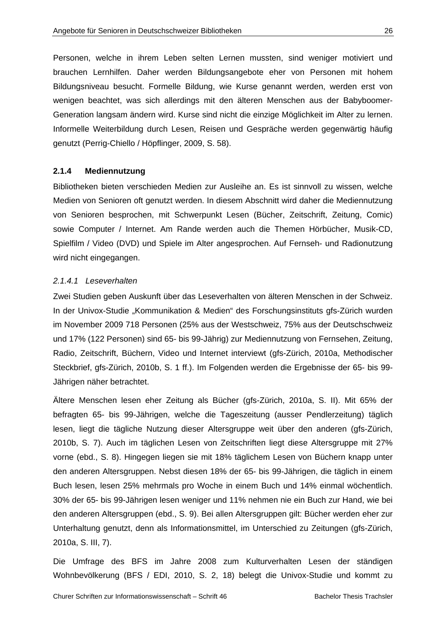Personen, welche in ihrem Leben selten Lernen mussten, sind weniger motiviert und brauchen Lernhilfen. Daher werden Bildungsangebote eher von Personen mit hohem Bildungsniveau besucht. Formelle Bildung, wie Kurse genannt werden, werden erst von wenigen beachtet, was sich allerdings mit den älteren Menschen aus der Babyboomer-Generation langsam ändern wird. Kurse sind nicht die einzige Möglichkeit im Alter zu lernen. Informelle Weiterbildung durch Lesen, Reisen und Gespräche werden gegenwärtig häufig genutzt (Perrig-Chiello / Höpflinger, 2009, S. 58).

#### **2.1.4 Mediennutzung**

Bibliotheken bieten verschieden Medien zur Ausleihe an. Es ist sinnvoll zu wissen, welche Medien von Senioren oft genutzt werden. In diesem Abschnitt wird daher die Mediennutzung von Senioren besprochen, mit Schwerpunkt Lesen (Bücher, Zeitschrift, Zeitung, Comic) sowie Computer / Internet. Am Rande werden auch die Themen Hörbücher, Musik-CD, Spielfilm / Video (DVD) und Spiele im Alter angesprochen. Auf Fernseh- und Radionutzung wird nicht eingegangen.

#### *2.1.4.1 Leseverhalten*

Zwei Studien geben Auskunft über das Leseverhalten von älteren Menschen in der Schweiz. In der Univox-Studie "Kommunikation & Medien" des Forschungsinstituts gfs-Zürich wurden im November 2009 718 Personen (25% aus der Westschweiz, 75% aus der Deutschschweiz und 17% (122 Personen) sind 65- bis 99-Jährig) zur Mediennutzung von Fernsehen, Zeitung, Radio, Zeitschrift, Büchern, Video und Internet interviewt (gfs-Zürich, 2010a, Methodischer Steckbrief, gfs-Zürich, 2010b, S. 1 ff.). Im Folgenden werden die Ergebnisse der 65- bis 99- Jährigen näher betrachtet.

Ältere Menschen lesen eher Zeitung als Bücher (gfs-Zürich, 2010a, S. II). Mit 65% der befragten 65- bis 99-Jährigen, welche die Tageszeitung (ausser Pendlerzeitung) täglich lesen, liegt die tägliche Nutzung dieser Altersgruppe weit über den anderen (gfs-Zürich, 2010b, S. 7). Auch im täglichen Lesen von Zeitschriften liegt diese Altersgruppe mit 27% vorne (ebd., S. 8). Hingegen liegen sie mit 18% täglichem Lesen von Büchern knapp unter den anderen Altersgruppen. Nebst diesen 18% der 65- bis 99-Jährigen, die täglich in einem Buch lesen, lesen 25% mehrmals pro Woche in einem Buch und 14% einmal wöchentlich. 30% der 65- bis 99-Jährigen lesen weniger und 11% nehmen nie ein Buch zur Hand, wie bei den anderen Altersgruppen (ebd., S. 9). Bei allen Altersgruppen gilt: Bücher werden eher zur Unterhaltung genutzt, denn als Informationsmittel, im Unterschied zu Zeitungen (gfs-Zürich, 2010a, S. III, 7).

Die Umfrage des BFS im Jahre 2008 zum Kulturverhalten Lesen der ständigen Wohnbevölkerung (BFS / EDI, 2010, S. 2, 18) belegt die Univox-Studie und kommt zu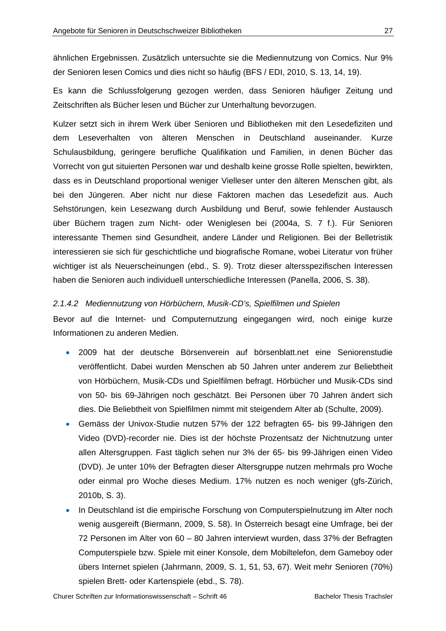ähnlichen Ergebnissen. Zusätzlich untersuchte sie die Mediennutzung von Comics. Nur 9% der Senioren lesen Comics und dies nicht so häufig (BFS / EDI, 2010, S. 13, 14, 19).

Es kann die Schlussfolgerung gezogen werden, dass Senioren häufiger Zeitung und Zeitschriften als Bücher lesen und Bücher zur Unterhaltung bevorzugen.

Kulzer setzt sich in ihrem Werk über Senioren und Bibliotheken mit den Lesedefiziten und dem Leseverhalten von älteren Menschen in Deutschland auseinander. Kurze Schulausbildung, geringere berufliche Qualifikation und Familien, in denen Bücher das Vorrecht von gut situierten Personen war und deshalb keine grosse Rolle spielten, bewirkten, dass es in Deutschland proportional weniger Vielleser unter den älteren Menschen gibt, als bei den Jüngeren. Aber nicht nur diese Faktoren machen das Lesedefizit aus. Auch Sehstörungen, kein Lesezwang durch Ausbildung und Beruf, sowie fehlender Austausch über Büchern tragen zum Nicht- oder Weniglesen bei (2004a, S. 7 f.). Für Senioren interessante Themen sind Gesundheit, andere Länder und Religionen. Bei der Belletristik interessieren sie sich für geschichtliche und biografische Romane, wobei Literatur von früher wichtiger ist als Neuerscheinungen (ebd., S. 9). Trotz dieser altersspezifischen Interessen haben die Senioren auch individuell unterschiedliche Interessen (Panella, 2006, S. 38).

#### *2.1.4.2 Mediennutzung von Hörbüchern, Musik-CD's, Spielfilmen und Spielen*

Bevor auf die Internet- und Computernutzung eingegangen wird, noch einige kurze Informationen zu anderen Medien.

- 2009 hat der deutsche Börsenverein auf börsenblatt.net eine Seniorenstudie veröffentlicht. Dabei wurden Menschen ab 50 Jahren unter anderem zur Beliebtheit von Hörbüchern, Musik-CDs und Spielfilmen befragt. Hörbücher und Musik-CDs sind von 50- bis 69-Jährigen noch geschätzt. Bei Personen über 70 Jahren ändert sich dies. Die Beliebtheit von Spielfilmen nimmt mit steigendem Alter ab (Schulte, 2009).
- Gemäss der Univox-Studie nutzen 57% der 122 befragten 65- bis 99-Jährigen den Video (DVD)-recorder nie. Dies ist der höchste Prozentsatz der Nichtnutzung unter allen Altersgruppen. Fast täglich sehen nur 3% der 65- bis 99-Jährigen einen Video (DVD). Je unter 10% der Befragten dieser Altersgruppe nutzen mehrmals pro Woche oder einmal pro Woche dieses Medium. 17% nutzen es noch weniger (gfs-Zürich, 2010b, S. 3).
- In Deutschland ist die empirische Forschung von Computerspielnutzung im Alter noch wenig ausgereift (Biermann, 2009, S. 58). In Österreich besagt eine Umfrage, bei der 72 Personen im Alter von 60 – 80 Jahren interviewt wurden, dass 37% der Befragten Computerspiele bzw. Spiele mit einer Konsole, dem Mobiltelefon, dem Gameboy oder übers Internet spielen (Jahrmann, 2009, S. 1, 51, 53, 67). Weit mehr Senioren (70%) spielen Brett- oder Kartenspiele (ebd., S. 78).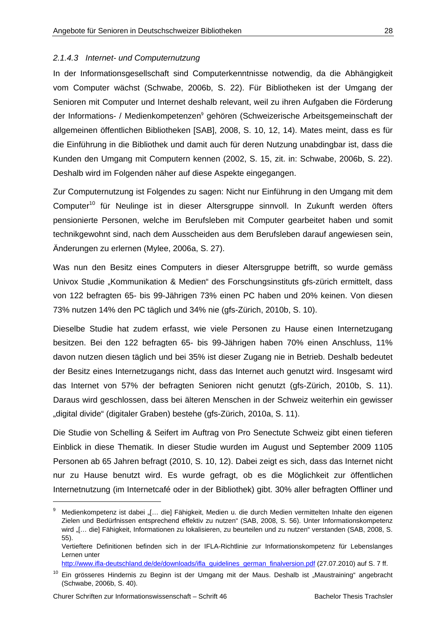#### *2.1.4.3 Internet- und Computernutzung*

In der Informationsgesellschaft sind Computerkenntnisse notwendig, da die Abhängigkeit vom Computer wächst (Schwabe, 2006b, S. 22). Für Bibliotheken ist der Umgang der Senioren mit Computer und Internet deshalb relevant, weil zu ihren Aufgaben die Förderung der Informations- / Medienkompetenzen<sup>9</sup> gehören (Schweizerische Arbeitsgemeinschaft der allgemeinen öffentlichen Bibliotheken [SAB], 2008, S. 10, 12, 14). Mates meint, dass es für die Einführung in die Bibliothek und damit auch für deren Nutzung unabdingbar ist, dass die Kunden den Umgang mit Computern kennen (2002, S. 15, zit. in: Schwabe, 2006b, S. 22). Deshalb wird im Folgenden näher auf diese Aspekte eingegangen.

Zur Computernutzung ist Folgendes zu sagen: Nicht nur Einführung in den Umgang mit dem Computer<sup>10</sup> für Neulinge ist in dieser Altersgruppe sinnvoll. In Zukunft werden öfters pensionierte Personen, welche im Berufsleben mit Computer gearbeitet haben und somit technikgewohnt sind, nach dem Ausscheiden aus dem Berufsleben darauf angewiesen sein, Änderungen zu erlernen (Mylee, 2006a, S. 27).

Was nun den Besitz eines Computers in dieser Altersgruppe betrifft, so wurde gemäss Univox Studie "Kommunikation & Medien" des Forschungsinstituts gfs-zürich ermittelt, dass von 122 befragten 65- bis 99-Jährigen 73% einen PC haben und 20% keinen. Von diesen 73% nutzen 14% den PC täglich und 34% nie (gfs-Zürich, 2010b, S. 10).

Dieselbe Studie hat zudem erfasst, wie viele Personen zu Hause einen Internetzugang besitzen. Bei den 122 befragten 65- bis 99-Jährigen haben 70% einen Anschluss, 11% davon nutzen diesen täglich und bei 35% ist dieser Zugang nie in Betrieb. Deshalb bedeutet der Besitz eines Internetzugangs nicht, dass das Internet auch genutzt wird. Insgesamt wird das Internet von 57% der befragten Senioren nicht genutzt (gfs-Zürich, 2010b, S. 11). Daraus wird geschlossen, dass bei älteren Menschen in der Schweiz weiterhin ein gewisser "digital divide" (digitaler Graben) bestehe (gfs-Zürich, 2010a, S. 11).

Die Studie von Schelling & Seifert im Auftrag von Pro Senectute Schweiz gibt einen tieferen Einblick in diese Thematik. In dieser Studie wurden im August und September 2009 1105 Personen ab 65 Jahren befragt (2010, S. 10, 12). Dabei zeigt es sich, dass das Internet nicht nur zu Hause benutzt wird. Es wurde gefragt, ob es die Möglichkeit zur öffentlichen Internetnutzung (im Internetcafé oder in der Bibliothek) gibt. 30% aller befragten Offliner und

-

<sup>9</sup> Medienkompetenz ist dabei "[... die] Fähigkeit, Medien u. die durch Medien vermittelten Inhalte den eigenen Zielen und Bedürfnissen entsprechend effektiv zu nutzen" (SAB, 2008, S. 56). Unter Informationskompetenz wird "[... die] Fähigkeit, Informationen zu lokalisieren, zu beurteilen und zu nutzen" verstanden (SAB, 2008, S. 55).

Vertieftere Definitionen befinden sich in der IFLA-Richtlinie zur Informationskompetenz für Lebenslanges Lernen unter

http://www.ifla-deutschland.de/de/downloads/ifla\_guidelines\_german\_finalversion.pdf (27.07.2010) auf S. 7 ff.

<sup>&</sup>lt;sup>10</sup> Ein grösseres Hindernis zu Beginn ist der Umgang mit der Maus. Deshalb ist "Maustraining" angebracht (Schwabe, 2006b, S. 40).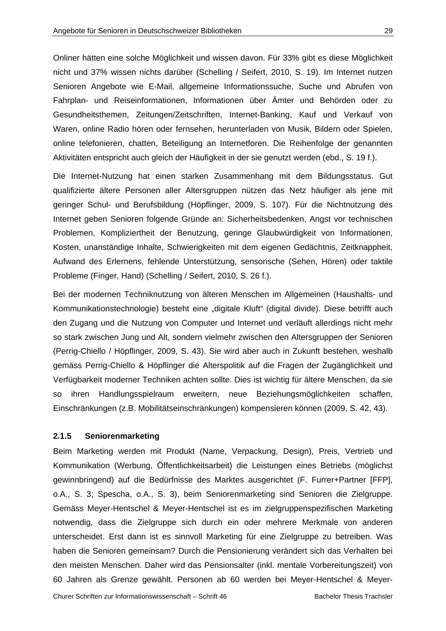Onliner hätten eine solche Möglichkeit und wissen davon. Für 33% gibt es diese Möglichkeit nicht und 37% wissen nichts darüber (Schelling / Seifert, 2010, S. 19). Im Internet nutzen Senioren Angebote wie E-Mail, allgemeine Informationssuche, Suche und Abrufen von Fahrplan- und Reiseinformationen, Informationen über Ämter und Behörden oder zu Gesundheitsthemen, Zeitungen/Zeitschriften, Internet-Banking, Kauf und Verkauf von Waren, online Radio hören oder fernsehen, herunterladen von Musik, Bildern oder Spielen, online telefonieren, chatten, Beteiligung an Internetforen. Die Reihenfolge der genannten Aktivitäten entspricht auch gleich der Häufigkeit in der sie genutzt werden (ebd., S. 19 f.).

Die Internet-Nutzung hat einen starken Zusammenhang mit dem Bildungsstatus. Gut qualifizierte ältere Personen aller Altersgruppen nützen das Netz häufiger als jene mit geringer Schul- und Berufsbildung (Höpflinger, 2009, S. 107). Für die Nichtnutzung des Internet geben Senioren folgende Gründe an: Sicherheitsbedenken, Angst vor technischen Problemen, Kompliziertheit der Benutzung, geringe Glaubwürdigkeit von Informationen, Kosten, unanständige Inhalte, Schwierigkeiten mit dem eigenen Gedächtnis, Zeitknappheit, Aufwand des Erlernens, fehlende Unterstützung, sensorische (Sehen, Hören) oder taktile Probleme (Finger, Hand) (Schelling / Seifert, 2010, S. 26 f.).

Bei der modernen Techniknutzung von älteren Menschen im Allgemeinen (Haushalts- und Kommunikationstechnologie) besteht eine "digitale Kluft" (digital divide). Diese betrifft auch den Zugang und die Nutzung von Computer und Internet und verläuft allerdings nicht mehr so stark zwischen Jung und Alt, sondern vielmehr zwischen den Altersgruppen der Senioren (Perrig-Chiello / Höpflinger, 2009, S. 43). Sie wird aber auch in Zukunft bestehen, weshalb gemäss Perrig-Chiello & Höpflinger die Alterspolitik auf die Fragen der Zugänglichkeit und Verfügbarkeit moderner Techniken achten sollte. Dies ist wichtig für ältere Menschen, da sie so ihren Handlungsspielraum erweitern, neue Beziehungsmöglichkeiten schaffen, Einschränkungen (z.B. Mobilitätseinschränkungen) kompensieren können (2009, S. 42, 43).

#### **2.1.5 Seniorenmarketing**

Beim Marketing werden mit Produkt (Name, Verpackung, Design), Preis, Vertrieb und Kommunikation (Werbung, Öffentlichkeitsarbeit) die Leistungen eines Betriebs (möglichst gewinnbringend) auf die Bedürfnisse des Marktes ausgerichtet (F. Furrer+Partner [FFP], o.A., S. 3; Spescha, o.A., S. 3), beim Seniorenmarketing sind Senioren die Zielgruppe. Gemäss Meyer-Hentschel & Meyer-Hentschel ist es im zielgruppenspezifischen Marketing notwendig, dass die Zielgruppe sich durch ein oder mehrere Merkmale von anderen unterscheidet. Erst dann ist es sinnvoll Marketing für eine Zielgruppe zu betreiben. Was haben die Senioren gemeinsam? Durch die Pensionierung verändert sich das Verhalten bei den meisten Menschen. Daher wird das Pensionsalter (inkl. mentale Vorbereitungszeit) von 60 Jahren als Grenze gewählt. Personen ab 60 werden bei Meyer-Hentschel & Meyer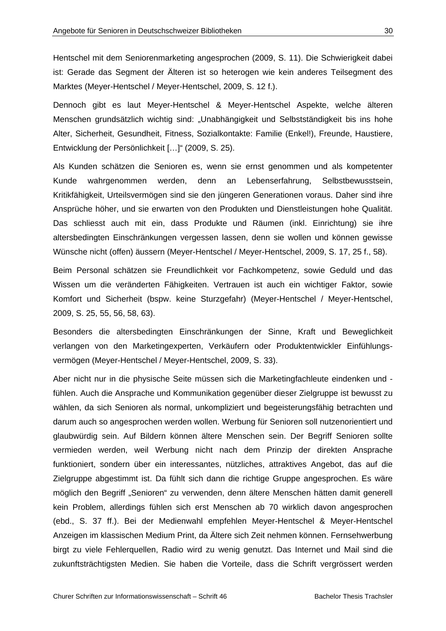Hentschel mit dem Seniorenmarketing angesprochen (2009, S. 11). Die Schwierigkeit dabei ist: Gerade das Segment der Älteren ist so heterogen wie kein anderes Teilsegment des Marktes (Meyer-Hentschel / Meyer-Hentschel, 2009, S. 12 f.).

Dennoch gibt es laut Meyer-Hentschel & Meyer-Hentschel Aspekte, welche älteren Menschen grundsätzlich wichtig sind: "Unabhängigkeit und Selbstständigkeit bis ins hohe Alter, Sicherheit, Gesundheit, Fitness, Sozialkontakte: Familie (Enkel!), Freunde, Haustiere, Entwicklung der Persönlichkeit […]" (2009, S. 25).

Als Kunden schätzen die Senioren es, wenn sie ernst genommen und als kompetenter Kunde wahrgenommen werden, denn an Lebenserfahrung, Selbstbewusstsein, Kritikfähigkeit, Urteilsvermögen sind sie den jüngeren Generationen voraus. Daher sind ihre Ansprüche höher, und sie erwarten von den Produkten und Dienstleistungen hohe Qualität. Das schliesst auch mit ein, dass Produkte und Räumen (inkl. Einrichtung) sie ihre altersbedingten Einschränkungen vergessen lassen, denn sie wollen und können gewisse Wünsche nicht (offen) äussern (Meyer-Hentschel / Meyer-Hentschel, 2009, S. 17, 25 f., 58).

Beim Personal schätzen sie Freundlichkeit vor Fachkompetenz, sowie Geduld und das Wissen um die veränderten Fähigkeiten. Vertrauen ist auch ein wichtiger Faktor, sowie Komfort und Sicherheit (bspw. keine Sturzgefahr) (Meyer-Hentschel / Meyer-Hentschel, 2009, S. 25, 55, 56, 58, 63).

Besonders die altersbedingten Einschränkungen der Sinne, Kraft und Beweglichkeit verlangen von den Marketingexperten, Verkäufern oder Produktentwickler Einfühlungsvermögen (Meyer-Hentschel / Meyer-Hentschel, 2009, S. 33).

Aber nicht nur in die physische Seite müssen sich die Marketingfachleute eindenken und fühlen. Auch die Ansprache und Kommunikation gegenüber dieser Zielgruppe ist bewusst zu wählen, da sich Senioren als normal, unkompliziert und begeisterungsfähig betrachten und darum auch so angesprochen werden wollen. Werbung für Senioren soll nutzenorientiert und glaubwürdig sein. Auf Bildern können ältere Menschen sein. Der Begriff Senioren sollte vermieden werden, weil Werbung nicht nach dem Prinzip der direkten Ansprache funktioniert, sondern über ein interessantes, nützliches, attraktives Angebot, das auf die Zielgruppe abgestimmt ist. Da fühlt sich dann die richtige Gruppe angesprochen. Es wäre möglich den Begriff "Senioren" zu verwenden, denn ältere Menschen hätten damit generell kein Problem, allerdings fühlen sich erst Menschen ab 70 wirklich davon angesprochen (ebd., S. 37 ff.). Bei der Medienwahl empfehlen Meyer-Hentschel & Meyer-Hentschel Anzeigen im klassischen Medium Print, da Ältere sich Zeit nehmen können. Fernsehwerbung birgt zu viele Fehlerquellen, Radio wird zu wenig genutzt. Das Internet und Mail sind die zukunftsträchtigsten Medien. Sie haben die Vorteile, dass die Schrift vergrössert werden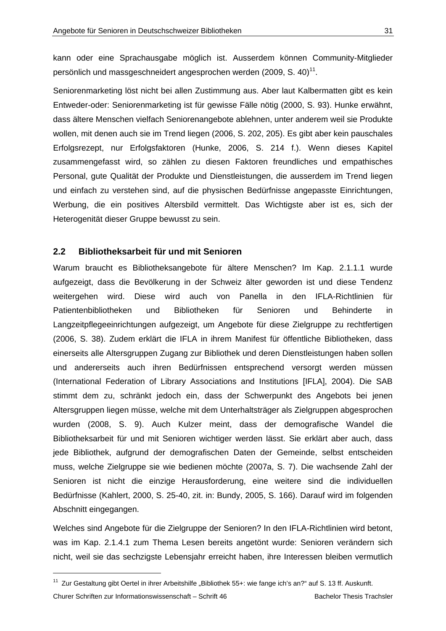kann oder eine Sprachausgabe möglich ist. Ausserdem können Community-Mitglieder persönlich und massgeschneidert angesprochen werden (2009, S. 40)<sup>11</sup>.

Seniorenmarketing löst nicht bei allen Zustimmung aus. Aber laut Kalbermatten gibt es kein Entweder-oder: Seniorenmarketing ist für gewisse Fälle nötig (2000, S. 93). Hunke erwähnt, dass ältere Menschen vielfach Seniorenangebote ablehnen, unter anderem weil sie Produkte wollen, mit denen auch sie im Trend liegen (2006, S. 202, 205). Es gibt aber kein pauschales Erfolgsrezept, nur Erfolgsfaktoren (Hunke, 2006, S. 214 f.). Wenn dieses Kapitel zusammengefasst wird, so zählen zu diesen Faktoren freundliches und empathisches Personal, gute Qualität der Produkte und Dienstleistungen, die ausserdem im Trend liegen und einfach zu verstehen sind, auf die physischen Bedürfnisse angepasste Einrichtungen, Werbung, die ein positives Altersbild vermittelt. Das Wichtigste aber ist es, sich der Heterogenität dieser Gruppe bewusst zu sein.

#### **2.2 Bibliotheksarbeit für und mit Senioren**

-

Warum braucht es Bibliotheksangebote für ältere Menschen? Im Kap. 2.1.1.1 wurde aufgezeigt, dass die Bevölkerung in der Schweiz älter geworden ist und diese Tendenz weitergehen wird. Diese wird auch von Panella in den IFLA-Richtlinien für Patientenbibliotheken und Bibliotheken für Senioren und Behinderte in Langzeitpflegeeinrichtungen aufgezeigt, um Angebote für diese Zielgruppe zu rechtfertigen (2006, S. 38). Zudem erklärt die IFLA in ihrem Manifest für öffentliche Bibliotheken, dass einerseits alle Altersgruppen Zugang zur Bibliothek und deren Dienstleistungen haben sollen und andererseits auch ihren Bedürfnissen entsprechend versorgt werden müssen (International Federation of Library Associations and Institutions [IFLA], 2004). Die SAB stimmt dem zu, schränkt jedoch ein, dass der Schwerpunkt des Angebots bei jenen Altersgruppen liegen müsse, welche mit dem Unterhaltsträger als Zielgruppen abgesprochen wurden (2008, S. 9). Auch Kulzer meint, dass der demografische Wandel die Bibliotheksarbeit für und mit Senioren wichtiger werden lässt. Sie erklärt aber auch, dass jede Bibliothek, aufgrund der demografischen Daten der Gemeinde, selbst entscheiden muss, welche Zielgruppe sie wie bedienen möchte (2007a, S. 7). Die wachsende Zahl der Senioren ist nicht die einzige Herausforderung, eine weitere sind die individuellen Bedürfnisse (Kahlert, 2000, S. 25-40, zit. in: Bundy, 2005, S. 166). Darauf wird im folgenden Abschnitt eingegangen.

Welches sind Angebote für die Zielgruppe der Senioren? In den IFLA-Richtlinien wird betont, was im Kap. 2.1.4.1 zum Thema Lesen bereits angetönt wurde: Senioren verändern sich nicht, weil sie das sechzigste Lebensjahr erreicht haben, ihre Interessen bleiben vermutlich

Churer Schriften zur Informationswissenschaft – Schrift 46 Bachelor Thesis Trachsler <sup>11</sup> Zur Gestaltung gibt Oertel in ihrer Arbeitshilfe "Bibliothek 55+: wie fange ich's an?" auf S. 13 ff. Auskunft.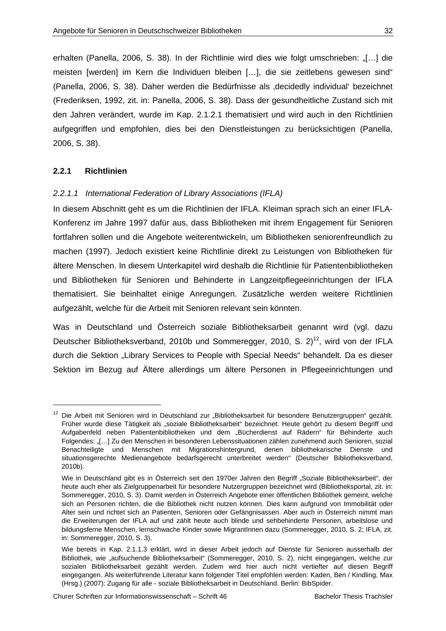erhalten (Panella, 2006, S. 38). In der Richtlinie wird dies wie folgt umschrieben: "[...] die meisten [werden] im Kern die Individuen bleiben […], die sie zeitlebens gewesen sind" (Panella, 2006, S. 38). Daher werden die Bedürfnisse als 'decidedly individual' bezeichnet (Frederiksen, 1992, zit. in: Panella, 2006, S. 38). Dass der gesundheitliche Zustand sich mit den Jahren verändert, wurde im Kap. 2.1.2.1 thematisiert und wird auch in den Richtlinien aufgegriffen und empfohlen, dies bei den Dienstleistungen zu berücksichtigen (Panella, 2006, S. 38).

#### **2.2.1 Richtlinien**

-

#### *2.2.1.1 International Federation of Library Associations (IFLA)*

In diesem Abschnitt geht es um die Richtlinien der IFLA. Kleiman sprach sich an einer IFLA-Konferenz im Jahre 1997 dafür aus, dass Bibliotheken mit ihrem Engagement für Senioren fortfahren sollen und die Angebote weiterentwickeln, um Bibliotheken seniorenfreundlich zu machen (1997). Jedoch existiert keine Richtlinie direkt zu Leistungen von Bibliotheken für ältere Menschen. In diesem Unterkapitel wird deshalb die Richtlinie für Patientenbibliotheken und Bibliotheken für Senioren und Behinderte in Langzeitpflegeeinrichtungen der IFLA thematisiert. Sie beinhaltet einige Anregungen. Zusätzliche werden weitere Richtlinien aufgezählt, welche für die Arbeit mit Senioren relevant sein könnten.

Was in Deutschland und Österreich soziale Bibliotheksarbeit genannt wird (vgl. dazu Deutscher Bibliotheksverband, 2010b und Sommeregger, 2010, S. 2)<sup>12</sup>, wird von der IFLA durch die Sektion "Library Services to People with Special Needs" behandelt. Da es dieser Sektion im Bezug auf Ältere allerdings um ältere Personen in Pflegeeinrichtungen und

<sup>&</sup>lt;sup>12</sup> Die Arbeit mit Senioren wird in Deutschland zur "Bibliotheksarbeit für besondere Benutzergruppen" gezählt. Früher wurde diese Tätigkeit als "soziale Bibliotheksarbeit" bezeichnet. Heute gehört zu diesem Begriff und Aufgabenfeld neben Patientenbibliotheken und dem "Bücherdienst auf Rädern" für Behinderte auch Folgendes: "[…] Zu den Menschen in besonderen Lebenssituationen zählen zunehmend auch Senioren, sozial Benachteiligte und Menschen mit Migrationshintergrund, denen bibliothekarische Dienste und situationsgerechte Medienangebote bedarfsgerecht unterbreitet werden" (Deutscher Bibliotheksverband, 2010b).

Wie in Deutschland gibt es in Österreich seit den 1970er Jahren den Begriff "Soziale Bibliotheksarbeit", der heute auch eher als Zielgruppenarbeit für besondere Nutzergruppen bezeichnet wird (Bibliotheksportal, zit. in: Sommeregger, 2010, S. 3). Damit werden in Österreich Angebote einer öffentlichen Bibliothek gemeint, welche sich an Personen richten, die die Bibliothek nicht nutzen können. Dies kann aufgrund von Immobilität oder Alter sein und richtet sich an Patienten, Senioren oder Gefängnisassen. Aber auch in Österreich nimmt man die Erweiterungen der IFLA auf und zählt heute auch blinde und sehbehinderte Personen, arbeitslose und bildungsferne Menschen, lernschwache Kinder sowie MigrantInnen dazu (Sommeregger, 2010, S. 2; IFLA, zit. in: Sommeregger, 2010, S. 3).

Wie bereits in Kap. 2.1.1.3 erklärt, wird in dieser Arbeit jedoch auf Dienste für Senioren ausserhalb der Bibliothek, wie "aufsuchende Bibliotheksarbeit" (Sommeregger, 2010, S. 2), nicht eingegangen, welche zur sozialen Bibliotheksarbeit gezählt werden. Zudem wird hier auch nicht vertiefter auf diesen Begriff eingegangen. Als weiterführende Literatur kann folgender Titel empfohlen werden: Kaden, Ben / Kindling, Max (Hrsg.) (2007): Zugang für alle - soziale Bibliotheksarbeit in Deutschland. Berlin: BibSpider.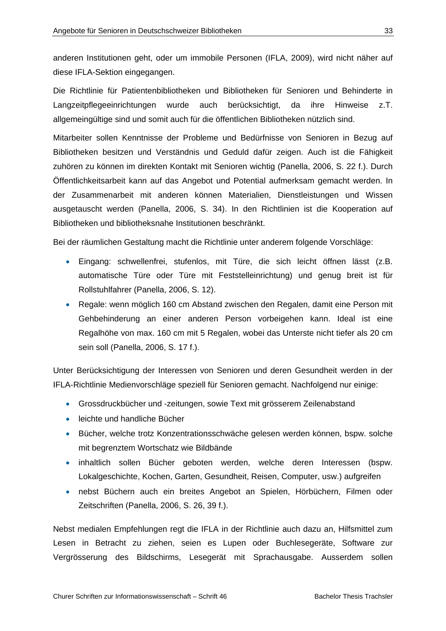anderen Institutionen geht, oder um immobile Personen (IFLA, 2009), wird nicht näher auf diese IFLA-Sektion eingegangen.

Die Richtlinie für Patientenbibliotheken und Bibliotheken für Senioren und Behinderte in Langzeitpflegeeinrichtungen wurde auch berücksichtigt, da ihre Hinweise z.T. allgemeingültige sind und somit auch für die öffentlichen Bibliotheken nützlich sind.

Mitarbeiter sollen Kenntnisse der Probleme und Bedürfnisse von Senioren in Bezug auf Bibliotheken besitzen und Verständnis und Geduld dafür zeigen. Auch ist die Fähigkeit zuhören zu können im direkten Kontakt mit Senioren wichtig (Panella, 2006, S. 22 f.). Durch Öffentlichkeitsarbeit kann auf das Angebot und Potential aufmerksam gemacht werden. In der Zusammenarbeit mit anderen können Materialien, Dienstleistungen und Wissen ausgetauscht werden (Panella, 2006, S. 34). In den Richtlinien ist die Kooperation auf Bibliotheken und bibliotheksnahe Institutionen beschränkt.

Bei der räumlichen Gestaltung macht die Richtlinie unter anderem folgende Vorschläge:

- Eingang: schwellenfrei, stufenlos, mit Türe, die sich leicht öffnen lässt (z.B. automatische Türe oder Türe mit Feststelleinrichtung) und genug breit ist für Rollstuhlfahrer (Panella, 2006, S. 12).
- Regale: wenn möglich 160 cm Abstand zwischen den Regalen, damit eine Person mit Gehbehinderung an einer anderen Person vorbeigehen kann. Ideal ist eine Regalhöhe von max. 160 cm mit 5 Regalen, wobei das Unterste nicht tiefer als 20 cm sein soll (Panella, 2006, S. 17 f.).

Unter Berücksichtigung der Interessen von Senioren und deren Gesundheit werden in der IFLA-Richtlinie Medienvorschläge speziell für Senioren gemacht. Nachfolgend nur einige:

- Grossdruckbücher und -zeitungen, sowie Text mit grösserem Zeilenabstand
- leichte und handliche Bücher
- Bücher, welche trotz Konzentrationsschwäche gelesen werden können, bspw. solche mit begrenztem Wortschatz wie Bildbände
- inhaltlich sollen Bücher geboten werden, welche deren Interessen (bspw. Lokalgeschichte, Kochen, Garten, Gesundheit, Reisen, Computer, usw.) aufgreifen
- nebst Büchern auch ein breites Angebot an Spielen, Hörbüchern, Filmen oder Zeitschriften (Panella, 2006, S. 26, 39 f.).

Nebst medialen Empfehlungen regt die IFLA in der Richtlinie auch dazu an, Hilfsmittel zum Lesen in Betracht zu ziehen, seien es Lupen oder Buchlesegeräte, Software zur Vergrösserung des Bildschirms, Lesegerät mit Sprachausgabe. Ausserdem sollen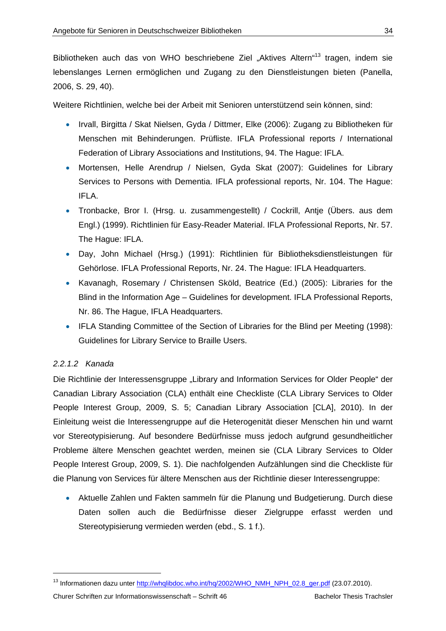Bibliotheken auch das von WHO beschriebene Ziel "Aktives Altern"<sup>13</sup> tragen, indem sie lebenslanges Lernen ermöglichen und Zugang zu den Dienstleistungen bieten (Panella, 2006, S. 29, 40).

Weitere Richtlinien, welche bei der Arbeit mit Senioren unterstützend sein können, sind:

- Irvall, Birgitta / Skat Nielsen, Gyda / Dittmer, Elke (2006): Zugang zu Bibliotheken für Menschen mit Behinderungen. Prüfliste. IFLA Professional reports / International Federation of Library Associations and Institutions, 94. The Hague: IFLA.
- Mortensen, Helle Arendrup / Nielsen, Gyda Skat (2007): Guidelines for Library Services to Persons with Dementia. IFLA professional reports, Nr. 104. The Hague: IFLA.
- Tronbacke, Bror I. (Hrsg. u. zusammengestellt) / Cockrill, Antie (Übers, aus dem Engl.) (1999). Richtlinien für Easy-Reader Material. IFLA Professional Reports, Nr. 57. The Hague: IFLA.
- Day, John Michael (Hrsg.) (1991): Richtlinien für Bibliotheksdienstleistungen für Gehörlose. IFLA Professional Reports, Nr. 24. The Hague: IFLA Headquarters.
- Kavanagh, Rosemary / Christensen Sköld, Beatrice (Ed.) (2005): Libraries for the Blind in the Information Age – Guidelines for development. IFLA Professional Reports, Nr. 86. The Hague, IFLA Headquarters.
- IFLA Standing Committee of the Section of Libraries for the Blind per Meeting (1998): Guidelines for Library Service to Braille Users.

#### *2.2.1.2 Kanada*

-

Die Richtlinie der Interessensgruppe "Library and Information Services for Older People" der Canadian Library Association (CLA) enthält eine Checkliste (CLA Library Services to Older People Interest Group, 2009, S. 5; Canadian Library Association [CLA], 2010). In der Einleitung weist die Interessengruppe auf die Heterogenität dieser Menschen hin und warnt vor Stereotypisierung. Auf besondere Bedürfnisse muss jedoch aufgrund gesundheitlicher Probleme ältere Menschen geachtet werden, meinen sie (CLA Library Services to Older People Interest Group, 2009, S. 1). Die nachfolgenden Aufzählungen sind die Checkliste für die Planung von Services für ältere Menschen aus der Richtlinie dieser Interessengruppe:

 Aktuelle Zahlen und Fakten sammeln für die Planung und Budgetierung. Durch diese Daten sollen auch die Bedürfnisse dieser Zielgruppe erfasst werden und Stereotypisierung vermieden werden (ebd., S. 1 f.).

<sup>&</sup>lt;sup>13</sup> Informationen dazu unter http://whqlibdoc.who.int/hq/2002/WHO\_NMH\_NPH\_02.8\_ger.pdf (23.07.2010).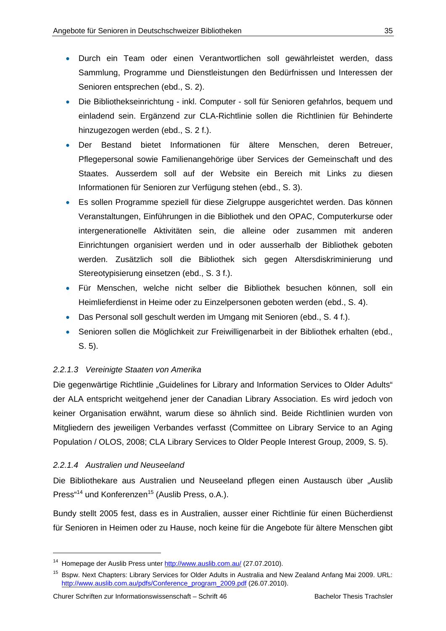- Durch ein Team oder einen Verantwortlichen soll gewährleistet werden, dass Sammlung, Programme und Dienstleistungen den Bedürfnissen und Interessen der Senioren entsprechen (ebd., S. 2).
- Die Bibliothekseinrichtung inkl. Computer soll für Senioren gefahrlos, bequem und einladend sein. Ergänzend zur CLA-Richtlinie sollen die Richtlinien für Behinderte hinzugezogen werden (ebd., S. 2 f.).
- Der Bestand bietet Informationen für ältere Menschen, deren Betreuer, Pflegepersonal sowie Familienangehörige über Services der Gemeinschaft und des Staates. Ausserdem soll auf der Website ein Bereich mit Links zu diesen Informationen für Senioren zur Verfügung stehen (ebd., S. 3).
- Es sollen Programme speziell für diese Zielgruppe ausgerichtet werden. Das können Veranstaltungen, Einführungen in die Bibliothek und den OPAC, Computerkurse oder intergenerationelle Aktivitäten sein, die alleine oder zusammen mit anderen Einrichtungen organisiert werden und in oder ausserhalb der Bibliothek geboten werden. Zusätzlich soll die Bibliothek sich gegen Altersdiskriminierung und Stereotypisierung einsetzen (ebd., S. 3 f.).
- Für Menschen, welche nicht selber die Bibliothek besuchen können, soll ein Heimlieferdienst in Heime oder zu Einzelpersonen geboten werden (ebd., S. 4).
- Das Personal soll geschult werden im Umgang mit Senioren (ebd., S. 4 f.).
- Senioren sollen die Möglichkeit zur Freiwilligenarbeit in der Bibliothek erhalten (ebd., S. 5).

#### *2.2.1.3 Vereinigte Staaten von Amerika*

Die gegenwärtige Richtlinie "Guidelines for Library and Information Services to Older Adults" der ALA entspricht weitgehend jener der Canadian Library Association. Es wird jedoch von keiner Organisation erwähnt, warum diese so ähnlich sind. Beide Richtlinien wurden von Mitgliedern des jeweiligen Verbandes verfasst (Committee on Library Service to an Aging Population / OLOS, 2008; CLA Library Services to Older People Interest Group, 2009, S. 5).

#### *2.2.1.4 Australien und Neuseeland*

-

Die Bibliothekare aus Australien und Neuseeland pflegen einen Austausch über "Auslib Press<sup>"14</sup> und Konferenzen<sup>15</sup> (Auslib Press, o.A.).

Bundy stellt 2005 fest, dass es in Australien, ausser einer Richtlinie für einen Bücherdienst für Senioren in Heimen oder zu Hause, noch keine für die Angebote für ältere Menschen gibt

<sup>&</sup>lt;sup>14</sup> Homepage der Auslib Press unter http://www.auslib.com.au/ (27.07.2010).

<sup>&</sup>lt;sup>15</sup> Bspw. Next Chapters: Library Services for Older Adults in Australia and New Zealand Anfang Mai 2009. URL: http://www.auslib.com.au/pdfs/Conference\_program\_2009.pdf (26.07.2010).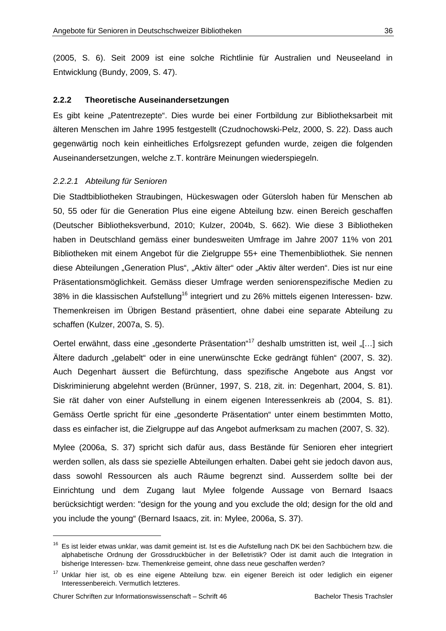(2005, S. 6). Seit 2009 ist eine solche Richtlinie für Australien und Neuseeland in Entwicklung (Bundy, 2009, S. 47).

#### **2.2.2 Theoretische Auseinandersetzungen**

Es gibt keine "Patentrezepte". Dies wurde bei einer Fortbildung zur Bibliotheksarbeit mit älteren Menschen im Jahre 1995 festgestellt (Czudnochowski-Pelz, 2000, S. 22). Dass auch gegenwärtig noch kein einheitliches Erfolgsrezept gefunden wurde, zeigen die folgenden Auseinandersetzungen, welche z.T. konträre Meinungen wiederspiegeln.

#### *2.2.2.1 Abteilung für Senioren*

Die Stadtbibliotheken Straubingen, Hückeswagen oder Gütersloh haben für Menschen ab 50, 55 oder für die Generation Plus eine eigene Abteilung bzw. einen Bereich geschaffen (Deutscher Bibliotheksverbund, 2010; Kulzer, 2004b, S. 662). Wie diese 3 Bibliotheken haben in Deutschland gemäss einer bundesweiten Umfrage im Jahre 2007 11% von 201 Bibliotheken mit einem Angebot für die Zielgruppe 55+ eine Themenbibliothek. Sie nennen diese Abteilungen "Generation Plus", "Aktiv älter" oder "Aktiv älter werden". Dies ist nur eine Präsentationsmöglichkeit. Gemäss dieser Umfrage werden seniorenspezifische Medien zu 38% in die klassischen Aufstellung16 integriert und zu 26% mittels eigenen Interessen- bzw. Themenkreisen im Übrigen Bestand präsentiert, ohne dabei eine separate Abteilung zu schaffen (Kulzer, 2007a, S. 5).

Oertel erwähnt, dass eine "gesonderte Präsentation"<sup>17</sup> deshalb umstritten ist, weil "[…] sich Ältere dadurch "gelabelt" oder in eine unerwünschte Ecke gedrängt fühlen" (2007, S. 32). Auch Degenhart äussert die Befürchtung, dass spezifische Angebote aus Angst vor Diskriminierung abgelehnt werden (Brünner, 1997, S. 218, zit. in: Degenhart, 2004, S. 81). Sie rät daher von einer Aufstellung in einem eigenen Interessenkreis ab (2004, S. 81). Gemäss Oertle spricht für eine "gesonderte Präsentation" unter einem bestimmten Motto, dass es einfacher ist, die Zielgruppe auf das Angebot aufmerksam zu machen (2007, S. 32).

Mylee (2006a, S. 37) spricht sich dafür aus, dass Bestände für Senioren eher integriert werden sollen, als dass sie spezielle Abteilungen erhalten. Dabei geht sie jedoch davon aus, dass sowohl Ressourcen als auch Räume begrenzt sind. Ausserdem sollte bei der Einrichtung und dem Zugang laut Mylee folgende Aussage von Bernard Isaacs berücksichtigt werden: "design for the young and you exclude the old; design for the old and you include the young" (Bernard Isaacs, zit. in: Mylee, 2006a, S. 37).

-

<sup>&</sup>lt;sup>16</sup> Es ist leider etwas unklar, was damit gemeint ist. Ist es die Aufstellung nach DK bei den Sachbüchern bzw. die alphabetische Ordnung der Grossdruckbücher in der Belletristik? Oder ist damit auch die Integration in bisherige Interessen- bzw. Themenkreise gemeint, ohne dass neue geschaffen werden?

<sup>&</sup>lt;sup>17</sup> Unklar hier ist, ob es eine eigene Abteilung bzw. ein eigener Bereich ist oder lediglich ein eigener Interessenbereich. Vermutlich letzteres.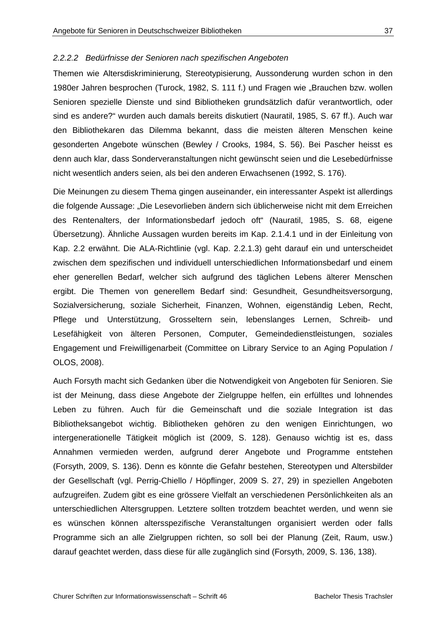#### *2.2.2.2 Bedürfnisse der Senioren nach spezifischen Angeboten*

Themen wie Altersdiskriminierung, Stereotypisierung, Aussonderung wurden schon in den 1980er Jahren besprochen (Turock, 1982, S. 111 f.) und Fragen wie "Brauchen bzw. wollen Senioren spezielle Dienste und sind Bibliotheken grundsätzlich dafür verantwortlich, oder sind es andere?" wurden auch damals bereits diskutiert (Nauratil, 1985, S. 67 ff.). Auch war den Bibliothekaren das Dilemma bekannt, dass die meisten älteren Menschen keine gesonderten Angebote wünschen (Bewley / Crooks, 1984, S. 56). Bei Pascher heisst es denn auch klar, dass Sonderveranstaltungen nicht gewünscht seien und die Lesebedürfnisse nicht wesentlich anders seien, als bei den anderen Erwachsenen (1992, S. 176).

Die Meinungen zu diesem Thema gingen auseinander, ein interessanter Aspekt ist allerdings die folgende Aussage: "Die Lesevorlieben ändern sich üblicherweise nicht mit dem Erreichen des Rentenalters, der Informationsbedarf jedoch oft" (Nauratil, 1985, S. 68, eigene Übersetzung). Ähnliche Aussagen wurden bereits im Kap. 2.1.4.1 und in der Einleitung von Kap. 2.2 erwähnt. Die ALA-Richtlinie (vgl. Kap. 2.2.1.3) geht darauf ein und unterscheidet zwischen dem spezifischen und individuell unterschiedlichen Informationsbedarf und einem eher generellen Bedarf, welcher sich aufgrund des täglichen Lebens älterer Menschen ergibt. Die Themen von generellem Bedarf sind: Gesundheit, Gesundheitsversorgung, Sozialversicherung, soziale Sicherheit, Finanzen, Wohnen, eigenständig Leben, Recht, Pflege und Unterstützung, Grosseltern sein, lebenslanges Lernen, Schreib- und Lesefähigkeit von älteren Personen, Computer, Gemeindedienstleistungen, soziales Engagement und Freiwilligenarbeit (Committee on Library Service to an Aging Population / OLOS, 2008).

Auch Forsyth macht sich Gedanken über die Notwendigkeit von Angeboten für Senioren. Sie ist der Meinung, dass diese Angebote der Zielgruppe helfen, ein erfülltes und lohnendes Leben zu führen. Auch für die Gemeinschaft und die soziale Integration ist das Bibliotheksangebot wichtig. Bibliotheken gehören zu den wenigen Einrichtungen, wo intergenerationelle Tätigkeit möglich ist (2009, S. 128). Genauso wichtig ist es, dass Annahmen vermieden werden, aufgrund derer Angebote und Programme entstehen (Forsyth, 2009, S. 136). Denn es könnte die Gefahr bestehen, Stereotypen und Altersbilder der Gesellschaft (vgl. Perrig-Chiello / Höpflinger, 2009 S. 27, 29) in speziellen Angeboten aufzugreifen. Zudem gibt es eine grössere Vielfalt an verschiedenen Persönlichkeiten als an unterschiedlichen Altersgruppen. Letztere sollten trotzdem beachtet werden, und wenn sie es wünschen können altersspezifische Veranstaltungen organisiert werden oder falls Programme sich an alle Zielgruppen richten, so soll bei der Planung (Zeit, Raum, usw.) darauf geachtet werden, dass diese für alle zugänglich sind (Forsyth, 2009, S. 136, 138).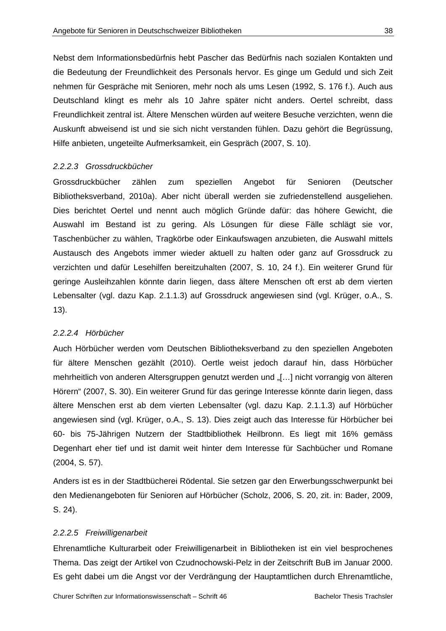Nebst dem Informationsbedürfnis hebt Pascher das Bedürfnis nach sozialen Kontakten und die Bedeutung der Freundlichkeit des Personals hervor. Es ginge um Geduld und sich Zeit nehmen für Gespräche mit Senioren, mehr noch als ums Lesen (1992, S. 176 f.). Auch aus Deutschland klingt es mehr als 10 Jahre später nicht anders. Oertel schreibt, dass Freundlichkeit zentral ist. Ältere Menschen würden auf weitere Besuche verzichten, wenn die Auskunft abweisend ist und sie sich nicht verstanden fühlen. Dazu gehört die Begrüssung, Hilfe anbieten, ungeteilte Aufmerksamkeit, ein Gespräch (2007, S. 10).

#### *2.2.2.3 Grossdruckbücher*

Grossdruckbücher zählen zum speziellen Angebot für Senioren (Deutscher Bibliotheksverband, 2010a). Aber nicht überall werden sie zufriedenstellend ausgeliehen. Dies berichtet Oertel und nennt auch möglich Gründe dafür: das höhere Gewicht, die Auswahl im Bestand ist zu gering. Als Lösungen für diese Fälle schlägt sie vor, Taschenbücher zu wählen, Tragkörbe oder Einkaufswagen anzubieten, die Auswahl mittels Austausch des Angebots immer wieder aktuell zu halten oder ganz auf Grossdruck zu verzichten und dafür Lesehilfen bereitzuhalten (2007, S. 10, 24 f.). Ein weiterer Grund für geringe Ausleihzahlen könnte darin liegen, dass ältere Menschen oft erst ab dem vierten Lebensalter (vgl. dazu Kap. 2.1.1.3) auf Grossdruck angewiesen sind (vgl. Krüger, o.A., S. 13).

#### *2.2.2.4 Hörbücher*

Auch Hörbücher werden vom Deutschen Bibliotheksverband zu den speziellen Angeboten für ältere Menschen gezählt (2010). Oertle weist jedoch darauf hin, dass Hörbücher mehrheitlich von anderen Altersgruppen genutzt werden und "[…] nicht vorrangig von älteren Hörern" (2007, S. 30). Ein weiterer Grund für das geringe Interesse könnte darin liegen, dass ältere Menschen erst ab dem vierten Lebensalter (vgl. dazu Kap. 2.1.1.3) auf Hörbücher angewiesen sind (vgl. Krüger, o.A., S. 13). Dies zeigt auch das Interesse für Hörbücher bei 60- bis 75-Jährigen Nutzern der Stadtbibliothek Heilbronn. Es liegt mit 16% gemäss Degenhart eher tief und ist damit weit hinter dem Interesse für Sachbücher und Romane (2004, S. 57).

Anders ist es in der Stadtbücherei Rödental. Sie setzen gar den Erwerbungsschwerpunkt bei den Medienangeboten für Senioren auf Hörbücher (Scholz, 2006, S. 20, zit. in: Bader, 2009, S. 24).

#### *2.2.2.5 Freiwilligenarbeit*

Ehrenamtliche Kulturarbeit oder Freiwilligenarbeit in Bibliotheken ist ein viel besprochenes Thema. Das zeigt der Artikel von Czudnochowski-Pelz in der Zeitschrift BuB im Januar 2000. Es geht dabei um die Angst vor der Verdrängung der Hauptamtlichen durch Ehrenamtliche,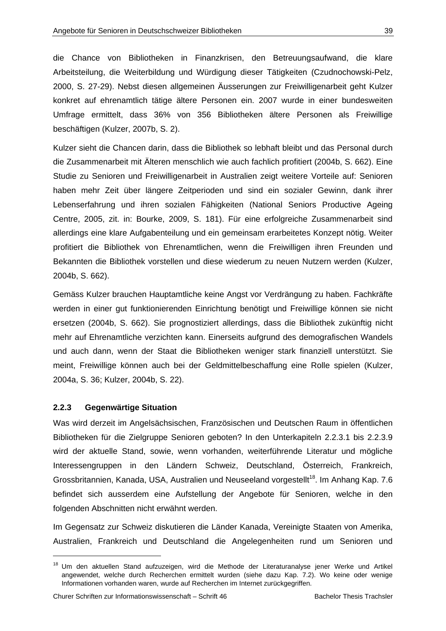die Chance von Bibliotheken in Finanzkrisen, den Betreuungsaufwand, die klare Arbeitsteilung, die Weiterbildung und Würdigung dieser Tätigkeiten (Czudnochowski-Pelz, 2000, S. 27-29). Nebst diesen allgemeinen Äusserungen zur Freiwilligenarbeit geht Kulzer konkret auf ehrenamtlich tätige ältere Personen ein. 2007 wurde in einer bundesweiten Umfrage ermittelt, dass 36% von 356 Bibliotheken ältere Personen als Freiwillige beschäftigen (Kulzer, 2007b, S. 2).

Kulzer sieht die Chancen darin, dass die Bibliothek so lebhaft bleibt und das Personal durch die Zusammenarbeit mit Älteren menschlich wie auch fachlich profitiert (2004b, S. 662). Eine Studie zu Senioren und Freiwilligenarbeit in Australien zeigt weitere Vorteile auf: Senioren haben mehr Zeit über längere Zeitperioden und sind ein sozialer Gewinn, dank ihrer Lebenserfahrung und ihren sozialen Fähigkeiten (National Seniors Productive Ageing Centre, 2005, zit. in: Bourke, 2009, S. 181). Für eine erfolgreiche Zusammenarbeit sind allerdings eine klare Aufgabenteilung und ein gemeinsam erarbeitetes Konzept nötig. Weiter profitiert die Bibliothek von Ehrenamtlichen, wenn die Freiwilligen ihren Freunden und Bekannten die Bibliothek vorstellen und diese wiederum zu neuen Nutzern werden (Kulzer, 2004b, S. 662).

Gemäss Kulzer brauchen Hauptamtliche keine Angst vor Verdrängung zu haben. Fachkräfte werden in einer gut funktionierenden Einrichtung benötigt und Freiwillige können sie nicht ersetzen (2004b, S. 662). Sie prognostiziert allerdings, dass die Bibliothek zukünftig nicht mehr auf Ehrenamtliche verzichten kann. Einerseits aufgrund des demografischen Wandels und auch dann, wenn der Staat die Bibliotheken weniger stark finanziell unterstützt. Sie meint, Freiwillige können auch bei der Geldmittelbeschaffung eine Rolle spielen (Kulzer, 2004a, S. 36; Kulzer, 2004b, S. 22).

#### **2.2.3 Gegenwärtige Situation**

 $\overline{a}$ 

Was wird derzeit im Angelsächsischen, Französischen und Deutschen Raum in öffentlichen Bibliotheken für die Zielgruppe Senioren geboten? In den Unterkapiteln 2.2.3.1 bis 2.2.3.9 wird der aktuelle Stand, sowie, wenn vorhanden, weiterführende Literatur und mögliche Interessengruppen in den Ländern Schweiz, Deutschland, Österreich, Frankreich, Grossbritannien, Kanada, USA, Australien und Neuseeland vorgestellt<sup>18</sup>. Im Anhang Kap. 7.6 befindet sich ausserdem eine Aufstellung der Angebote für Senioren, welche in den folgenden Abschnitten nicht erwähnt werden.

Im Gegensatz zur Schweiz diskutieren die Länder Kanada, Vereinigte Staaten von Amerika, Australien, Frankreich und Deutschland die Angelegenheiten rund um Senioren und

<sup>&</sup>lt;sup>18</sup> Um den aktuellen Stand aufzuzeigen, wird die Methode der Literaturanalyse jener Werke und Artikel angewendet, welche durch Recherchen ermittelt wurden (siehe dazu Kap. 7.2). Wo keine oder wenige Informationen vorhanden waren, wurde auf Recherchen im Internet zurückgegriffen.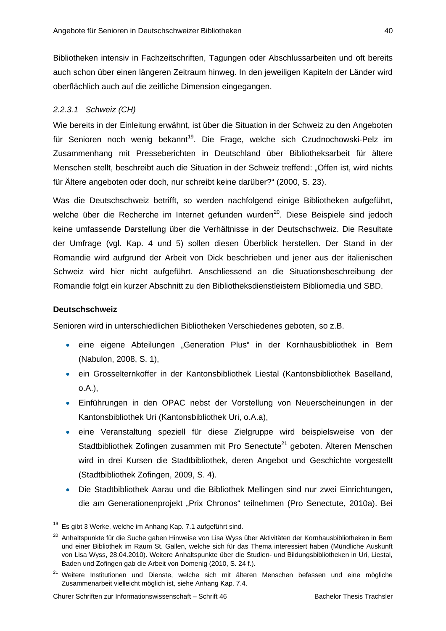Bibliotheken intensiv in Fachzeitschriften, Tagungen oder Abschlussarbeiten und oft bereits auch schon über einen längeren Zeitraum hinweg. In den jeweiligen Kapiteln der Länder wird oberflächlich auch auf die zeitliche Dimension eingegangen.

# *2.2.3.1 Schweiz (CH)*

Wie bereits in der Einleitung erwähnt, ist über die Situation in der Schweiz zu den Angeboten für Senioren noch wenig bekannt<sup>19</sup>. Die Frage, welche sich Czudnochowski-Pelz im Zusammenhang mit Presseberichten in Deutschland über Bibliotheksarbeit für ältere Menschen stellt, beschreibt auch die Situation in der Schweiz treffend: "Offen ist, wird nichts für Ältere angeboten oder doch, nur schreibt keine darüber?" (2000, S. 23).

Was die Deutschschweiz betrifft, so werden nachfolgend einige Bibliotheken aufgeführt, welche über die Recherche im Internet gefunden wurden<sup>20</sup>. Diese Beispiele sind jedoch keine umfassende Darstellung über die Verhältnisse in der Deutschschweiz. Die Resultate der Umfrage (vgl. Kap. 4 und 5) sollen diesen Überblick herstellen. Der Stand in der Romandie wird aufgrund der Arbeit von Dick beschrieben und jener aus der italienischen Schweiz wird hier nicht aufgeführt. Anschliessend an die Situationsbeschreibung der Romandie folgt ein kurzer Abschnitt zu den Bibliotheksdienstleistern Bibliomedia und SBD.

## **Deutschschweiz**

-

Senioren wird in unterschiedlichen Bibliotheken Verschiedenes geboten, so z.B.

- eine eigene Abteilungen "Generation Plus" in der Kornhausbibliothek in Bern (Nabulon, 2008, S. 1),
- ein Grosselternkoffer in der Kantonsbibliothek Liestal (Kantonsbibliothek Baselland, o.A.),
- Einführungen in den OPAC nebst der Vorstellung von Neuerscheinungen in der Kantonsbibliothek Uri (Kantonsbibliothek Uri, o.A.a),
- eine Veranstaltung speziell für diese Zielgruppe wird beispielsweise von der Stadtbibliothek Zofingen zusammen mit Pro Senectute<sup>21</sup> geboten. Älteren Menschen wird in drei Kursen die Stadtbibliothek, deren Angebot und Geschichte vorgestellt (Stadtbibliothek Zofingen, 2009, S. 4).
- Die Stadtbibliothek Aarau und die Bibliothek Mellingen sind nur zwei Einrichtungen, die am Generationenprojekt "Prix Chronos" teilnehmen (Pro Senectute, 2010a). Bei

 $19$  Es gibt 3 Werke, welche im Anhang Kap. 7.1 aufgeführt sind.

<sup>&</sup>lt;sup>20</sup> Anhaltspunkte für die Suche gaben Hinweise von Lisa Wyss über Aktivitäten der Kornhausbibliotheken in Bern und einer Bibliothek im Raum St. Gallen, welche sich für das Thema interessiert haben (Mündliche Auskunft von Lisa Wyss, 28.04.2010). Weitere Anhaltspunkte über die Studien- und Bildungsbibliotheken in Uri, Liestal, Baden und Zofingen gab die Arbeit von Domenig (2010, S. 24 f.).

<sup>&</sup>lt;sup>21</sup> Weitere Institutionen und Dienste, welche sich mit älteren Menschen befassen und eine mögliche Zusammenarbeit vielleicht möglich ist, siehe Anhang Kap. 7.4.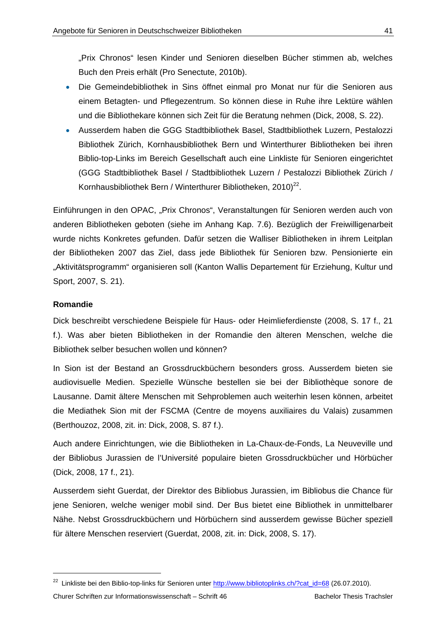"Prix Chronos" lesen Kinder und Senioren dieselben Bücher stimmen ab, welches Buch den Preis erhält (Pro Senectute, 2010b).

- Die Gemeindebibliothek in Sins öffnet einmal pro Monat nur für die Senioren aus einem Betagten- und Pflegezentrum. So können diese in Ruhe ihre Lektüre wählen und die Bibliothekare können sich Zeit für die Beratung nehmen (Dick, 2008, S. 22).
- Ausserdem haben die GGG Stadtbibliothek Basel, Stadtbibliothek Luzern, Pestalozzi Bibliothek Zürich, Kornhausbibliothek Bern und Winterthurer Bibliotheken bei ihren Biblio-top-Links im Bereich Gesellschaft auch eine Linkliste für Senioren eingerichtet (GGG Stadtbibliothek Basel / Stadtbibliothek Luzern / Pestalozzi Bibliothek Zürich / Kornhausbibliothek Bern / Winterthurer Bibliotheken, 2010)<sup>22</sup>.

Einführungen in den OPAC, "Prix Chronos", Veranstaltungen für Senioren werden auch von anderen Bibliotheken geboten (siehe im Anhang Kap. 7.6). Bezüglich der Freiwilligenarbeit wurde nichts Konkretes gefunden. Dafür setzen die Walliser Bibliotheken in ihrem Leitplan der Bibliotheken 2007 das Ziel, dass jede Bibliothek für Senioren bzw. Pensionierte ein "Aktivitätsprogramm" organisieren soll (Kanton Wallis Departement für Erziehung, Kultur und Sport, 2007, S. 21).

## **Romandie**

-

Dick beschreibt verschiedene Beispiele für Haus- oder Heimlieferdienste (2008, S. 17 f., 21 f.). Was aber bieten Bibliotheken in der Romandie den älteren Menschen, welche die Bibliothek selber besuchen wollen und können?

In Sion ist der Bestand an Grossdruckbüchern besonders gross. Ausserdem bieten sie audiovisuelle Medien. Spezielle Wünsche bestellen sie bei der Bibliothèque sonore de Lausanne. Damit ältere Menschen mit Sehproblemen auch weiterhin lesen können, arbeitet die Mediathek Sion mit der FSCMA (Centre de moyens auxiliaires du Valais) zusammen (Berthouzoz, 2008, zit. in: Dick, 2008, S. 87 f.).

Auch andere Einrichtungen, wie die Bibliotheken in La-Chaux-de-Fonds, La Neuveville und der Bibliobus Jurassien de l'Université populaire bieten Grossdruckbücher und Hörbücher (Dick, 2008, 17 f., 21).

Ausserdem sieht Guerdat, der Direktor des Bibliobus Jurassien, im Bibliobus die Chance für jene Senioren, welche weniger mobil sind. Der Bus bietet eine Bibliothek in unmittelbarer Nähe. Nebst Grossdruckbüchern und Hörbüchern sind ausserdem gewisse Bücher speziell für ältere Menschen reserviert (Guerdat, 2008, zit. in: Dick, 2008, S. 17).

<sup>&</sup>lt;sup>22</sup> Linkliste bei den Biblio-top-links für Senioren unter http://www.bibliotoplinks.ch/?cat\_id=68 (26.07.2010).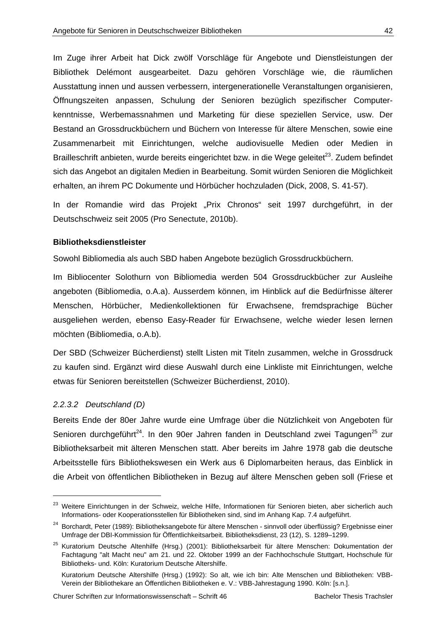Im Zuge ihrer Arbeit hat Dick zwölf Vorschläge für Angebote und Dienstleistungen der Bibliothek Delémont ausgearbeitet. Dazu gehören Vorschläge wie, die räumlichen Ausstattung innen und aussen verbessern, intergenerationelle Veranstaltungen organisieren, Öffnungszeiten anpassen, Schulung der Senioren bezüglich spezifischer Computerkenntnisse, Werbemassnahmen und Marketing für diese speziellen Service, usw. Der Bestand an Grossdruckbüchern und Büchern von Interesse für ältere Menschen, sowie eine Zusammenarbeit mit Einrichtungen, welche audiovisuelle Medien oder Medien in Brailleschrift anbieten, wurde bereits eingerichtet bzw. in die Wege geleitet $^{23}$ . Zudem befindet sich das Angebot an digitalen Medien in Bearbeitung. Somit würden Senioren die Möglichkeit erhalten, an ihrem PC Dokumente und Hörbücher hochzuladen (Dick, 2008, S. 41-57).

In der Romandie wird das Projekt "Prix Chronos" seit 1997 durchgeführt, in der Deutschschweiz seit 2005 (Pro Senectute, 2010b).

# **Bibliotheksdienstleister**

Sowohl Bibliomedia als auch SBD haben Angebote bezüglich Grossdruckbüchern.

Im Bibliocenter Solothurn von Bibliomedia werden 504 Grossdruckbücher zur Ausleihe angeboten (Bibliomedia, o.A.a). Ausserdem können, im Hinblick auf die Bedürfnisse älterer Menschen, Hörbücher, Medienkollektionen für Erwachsene, fremdsprachige Bücher ausgeliehen werden, ebenso Easy-Reader für Erwachsene, welche wieder lesen lernen möchten (Bibliomedia, o.A.b).

Der SBD (Schweizer Bücherdienst) stellt Listen mit Titeln zusammen, welche in Grossdruck zu kaufen sind. Ergänzt wird diese Auswahl durch eine Linkliste mit Einrichtungen, welche etwas für Senioren bereitstellen (Schweizer Bücherdienst, 2010).

#### *2.2.3.2 Deutschland (D)*

-

Bereits Ende der 80er Jahre wurde eine Umfrage über die Nützlichkeit von Angeboten für Senioren durchgeführt<sup>24</sup>. In den 90er Jahren fanden in Deutschland zwei Tagungen<sup>25</sup> zur Bibliotheksarbeit mit älteren Menschen statt. Aber bereits im Jahre 1978 gab die deutsche Arbeitsstelle fürs Bibliothekswesen ein Werk aus 6 Diplomarbeiten heraus, das Einblick in die Arbeit von öffentlichen Bibliotheken in Bezug auf ältere Menschen geben soll (Friese et

<sup>&</sup>lt;sup>23</sup> Weitere Einrichtungen in der Schweiz, welche Hilfe, Informationen für Senioren bieten, aber sicherlich auch Informations- oder Kooperationsstellen für Bibliotheken sind, sind im Anhang Kap. 7.4 aufgeführt.

<sup>&</sup>lt;sup>24</sup> Borchardt, Peter (1989): Bibliotheksangebote für ältere Menschen - sinnvoll oder überflüssig? Ergebnisse einer Umfrage der DBI-Kommission für Öffentlichkeitsarbeit. Bibliotheksdienst, 23 (12), S. 1289–1299.

<sup>&</sup>lt;sup>25</sup> Kuratorium Deutsche Altenhilfe (Hrsg.) (2001): Bibliotheksarbeit für ältere Menschen: Dokumentation der Fachtagung "alt Macht neu" am 21. und 22. Oktober 1999 an der Fachhochschule Stuttgart, Hochschule für Bibliotheks- und. Köln: Kuratorium Deutsche Altershilfe.

Kuratorium Deutsche Altershilfe (Hrsg.) (1992): So alt, wie ich bin: Alte Menschen und Bibliotheken: VBB-Verein der Bibliothekare an Öffentlichen Bibliotheken e. V.: VBB-Jahrestagung 1990. Köln: [s.n.].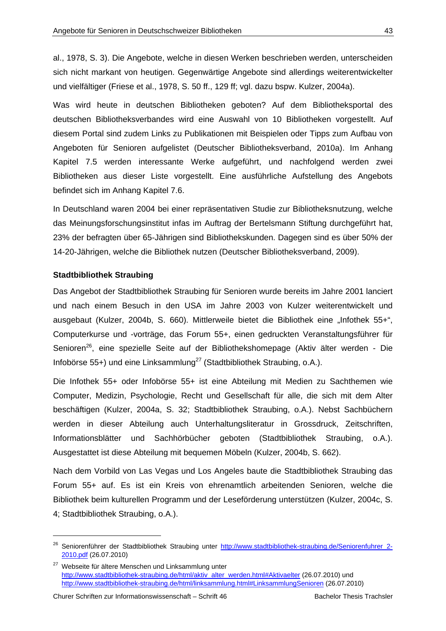al., 1978, S. 3). Die Angebote, welche in diesen Werken beschrieben werden, unterscheiden sich nicht markant von heutigen. Gegenwärtige Angebote sind allerdings weiterentwickelter und vielfältiger (Friese et al., 1978, S. 50 ff., 129 ff; vgl. dazu bspw. Kulzer, 2004a).

Was wird heute in deutschen Bibliotheken geboten? Auf dem Bibliotheksportal des deutschen Bibliotheksverbandes wird eine Auswahl von 10 Bibliotheken vorgestellt. Auf diesem Portal sind zudem Links zu Publikationen mit Beispielen oder Tipps zum Aufbau von Angeboten für Senioren aufgelistet (Deutscher Bibliotheksverband, 2010a). Im Anhang Kapitel 7.5 werden interessante Werke aufgeführt, und nachfolgend werden zwei Bibliotheken aus dieser Liste vorgestellt. Eine ausführliche Aufstellung des Angebots befindet sich im Anhang Kapitel 7.6.

In Deutschland waren 2004 bei einer repräsentativen Studie zur Bibliotheksnutzung, welche das Meinungsforschungsinstitut infas im Auftrag der Bertelsmann Stiftung durchgeführt hat, 23% der befragten über 65-Jährigen sind Bibliothekskunden. Dagegen sind es über 50% der 14-20-Jährigen, welche die Bibliothek nutzen (Deutscher Bibliotheksverband, 2009).

#### **Stadtbibliothek Straubing**

Das Angebot der Stadtbibliothek Straubing für Senioren wurde bereits im Jahre 2001 lanciert und nach einem Besuch in den USA im Jahre 2003 von Kulzer weiterentwickelt und ausgebaut (Kulzer, 2004b, S. 660). Mittlerweile bietet die Bibliothek eine "Infothek 55+", Computerkurse und -vorträge, das Forum 55+, einen gedruckten Veranstaltungsführer für Senioren<sup>26</sup>, eine spezielle Seite auf der Bibliothekshomepage (Aktiv älter werden - Die Infobörse 55+) und eine Linksammlung<sup>27</sup> (Stadtbibliothek Straubing, o.A.).

Die Infothek 55+ oder Infobörse 55+ ist eine Abteilung mit Medien zu Sachthemen wie Computer, Medizin, Psychologie, Recht und Gesellschaft für alle, die sich mit dem Alter beschäftigen (Kulzer, 2004a, S. 32; Stadtbibliothek Straubing, o.A.). Nebst Sachbüchern werden in dieser Abteilung auch Unterhaltungsliteratur in Grossdruck, Zeitschriften, Informationsblätter und Sachhörbücher geboten (Stadtbibliothek Straubing, o.A.). Ausgestattet ist diese Abteilung mit bequemen Möbeln (Kulzer, 2004b, S. 662).

Nach dem Vorbild von Las Vegas und Los Angeles baute die Stadtbibliothek Straubing das Forum 55+ auf. Es ist ein Kreis von ehrenamtlich arbeitenden Senioren, welche die Bibliothek beim kulturellen Programm und der Leseförderung unterstützen (Kulzer, 2004c, S. 4; Stadtbibliothek Straubing, o.A.).

<sup>&</sup>lt;sup>26</sup> Seniorenführer der Stadtbibliothek Straubing unter http://www.stadtbibliothek-straubing.de/Seniorenfuhrer\_2-2010.pdf (26.07.2010)

<sup>&</sup>lt;sup>27</sup> Webseite für ältere Menschen und Linksammlung unter http://www.stadtbibliothek-straubing.de/html/aktiv\_alter\_werden.html#Aktivaelter (26.07.2010) und http://www.stadtbibliothek-straubing.de/html/linksammlung.html#LinksammlungSenioren (26.07.2010)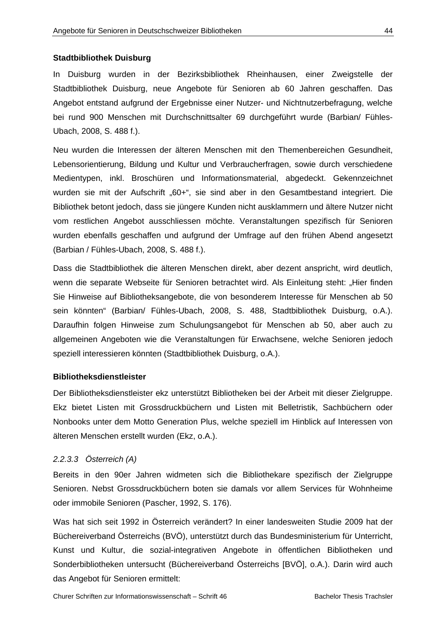#### **Stadtbibliothek Duisburg**

In Duisburg wurden in der Bezirksbibliothek Rheinhausen, einer Zweigstelle der Stadtbibliothek Duisburg, neue Angebote für Senioren ab 60 Jahren geschaffen. Das Angebot entstand aufgrund der Ergebnisse einer Nutzer- und Nichtnutzerbefragung, welche bei rund 900 Menschen mit Durchschnittsalter 69 durchgeführt wurde (Barbian/ Fühles-Ubach, 2008, S. 488 f.).

Neu wurden die Interessen der älteren Menschen mit den Themenbereichen Gesundheit, Lebensorientierung, Bildung und Kultur und Verbraucherfragen, sowie durch verschiedene Medientypen, inkl. Broschüren und Informationsmaterial, abgedeckt. Gekennzeichnet wurden sie mit der Aufschrift "60+", sie sind aber in den Gesamtbestand integriert. Die Bibliothek betont jedoch, dass sie jüngere Kunden nicht ausklammern und ältere Nutzer nicht vom restlichen Angebot ausschliessen möchte. Veranstaltungen spezifisch für Senioren wurden ebenfalls geschaffen und aufgrund der Umfrage auf den frühen Abend angesetzt (Barbian / Fühles-Ubach, 2008, S. 488 f.).

Dass die Stadtbibliothek die älteren Menschen direkt, aber dezent anspricht, wird deutlich, wenn die separate Webseite für Senioren betrachtet wird. Als Einleitung steht: "Hier finden Sie Hinweise auf Bibliotheksangebote, die von besonderem Interesse für Menschen ab 50 sein könnten" (Barbian/ Fühles-Ubach, 2008, S. 488, Stadtbibliothek Duisburg, o.A.). Daraufhin folgen Hinweise zum Schulungsangebot für Menschen ab 50, aber auch zu allgemeinen Angeboten wie die Veranstaltungen für Erwachsene, welche Senioren jedoch speziell interessieren könnten (Stadtbibliothek Duisburg, o.A.).

#### **Bibliotheksdienstleister**

Der Bibliotheksdienstleister ekz unterstützt Bibliotheken bei der Arbeit mit dieser Zielgruppe. Ekz bietet Listen mit Grossdruckbüchern und Listen mit Belletristik, Sachbüchern oder Nonbooks unter dem Motto Generation Plus, welche speziell im Hinblick auf Interessen von älteren Menschen erstellt wurden (Ekz, o.A.).

#### *2.2.3.3 Österreich (A)*

Bereits in den 90er Jahren widmeten sich die Bibliothekare spezifisch der Zielgruppe Senioren. Nebst Grossdruckbüchern boten sie damals vor allem Services für Wohnheime oder immobile Senioren (Pascher, 1992, S. 176).

Was hat sich seit 1992 in Österreich verändert? In einer landesweiten Studie 2009 hat der Büchereiverband Österreichs (BVÖ), unterstützt durch das Bundesministerium für Unterricht, Kunst und Kultur, die sozial-integrativen Angebote in öffentlichen Bibliotheken und Sonderbibliotheken untersucht (Büchereiverband Österreichs [BVÖ], o.A.). Darin wird auch das Angebot für Senioren ermittelt: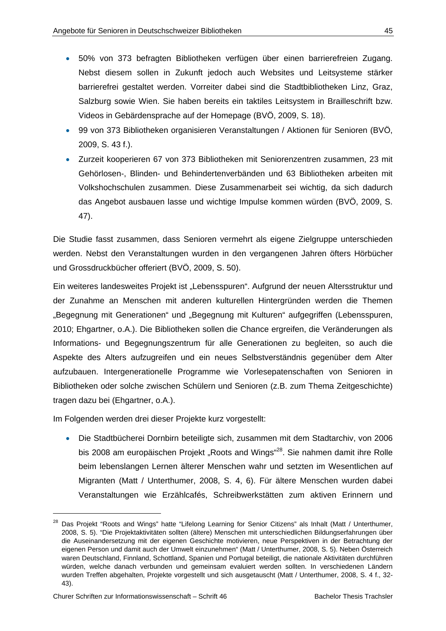- 50% von 373 befragten Bibliotheken verfügen über einen barrierefreien Zugang. Nebst diesem sollen in Zukunft jedoch auch Websites und Leitsysteme stärker barrierefrei gestaltet werden. Vorreiter dabei sind die Stadtbibliotheken Linz, Graz, Salzburg sowie Wien. Sie haben bereits ein taktiles Leitsystem in Brailleschrift bzw. Videos in Gebärdensprache auf der Homepage (BVÖ, 2009, S. 18).
- 99 von 373 Bibliotheken organisieren Veranstaltungen / Aktionen für Senioren (BVÖ, 2009, S. 43 f.).
- Zurzeit kooperieren 67 von 373 Bibliotheken mit Seniorenzentren zusammen, 23 mit Gehörlosen-, Blinden- und Behindertenverbänden und 63 Bibliotheken arbeiten mit Volkshochschulen zusammen. Diese Zusammenarbeit sei wichtig, da sich dadurch das Angebot ausbauen lasse und wichtige Impulse kommen würden (BVÖ, 2009, S. 47).

Die Studie fasst zusammen, dass Senioren vermehrt als eigene Zielgruppe unterschieden werden. Nebst den Veranstaltungen wurden in den vergangenen Jahren öfters Hörbücher und Grossdruckbücher offeriert (BVÖ, 2009, S. 50).

Ein weiteres landesweites Projekt ist "Lebensspuren". Aufgrund der neuen Altersstruktur und der Zunahme an Menschen mit anderen kulturellen Hintergründen werden die Themen "Begegnung mit Generationen" und "Begegnung mit Kulturen" aufgegriffen (Lebensspuren, 2010; Ehgartner, o.A.). Die Bibliotheken sollen die Chance ergreifen, die Veränderungen als Informations- und Begegnungszentrum für alle Generationen zu begleiten, so auch die Aspekte des Alters aufzugreifen und ein neues Selbstverständnis gegenüber dem Alter aufzubauen. Intergenerationelle Programme wie Vorlesepatenschaften von Senioren in Bibliotheken oder solche zwischen Schülern und Senioren (z.B. zum Thema Zeitgeschichte) tragen dazu bei (Ehgartner, o.A.).

Im Folgenden werden drei dieser Projekte kurz vorgestellt:

 Die Stadtbücherei Dornbirn beteiligte sich, zusammen mit dem Stadtarchiv, von 2006 bis 2008 am europäischen Projekt "Roots and Wings"<sup>28</sup>. Sie nahmen damit ihre Rolle beim lebenslangen Lernen älterer Menschen wahr und setzten im Wesentlichen auf Migranten (Matt / Unterthumer, 2008, S. 4, 6). Für ältere Menschen wurden dabei Veranstaltungen wie Erzählcafés, Schreibwerkstätten zum aktiven Erinnern und

<sup>&</sup>lt;sup>28</sup> Das Projekt "Roots and Wings" hatte "Lifelong Learning for Senior Citizens" als Inhalt (Matt / Unterthumer, 2008, S. 5). "Die Projektaktivitäten sollten (ältere) Menschen mit unterschiedlichen Bildungserfahrungen über die Auseinandersetzung mit der eigenen Geschichte motivieren, neue Perspektiven in der Betrachtung der eigenen Person und damit auch der Umwelt einzunehmen" (Matt / Unterthumer, 2008, S. 5). Neben Österreich waren Deutschland, Finnland, Schottland, Spanien und Portugal beteiligt, die nationale Aktivitäten durchführen würden, welche danach verbunden und gemeinsam evaluiert werden sollten. In verschiedenen Ländern wurden Treffen abgehalten, Projekte vorgestellt und sich ausgetauscht (Matt / Unterthumer, 2008, S. 4 f., 32- 43).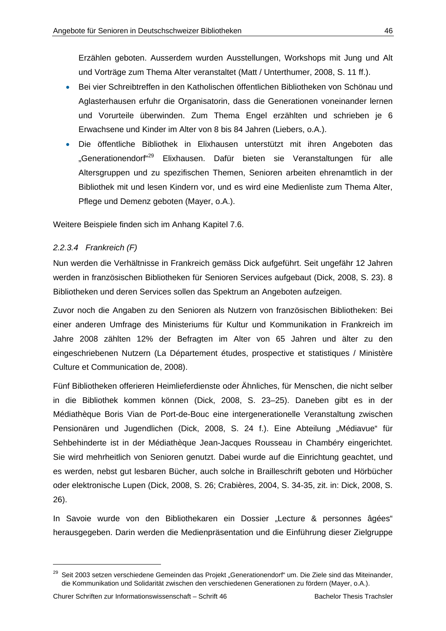Erzählen geboten. Ausserdem wurden Ausstellungen, Workshops mit Jung und Alt und Vorträge zum Thema Alter veranstaltet (Matt / Unterthumer, 2008, S. 11 ff.).

- Bei vier Schreibtreffen in den Katholischen öffentlichen Bibliotheken von Schönau und Aglasterhausen erfuhr die Organisatorin, dass die Generationen voneinander lernen und Vorurteile überwinden. Zum Thema Engel erzählten und schrieben je 6 Erwachsene und Kinder im Alter von 8 bis 84 Jahren (Liebers, o.A.).
- Die öffentliche Bibliothek in Elixhausen unterstützt mit ihren Angeboten das "Generationendorf"<sup>29</sup> Elixhausen. Dafür bieten sie Veranstaltungen für alle Altersgruppen und zu spezifischen Themen, Senioren arbeiten ehrenamtlich in der Bibliothek mit und lesen Kindern vor, und es wird eine Medienliste zum Thema Alter, Pflege und Demenz geboten (Mayer, o.A.).

Weitere Beispiele finden sich im Anhang Kapitel 7.6.

## *2.2.3.4 Frankreich (F)*

Nun werden die Verhältnisse in Frankreich gemäss Dick aufgeführt. Seit ungefähr 12 Jahren werden in französischen Bibliotheken für Senioren Services aufgebaut (Dick, 2008, S. 23). 8 Bibliotheken und deren Services sollen das Spektrum an Angeboten aufzeigen.

Zuvor noch die Angaben zu den Senioren als Nutzern von französischen Bibliotheken: Bei einer anderen Umfrage des Ministeriums für Kultur und Kommunikation in Frankreich im Jahre 2008 zählten 12% der Befragten im Alter von 65 Jahren und älter zu den eingeschriebenen Nutzern (La Département études, prospective et statistiques / Ministère Culture et Communication de, 2008).

Fünf Bibliotheken offerieren Heimlieferdienste oder Ähnliches, für Menschen, die nicht selber in die Bibliothek kommen können (Dick, 2008, S. 23–25). Daneben gibt es in der Médiathèque Boris Vian de Port-de-Bouc eine intergenerationelle Veranstaltung zwischen Pensionären und Jugendlichen (Dick, 2008, S. 24 f.). Eine Abteilung "Médiavue" für Sehbehinderte ist in der Médiathèque Jean-Jacques Rousseau in Chambéry eingerichtet. Sie wird mehrheitlich von Senioren genutzt. Dabei wurde auf die Einrichtung geachtet, und es werden, nebst gut lesbaren Bücher, auch solche in Brailleschrift geboten und Hörbücher oder elektronische Lupen (Dick, 2008, S. 26; Crabières, 2004, S. 34-35, zit. in: Dick, 2008, S. 26).

In Savoie wurde von den Bibliothekaren ein Dossier "Lecture & personnes âgées" herausgegeben. Darin werden die Medienpräsentation und die Einführung dieser Zielgruppe

<sup>&</sup>lt;sup>29</sup> Seit 2003 setzen verschiedene Gemeinden das Projekt "Generationendorf" um. Die Ziele sind das Miteinander, die Kommunikation und Solidarität zwischen den verschiedenen Generationen zu fördern (Mayer, o.A.).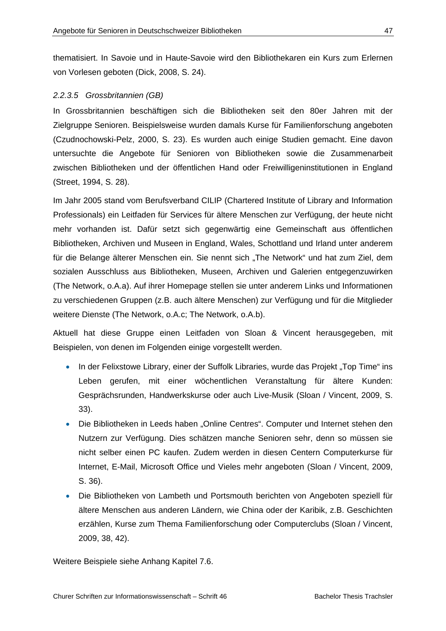thematisiert. In Savoie und in Haute-Savoie wird den Bibliothekaren ein Kurs zum Erlernen von Vorlesen geboten (Dick, 2008, S. 24).

## *2.2.3.5 Grossbritannien (GB)*

In Grossbritannien beschäftigen sich die Bibliotheken seit den 80er Jahren mit der Zielgruppe Senioren. Beispielsweise wurden damals Kurse für Familienforschung angeboten (Czudnochowski-Pelz, 2000, S. 23). Es wurden auch einige Studien gemacht. Eine davon untersuchte die Angebote für Senioren von Bibliotheken sowie die Zusammenarbeit zwischen Bibliotheken und der öffentlichen Hand oder Freiwilligeninstitutionen in England (Street, 1994, S. 28).

Im Jahr 2005 stand vom Berufsverband CILIP (Chartered Institute of Library and Information Professionals) ein Leitfaden für Services für ältere Menschen zur Verfügung, der heute nicht mehr vorhanden ist. Dafür setzt sich gegenwärtig eine Gemeinschaft aus öffentlichen Bibliotheken, Archiven und Museen in England, Wales, Schottland und Irland unter anderem für die Belange älterer Menschen ein. Sie nennt sich "The Network" und hat zum Ziel, dem sozialen Ausschluss aus Bibliotheken, Museen, Archiven und Galerien entgegenzuwirken (The Network, o.A.a). Auf ihrer Homepage stellen sie unter anderem Links und Informationen zu verschiedenen Gruppen (z.B. auch ältere Menschen) zur Verfügung und für die Mitglieder weitere Dienste (The Network, o.A.c; The Network, o.A.b).

Aktuell hat diese Gruppe einen Leitfaden von Sloan & Vincent herausgegeben, mit Beispielen, von denen im Folgenden einige vorgestellt werden.

- In der Felixstowe Library, einer der Suffolk Libraries, wurde das Projekt "Top Time" ins Leben gerufen, mit einer wöchentlichen Veranstaltung für ältere Kunden: Gesprächsrunden, Handwerkskurse oder auch Live-Musik (Sloan / Vincent, 2009, S. 33).
- Die Bibliotheken in Leeds haben "Online Centres". Computer und Internet stehen den Nutzern zur Verfügung. Dies schätzen manche Senioren sehr, denn so müssen sie nicht selber einen PC kaufen. Zudem werden in diesen Centern Computerkurse für Internet, E-Mail, Microsoft Office und Vieles mehr angeboten (Sloan / Vincent, 2009, S. 36).
- Die Bibliotheken von Lambeth und Portsmouth berichten von Angeboten speziell für ältere Menschen aus anderen Ländern, wie China oder der Karibik, z.B. Geschichten erzählen, Kurse zum Thema Familienforschung oder Computerclubs (Sloan / Vincent, 2009, 38, 42).

Weitere Beispiele siehe Anhang Kapitel 7.6.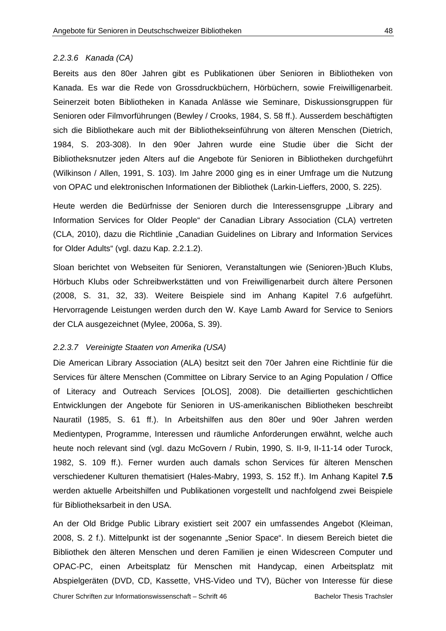#### *2.2.3.6 Kanada (CA)*

Bereits aus den 80er Jahren gibt es Publikationen über Senioren in Bibliotheken von Kanada. Es war die Rede von Grossdruckbüchern, Hörbüchern, sowie Freiwilligenarbeit. Seinerzeit boten Bibliotheken in Kanada Anlässe wie Seminare, Diskussionsgruppen für Senioren oder Filmvorführungen (Bewley / Crooks, 1984, S. 58 ff.). Ausserdem beschäftigten sich die Bibliothekare auch mit der Bibliothekseinführung von älteren Menschen (Dietrich, 1984, S. 203-308). In den 90er Jahren wurde eine Studie über die Sicht der Bibliotheksnutzer jeden Alters auf die Angebote für Senioren in Bibliotheken durchgeführt (Wilkinson / Allen, 1991, S. 103). Im Jahre 2000 ging es in einer Umfrage um die Nutzung von OPAC und elektronischen Informationen der Bibliothek (Larkin-Lieffers, 2000, S. 225).

Heute werden die Bedürfnisse der Senioren durch die Interessensgruppe "Library and Information Services for Older People" der Canadian Library Association (CLA) vertreten (CLA, 2010), dazu die Richtlinie "Canadian Guidelines on Library and Information Services for Older Adults" (vgl. dazu Kap. 2.2.1.2).

Sloan berichtet von Webseiten für Senioren, Veranstaltungen wie (Senioren-)Buch Klubs, Hörbuch Klubs oder Schreibwerkstätten und von Freiwilligenarbeit durch ältere Personen (2008, S. 31, 32, 33). Weitere Beispiele sind im Anhang Kapitel 7.6 aufgeführt. Hervorragende Leistungen werden durch den W. Kaye Lamb Award for Service to Seniors der CLA ausgezeichnet (Mylee, 2006a, S. 39).

#### *2.2.3.7 Vereinigte Staaten von Amerika (USA)*

Die American Library Association (ALA) besitzt seit den 70er Jahren eine Richtlinie für die Services für ältere Menschen (Committee on Library Service to an Aging Population / Office of Literacy and Outreach Services [OLOS], 2008). Die detaillierten geschichtlichen Entwicklungen der Angebote für Senioren in US-amerikanischen Bibliotheken beschreibt Nauratil (1985, S. 61 ff.). In Arbeitshilfen aus den 80er und 90er Jahren werden Medientypen, Programme, Interessen und räumliche Anforderungen erwähnt, welche auch heute noch relevant sind (vgl. dazu McGovern / Rubin, 1990, S. II-9, II-11-14 oder Turock, 1982, S. 109 ff.). Ferner wurden auch damals schon Services für älteren Menschen verschiedener Kulturen thematisiert (Hales-Mabry, 1993, S. 152 ff.). Im Anhang Kapitel **7.5** werden aktuelle Arbeitshilfen und Publikationen vorgestellt und nachfolgend zwei Beispiele für Bibliotheksarbeit in den USA.

An der Old Bridge Public Library existiert seit 2007 ein umfassendes Angebot (Kleiman, 2008, S. 2 f.). Mittelpunkt ist der sogenannte "Senior Space". In diesem Bereich bietet die Bibliothek den älteren Menschen und deren Familien je einen Widescreen Computer und OPAC-PC, einen Arbeitsplatz für Menschen mit Handycap, einen Arbeitsplatz mit Abspielgeräten (DVD, CD, Kassette, VHS-Video und TV), Bücher von Interesse für diese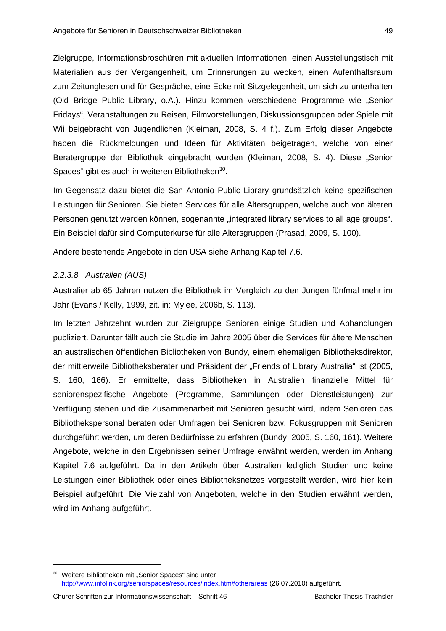Zielgruppe, Informationsbroschüren mit aktuellen Informationen, einen Ausstellungstisch mit Materialien aus der Vergangenheit, um Erinnerungen zu wecken, einen Aufenthaltsraum zum Zeitunglesen und für Gespräche, eine Ecke mit Sitzgelegenheit, um sich zu unterhalten (Old Bridge Public Library, o.A.). Hinzu kommen verschiedene Programme wie "Senior Fridays", Veranstaltungen zu Reisen, Filmvorstellungen, Diskussionsgruppen oder Spiele mit Wii beigebracht von Jugendlichen (Kleiman, 2008, S. 4 f.). Zum Erfolg dieser Angebote haben die Rückmeldungen und Ideen für Aktivitäten beigetragen, welche von einer Beratergruppe der Bibliothek eingebracht wurden (Kleiman, 2008, S. 4). Diese "Senior Spaces" gibt es auch in weiteren Bibliotheken<sup>30</sup>.

Im Gegensatz dazu bietet die San Antonio Public Library grundsätzlich keine spezifischen Leistungen für Senioren. Sie bieten Services für alle Altersgruppen, welche auch von älteren Personen genutzt werden können, sogenannte "integrated library services to all age groups". Ein Beispiel dafür sind Computerkurse für alle Altersgruppen (Prasad, 2009, S. 100).

Andere bestehende Angebote in den USA siehe Anhang Kapitel 7.6.

# *2.2.3.8 Australien (AUS)*

Australier ab 65 Jahren nutzen die Bibliothek im Vergleich zu den Jungen fünfmal mehr im Jahr (Evans / Kelly, 1999, zit. in: Mylee, 2006b, S. 113).

Im letzten Jahrzehnt wurden zur Zielgruppe Senioren einige Studien und Abhandlungen publiziert. Darunter fällt auch die Studie im Jahre 2005 über die Services für ältere Menschen an australischen öffentlichen Bibliotheken von Bundy, einem ehemaligen Bibliotheksdirektor, der mittlerweile Bibliotheksberater und Präsident der "Friends of Library Australia" ist (2005, S. 160, 166). Er ermittelte, dass Bibliotheken in Australien finanzielle Mittel für seniorenspezifische Angebote (Programme, Sammlungen oder Dienstleistungen) zur Verfügung stehen und die Zusammenarbeit mit Senioren gesucht wird, indem Senioren das Bibliothekspersonal beraten oder Umfragen bei Senioren bzw. Fokusgruppen mit Senioren durchgeführt werden, um deren Bedürfnisse zu erfahren (Bundy, 2005, S. 160, 161). Weitere Angebote, welche in den Ergebnissen seiner Umfrage erwähnt werden, werden im Anhang Kapitel 7.6 aufgeführt. Da in den Artikeln über Australien lediglich Studien und keine Leistungen einer Bibliothek oder eines Bibliotheksnetzes vorgestellt werden, wird hier kein Beispiel aufgeführt. Die Vielzahl von Angeboten, welche in den Studien erwähnt werden, wird im Anhang aufgeführt.

<sup>&</sup>lt;sup>30</sup> Weitere Bibliotheken mit "Senior Spaces" sind unter http://www.infolink.org/seniorspaces/resources/index.htm#otherareas (26.07.2010) aufgeführt.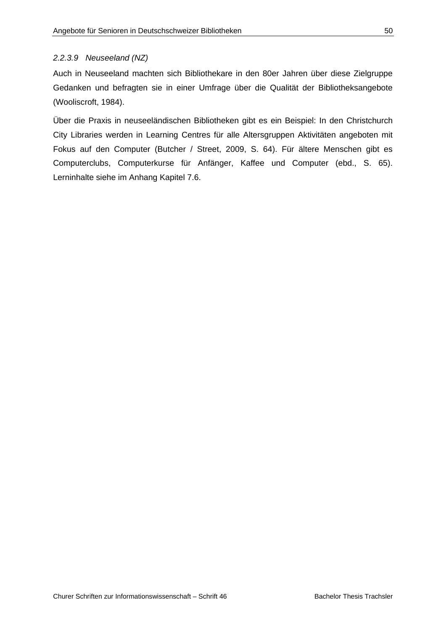## *2.2.3.9 Neuseeland (NZ)*

Auch in Neuseeland machten sich Bibliothekare in den 80er Jahren über diese Zielgruppe Gedanken und befragten sie in einer Umfrage über die Qualität der Bibliotheksangebote (Wooliscroft, 1984).

Über die Praxis in neuseeländischen Bibliotheken gibt es ein Beispiel: In den Christchurch City Libraries werden in Learning Centres für alle Altersgruppen Aktivitäten angeboten mit Fokus auf den Computer (Butcher / Street, 2009, S. 64). Für ältere Menschen gibt es Computerclubs, Computerkurse für Anfänger, Kaffee und Computer (ebd., S. 65). Lerninhalte siehe im Anhang Kapitel 7.6.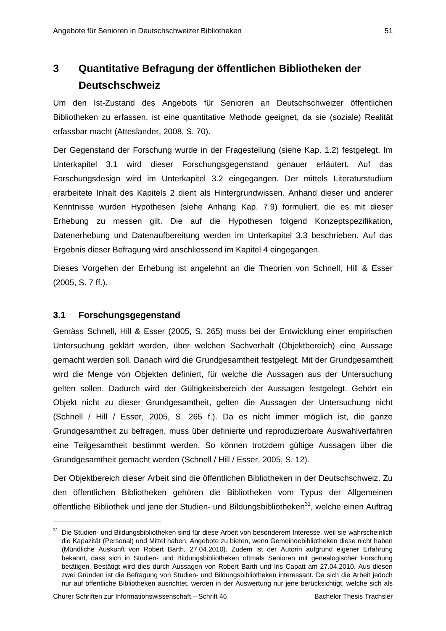# **3 Quantitative Befragung der öffentlichen Bibliotheken der Deutschschweiz**

Um den Ist-Zustand des Angebots für Senioren an Deutschschweizer öffentlichen Bibliotheken zu erfassen, ist eine quantitative Methode geeignet, da sie (soziale) Realität erfassbar macht (Atteslander, 2008, S. 70).

Der Gegenstand der Forschung wurde in der Fragestellung (siehe Kap. 1.2) festgelegt. Im Unterkapitel 3.1 wird dieser Forschungsgegenstand genauer erläutert. Auf das Forschungsdesign wird im Unterkapitel 3.2 eingegangen. Der mittels Literaturstudium erarbeitete Inhalt des Kapitels 2 dient als Hintergrundwissen. Anhand dieser und anderer Kenntnisse wurden Hypothesen (siehe Anhang Kap. 7.9) formuliert, die es mit dieser Erhebung zu messen gilt. Die auf die Hypothesen folgend Konzeptspezifikation, Datenerhebung und Datenaufbereitung werden im Unterkapitel 3.3 beschrieben. Auf das Ergebnis dieser Befragung wird anschliessend im Kapitel 4 eingegangen.

Dieses Vorgehen der Erhebung ist angelehnt an die Theorien von Schnell, Hill & Esser (2005, S. 7 ff.).

# **3.1 Forschungsgegenstand**

Gemäss Schnell, Hill & Esser (2005, S. 265) muss bei der Entwicklung einer empirischen Untersuchung geklärt werden, über welchen Sachverhalt (Objektbereich) eine Aussage gemacht werden soll. Danach wird die Grundgesamtheit festgelegt. Mit der Grundgesamtheit wird die Menge von Objekten definiert, für welche die Aussagen aus der Untersuchung gelten sollen. Dadurch wird der Gültigkeitsbereich der Aussagen festgelegt. Gehört ein Objekt nicht zu dieser Grundgesamtheit, gelten die Aussagen der Untersuchung nicht (Schnell / Hill / Esser, 2005, S. 265 f.). Da es nicht immer möglich ist, die ganze Grundgesamtheit zu befragen, muss über definierte und reproduzierbare Auswahlverfahren eine Teilgesamtheit bestimmt werden. So können trotzdem gültige Aussagen über die Grundgesamtheit gemacht werden (Schnell / Hill / Esser, 2005, S. 12).

Der Objektbereich dieser Arbeit sind die öffentlichen Bibliotheken in der Deutschschweiz. Zu den öffentlichen Bibliotheken gehören die Bibliotheken vom Typus der Allgemeinen öffentliche Bibliothek und jene der Studien- und Bildungsbibliotheken<sup>31</sup>, welche einen Auftrag

<sup>&</sup>lt;sup>31</sup> Die Studien- und Bildungsbibliotheken sind für diese Arbeit von besonderem Interesse, weil sie wahrscheinlich die Kapazität (Personal) und Mittel haben, Angebote zu bieten, wenn Gemeindebibliotheken diese nicht haben (Mündliche Auskunft von Robert Barth, 27.04.2010). Zudem ist der Autorin aufgrund eigener Erfahrung bekannt, dass sich in Studien- und Bildungsbibliotheken oftmals Senioren mit genealogischer Forschung betätigen. Bestätigt wird dies durch Aussagen von Robert Barth und Iris Capatt am 27.04.2010. Aus diesen zwei Gründen ist die Befragung von Studien- und Bildungsbibliotheken interessant. Da sich die Arbeit jedoch nur auf öffentliche Bibliotheken ausrichtet, werden in der Auswertung nur jene berücksichtigt, welche sich als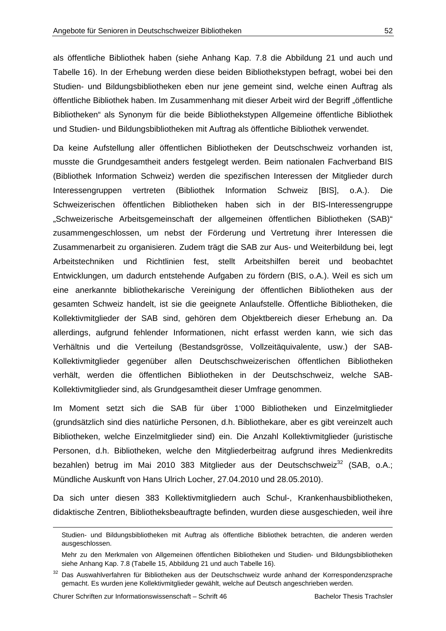als öffentliche Bibliothek haben (siehe Anhang Kap. 7.8 die Abbildung 21 und auch und Tabelle 16). In der Erhebung werden diese beiden Bibliothekstypen befragt, wobei bei den Studien- und Bildungsbibliotheken eben nur jene gemeint sind, welche einen Auftrag als öffentliche Bibliothek haben. Im Zusammenhang mit dieser Arbeit wird der Begriff "öffentliche Bibliotheken" als Synonym für die beide Bibliothekstypen Allgemeine öffentliche Bibliothek und Studien- und Bildungsbibliotheken mit Auftrag als öffentliche Bibliothek verwendet.

Da keine Aufstellung aller öffentlichen Bibliotheken der Deutschschweiz vorhanden ist, musste die Grundgesamtheit anders festgelegt werden. Beim nationalen Fachverband BIS (Bibliothek Information Schweiz) werden die spezifischen Interessen der Mitglieder durch Interessengruppen vertreten (Bibliothek Information Schweiz [BIS], o.A.). Die Schweizerischen öffentlichen Bibliotheken haben sich in der BIS-Interessengruppe "Schweizerische Arbeitsgemeinschaft der allgemeinen öffentlichen Bibliotheken (SAB)" zusammengeschlossen, um nebst der Förderung und Vertretung ihrer Interessen die Zusammenarbeit zu organisieren. Zudem trägt die SAB zur Aus- und Weiterbildung bei, legt Arbeitstechniken und Richtlinien fest, stellt Arbeitshilfen bereit und beobachtet Entwicklungen, um dadurch entstehende Aufgaben zu fördern (BIS, o.A.). Weil es sich um eine anerkannte bibliothekarische Vereinigung der öffentlichen Bibliotheken aus der gesamten Schweiz handelt, ist sie die geeignete Anlaufstelle. Öffentliche Bibliotheken, die Kollektivmitglieder der SAB sind, gehören dem Objektbereich dieser Erhebung an. Da allerdings, aufgrund fehlender Informationen, nicht erfasst werden kann, wie sich das Verhältnis und die Verteilung (Bestandsgrösse, Vollzeitäquivalente, usw.) der SAB-Kollektivmitglieder gegenüber allen Deutschschweizerischen öffentlichen Bibliotheken verhält, werden die öffentlichen Bibliotheken in der Deutschschweiz, welche SAB-Kollektivmitglieder sind, als Grundgesamtheit dieser Umfrage genommen.

Im Moment setzt sich die SAB für über 1'000 Bibliotheken und Einzelmitglieder (grundsätzlich sind dies natürliche Personen, d.h. Bibliothekare, aber es gibt vereinzelt auch Bibliotheken, welche Einzelmitglieder sind) ein. Die Anzahl Kollektivmitglieder (juristische Personen, d.h. Bibliotheken, welche den Mitgliederbeitrag aufgrund ihres Medienkredits bezahlen) betrug im Mai 2010 383 Mitglieder aus der Deutschschweiz<sup>32</sup> (SAB, o.A.; Mündliche Auskunft von Hans Ulrich Locher, 27.04.2010 und 28.05.2010).

Da sich unter diesen 383 Kollektivmitgliedern auch Schul-, Krankenhausbibliotheken, didaktische Zentren, Bibliotheksbeauftragte befinden, wurden diese ausgeschieden, weil ihre

Studien- und Bildungsbibliotheken mit Auftrag als öffentliche Bibliothek betrachten, die anderen werden ausgeschlossen.

Mehr zu den Merkmalen von Allgemeinen öffentlichen Bibliotheken und Studien- und Bildungsbibliotheken siehe Anhang Kap. 7.8 (Tabelle 15, Abbildung 21 und auch Tabelle 16).

<sup>&</sup>lt;sup>32</sup> Das Auswahlverfahren für Bibliotheken aus der Deutschschweiz wurde anhand der Korrespondenzsprache gemacht. Es wurden jene Kollektivmitglieder gewählt, welche auf Deutsch angeschrieben werden.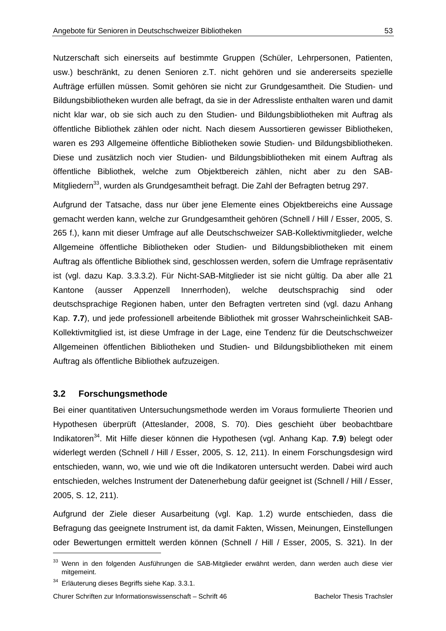Nutzerschaft sich einerseits auf bestimmte Gruppen (Schüler, Lehrpersonen, Patienten, usw.) beschränkt, zu denen Senioren z.T. nicht gehören und sie andererseits spezielle Aufträge erfüllen müssen. Somit gehören sie nicht zur Grundgesamtheit. Die Studien- und Bildungsbibliotheken wurden alle befragt, da sie in der Adressliste enthalten waren und damit nicht klar war, ob sie sich auch zu den Studien- und Bildungsbibliotheken mit Auftrag als öffentliche Bibliothek zählen oder nicht. Nach diesem Aussortieren gewisser Bibliotheken, waren es 293 Allgemeine öffentliche Bibliotheken sowie Studien- und Bildungsbibliotheken. Diese und zusätzlich noch vier Studien- und Bildungsbibliotheken mit einem Auftrag als öffentliche Bibliothek, welche zum Objektbereich zählen, nicht aber zu den SAB-Mitgliedern<sup>33</sup>, wurden als Grundgesamtheit befragt. Die Zahl der Befragten betrug 297.

Aufgrund der Tatsache, dass nur über jene Elemente eines Objektbereichs eine Aussage gemacht werden kann, welche zur Grundgesamtheit gehören (Schnell / Hill / Esser, 2005, S. 265 f.), kann mit dieser Umfrage auf alle Deutschschweizer SAB-Kollektivmitglieder, welche Allgemeine öffentliche Bibliotheken oder Studien- und Bildungsbibliotheken mit einem Auftrag als öffentliche Bibliothek sind, geschlossen werden, sofern die Umfrage repräsentativ ist (vgl. dazu Kap. 3.3.3.2). Für Nicht-SAB-Mitglieder ist sie nicht gültig. Da aber alle 21 Kantone (ausser Appenzell Innerrhoden), welche deutschsprachig sind oder deutschsprachige Regionen haben, unter den Befragten vertreten sind (vgl. dazu Anhang Kap. **7.7**), und jede professionell arbeitende Bibliothek mit grosser Wahrscheinlichkeit SAB-Kollektivmitglied ist, ist diese Umfrage in der Lage, eine Tendenz für die Deutschschweizer Allgemeinen öffentlichen Bibliotheken und Studien- und Bildungsbibliotheken mit einem Auftrag als öffentliche Bibliothek aufzuzeigen.

# **3.2 Forschungsmethode**

Bei einer quantitativen Untersuchungsmethode werden im Voraus formulierte Theorien und Hypothesen überprüft (Atteslander, 2008, S. 70). Dies geschieht über beobachtbare Indikatoren34. Mit Hilfe dieser können die Hypothesen (vgl. Anhang Kap. **7.9**) belegt oder widerlegt werden (Schnell / Hill / Esser, 2005, S. 12, 211). In einem Forschungsdesign wird entschieden, wann, wo, wie und wie oft die Indikatoren untersucht werden. Dabei wird auch entschieden, welches Instrument der Datenerhebung dafür geeignet ist (Schnell / Hill / Esser, 2005, S. 12, 211).

Aufgrund der Ziele dieser Ausarbeitung (vgl. Kap. 1.2) wurde entschieden, dass die Befragung das geeignete Instrument ist, da damit Fakten, Wissen, Meinungen, Einstellungen oder Bewertungen ermittelt werden können (Schnell / Hill / Esser, 2005, S. 321). In der

-

Churer Schriften zur Informationswissenschaft – Schrift 46 Bachelor Thesis Trachsler

<sup>33</sup> Wenn in den folgenden Ausführungen die SAB-Mitglieder erwähnt werden, dann werden auch diese vier mitgemeint.

 $34$  Erläuterung dieses Begriffs siehe Kap. 3.3.1.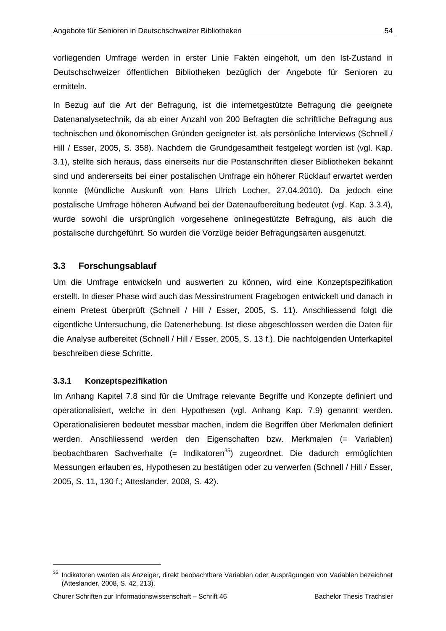vorliegenden Umfrage werden in erster Linie Fakten eingeholt, um den Ist-Zustand in Deutschschweizer öffentlichen Bibliotheken bezüglich der Angebote für Senioren zu ermitteln.

In Bezug auf die Art der Befragung, ist die internetgestützte Befragung die geeignete Datenanalysetechnik, da ab einer Anzahl von 200 Befragten die schriftliche Befragung aus technischen und ökonomischen Gründen geeigneter ist, als persönliche Interviews (Schnell / Hill / Esser, 2005, S. 358). Nachdem die Grundgesamtheit festgelegt worden ist (vgl. Kap. 3.1), stellte sich heraus, dass einerseits nur die Postanschriften dieser Bibliotheken bekannt sind und andererseits bei einer postalischen Umfrage ein höherer Rücklauf erwartet werden konnte (Mündliche Auskunft von Hans Ulrich Locher, 27.04.2010). Da jedoch eine postalische Umfrage höheren Aufwand bei der Datenaufbereitung bedeutet (vgl. Kap. 3.3.4), wurde sowohl die ursprünglich vorgesehene onlinegestützte Befragung, als auch die postalische durchgeführt. So wurden die Vorzüge beider Befragungsarten ausgenutzt.

# **3.3 Forschungsablauf**

Um die Umfrage entwickeln und auswerten zu können, wird eine Konzeptspezifikation erstellt. In dieser Phase wird auch das Messinstrument Fragebogen entwickelt und danach in einem Pretest überprüft (Schnell / Hill / Esser, 2005, S. 11). Anschliessend folgt die eigentliche Untersuchung, die Datenerhebung. Ist diese abgeschlossen werden die Daten für die Analyse aufbereitet (Schnell / Hill / Esser, 2005, S. 13 f.). Die nachfolgenden Unterkapitel beschreiben diese Schritte.

# **3.3.1 Konzeptspezifikation**

-

Im Anhang Kapitel 7.8 sind für die Umfrage relevante Begriffe und Konzepte definiert und operationalisiert, welche in den Hypothesen (vgl. Anhang Kap. 7.9) genannt werden. Operationalisieren bedeutet messbar machen, indem die Begriffen über Merkmalen definiert werden. Anschliessend werden den Eigenschaften bzw. Merkmalen (= Variablen) beobachtbaren Sachverhalte (= Indikatoren<sup>35</sup>) zugeordnet. Die dadurch ermöglichten Messungen erlauben es, Hypothesen zu bestätigen oder zu verwerfen (Schnell / Hill / Esser, 2005, S. 11, 130 f.; Atteslander, 2008, S. 42).

<sup>&</sup>lt;sup>35</sup> Indikatoren werden als Anzeiger, direkt beobachtbare Variablen oder Ausprägungen von Variablen bezeichnet (Atteslander, 2008, S. 42, 213).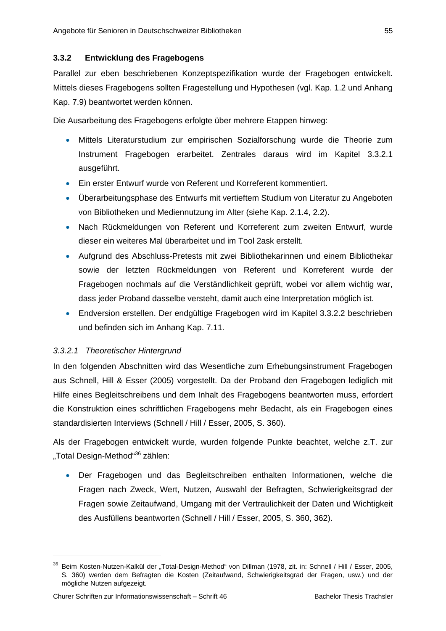## **3.3.2 Entwicklung des Fragebogens**

Parallel zur eben beschriebenen Konzeptspezifikation wurde der Fragebogen entwickelt. Mittels dieses Fragebogens sollten Fragestellung und Hypothesen (vgl. Kap. 1.2 und Anhang Kap. 7.9) beantwortet werden können.

Die Ausarbeitung des Fragebogens erfolgte über mehrere Etappen hinweg:

- Mittels Literaturstudium zur empirischen Sozialforschung wurde die Theorie zum Instrument Fragebogen erarbeitet. Zentrales daraus wird im Kapitel 3.3.2.1 ausgeführt.
- Ein erster Entwurf wurde von Referent und Korreferent kommentiert.
- Überarbeitungsphase des Entwurfs mit vertieftem Studium von Literatur zu Angeboten von Bibliotheken und Mediennutzung im Alter (siehe Kap. 2.1.4, 2.2).
- Nach Rückmeldungen von Referent und Korreferent zum zweiten Entwurf, wurde dieser ein weiteres Mal überarbeitet und im Tool 2ask erstellt.
- Aufgrund des Abschluss-Pretests mit zwei Bibliothekarinnen und einem Bibliothekar sowie der letzten Rückmeldungen von Referent und Korreferent wurde der Fragebogen nochmals auf die Verständlichkeit geprüft, wobei vor allem wichtig war, dass jeder Proband dasselbe versteht, damit auch eine Interpretation möglich ist.
- Endversion erstellen. Der endgültige Fragebogen wird im Kapitel 3.3.2.2 beschrieben und befinden sich im Anhang Kap. 7.11.

#### *3.3.2.1 Theoretischer Hintergrund*

In den folgenden Abschnitten wird das Wesentliche zum Erhebungsinstrument Fragebogen aus Schnell, Hill & Esser (2005) vorgestellt. Da der Proband den Fragebogen lediglich mit Hilfe eines Begleitschreibens und dem Inhalt des Fragebogens beantworten muss, erfordert die Konstruktion eines schriftlichen Fragebogens mehr Bedacht, als ein Fragebogen eines standardisierten Interviews (Schnell / Hill / Esser, 2005, S. 360).

Als der Fragebogen entwickelt wurde, wurden folgende Punkte beachtet, welche z.T. zur "Total Design-Method"<sup>36</sup> zählen:

 Der Fragebogen und das Begleitschreiben enthalten Informationen, welche die Fragen nach Zweck, Wert, Nutzen, Auswahl der Befragten, Schwierigkeitsgrad der Fragen sowie Zeitaufwand, Umgang mit der Vertraulichkeit der Daten und Wichtigkeit des Ausfüllens beantworten (Schnell / Hill / Esser, 2005, S. 360, 362).

 $\overline{a}$ 

<sup>&</sup>lt;sup>36</sup> Beim Kosten-Nutzen-Kalkül der "Total-Design-Method" von Dillman (1978, zit. in: Schnell / Hill / Esser, 2005, S. 360) werden dem Befragten die Kosten (Zeitaufwand, Schwierigkeitsgrad der Fragen, usw.) und der mögliche Nutzen aufgezeigt.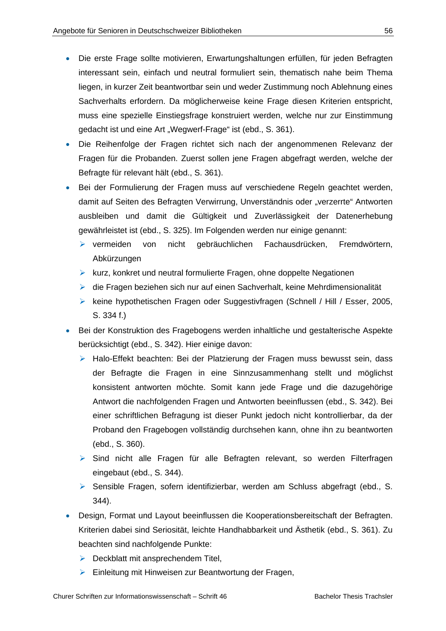- Die erste Frage sollte motivieren, Erwartungshaltungen erfüllen, für jeden Befragten interessant sein, einfach und neutral formuliert sein, thematisch nahe beim Thema liegen, in kurzer Zeit beantwortbar sein und weder Zustimmung noch Ablehnung eines Sachverhalts erfordern. Da möglicherweise keine Frage diesen Kriterien entspricht, muss eine spezielle Einstiegsfrage konstruiert werden, welche nur zur Einstimmung gedacht ist und eine Art "Wegwerf-Frage" ist (ebd., S. 361).
- Die Reihenfolge der Fragen richtet sich nach der angenommenen Relevanz der Fragen für die Probanden. Zuerst sollen jene Fragen abgefragt werden, welche der Befragte für relevant hält (ebd., S. 361).
- Bei der Formulierung der Fragen muss auf verschiedene Regeln geachtet werden, damit auf Seiten des Befragten Verwirrung, Unverständnis oder "verzerrte" Antworten ausbleiben und damit die Gültigkeit und Zuverlässigkeit der Datenerhebung gewährleistet ist (ebd., S. 325). Im Folgenden werden nur einige genannt:
	- vermeiden von nicht gebräuchlichen Fachausdrücken, Fremdwörtern, Abkürzungen
	- $\triangleright$  kurz, konkret und neutral formulierte Fragen, ohne doppelte Negationen
	- die Fragen beziehen sich nur auf einen Sachverhalt, keine Mehrdimensionalität
	- ▶ keine hypothetischen Fragen oder Suggestivfragen (Schnell / Hill / Esser, 2005, S. 334 f.)
- Bei der Konstruktion des Fragebogens werden inhaltliche und gestalterische Aspekte berücksichtigt (ebd., S. 342). Hier einige davon:
	- ▶ Halo-Effekt beachten: Bei der Platzierung der Fragen muss bewusst sein, dass der Befragte die Fragen in eine Sinnzusammenhang stellt und möglichst konsistent antworten möchte. Somit kann jede Frage und die dazugehörige Antwort die nachfolgenden Fragen und Antworten beeinflussen (ebd., S. 342). Bei einer schriftlichen Befragung ist dieser Punkt jedoch nicht kontrollierbar, da der Proband den Fragebogen vollständig durchsehen kann, ohne ihn zu beantworten (ebd., S. 360).
	- Sind nicht alle Fragen für alle Befragten relevant, so werden Filterfragen eingebaut (ebd., S. 344).
	- $\triangleright$  Sensible Fragen, sofern identifizierbar, werden am Schluss abgefragt (ebd., S. 344).
- Design, Format und Layout beeinflussen die Kooperationsbereitschaft der Befragten. Kriterien dabei sind Seriosität, leichte Handhabbarkeit und Ästhetik (ebd., S. 361). Zu beachten sind nachfolgende Punkte:
	- $\triangleright$  Deckblatt mit ansprechendem Titel,
	- Einleitung mit Hinweisen zur Beantwortung der Fragen,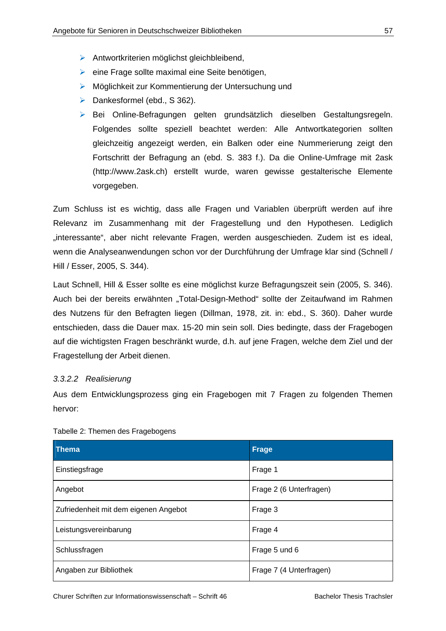- Antwortkriterien möglichst gleichbleibend,
- $\triangleright$  eine Frage sollte maximal eine Seite benötigen,
- Möglichkeit zur Kommentierung der Untersuchung und
- $\triangleright$  Dankesformel (ebd., S 362).
- Bei Online-Befragungen gelten grundsätzlich dieselben Gestaltungsregeln. Folgendes sollte speziell beachtet werden: Alle Antwortkategorien sollten gleichzeitig angezeigt werden, ein Balken oder eine Nummerierung zeigt den Fortschritt der Befragung an (ebd. S. 383 f.). Da die Online-Umfrage mit 2ask (http://www.2ask.ch) erstellt wurde, waren gewisse gestalterische Elemente vorgegeben.

Zum Schluss ist es wichtig, dass alle Fragen und Variablen überprüft werden auf ihre Relevanz im Zusammenhang mit der Fragestellung und den Hypothesen. Lediglich "interessante", aber nicht relevante Fragen, werden ausgeschieden. Zudem ist es ideal, wenn die Analyseanwendungen schon vor der Durchführung der Umfrage klar sind (Schnell / Hill / Esser, 2005, S. 344).

Laut Schnell, Hill & Esser sollte es eine möglichst kurze Befragungszeit sein (2005, S. 346). Auch bei der bereits erwähnten "Total-Design-Method" sollte der Zeitaufwand im Rahmen des Nutzens für den Befragten liegen (Dillman, 1978, zit. in: ebd., S. 360). Daher wurde entschieden, dass die Dauer max. 15-20 min sein soll. Dies bedingte, dass der Fragebogen auf die wichtigsten Fragen beschränkt wurde, d.h. auf jene Fragen, welche dem Ziel und der Fragestellung der Arbeit dienen.

#### *3.3.2.2 Realisierung*

Aus dem Entwicklungsprozess ging ein Fragebogen mit 7 Fragen zu folgenden Themen hervor:

| <b>Thema</b>                          | Frage                   |
|---------------------------------------|-------------------------|
| Einstiegsfrage                        | Frage 1                 |
| Angebot                               | Frage 2 (6 Unterfragen) |
| Zufriedenheit mit dem eigenen Angebot | Frage 3                 |
| Leistungsvereinbarung                 | Frage 4                 |
| Schlussfragen                         | Frage 5 und 6           |
| Angaben zur Bibliothek                | Frage 7 (4 Unterfragen) |

#### Tabelle 2: Themen des Fragebogens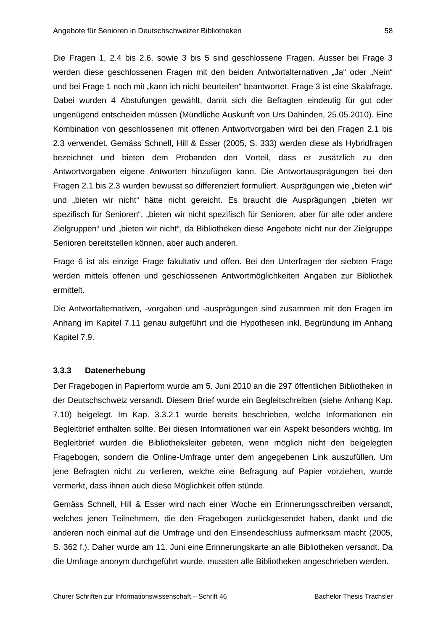Die Fragen 1, 2.4 bis 2.6, sowie 3 bis 5 sind geschlossene Fragen. Ausser bei Frage 3 werden diese geschlossenen Fragen mit den beiden Antwortalternativen "Ja" oder "Nein" und bei Frage 1 noch mit "kann ich nicht beurteilen" beantwortet. Frage 3 ist eine Skalafrage. Dabei wurden 4 Abstufungen gewählt, damit sich die Befragten eindeutig für gut oder ungenügend entscheiden müssen (Mündliche Auskunft von Urs Dahinden, 25.05.2010). Eine Kombination von geschlossenen mit offenen Antwortvorgaben wird bei den Fragen 2.1 bis 2.3 verwendet. Gemäss Schnell, Hill & Esser (2005, S. 333) werden diese als Hybridfragen bezeichnet und bieten dem Probanden den Vorteil, dass er zusätzlich zu den Antwortvorgaben eigene Antworten hinzufügen kann. Die Antwortausprägungen bei den Fragen 2.1 bis 2.3 wurden bewusst so differenziert formuliert. Ausprägungen wie "bieten wir" und "bieten wir nicht" hätte nicht gereicht. Es braucht die Ausprägungen "bieten wir spezifisch für Senioren", "bieten wir nicht spezifisch für Senioren, aber für alle oder andere Zielgruppen" und "bieten wir nicht", da Bibliotheken diese Angebote nicht nur der Zielgruppe Senioren bereitstellen können, aber auch anderen.

Frage 6 ist als einzige Frage fakultativ und offen. Bei den Unterfragen der siebten Frage werden mittels offenen und geschlossenen Antwortmöglichkeiten Angaben zur Bibliothek ermittelt.

Die Antwortalternativen, -vorgaben und -ausprägungen sind zusammen mit den Fragen im Anhang im Kapitel 7.11 genau aufgeführt und die Hypothesen inkl. Begründung im Anhang Kapitel 7.9.

#### **3.3.3 Datenerhebung**

Der Fragebogen in Papierform wurde am 5. Juni 2010 an die 297 öffentlichen Bibliotheken in der Deutschschweiz versandt. Diesem Brief wurde ein Begleitschreiben (siehe Anhang Kap. 7.10) beigelegt. Im Kap. 3.3.2.1 wurde bereits beschrieben, welche Informationen ein Begleitbrief enthalten sollte. Bei diesen Informationen war ein Aspekt besonders wichtig. Im Begleitbrief wurden die Bibliotheksleiter gebeten, wenn möglich nicht den beigelegten Fragebogen, sondern die Online-Umfrage unter dem angegebenen Link auszufüllen. Um jene Befragten nicht zu verlieren, welche eine Befragung auf Papier vorziehen, wurde vermerkt, dass ihnen auch diese Möglichkeit offen stünde.

Gemäss Schnell, Hill & Esser wird nach einer Woche ein Erinnerungsschreiben versandt, welches jenen Teilnehmern, die den Fragebogen zurückgesendet haben, dankt und die anderen noch einmal auf die Umfrage und den Einsendeschluss aufmerksam macht (2005, S. 362 f.). Daher wurde am 11. Juni eine Erinnerungskarte an alle Bibliotheken versandt. Da die Umfrage anonym durchgeführt wurde, mussten alle Bibliotheken angeschrieben werden.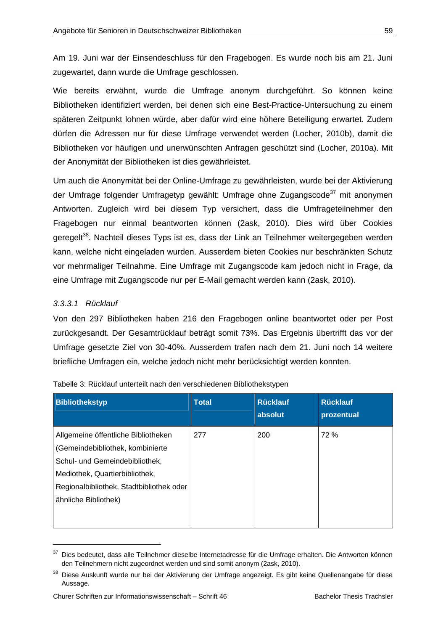Am 19. Juni war der Einsendeschluss für den Fragebogen. Es wurde noch bis am 21. Juni zugewartet, dann wurde die Umfrage geschlossen.

Wie bereits erwähnt, wurde die Umfrage anonym durchgeführt. So können keine Bibliotheken identifiziert werden, bei denen sich eine Best-Practice-Untersuchung zu einem späteren Zeitpunkt lohnen würde, aber dafür wird eine höhere Beteiligung erwartet. Zudem dürfen die Adressen nur für diese Umfrage verwendet werden (Locher, 2010b), damit die Bibliotheken vor häufigen und unerwünschten Anfragen geschützt sind (Locher, 2010a). Mit der Anonymität der Bibliotheken ist dies gewährleistet.

Um auch die Anonymität bei der Online-Umfrage zu gewährleisten, wurde bei der Aktivierung der Umfrage folgender Umfragetyp gewählt: Umfrage ohne Zugangscode<sup>37</sup> mit anonymen Antworten. Zugleich wird bei diesem Typ versichert, dass die Umfrageteilnehmer den Fragebogen nur einmal beantworten können (2ask, 2010). Dies wird über Cookies geregelt<sup>38</sup>. Nachteil dieses Typs ist es, dass der Link an Teilnehmer weitergegeben werden kann, welche nicht eingeladen wurden. Ausserdem bieten Cookies nur beschränkten Schutz vor mehrmaliger Teilnahme. Eine Umfrage mit Zugangscode kam jedoch nicht in Frage, da eine Umfrage mit Zugangscode nur per E-Mail gemacht werden kann (2ask, 2010).

# *3.3.3.1 Rücklauf*

 $\overline{a}$ 

Von den 297 Bibliotheken haben 216 den Fragebogen online beantwortet oder per Post zurückgesandt. Der Gesamtrücklauf beträgt somit 73%. Das Ergebnis übertrifft das vor der Umfrage gesetzte Ziel von 30-40%. Ausserdem trafen nach dem 21. Juni noch 14 weitere briefliche Umfragen ein, welche jedoch nicht mehr berücksichtigt werden konnten.

| <b>Bibliothekstyp</b>                                                                                                                                                                                           | <b>Total</b> | <b>Rücklauf</b><br>absolut | <b>Rücklauf</b><br>prozentual |
|-----------------------------------------------------------------------------------------------------------------------------------------------------------------------------------------------------------------|--------------|----------------------------|-------------------------------|
| Allgemeine öffentliche Bibliotheken<br>(Gemeindebibliothek, kombinierte<br>Schul- und Gemeindebibliothek,<br>Mediothek, Quartierbibliothek,<br>Regionalbibliothek, Stadtbibliothek oder<br>ähnliche Bibliothek) | 277          | 200                        | 72 %                          |

|  |  | Tabelle 3: Rücklauf unterteilt nach den verschiedenen Bibliothekstypen |  |
|--|--|------------------------------------------------------------------------|--|

<sup>&</sup>lt;sup>37</sup> Dies bedeutet, dass alle Teilnehmer dieselbe Internetadresse für die Umfrage erhalten. Die Antworten können den Teilnehmern nicht zugeordnet werden und sind somit anonym (2ask, 2010).

<sup>&</sup>lt;sup>38</sup> Diese Auskunft wurde nur bei der Aktivierung der Umfrage angezeigt. Es gibt keine Quellenangabe für diese Aussage.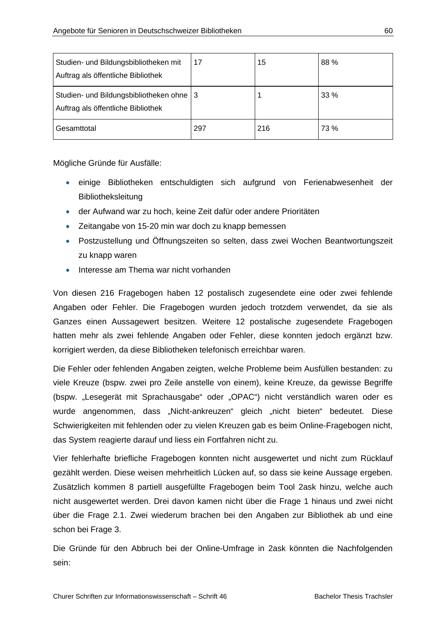| Studien- und Bildungsbibliotheken mit<br>Auftrag als öffentliche Bibliothek  | 17  | 15  | 88 % |
|------------------------------------------------------------------------------|-----|-----|------|
| Studien- und Bildungsbibliotheken ohne<br>Auftrag als öffentliche Bibliothek | l 3 |     | 33 % |
| Gesamttotal                                                                  | 297 | 216 | 73 % |

Mögliche Gründe für Ausfälle:

- einige Bibliotheken entschuldigten sich aufgrund von Ferienabwesenheit der Bibliotheksleitung
- der Aufwand war zu hoch, keine Zeit dafür oder andere Prioritäten
- Zeitangabe von 15-20 min war doch zu knapp bemessen
- Postzustellung und Öffnungszeiten so selten, dass zwei Wochen Beantwortungszeit zu knapp waren
- **Interesse am Thema war nicht vorhanden**

Von diesen 216 Fragebogen haben 12 postalisch zugesendete eine oder zwei fehlende Angaben oder Fehler. Die Fragebogen wurden jedoch trotzdem verwendet, da sie als Ganzes einen Aussagewert besitzen. Weitere 12 postalische zugesendete Fragebogen hatten mehr als zwei fehlende Angaben oder Fehler, diese konnten jedoch ergänzt bzw. korrigiert werden, da diese Bibliotheken telefonisch erreichbar waren.

Die Fehler oder fehlenden Angaben zeigten, welche Probleme beim Ausfüllen bestanden: zu viele Kreuze (bspw. zwei pro Zeile anstelle von einem), keine Kreuze, da gewisse Begriffe (bspw. "Lesegerät mit Sprachausgabe" oder "OPAC") nicht verständlich waren oder es wurde angenommen, dass "Nicht-ankreuzen" gleich "nicht bieten" bedeutet. Diese Schwierigkeiten mit fehlenden oder zu vielen Kreuzen gab es beim Online-Fragebogen nicht, das System reagierte darauf und liess ein Fortfahren nicht zu.

Vier fehlerhafte briefliche Fragebogen konnten nicht ausgewertet und nicht zum Rücklauf gezählt werden. Diese weisen mehrheitlich Lücken auf, so dass sie keine Aussage ergeben. Zusätzlich kommen 8 partiell ausgefüllte Fragebogen beim Tool 2ask hinzu, welche auch nicht ausgewertet werden. Drei davon kamen nicht über die Frage 1 hinaus und zwei nicht über die Frage 2.1. Zwei wiederum brachen bei den Angaben zur Bibliothek ab und eine schon bei Frage 3.

Die Gründe für den Abbruch bei der Online-Umfrage in 2ask könnten die Nachfolgenden sein: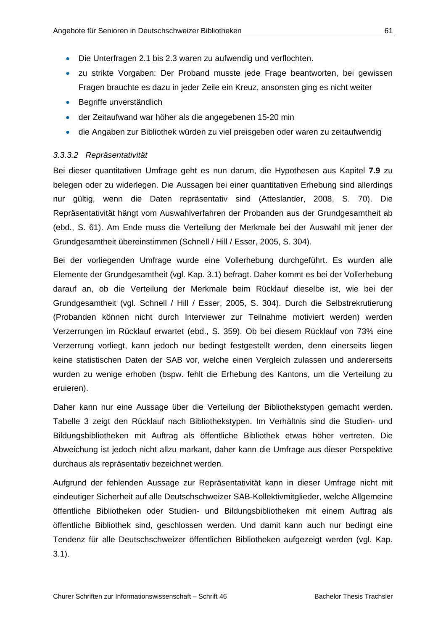- Die Unterfragen 2.1 bis 2.3 waren zu aufwendig und verflochten.
- zu strikte Vorgaben: Der Proband musste jede Frage beantworten, bei gewissen Fragen brauchte es dazu in jeder Zeile ein Kreuz, ansonsten ging es nicht weiter
- **Begriffe unverständlich**
- der Zeitaufwand war höher als die angegebenen 15-20 min
- die Angaben zur Bibliothek würden zu viel preisgeben oder waren zu zeitaufwendig

## *3.3.3.2 Repräsentativität*

Bei dieser quantitativen Umfrage geht es nun darum, die Hypothesen aus Kapitel **7.9** zu belegen oder zu widerlegen. Die Aussagen bei einer quantitativen Erhebung sind allerdings nur gültig, wenn die Daten repräsentativ sind (Atteslander, 2008, S. 70). Die Repräsentativität hängt vom Auswahlverfahren der Probanden aus der Grundgesamtheit ab (ebd., S. 61). Am Ende muss die Verteilung der Merkmale bei der Auswahl mit jener der Grundgesamtheit übereinstimmen (Schnell / Hill / Esser, 2005, S. 304).

Bei der vorliegenden Umfrage wurde eine Vollerhebung durchgeführt. Es wurden alle Elemente der Grundgesamtheit (vgl. Kap. 3.1) befragt. Daher kommt es bei der Vollerhebung darauf an, ob die Verteilung der Merkmale beim Rücklauf dieselbe ist, wie bei der Grundgesamtheit (vgl. Schnell / Hill / Esser, 2005, S. 304). Durch die Selbstrekrutierung (Probanden können nicht durch Interviewer zur Teilnahme motiviert werden) werden Verzerrungen im Rücklauf erwartet (ebd., S. 359). Ob bei diesem Rücklauf von 73% eine Verzerrung vorliegt, kann jedoch nur bedingt festgestellt werden, denn einerseits liegen keine statistischen Daten der SAB vor, welche einen Vergleich zulassen und andererseits wurden zu wenige erhoben (bspw. fehlt die Erhebung des Kantons, um die Verteilung zu eruieren).

Daher kann nur eine Aussage über die Verteilung der Bibliothekstypen gemacht werden. Tabelle 3 zeigt den Rücklauf nach Bibliothekstypen. Im Verhältnis sind die Studien- und Bildungsbibliotheken mit Auftrag als öffentliche Bibliothek etwas höher vertreten. Die Abweichung ist jedoch nicht allzu markant, daher kann die Umfrage aus dieser Perspektive durchaus als repräsentativ bezeichnet werden.

Aufgrund der fehlenden Aussage zur Repräsentativität kann in dieser Umfrage nicht mit eindeutiger Sicherheit auf alle Deutschschweizer SAB-Kollektivmitglieder, welche Allgemeine öffentliche Bibliotheken oder Studien- und Bildungsbibliotheken mit einem Auftrag als öffentliche Bibliothek sind, geschlossen werden. Und damit kann auch nur bedingt eine Tendenz für alle Deutschschweizer öffentlichen Bibliotheken aufgezeigt werden (vgl. Kap. 3.1).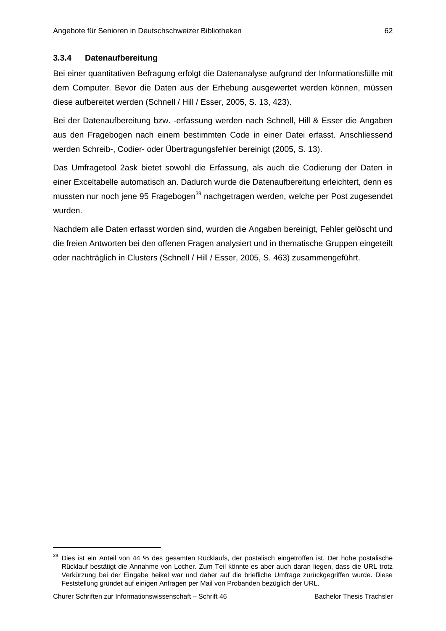#### **3.3.4 Datenaufbereitung**

Bei einer quantitativen Befragung erfolgt die Datenanalyse aufgrund der Informationsfülle mit dem Computer. Bevor die Daten aus der Erhebung ausgewertet werden können, müssen diese aufbereitet werden (Schnell / Hill / Esser, 2005, S. 13, 423).

Bei der Datenaufbereitung bzw. -erfassung werden nach Schnell, Hill & Esser die Angaben aus den Fragebogen nach einem bestimmten Code in einer Datei erfasst. Anschliessend werden Schreib-, Codier- oder Übertragungsfehler bereinigt (2005, S. 13).

Das Umfragetool 2ask bietet sowohl die Erfassung, als auch die Codierung der Daten in einer Exceltabelle automatisch an. Dadurch wurde die Datenaufbereitung erleichtert, denn es mussten nur noch jene 95 Fragebogen<sup>39</sup> nachgetragen werden, welche per Post zugesendet wurden.

Nachdem alle Daten erfasst worden sind, wurden die Angaben bereinigt, Fehler gelöscht und die freien Antworten bei den offenen Fragen analysiert und in thematische Gruppen eingeteilt oder nachträglich in Clusters (Schnell / Hill / Esser, 2005, S. 463) zusammengeführt.

<sup>39</sup> Dies ist ein Anteil von 44 % des gesamten Rücklaufs, der postalisch eingetroffen ist. Der hohe postalische Rücklauf bestätigt die Annahme von Locher. Zum Teil könnte es aber auch daran liegen, dass die URL trotz Verkürzung bei der Eingabe heikel war und daher auf die briefliche Umfrage zurückgegriffen wurde. Diese Feststellung gründet auf einigen Anfragen per Mail von Probanden bezüglich der URL.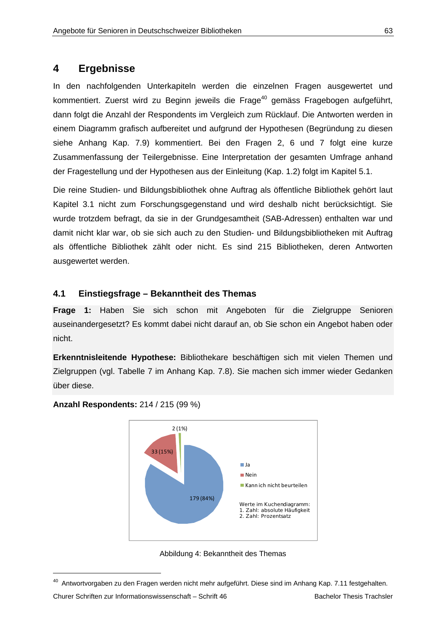# **4 Ergebnisse**

In den nachfolgenden Unterkapiteln werden die einzelnen Fragen ausgewertet und kommentiert. Zuerst wird zu Beginn jeweils die Frage<sup>40</sup> gemäss Fragebogen aufgeführt, dann folgt die Anzahl der Respondents im Vergleich zum Rücklauf. Die Antworten werden in einem Diagramm grafisch aufbereitet und aufgrund der Hypothesen (Begründung zu diesen siehe Anhang Kap. 7.9) kommentiert. Bei den Fragen 2, 6 und 7 folgt eine kurze Zusammenfassung der Teilergebnisse. Eine Interpretation der gesamten Umfrage anhand der Fragestellung und der Hypothesen aus der Einleitung (Kap. 1.2) folgt im Kapitel 5.1.

Die reine Studien- und Bildungsbibliothek ohne Auftrag als öffentliche Bibliothek gehört laut Kapitel 3.1 nicht zum Forschungsgegenstand und wird deshalb nicht berücksichtigt. Sie wurde trotzdem befragt, da sie in der Grundgesamtheit (SAB-Adressen) enthalten war und damit nicht klar war, ob sie sich auch zu den Studien- und Bildungsbibliotheken mit Auftrag als öffentliche Bibliothek zählt oder nicht. Es sind 215 Bibliotheken, deren Antworten ausgewertet werden.

# **4.1 Einstiegsfrage – Bekanntheit des Themas**

**Frage 1:** Haben Sie sich schon mit Angeboten für die Zielgruppe Senioren auseinandergesetzt? Es kommt dabei nicht darauf an, ob Sie schon ein Angebot haben oder nicht.

**Erkenntnisleitende Hypothese:** Bibliothekare beschäftigen sich mit vielen Themen und Zielgruppen (vgl. Tabelle 7 im Anhang Kap. 7.8). Sie machen sich immer wieder Gedanken über diese.







<sup>&</sup>lt;sup>40</sup> Antwortvorgaben zu den Fragen werden nicht mehr aufgeführt. Diese sind im Anhang Kap. 7.11 festgehalten.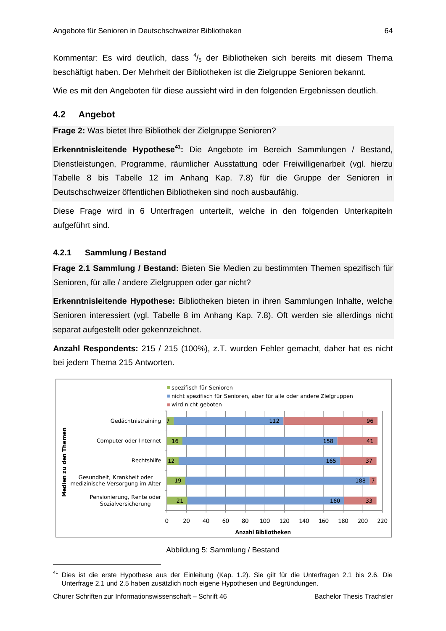Kommentar: Es wird deutlich, dass  $\frac{4}{5}$  der Bibliotheken sich bereits mit diesem Thema beschäftigt haben. Der Mehrheit der Bibliotheken ist die Zielgruppe Senioren bekannt.

Wie es mit den Angeboten für diese aussieht wird in den folgenden Ergebnissen deutlich.

## **4.2 Angebot**

**Frage 2:** Was bietet Ihre Bibliothek der Zielgruppe Senioren?

**Erkenntnisleitende Hypothese<sup>41</sup>:** Die Angebote im Bereich Sammlungen / Bestand, Dienstleistungen, Programme, räumlicher Ausstattung oder Freiwilligenarbeit (vgl. hierzu Tabelle 8 bis Tabelle 12 im Anhang Kap. 7.8) für die Gruppe der Senioren in Deutschschweizer öffentlichen Bibliotheken sind noch ausbaufähig.

Diese Frage wird in 6 Unterfragen unterteilt, welche in den folgenden Unterkapiteln aufgeführt sind.

#### **4.2.1 Sammlung / Bestand**

**Frage 2.1 Sammlung / Bestand:** Bieten Sie Medien zu bestimmten Themen spezifisch für Senioren, für alle / andere Zielgruppen oder gar nicht?

**Erkenntnisleitende Hypothese:** Bibliotheken bieten in ihren Sammlungen Inhalte, welche Senioren interessiert (vgl. Tabelle 8 im Anhang Kap. 7.8). Oft werden sie allerdings nicht separat aufgestellt oder gekennzeichnet.

**Anzahl Respondents:** 215 / 215 (100%), z.T. wurden Fehler gemacht, daher hat es nicht bei jedem Thema 215 Antworten.



Abbildung 5: Sammlung / Bestand

<sup>41</sup> Dies ist die erste Hypothese aus der Einleitung (Kap. 1.2). Sie gilt für die Unterfragen 2.1 bis 2.6. Die Unterfrage 2.1 und 2.5 haben zusätzlich noch eigene Hypothesen und Begründungen.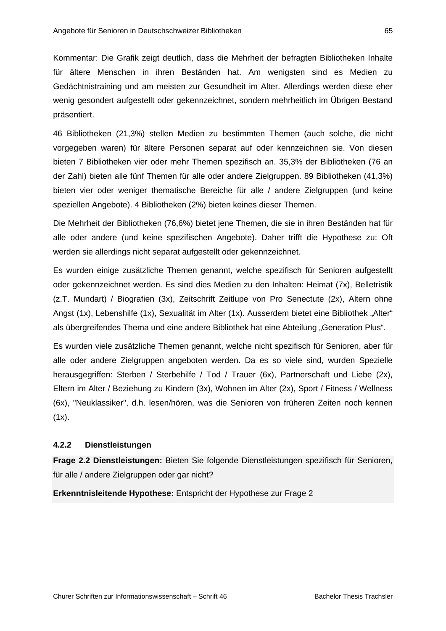Kommentar: Die Grafik zeigt deutlich, dass die Mehrheit der befragten Bibliotheken Inhalte für ältere Menschen in ihren Beständen hat. Am wenigsten sind es Medien zu Gedächtnistraining und am meisten zur Gesundheit im Alter. Allerdings werden diese eher wenig gesondert aufgestellt oder gekennzeichnet, sondern mehrheitlich im Übrigen Bestand präsentiert.

46 Bibliotheken (21,3%) stellen Medien zu bestimmten Themen (auch solche, die nicht vorgegeben waren) für ältere Personen separat auf oder kennzeichnen sie. Von diesen bieten 7 Bibliotheken vier oder mehr Themen spezifisch an. 35,3% der Bibliotheken (76 an der Zahl) bieten alle fünf Themen für alle oder andere Zielgruppen. 89 Bibliotheken (41,3%) bieten vier oder weniger thematische Bereiche für alle / andere Zielgruppen (und keine speziellen Angebote). 4 Bibliotheken (2%) bieten keines dieser Themen.

Die Mehrheit der Bibliotheken (76,6%) bietet jene Themen, die sie in ihren Beständen hat für alle oder andere (und keine spezifischen Angebote). Daher trifft die Hypothese zu: Oft werden sie allerdings nicht separat aufgestellt oder gekennzeichnet.

Es wurden einige zusätzliche Themen genannt, welche spezifisch für Senioren aufgestellt oder gekennzeichnet werden. Es sind dies Medien zu den Inhalten: Heimat (7x), Belletristik (z.T. Mundart) / Biografien (3x), Zeitschrift Zeitlupe von Pro Senectute (2x), Altern ohne Angst (1x), Lebenshilfe (1x), Sexualität im Alter (1x). Ausserdem bietet eine Bibliothek "Alter" als übergreifendes Thema und eine andere Bibliothek hat eine Abteilung "Generation Plus".

Es wurden viele zusätzliche Themen genannt, welche nicht spezifisch für Senioren, aber für alle oder andere Zielgruppen angeboten werden. Da es so viele sind, wurden Spezielle herausgegriffen: Sterben / Sterbehilfe / Tod / Trauer (6x), Partnerschaft und Liebe (2x), Eltern im Alter / Beziehung zu Kindern (3x), Wohnen im Alter (2x), Sport / Fitness / Wellness (6x), "Neuklassiker", d.h. lesen/hören, was die Senioren von früheren Zeiten noch kennen  $(1x)$ .

## **4.2.2 Dienstleistungen**

**Frage 2.2 Dienstleistungen:** Bieten Sie folgende Dienstleistungen spezifisch für Senioren, für alle / andere Zielgruppen oder gar nicht?

**Erkenntnisleitende Hypothese:** Entspricht der Hypothese zur Frage 2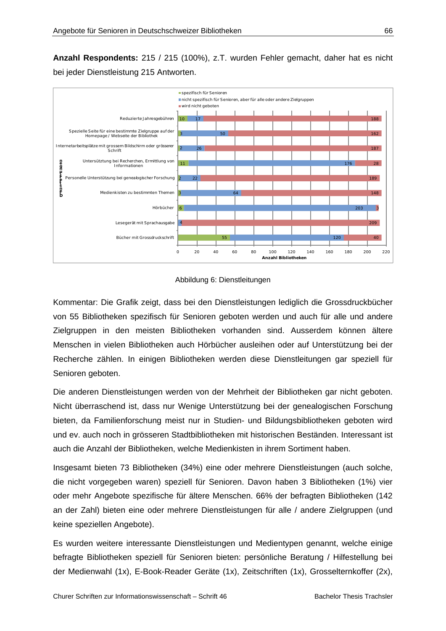**Anzahl Respondents:** 215 / 215 (100%), z.T. wurden Fehler gemacht, daher hat es nicht bei jeder Dienstleistung 215 Antworten.



#### Abbildung 6: Dienstleitungen

Kommentar: Die Grafik zeigt, dass bei den Dienstleistungen lediglich die Grossdruckbücher von 55 Bibliotheken spezifisch für Senioren geboten werden und auch für alle und andere Zielgruppen in den meisten Bibliotheken vorhanden sind. Ausserdem können ältere Menschen in vielen Bibliotheken auch Hörbücher ausleihen oder auf Unterstützung bei der Recherche zählen. In einigen Bibliotheken werden diese Dienstleitungen gar speziell für Senioren geboten.

Die anderen Dienstleistungen werden von der Mehrheit der Bibliotheken gar nicht geboten. Nicht überraschend ist, dass nur Wenige Unterstützung bei der genealogischen Forschung bieten, da Familienforschung meist nur in Studien- und Bildungsbibliotheken geboten wird und ev. auch noch in grösseren Stadtbibliotheken mit historischen Beständen. Interessant ist auch die Anzahl der Bibliotheken, welche Medienkisten in ihrem Sortiment haben.

Insgesamt bieten 73 Bibliotheken (34%) eine oder mehrere Dienstleistungen (auch solche, die nicht vorgegeben waren) speziell für Senioren. Davon haben 3 Bibliotheken (1%) vier oder mehr Angebote spezifische für ältere Menschen. 66% der befragten Bibliotheken (142 an der Zahl) bieten eine oder mehrere Dienstleistungen für alle / andere Zielgruppen (und keine speziellen Angebote).

Es wurden weitere interessante Dienstleistungen und Medientypen genannt, welche einige befragte Bibliotheken speziell für Senioren bieten: persönliche Beratung / Hilfestellung bei der Medienwahl (1x), E-Book-Reader Geräte (1x), Zeitschriften (1x), Grosselternkoffer (2x),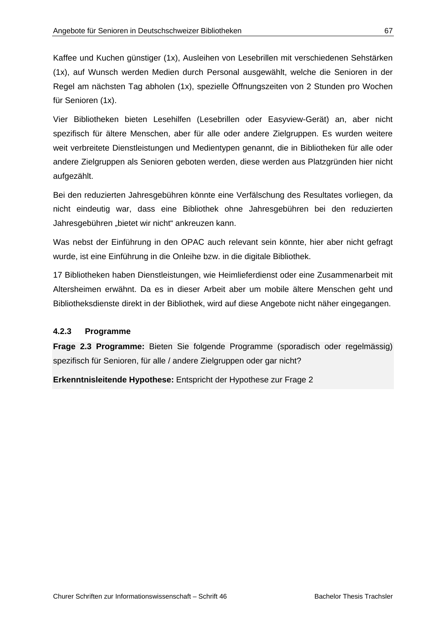Kaffee und Kuchen günstiger (1x), Ausleihen von Lesebrillen mit verschiedenen Sehstärken (1x), auf Wunsch werden Medien durch Personal ausgewählt, welche die Senioren in der Regel am nächsten Tag abholen (1x), spezielle Öffnungszeiten von 2 Stunden pro Wochen für Senioren (1x).

Vier Bibliotheken bieten Lesehilfen (Lesebrillen oder Easyview-Gerät) an, aber nicht spezifisch für ältere Menschen, aber für alle oder andere Zielgruppen. Es wurden weitere weit verbreitete Dienstleistungen und Medientypen genannt, die in Bibliotheken für alle oder andere Zielgruppen als Senioren geboten werden, diese werden aus Platzgründen hier nicht aufgezählt.

Bei den reduzierten Jahresgebühren könnte eine Verfälschung des Resultates vorliegen, da nicht eindeutig war, dass eine Bibliothek ohne Jahresgebühren bei den reduzierten Jahresgebühren "bietet wir nicht" ankreuzen kann.

Was nebst der Einführung in den OPAC auch relevant sein könnte, hier aber nicht gefragt wurde, ist eine Einführung in die Onleihe bzw. in die digitale Bibliothek.

17 Bibliotheken haben Dienstleistungen, wie Heimlieferdienst oder eine Zusammenarbeit mit Altersheimen erwähnt. Da es in dieser Arbeit aber um mobile ältere Menschen geht und Bibliotheksdienste direkt in der Bibliothek, wird auf diese Angebote nicht näher eingegangen.

# **4.2.3 Programme**

**Frage 2.3 Programme:** Bieten Sie folgende Programme (sporadisch oder regelmässig) spezifisch für Senioren, für alle / andere Zielgruppen oder gar nicht?

**Erkenntnisleitende Hypothese:** Entspricht der Hypothese zur Frage 2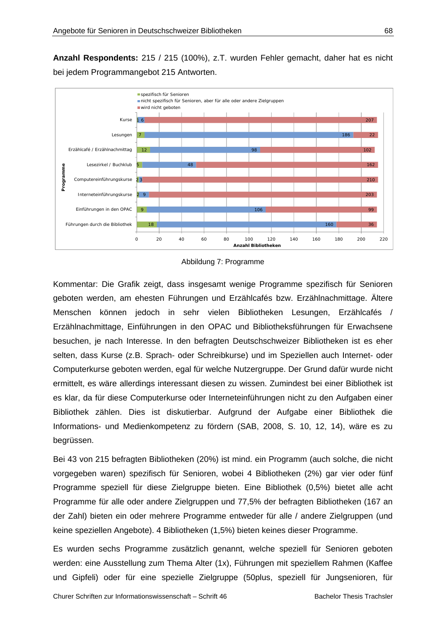**Anzahl Respondents:** 215 / 215 (100%), z.T. wurden Fehler gemacht, daher hat es nicht bei jedem Programmangebot 215 Antworten.



Abbildung 7: Programme

Kommentar: Die Grafik zeigt, dass insgesamt wenige Programme spezifisch für Senioren geboten werden, am ehesten Führungen und Erzählcafés bzw. Erzählnachmittage. Ältere Menschen können jedoch in sehr vielen Bibliotheken Lesungen, Erzählcafés / Erzählnachmittage, Einführungen in den OPAC und Bibliotheksführungen für Erwachsene besuchen, je nach Interesse. In den befragten Deutschschweizer Bibliotheken ist es eher selten, dass Kurse (z.B. Sprach- oder Schreibkurse) und im Speziellen auch Internet- oder Computerkurse geboten werden, egal für welche Nutzergruppe. Der Grund dafür wurde nicht ermittelt, es wäre allerdings interessant diesen zu wissen. Zumindest bei einer Bibliothek ist es klar, da für diese Computerkurse oder Interneteinführungen nicht zu den Aufgaben einer Bibliothek zählen. Dies ist diskutierbar. Aufgrund der Aufgabe einer Bibliothek die Informations- und Medienkompetenz zu fördern (SAB, 2008, S. 10, 12, 14), wäre es zu begrüssen.

Bei 43 von 215 befragten Bibliotheken (20%) ist mind. ein Programm (auch solche, die nicht vorgegeben waren) spezifisch für Senioren, wobei 4 Bibliotheken (2%) gar vier oder fünf Programme speziell für diese Zielgruppe bieten. Eine Bibliothek (0,5%) bietet alle acht Programme für alle oder andere Zielgruppen und 77,5% der befragten Bibliotheken (167 an der Zahl) bieten ein oder mehrere Programme entweder für alle / andere Zielgruppen (und keine speziellen Angebote). 4 Bibliotheken (1,5%) bieten keines dieser Programme.

Es wurden sechs Programme zusätzlich genannt, welche speziell für Senioren geboten werden: eine Ausstellung zum Thema Alter (1x), Führungen mit speziellem Rahmen (Kaffee und Gipfeli) oder für eine spezielle Zielgruppe (50plus, speziell für Jungsenioren, für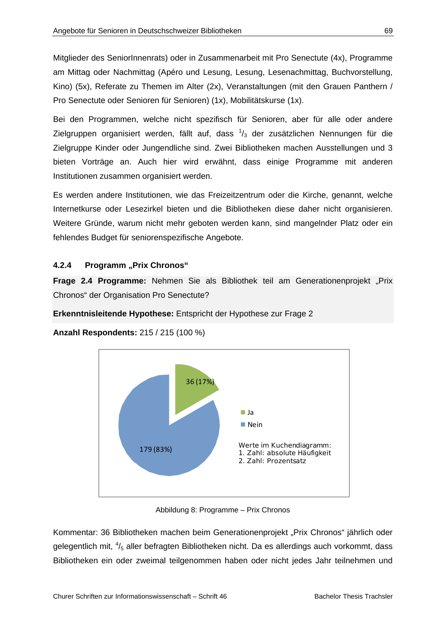Mitglieder des SeniorInnenrats) oder in Zusammenarbeit mit Pro Senectute (4x), Programme am Mittag oder Nachmittag (Apéro und Lesung, Lesung, Lesenachmittag, Buchvorstellung, Kino) (5x), Referate zu Themen im Alter (2x), Veranstaltungen (mit den Grauen Panthern / Pro Senectute oder Senioren für Senioren) (1x), Mobilitätskurse (1x).

Bei den Programmen, welche nicht spezifisch für Senioren, aber für alle oder andere Zielgruppen organisiert werden, fällt auf, dass  $\frac{1}{3}$  der zusätzlichen Nennungen für die Zielgruppe Kinder oder Jungendliche sind. Zwei Bibliotheken machen Ausstellungen und 3 bieten Vorträge an. Auch hier wird erwähnt, dass einige Programme mit anderen Institutionen zusammen organisiert werden.

Es werden andere Institutionen, wie das Freizeitzentrum oder die Kirche, genannt, welche Internetkurse oder Lesezirkel bieten und die Bibliotheken diese daher nicht organisieren. Weitere Gründe, warum nicht mehr geboten werden kann, sind mangelnder Platz oder ein fehlendes Budget für seniorenspezifische Angebote.

## **4.2.4 Programm "Prix Chronos"**

**Frage 2.4 Programme:** Nehmen Sie als Bibliothek teil am Generationenprojekt "Prix Chronos" der Organisation Pro Senectute?

**Erkenntnisleitende Hypothese:** Entspricht der Hypothese zur Frage 2

**Anzahl Respondents:** 215 / 215 (100 %)



Abbildung 8: Programme – Prix Chronos

Kommentar: 36 Bibliotheken machen beim Generationenprojekt "Prix Chronos" jährlich oder gelegentlich mit, <sup>4</sup>/<sub>5</sub> aller befragten Bibliotheken nicht. Da es allerdings auch vorkommt, dass Bibliotheken ein oder zweimal teilgenommen haben oder nicht jedes Jahr teilnehmen und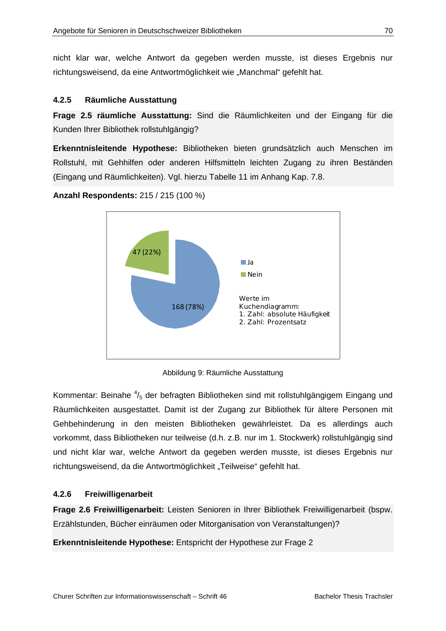nicht klar war, welche Antwort da gegeben werden musste, ist dieses Ergebnis nur richtungsweisend, da eine Antwortmöglichkeit wie "Manchmal" gefehlt hat.

## **4.2.5 Räumliche Ausstattung**

**Frage 2.5 räumliche Ausstattung:** Sind die Räumlichkeiten und der Eingang für die Kunden Ihrer Bibliothek rollstuhlgängig?

**Erkenntnisleitende Hypothese:** Bibliotheken bieten grundsätzlich auch Menschen im Rollstuhl, mit Gehhilfen oder anderen Hilfsmitteln leichten Zugang zu ihren Beständen (Eingang und Räumlichkeiten). Vgl. hierzu Tabelle 11 im Anhang Kap. 7.8.

**Anzahl Respondents:** 215 / 215 (100 %)



Abbildung 9: Räumliche Ausstattung

Kommentar: Beinahe  $\frac{4}{5}$  der befragten Bibliotheken sind mit rollstuhlgängigem Eingang und Räumlichkeiten ausgestattet. Damit ist der Zugang zur Bibliothek für ältere Personen mit Gehbehinderung in den meisten Bibliotheken gewährleistet. Da es allerdings auch vorkommt, dass Bibliotheken nur teilweise (d.h. z.B. nur im 1. Stockwerk) rollstuhlgängig sind und nicht klar war, welche Antwort da gegeben werden musste, ist dieses Ergebnis nur richtungsweisend, da die Antwortmöglichkeit "Teilweise" gefehlt hat.

# **4.2.6 Freiwilligenarbeit**

**Frage 2.6 Freiwilligenarbeit:** Leisten Senioren in Ihrer Bibliothek Freiwilligenarbeit (bspw. Erzählstunden, Bücher einräumen oder Mitorganisation von Veranstaltungen)?

**Erkenntnisleitende Hypothese:** Entspricht der Hypothese zur Frage 2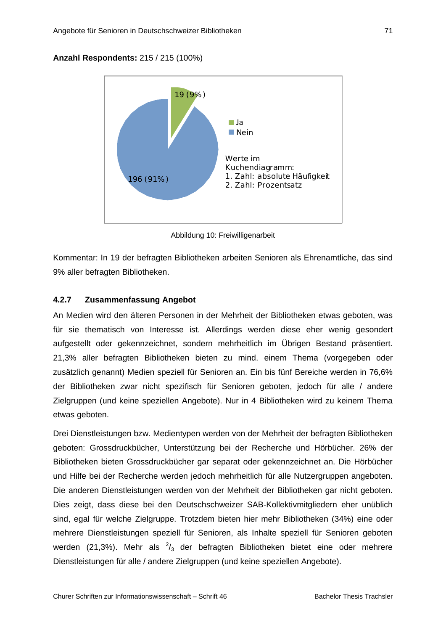# **Anzahl Respondents:** 215 / 215 (100%)



Abbildung 10: Freiwilligenarbeit

Kommentar: In 19 der befragten Bibliotheken arbeiten Senioren als Ehrenamtliche, das sind 9% aller befragten Bibliotheken.

# **4.2.7 Zusammenfassung Angebot**

An Medien wird den älteren Personen in der Mehrheit der Bibliotheken etwas geboten, was für sie thematisch von Interesse ist. Allerdings werden diese eher wenig gesondert aufgestellt oder gekennzeichnet, sondern mehrheitlich im Übrigen Bestand präsentiert. 21,3% aller befragten Bibliotheken bieten zu mind. einem Thema (vorgegeben oder zusätzlich genannt) Medien speziell für Senioren an. Ein bis fünf Bereiche werden in 76,6% der Bibliotheken zwar nicht spezifisch für Senioren geboten, jedoch für alle / andere Zielgruppen (und keine speziellen Angebote). Nur in 4 Bibliotheken wird zu keinem Thema etwas geboten.

Drei Dienstleistungen bzw. Medientypen werden von der Mehrheit der befragten Bibliotheken geboten: Grossdruckbücher, Unterstützung bei der Recherche und Hörbücher. 26% der Bibliotheken bieten Grossdruckbücher gar separat oder gekennzeichnet an. Die Hörbücher und Hilfe bei der Recherche werden jedoch mehrheitlich für alle Nutzergruppen angeboten. Die anderen Dienstleistungen werden von der Mehrheit der Bibliotheken gar nicht geboten. Dies zeigt, dass diese bei den Deutschschweizer SAB-Kollektivmitgliedern eher unüblich sind, egal für welche Zielgruppe. Trotzdem bieten hier mehr Bibliotheken (34%) eine oder mehrere Dienstleistungen speziell für Senioren, als Inhalte speziell für Senioren geboten werden (21,3%). Mehr als  $\frac{2}{3}$  der befragten Bibliotheken bietet eine oder mehrere Dienstleistungen für alle / andere Zielgruppen (und keine speziellen Angebote).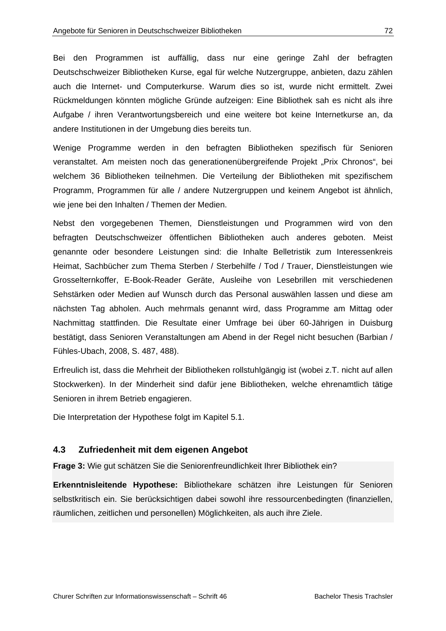Bei den Programmen ist auffällig, dass nur eine geringe Zahl der befragten Deutschschweizer Bibliotheken Kurse, egal für welche Nutzergruppe, anbieten, dazu zählen auch die Internet- und Computerkurse. Warum dies so ist, wurde nicht ermittelt. Zwei Rückmeldungen könnten mögliche Gründe aufzeigen: Eine Bibliothek sah es nicht als ihre Aufgabe / ihren Verantwortungsbereich und eine weitere bot keine Internetkurse an, da andere Institutionen in der Umgebung dies bereits tun.

Wenige Programme werden in den befragten Bibliotheken spezifisch für Senioren veranstaltet. Am meisten noch das generationenübergreifende Projekt "Prix Chronos", bei welchem 36 Bibliotheken teilnehmen. Die Verteilung der Bibliotheken mit spezifischem Programm, Programmen für alle / andere Nutzergruppen und keinem Angebot ist ähnlich, wie jene bei den Inhalten / Themen der Medien.

Nebst den vorgegebenen Themen, Dienstleistungen und Programmen wird von den befragten Deutschschweizer öffentlichen Bibliotheken auch anderes geboten. Meist genannte oder besondere Leistungen sind: die Inhalte Belletristik zum Interessenkreis Heimat, Sachbücher zum Thema Sterben / Sterbehilfe / Tod / Trauer, Dienstleistungen wie Grosselternkoffer, E-Book-Reader Geräte, Ausleihe von Lesebrillen mit verschiedenen Sehstärken oder Medien auf Wunsch durch das Personal auswählen lassen und diese am nächsten Tag abholen. Auch mehrmals genannt wird, dass Programme am Mittag oder Nachmittag stattfinden. Die Resultate einer Umfrage bei über 60-Jährigen in Duisburg bestätigt, dass Senioren Veranstaltungen am Abend in der Regel nicht besuchen (Barbian / Fühles-Ubach, 2008, S. 487, 488).

Erfreulich ist, dass die Mehrheit der Bibliotheken rollstuhlgängig ist (wobei z.T. nicht auf allen Stockwerken). In der Minderheit sind dafür jene Bibliotheken, welche ehrenamtlich tätige Senioren in ihrem Betrieb engagieren.

Die Interpretation der Hypothese folgt im Kapitel 5.1.

# **4.3 Zufriedenheit mit dem eigenen Angebot**

**Frage 3:** Wie gut schätzen Sie die Seniorenfreundlichkeit Ihrer Bibliothek ein?

**Erkenntnisleitende Hypothese:** Bibliothekare schätzen ihre Leistungen für Senioren selbstkritisch ein. Sie berücksichtigen dabei sowohl ihre ressourcenbedingten (finanziellen, räumlichen, zeitlichen und personellen) Möglichkeiten, als auch ihre Ziele.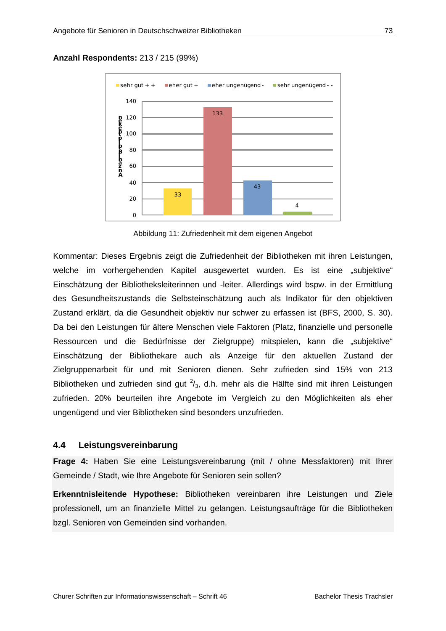**Anzahl Respondents:** 213 / 215 (99%)



Abbildung 11: Zufriedenheit mit dem eigenen Angebot

Kommentar: Dieses Ergebnis zeigt die Zufriedenheit der Bibliotheken mit ihren Leistungen, welche im vorhergehenden Kapitel ausgewertet wurden. Es ist eine "subjektive" Einschätzung der Bibliotheksleiterinnen und -leiter. Allerdings wird bspw. in der Ermittlung des Gesundheitszustands die Selbsteinschätzung auch als Indikator für den objektiven Zustand erklärt, da die Gesundheit objektiv nur schwer zu erfassen ist (BFS, 2000, S. 30). Da bei den Leistungen für ältere Menschen viele Faktoren (Platz, finanzielle und personelle Ressourcen und die Bedürfnisse der Zielgruppe) mitspielen, kann die "subjektive" Einschätzung der Bibliothekare auch als Anzeige für den aktuellen Zustand der Zielgruppenarbeit für und mit Senioren dienen. Sehr zufrieden sind 15% von 213 Bibliotheken und zufrieden sind gut  $2/3$ , d.h. mehr als die Hälfte sind mit ihren Leistungen zufrieden. 20% beurteilen ihre Angebote im Vergleich zu den Möglichkeiten als eher ungenügend und vier Bibliotheken sind besonders unzufrieden.

### **4.4 Leistungsvereinbarung**

**Frage 4:** Haben Sie eine Leistungsvereinbarung (mit / ohne Messfaktoren) mit Ihrer Gemeinde / Stadt, wie Ihre Angebote für Senioren sein sollen?

**Erkenntnisleitende Hypothese:** Bibliotheken vereinbaren ihre Leistungen und Ziele professionell, um an finanzielle Mittel zu gelangen. Leistungsaufträge für die Bibliotheken bzgl. Senioren von Gemeinden sind vorhanden.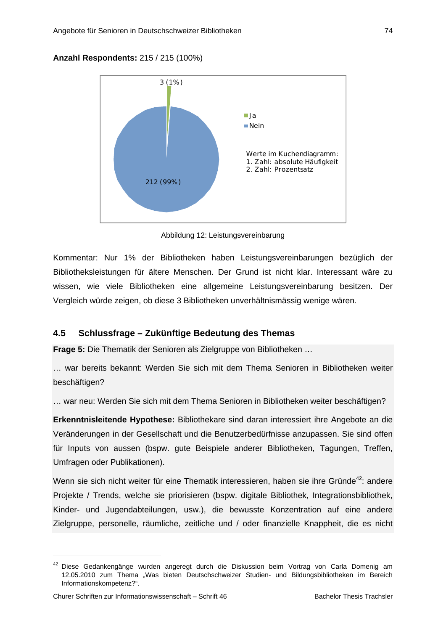### **Anzahl Respondents:** 215 / 215 (100%)



Abbildung 12: Leistungsvereinbarung

Kommentar: Nur 1% der Bibliotheken haben Leistungsvereinbarungen bezüglich der Bibliotheksleistungen für ältere Menschen. Der Grund ist nicht klar. Interessant wäre zu wissen, wie viele Bibliotheken eine allgemeine Leistungsvereinbarung besitzen. Der Vergleich würde zeigen, ob diese 3 Bibliotheken unverhältnismässig wenige wären.

### **4.5 Schlussfrage – Zukünftige Bedeutung des Themas**

**Frage 5:** Die Thematik der Senioren als Zielgruppe von Bibliotheken …

… war bereits bekannt: Werden Sie sich mit dem Thema Senioren in Bibliotheken weiter beschäftigen?

… war neu: Werden Sie sich mit dem Thema Senioren in Bibliotheken weiter beschäftigen?

**Erkenntnisleitende Hypothese:** Bibliothekare sind daran interessiert ihre Angebote an die Veränderungen in der Gesellschaft und die Benutzerbedürfnisse anzupassen. Sie sind offen für Inputs von aussen (bspw. gute Beispiele anderer Bibliotheken, Tagungen, Treffen, Umfragen oder Publikationen).

Wenn sie sich nicht weiter für eine Thematik interessieren, haben sie ihre Gründe<sup>42</sup>: andere Projekte / Trends, welche sie priorisieren (bspw. digitale Bibliothek, Integrationsbibliothek, Kinder- und Jugendabteilungen, usw.), die bewusste Konzentration auf eine andere Zielgruppe, personelle, räumliche, zeitliche und / oder finanzielle Knappheit, die es nicht

 $\overline{a}$ 

<sup>&</sup>lt;sup>42</sup> Diese Gedankengänge wurden angeregt durch die Diskussion beim Vortrag von Carla Domenig am 12.05.2010 zum Thema "Was bieten Deutschschweizer Studien- und Bildungsbibliotheken im Bereich Informationskompetenz?".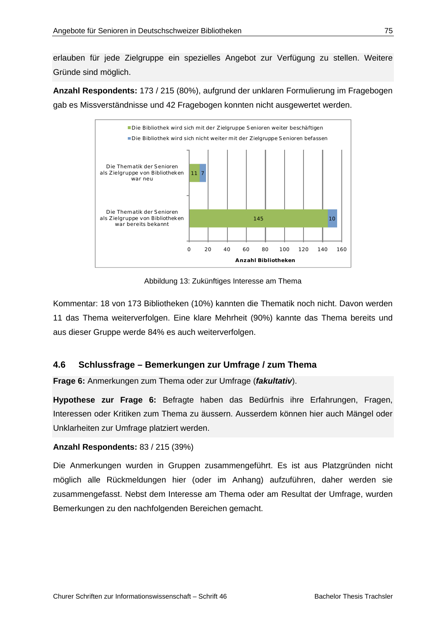erlauben für jede Zielgruppe ein spezielles Angebot zur Verfügung zu stellen. Weitere Gründe sind möglich.

**Anzahl Respondents:** 173 / 215 (80%), aufgrund der unklaren Formulierung im Fragebogen gab es Missverständnisse und 42 Fragebogen konnten nicht ausgewertet werden.



Abbildung 13: Zukünftiges Interesse am Thema

Kommentar: 18 von 173 Bibliotheken (10%) kannten die Thematik noch nicht. Davon werden 11 das Thema weiterverfolgen. Eine klare Mehrheit (90%) kannte das Thema bereits und aus dieser Gruppe werde 84% es auch weiterverfolgen.

### **4.6 Schlussfrage – Bemerkungen zur Umfrage / zum Thema**

**Frage 6:** Anmerkungen zum Thema oder zur Umfrage (*fakultativ*).

**Hypothese zur Frage 6:** Befragte haben das Bedürfnis ihre Erfahrungen, Fragen, Interessen oder Kritiken zum Thema zu äussern. Ausserdem können hier auch Mängel oder Unklarheiten zur Umfrage platziert werden.

### **Anzahl Respondents:** 83 / 215 (39%)

Die Anmerkungen wurden in Gruppen zusammengeführt. Es ist aus Platzgründen nicht möglich alle Rückmeldungen hier (oder im Anhang) aufzuführen, daher werden sie zusammengefasst. Nebst dem Interesse am Thema oder am Resultat der Umfrage, wurden Bemerkungen zu den nachfolgenden Bereichen gemacht.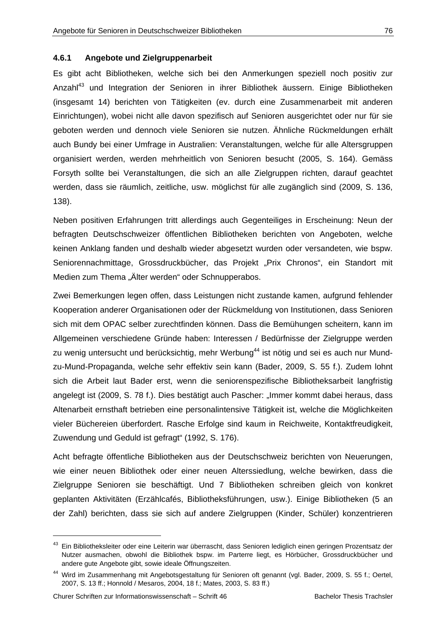#### **4.6.1 Angebote und Zielgruppenarbeit**

Es gibt acht Bibliotheken, welche sich bei den Anmerkungen speziell noch positiv zur Anzahl<sup>43</sup> und Integration der Senioren in ihrer Bibliothek äussern. Einige Bibliotheken (insgesamt 14) berichten von Tätigkeiten (ev. durch eine Zusammenarbeit mit anderen Einrichtungen), wobei nicht alle davon spezifisch auf Senioren ausgerichtet oder nur für sie geboten werden und dennoch viele Senioren sie nutzen. Ähnliche Rückmeldungen erhält auch Bundy bei einer Umfrage in Australien: Veranstaltungen, welche für alle Altersgruppen organisiert werden, werden mehrheitlich von Senioren besucht (2005, S. 164). Gemäss Forsyth sollte bei Veranstaltungen, die sich an alle Zielgruppen richten, darauf geachtet werden, dass sie räumlich, zeitliche, usw. möglichst für alle zugänglich sind (2009, S. 136, 138).

Neben positiven Erfahrungen tritt allerdings auch Gegenteiliges in Erscheinung: Neun der befragten Deutschschweizer öffentlichen Bibliotheken berichten von Angeboten, welche keinen Anklang fanden und deshalb wieder abgesetzt wurden oder versandeten, wie bspw. Seniorennachmittage, Grossdruckbücher, das Projekt "Prix Chronos", ein Standort mit Medien zum Thema "Älter werden" oder Schnupperabos.

Zwei Bemerkungen legen offen, dass Leistungen nicht zustande kamen, aufgrund fehlender Kooperation anderer Organisationen oder der Rückmeldung von Institutionen, dass Senioren sich mit dem OPAC selber zurechtfinden können. Dass die Bemühungen scheitern, kann im Allgemeinen verschiedene Gründe haben: Interessen / Bedürfnisse der Zielgruppe werden zu wenig untersucht und berücksichtig, mehr Werbung<sup>44</sup> ist nötig und sei es auch nur Mundzu-Mund-Propaganda, welche sehr effektiv sein kann (Bader, 2009, S. 55 f.). Zudem lohnt sich die Arbeit laut Bader erst, wenn die seniorenspezifische Bibliotheksarbeit langfristig angelegt ist (2009, S. 78 f.). Dies bestätigt auch Pascher: "Immer kommt dabei heraus, dass Altenarbeit ernsthaft betrieben eine personalintensive Tätigkeit ist, welche die Möglichkeiten vieler Büchereien überfordert. Rasche Erfolge sind kaum in Reichweite, Kontaktfreudigkeit, Zuwendung und Geduld ist gefragt" (1992, S. 176).

Acht befragte öffentliche Bibliotheken aus der Deutschschweiz berichten von Neuerungen, wie einer neuen Bibliothek oder einer neuen Alterssiedlung, welche bewirken, dass die Zielgruppe Senioren sie beschäftigt. Und 7 Bibliotheken schreiben gleich von konkret geplanten Aktivitäten (Erzählcafés, Bibliotheksführungen, usw.). Einige Bibliotheken (5 an der Zahl) berichten, dass sie sich auf andere Zielgruppen (Kinder, Schüler) konzentrieren

-

<sup>&</sup>lt;sup>43</sup> Ein Bibliotheksleiter oder eine Leiterin war überrascht, dass Senioren lediglich einen geringen Prozentsatz der Nutzer ausmachen, obwohl die Bibliothek bspw. im Parterre liegt, es Hörbücher, Grossdruckbücher und andere gute Angebote gibt, sowie ideale Öffnungszeiten.

<sup>&</sup>lt;sup>44</sup> Wird im Zusammenhang mit Angebotsgestaltung für Senioren oft genannt (vgl. Bader, 2009, S. 55 f.; Oertel, 2007, S. 13 ff.; Honnold / Mesaros, 2004, 18 f.; Mates, 2003, S. 83 ff.)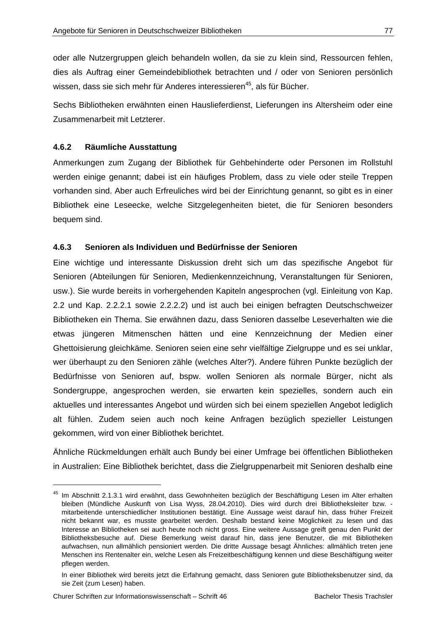oder alle Nutzergruppen gleich behandeln wollen, da sie zu klein sind, Ressourcen fehlen, dies als Auftrag einer Gemeindebibliothek betrachten und / oder von Senioren persönlich wissen, dass sie sich mehr für Anderes interessieren<sup>45</sup>, als für Bücher.

Sechs Bibliotheken erwähnten einen Hauslieferdienst, Lieferungen ins Altersheim oder eine Zusammenarbeit mit Letzterer.

### **4.6.2 Räumliche Ausstattung**

Anmerkungen zum Zugang der Bibliothek für Gehbehinderte oder Personen im Rollstuhl werden einige genannt; dabei ist ein häufiges Problem, dass zu viele oder steile Treppen vorhanden sind. Aber auch Erfreuliches wird bei der Einrichtung genannt, so gibt es in einer Bibliothek eine Leseecke, welche Sitzgelegenheiten bietet, die für Senioren besonders bequem sind.

#### **4.6.3 Senioren als Individuen und Bedürfnisse der Senioren**

Eine wichtige und interessante Diskussion dreht sich um das spezifische Angebot für Senioren (Abteilungen für Senioren, Medienkennzeichnung, Veranstaltungen für Senioren, usw.). Sie wurde bereits in vorhergehenden Kapiteln angesprochen (vgl. Einleitung von Kap. 2.2 und Kap. 2.2.2.1 sowie 2.2.2.2) und ist auch bei einigen befragten Deutschschweizer Bibliotheken ein Thema. Sie erwähnen dazu, dass Senioren dasselbe Leseverhalten wie die etwas jüngeren Mitmenschen hätten und eine Kennzeichnung der Medien einer Ghettoisierung gleichkäme. Senioren seien eine sehr vielfältige Zielgruppe und es sei unklar, wer überhaupt zu den Senioren zähle (welches Alter?). Andere führen Punkte bezüglich der Bedürfnisse von Senioren auf, bspw. wollen Senioren als normale Bürger, nicht als Sondergruppe, angesprochen werden, sie erwarten kein spezielles, sondern auch ein aktuelles und interessantes Angebot und würden sich bei einem speziellen Angebot lediglich alt fühlen. Zudem seien auch noch keine Anfragen bezüglich spezieller Leistungen gekommen, wird von einer Bibliothek berichtet.

Ähnliche Rückmeldungen erhält auch Bundy bei einer Umfrage bei öffentlichen Bibliotheken in Australien: Eine Bibliothek berichtet, dass die Zielgruppenarbeit mit Senioren deshalb eine

-

<sup>&</sup>lt;sup>45</sup> Im Abschnitt 2.1.3.1 wird erwähnt, dass Gewohnheiten bezüglich der Beschäftigung Lesen im Alter erhalten bleiben (Mündliche Auskunft von Lisa Wyss, 28.04.2010). Dies wird durch drei Bibliotheksleiter bzw. mitarbeitende unterschiedlicher Institutionen bestätigt. Eine Aussage weist darauf hin, dass früher Freizeit nicht bekannt war, es musste gearbeitet werden. Deshalb bestand keine Möglichkeit zu lesen und das Interesse an Bibliotheken sei auch heute noch nicht gross. Eine weitere Aussage greift genau den Punkt der Bibliotheksbesuche auf. Diese Bemerkung weist darauf hin, dass jene Benutzer, die mit Bibliotheken aufwachsen, nun allmählich pensioniert werden. Die dritte Aussage besagt Ähnliches: allmählich treten jene Menschen ins Rentenalter ein, welche Lesen als Freizeitbeschäftigung kennen und diese Beschäftigung weiter pflegen werden.

In einer Bibliothek wird bereits jetzt die Erfahrung gemacht, dass Senioren gute Bibliotheksbenutzer sind, da sie Zeit (zum Lesen) haben.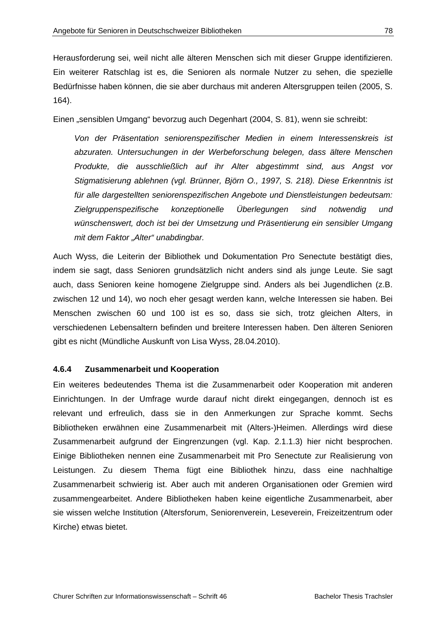Herausforderung sei, weil nicht alle älteren Menschen sich mit dieser Gruppe identifizieren. Ein weiterer Ratschlag ist es, die Senioren als normale Nutzer zu sehen, die spezielle Bedürfnisse haben können, die sie aber durchaus mit anderen Altersgruppen teilen (2005, S. 164).

Einen "sensiblen Umgang" bevorzug auch Degenhart (2004, S. 81), wenn sie schreibt:

*Von der Präsentation seniorenspezifischer Medien in einem Interessenskreis ist abzuraten. Untersuchungen in der Werbeforschung belegen, dass ältere Menschen Produkte, die ausschließlich auf ihr Alter abgestimmt sind, aus Angst vor Stigmatisierung ablehnen (vgl. Brünner, Björn O., 1997, S. 218). Diese Erkenntnis ist für alle dargestellten seniorenspezifischen Angebote und Dienstleistungen bedeutsam: Zielgruppenspezifische konzeptionelle Überlegungen sind notwendig und wünschenswert, doch ist bei der Umsetzung und Präsentierung ein sensibler Umgang mit dem Faktor "Alter" unabdingbar.* 

Auch Wyss, die Leiterin der Bibliothek und Dokumentation Pro Senectute bestätigt dies, indem sie sagt, dass Senioren grundsätzlich nicht anders sind als junge Leute. Sie sagt auch, dass Senioren keine homogene Zielgruppe sind. Anders als bei Jugendlichen (z.B. zwischen 12 und 14), wo noch eher gesagt werden kann, welche Interessen sie haben. Bei Menschen zwischen 60 und 100 ist es so, dass sie sich, trotz gleichen Alters, in verschiedenen Lebensaltern befinden und breitere Interessen haben. Den älteren Senioren gibt es nicht (Mündliche Auskunft von Lisa Wyss, 28.04.2010).

#### **4.6.4 Zusammenarbeit und Kooperation**

Ein weiteres bedeutendes Thema ist die Zusammenarbeit oder Kooperation mit anderen Einrichtungen. In der Umfrage wurde darauf nicht direkt eingegangen, dennoch ist es relevant und erfreulich, dass sie in den Anmerkungen zur Sprache kommt. Sechs Bibliotheken erwähnen eine Zusammenarbeit mit (Alters-)Heimen. Allerdings wird diese Zusammenarbeit aufgrund der Eingrenzungen (vgl. Kap. 2.1.1.3) hier nicht besprochen. Einige Bibliotheken nennen eine Zusammenarbeit mit Pro Senectute zur Realisierung von Leistungen. Zu diesem Thema fügt eine Bibliothek hinzu, dass eine nachhaltige Zusammenarbeit schwierig ist. Aber auch mit anderen Organisationen oder Gremien wird zusammengearbeitet. Andere Bibliotheken haben keine eigentliche Zusammenarbeit, aber sie wissen welche Institution (Altersforum, Seniorenverein, Leseverein, Freizeitzentrum oder Kirche) etwas bietet.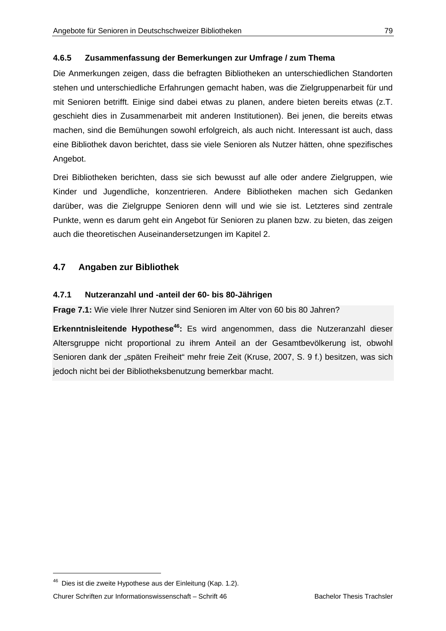### **4.6.5 Zusammenfassung der Bemerkungen zur Umfrage / zum Thema**

Die Anmerkungen zeigen, dass die befragten Bibliotheken an unterschiedlichen Standorten stehen und unterschiedliche Erfahrungen gemacht haben, was die Zielgruppenarbeit für und mit Senioren betrifft. Einige sind dabei etwas zu planen, andere bieten bereits etwas (z.T. geschieht dies in Zusammenarbeit mit anderen Institutionen). Bei jenen, die bereits etwas machen, sind die Bemühungen sowohl erfolgreich, als auch nicht. Interessant ist auch, dass eine Bibliothek davon berichtet, dass sie viele Senioren als Nutzer hätten, ohne spezifisches Angebot.

Drei Bibliotheken berichten, dass sie sich bewusst auf alle oder andere Zielgruppen, wie Kinder und Jugendliche, konzentrieren. Andere Bibliotheken machen sich Gedanken darüber, was die Zielgruppe Senioren denn will und wie sie ist. Letzteres sind zentrale Punkte, wenn es darum geht ein Angebot für Senioren zu planen bzw. zu bieten, das zeigen auch die theoretischen Auseinandersetzungen im Kapitel 2.

### **4.7 Angaben zur Bibliothek**

### **4.7.1 Nutzeranzahl und -anteil der 60- bis 80-Jährigen**

**Frage 7.1:** Wie viele Ihrer Nutzer sind Senioren im Alter von 60 bis 80 Jahren?

**Erkenntnisleitende Hypothese<sup>46</sup>:** Es wird angenommen, dass die Nutzeranzahl dieser Altersgruppe nicht proportional zu ihrem Anteil an der Gesamtbevölkerung ist, obwohl Senioren dank der "späten Freiheit" mehr freie Zeit (Kruse, 2007, S. 9 f.) besitzen, was sich jedoch nicht bei der Bibliotheksbenutzung bemerkbar macht.

-

<sup>&</sup>lt;sup>46</sup> Dies ist die zweite Hypothese aus der Einleitung (Kap. 1.2).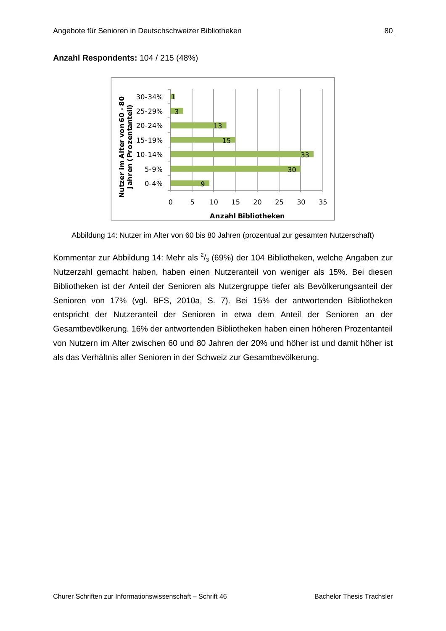### **Anzahl Respondents:** 104 / 215 (48%)



Abbildung 14: Nutzer im Alter von 60 bis 80 Jahren (prozentual zur gesamten Nutzerschaft)

Kommentar zur Abbildung 14: Mehr als  $\frac{2}{3}$  (69%) der 104 Bibliotheken, welche Angaben zur Nutzerzahl gemacht haben, haben einen Nutzeranteil von weniger als 15%. Bei diesen Bibliotheken ist der Anteil der Senioren als Nutzergruppe tiefer als Bevölkerungsanteil der Senioren von 17% (vgl. BFS, 2010a, S. 7). Bei 15% der antwortenden Bibliotheken entspricht der Nutzeranteil der Senioren in etwa dem Anteil der Senioren an der Gesamtbevölkerung. 16% der antwortenden Bibliotheken haben einen höheren Prozentanteil von Nutzern im Alter zwischen 60 und 80 Jahren der 20% und höher ist und damit höher ist als das Verhältnis aller Senioren in der Schweiz zur Gesamtbevölkerung.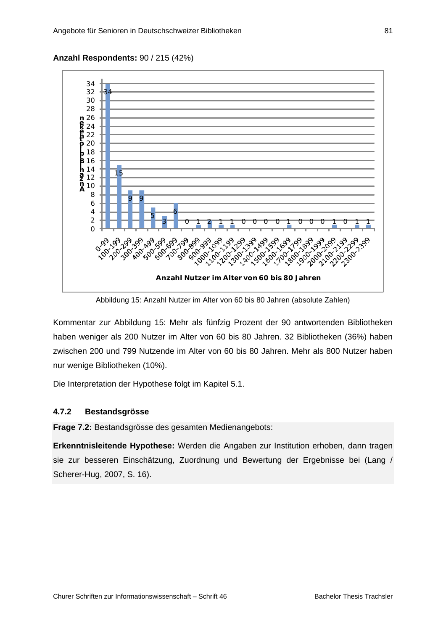**Anzahl Respondents:** 90 / 215 (42%)



Abbildung 15: Anzahl Nutzer im Alter von 60 bis 80 Jahren (absolute Zahlen)

Kommentar zur Abbildung 15: Mehr als fünfzig Prozent der 90 antwortenden Bibliotheken haben weniger als 200 Nutzer im Alter von 60 bis 80 Jahren. 32 Bibliotheken (36%) haben zwischen 200 und 799 Nutzende im Alter von 60 bis 80 Jahren. Mehr als 800 Nutzer haben nur wenige Bibliotheken (10%).

Die Interpretation der Hypothese folgt im Kapitel 5.1.

### **4.7.2 Bestandsgrösse**

**Frage 7.2:** Bestandsgrösse des gesamten Medienangebots:

**Erkenntnisleitende Hypothese:** Werden die Angaben zur Institution erhoben, dann tragen sie zur besseren Einschätzung, Zuordnung und Bewertung der Ergebnisse bei (Lang / Scherer-Hug, 2007, S. 16).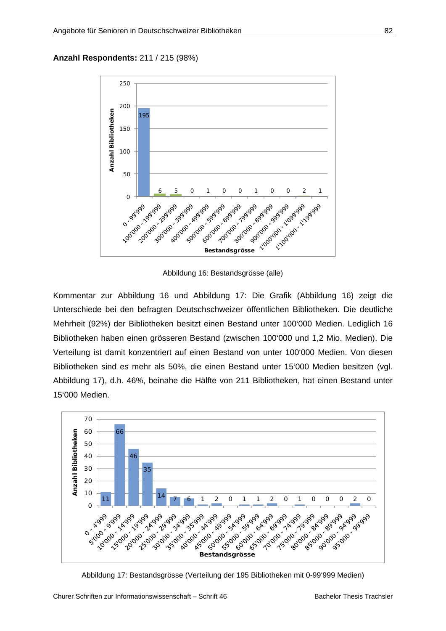### **Anzahl Respondents:** 211 / 215 (98%)



Abbildung 16: Bestandsgrösse (alle)

Kommentar zur Abbildung 16 und Abbildung 17: Die Grafik (Abbildung 16) zeigt die Unterschiede bei den befragten Deutschschweizer öffentlichen Bibliotheken. Die deutliche Mehrheit (92%) der Bibliotheken besitzt einen Bestand unter 100'000 Medien. Lediglich 16 Bibliotheken haben einen grösseren Bestand (zwischen 100'000 und 1,2 Mio. Medien). Die Verteilung ist damit konzentriert auf einen Bestand von unter 100'000 Medien. Von diesen Bibliotheken sind es mehr als 50%, die einen Bestand unter 15'000 Medien besitzen (vgl. Abbildung 17), d.h. 46%, beinahe die Hälfte von 211 Bibliotheken, hat einen Bestand unter 15'000 Medien.



Abbildung 17: Bestandsgrösse (Verteilung der 195 Bibliotheken mit 0-99'999 Medien)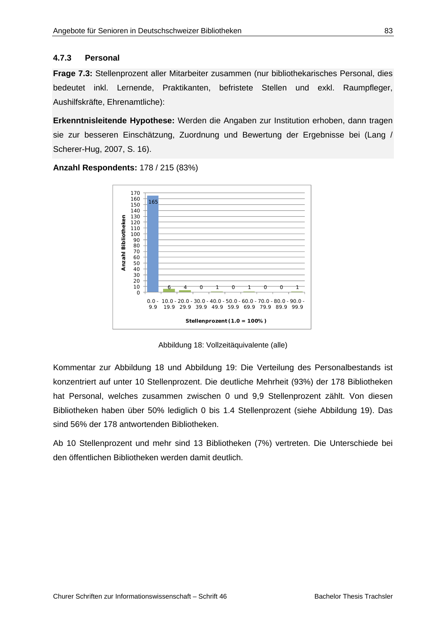### **4.7.3 Personal**

**Frage 7.3:** Stellenprozent aller Mitarbeiter zusammen (nur bibliothekarisches Personal, dies bedeutet inkl. Lernende, Praktikanten, befristete Stellen und exkl. Raumpfleger, Aushilfskräfte, Ehrenamtliche):

**Erkenntnisleitende Hypothese:** Werden die Angaben zur Institution erhoben, dann tragen sie zur besseren Einschätzung, Zuordnung und Bewertung der Ergebnisse bei (Lang / Scherer-Hug, 2007, S. 16).



**Anzahl Respondents:** 178 / 215 (83%)

Abbildung 18: Vollzeitäquivalente (alle)

Kommentar zur Abbildung 18 und Abbildung 19: Die Verteilung des Personalbestands ist konzentriert auf unter 10 Stellenprozent. Die deutliche Mehrheit (93%) der 178 Bibliotheken hat Personal, welches zusammen zwischen 0 und 9,9 Stellenprozent zählt. Von diesen Bibliotheken haben über 50% lediglich 0 bis 1.4 Stellenprozent (siehe Abbildung 19). Das sind 56% der 178 antwortenden Bibliotheken.

Ab 10 Stellenprozent und mehr sind 13 Bibliotheken (7%) vertreten. Die Unterschiede bei den öffentlichen Bibliotheken werden damit deutlich.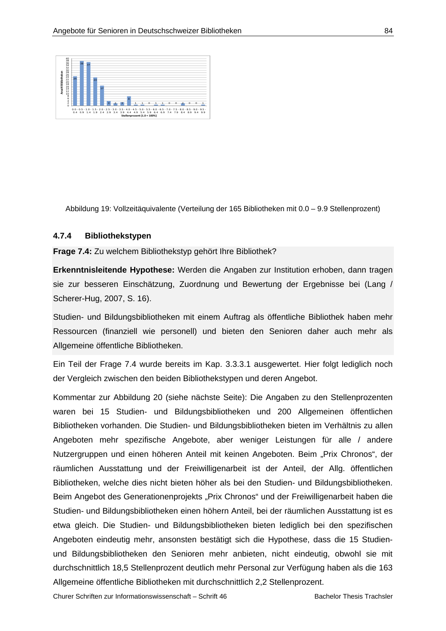

Abbildung 19: Vollzeitäquivalente (Verteilung der 165 Bibliotheken mit 0.0 – 9.9 Stellenprozent)

### **4.7.4 Bibliothekstypen**

**Frage 7.4:** Zu welchem Bibliothekstyp gehört Ihre Bibliothek?

**Erkenntnisleitende Hypothese:** Werden die Angaben zur Institution erhoben, dann tragen sie zur besseren Einschätzung, Zuordnung und Bewertung der Ergebnisse bei (Lang / Scherer-Hug, 2007, S. 16).

Studien- und Bildungsbibliotheken mit einem Auftrag als öffentliche Bibliothek haben mehr Ressourcen (finanziell wie personell) und bieten den Senioren daher auch mehr als Allgemeine öffentliche Bibliotheken.

Ein Teil der Frage 7.4 wurde bereits im Kap. 3.3.3.1 ausgewertet. Hier folgt lediglich noch der Vergleich zwischen den beiden Bibliothekstypen und deren Angebot.

Kommentar zur Abbildung 20 (siehe nächste Seite): Die Angaben zu den Stellenprozenten waren bei 15 Studien- und Bildungsbibliotheken und 200 Allgemeinen öffentlichen Bibliotheken vorhanden. Die Studien- und Bildungsbibliotheken bieten im Verhältnis zu allen Angeboten mehr spezifische Angebote, aber weniger Leistungen für alle / andere Nutzergruppen und einen höheren Anteil mit keinen Angeboten. Beim "Prix Chronos", der räumlichen Ausstattung und der Freiwilligenarbeit ist der Anteil, der Allg. öffentlichen Bibliotheken, welche dies nicht bieten höher als bei den Studien- und Bildungsbibliotheken. Beim Angebot des Generationenprojekts "Prix Chronos" und der Freiwilligenarbeit haben die Studien- und Bildungsbibliotheken einen höhern Anteil, bei der räumlichen Ausstattung ist es etwa gleich. Die Studien- und Bildungsbibliotheken bieten lediglich bei den spezifischen Angeboten eindeutig mehr, ansonsten bestätigt sich die Hypothese, dass die 15 Studienund Bildungsbibliotheken den Senioren mehr anbieten, nicht eindeutig, obwohl sie mit durchschnittlich 18,5 Stellenprozent deutlich mehr Personal zur Verfügung haben als die 163 Allgemeine öffentliche Bibliotheken mit durchschnittlich 2,2 Stellenprozent.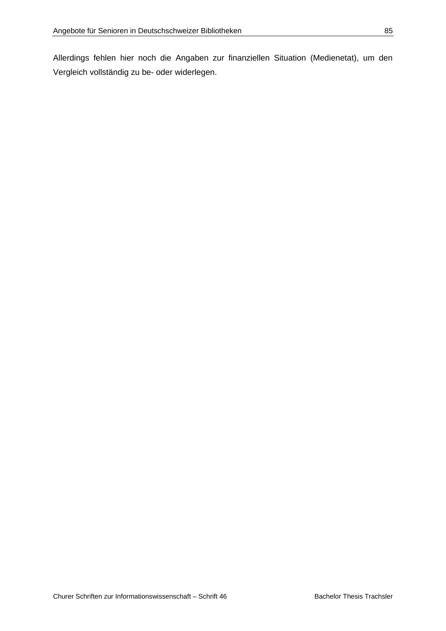Allerdings fehlen hier noch die Angaben zur finanziellen Situation (Medienetat), um den Vergleich vollständig zu be- oder widerlegen.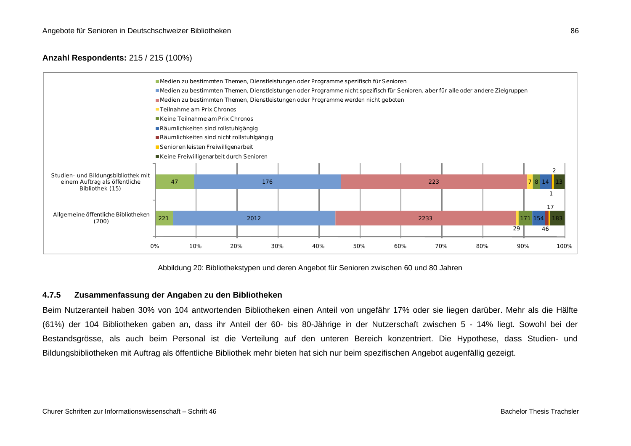### **Anzahl Respondents:** 215 / 215 (100%)



Abbildung 20: Bibliothekstypen und deren Angebot für Senioren zwischen 60 und 80 Jahren

### **4.7.5 Zusammenfassung der Angaben zu den Bibliotheken**

Beim Nutzeranteil haben 30% von 104 antwortenden Bibliotheken einen Anteil von ungefähr 17% oder sie liegen darüber. Mehr als die Hälfte (61%) der 104 Bibliotheken gaben an, dass ihr Anteil der 60- bis 80-Jährige in der Nutzerschaft zwischen 5 - 14% liegt. Sowohl bei der Bestandsgrösse, als auch beim Personal ist die Verteilung auf den unteren Bereich konzentriert. Die Hypothese, dass Studien- und Bildungsbibliotheken mit Auftrag als öffentliche Bibliothek mehr bieten hat sich nur beim spezifischen Angebot augenfällig gezeigt.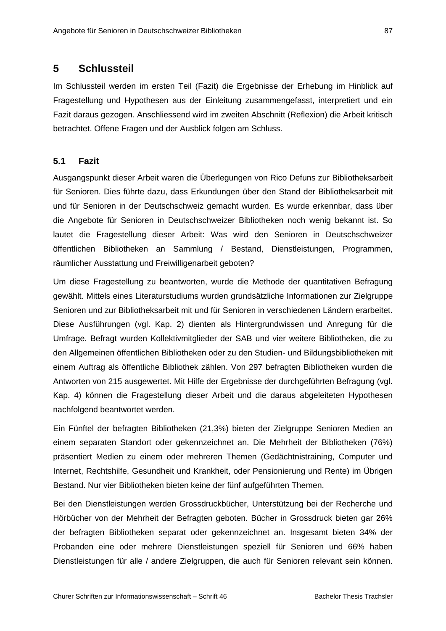### **5 Schlussteil**

Im Schlussteil werden im ersten Teil (Fazit) die Ergebnisse der Erhebung im Hinblick auf Fragestellung und Hypothesen aus der Einleitung zusammengefasst, interpretiert und ein Fazit daraus gezogen. Anschliessend wird im zweiten Abschnitt (Reflexion) die Arbeit kritisch betrachtet. Offene Fragen und der Ausblick folgen am Schluss.

### **5.1 Fazit**

Ausgangspunkt dieser Arbeit waren die Überlegungen von Rico Defuns zur Bibliotheksarbeit für Senioren. Dies führte dazu, dass Erkundungen über den Stand der Bibliotheksarbeit mit und für Senioren in der Deutschschweiz gemacht wurden. Es wurde erkennbar, dass über die Angebote für Senioren in Deutschschweizer Bibliotheken noch wenig bekannt ist. So lautet die Fragestellung dieser Arbeit: Was wird den Senioren in Deutschschweizer öffentlichen Bibliotheken an Sammlung / Bestand, Dienstleistungen, Programmen, räumlicher Ausstattung und Freiwilligenarbeit geboten?

Um diese Fragestellung zu beantworten, wurde die Methode der quantitativen Befragung gewählt. Mittels eines Literaturstudiums wurden grundsätzliche Informationen zur Zielgruppe Senioren und zur Bibliotheksarbeit mit und für Senioren in verschiedenen Ländern erarbeitet. Diese Ausführungen (vgl. Kap. 2) dienten als Hintergrundwissen und Anregung für die Umfrage. Befragt wurden Kollektivmitglieder der SAB und vier weitere Bibliotheken, die zu den Allgemeinen öffentlichen Bibliotheken oder zu den Studien- und Bildungsbibliotheken mit einem Auftrag als öffentliche Bibliothek zählen. Von 297 befragten Bibliotheken wurden die Antworten von 215 ausgewertet. Mit Hilfe der Ergebnisse der durchgeführten Befragung (vgl. Kap. 4) können die Fragestellung dieser Arbeit und die daraus abgeleiteten Hypothesen nachfolgend beantwortet werden.

Ein Fünftel der befragten Bibliotheken (21,3%) bieten der Zielgruppe Senioren Medien an einem separaten Standort oder gekennzeichnet an. Die Mehrheit der Bibliotheken (76%) präsentiert Medien zu einem oder mehreren Themen (Gedächtnistraining, Computer und Internet, Rechtshilfe, Gesundheit und Krankheit, oder Pensionierung und Rente) im Übrigen Bestand. Nur vier Bibliotheken bieten keine der fünf aufgeführten Themen.

Bei den Dienstleistungen werden Grossdruckbücher, Unterstützung bei der Recherche und Hörbücher von der Mehrheit der Befragten geboten. Bücher in Grossdruck bieten gar 26% der befragten Bibliotheken separat oder gekennzeichnet an. Insgesamt bieten 34% der Probanden eine oder mehrere Dienstleistungen speziell für Senioren und 66% haben Dienstleistungen für alle / andere Zielgruppen, die auch für Senioren relevant sein können.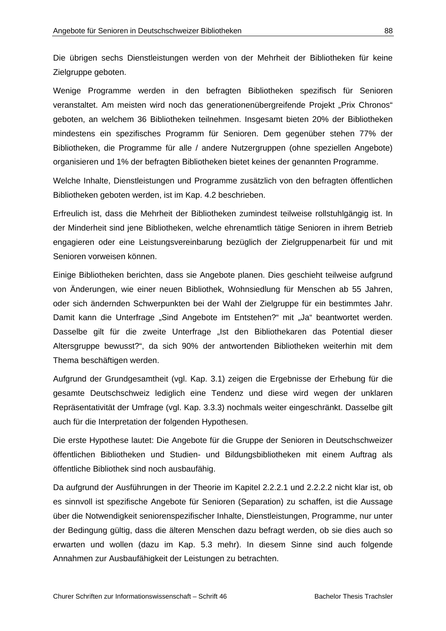Die übrigen sechs Dienstleistungen werden von der Mehrheit der Bibliotheken für keine Zielgruppe geboten.

Wenige Programme werden in den befragten Bibliotheken spezifisch für Senioren veranstaltet. Am meisten wird noch das generationenübergreifende Projekt "Prix Chronos" geboten, an welchem 36 Bibliotheken teilnehmen. Insgesamt bieten 20% der Bibliotheken mindestens ein spezifisches Programm für Senioren. Dem gegenüber stehen 77% der Bibliotheken, die Programme für alle / andere Nutzergruppen (ohne speziellen Angebote) organisieren und 1% der befragten Bibliotheken bietet keines der genannten Programme.

Welche Inhalte, Dienstleistungen und Programme zusätzlich von den befragten öffentlichen Bibliotheken geboten werden, ist im Kap. 4.2 beschrieben.

Erfreulich ist, dass die Mehrheit der Bibliotheken zumindest teilweise rollstuhlgängig ist. In der Minderheit sind jene Bibliotheken, welche ehrenamtlich tätige Senioren in ihrem Betrieb engagieren oder eine Leistungsvereinbarung bezüglich der Zielgruppenarbeit für und mit Senioren vorweisen können.

Einige Bibliotheken berichten, dass sie Angebote planen. Dies geschieht teilweise aufgrund von Änderungen, wie einer neuen Bibliothek, Wohnsiedlung für Menschen ab 55 Jahren, oder sich ändernden Schwerpunkten bei der Wahl der Zielgruppe für ein bestimmtes Jahr. Damit kann die Unterfrage "Sind Angebote im Entstehen?" mit "Ja" beantwortet werden. Dasselbe gilt für die zweite Unterfrage "Ist den Bibliothekaren das Potential dieser Altersgruppe bewusst?", da sich 90% der antwortenden Bibliotheken weiterhin mit dem Thema beschäftigen werden.

Aufgrund der Grundgesamtheit (vgl. Kap. 3.1) zeigen die Ergebnisse der Erhebung für die gesamte Deutschschweiz lediglich eine Tendenz und diese wird wegen der unklaren Repräsentativität der Umfrage (vgl. Kap. 3.3.3) nochmals weiter eingeschränkt. Dasselbe gilt auch für die Interpretation der folgenden Hypothesen.

Die erste Hypothese lautet: Die Angebote für die Gruppe der Senioren in Deutschschweizer öffentlichen Bibliotheken und Studien- und Bildungsbibliotheken mit einem Auftrag als öffentliche Bibliothek sind noch ausbaufähig.

Da aufgrund der Ausführungen in der Theorie im Kapitel 2.2.2.1 und 2.2.2.2 nicht klar ist, ob es sinnvoll ist spezifische Angebote für Senioren (Separation) zu schaffen, ist die Aussage über die Notwendigkeit seniorenspezifischer Inhalte, Dienstleistungen, Programme, nur unter der Bedingung gültig, dass die älteren Menschen dazu befragt werden, ob sie dies auch so erwarten und wollen (dazu im Kap. 5.3 mehr). In diesem Sinne sind auch folgende Annahmen zur Ausbaufähigkeit der Leistungen zu betrachten.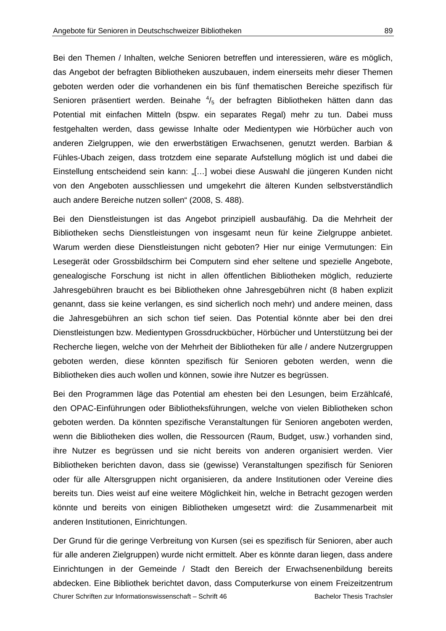Bei den Themen / Inhalten, welche Senioren betreffen und interessieren, wäre es möglich, das Angebot der befragten Bibliotheken auszubauen, indem einerseits mehr dieser Themen geboten werden oder die vorhandenen ein bis fünf thematischen Bereiche spezifisch für Senioren präsentiert werden. Beinahe  $\frac{4}{5}$  der befragten Bibliotheken hätten dann das Potential mit einfachen Mitteln (bspw. ein separates Regal) mehr zu tun. Dabei muss festgehalten werden, dass gewisse Inhalte oder Medientypen wie Hörbücher auch von anderen Zielgruppen, wie den erwerbstätigen Erwachsenen, genutzt werden. Barbian & Fühles-Ubach zeigen, dass trotzdem eine separate Aufstellung möglich ist und dabei die Einstellung entscheidend sein kann: "[...] wobei diese Auswahl die jüngeren Kunden nicht von den Angeboten ausschliessen und umgekehrt die älteren Kunden selbstverständlich auch andere Bereiche nutzen sollen" (2008, S. 488).

Bei den Dienstleistungen ist das Angebot prinzipiell ausbaufähig. Da die Mehrheit der Bibliotheken sechs Dienstleistungen von insgesamt neun für keine Zielgruppe anbietet. Warum werden diese Dienstleistungen nicht geboten? Hier nur einige Vermutungen: Ein Lesegerät oder Grossbildschirm bei Computern sind eher seltene und spezielle Angebote, genealogische Forschung ist nicht in allen öffentlichen Bibliotheken möglich, reduzierte Jahresgebühren braucht es bei Bibliotheken ohne Jahresgebühren nicht (8 haben explizit genannt, dass sie keine verlangen, es sind sicherlich noch mehr) und andere meinen, dass die Jahresgebühren an sich schon tief seien. Das Potential könnte aber bei den drei Dienstleistungen bzw. Medientypen Grossdruckbücher, Hörbücher und Unterstützung bei der Recherche liegen, welche von der Mehrheit der Bibliotheken für alle / andere Nutzergruppen geboten werden, diese könnten spezifisch für Senioren geboten werden, wenn die Bibliotheken dies auch wollen und können, sowie ihre Nutzer es begrüssen.

Bei den Programmen läge das Potential am ehesten bei den Lesungen, beim Erzählcafé, den OPAC-Einführungen oder Bibliotheksführungen, welche von vielen Bibliotheken schon geboten werden. Da könnten spezifische Veranstaltungen für Senioren angeboten werden, wenn die Bibliotheken dies wollen, die Ressourcen (Raum, Budget, usw.) vorhanden sind, ihre Nutzer es begrüssen und sie nicht bereits von anderen organisiert werden. Vier Bibliotheken berichten davon, dass sie (gewisse) Veranstaltungen spezifisch für Senioren oder für alle Altersgruppen nicht organisieren, da andere Institutionen oder Vereine dies bereits tun. Dies weist auf eine weitere Möglichkeit hin, welche in Betracht gezogen werden könnte und bereits von einigen Bibliotheken umgesetzt wird: die Zusammenarbeit mit anderen Institutionen, Einrichtungen.

Churer Schriften zur Informationswissenschaft – Schrift 46 Bachelor Thesis Trachsler Der Grund für die geringe Verbreitung von Kursen (sei es spezifisch für Senioren, aber auch für alle anderen Zielgruppen) wurde nicht ermittelt. Aber es könnte daran liegen, dass andere Einrichtungen in der Gemeinde / Stadt den Bereich der Erwachsenenbildung bereits abdecken. Eine Bibliothek berichtet davon, dass Computerkurse von einem Freizeitzentrum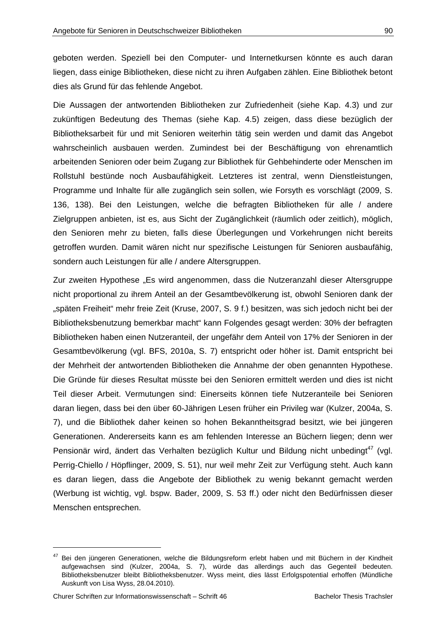geboten werden. Speziell bei den Computer- und Internetkursen könnte es auch daran liegen, dass einige Bibliotheken, diese nicht zu ihren Aufgaben zählen. Eine Bibliothek betont dies als Grund für das fehlende Angebot.

Die Aussagen der antwortenden Bibliotheken zur Zufriedenheit (siehe Kap. 4.3) und zur zukünftigen Bedeutung des Themas (siehe Kap. 4.5) zeigen, dass diese bezüglich der Bibliotheksarbeit für und mit Senioren weiterhin tätig sein werden und damit das Angebot wahrscheinlich ausbauen werden. Zumindest bei der Beschäftigung von ehrenamtlich arbeitenden Senioren oder beim Zugang zur Bibliothek für Gehbehinderte oder Menschen im Rollstuhl bestünde noch Ausbaufähigkeit. Letzteres ist zentral, wenn Dienstleistungen, Programme und Inhalte für alle zugänglich sein sollen, wie Forsyth es vorschlägt (2009, S. 136, 138). Bei den Leistungen, welche die befragten Bibliotheken für alle / andere Zielgruppen anbieten, ist es, aus Sicht der Zugänglichkeit (räumlich oder zeitlich), möglich, den Senioren mehr zu bieten, falls diese Überlegungen und Vorkehrungen nicht bereits getroffen wurden. Damit wären nicht nur spezifische Leistungen für Senioren ausbaufähig, sondern auch Leistungen für alle / andere Altersgruppen.

Zur zweiten Hypothese "Es wird angenommen, dass die Nutzeranzahl dieser Altersgruppe nicht proportional zu ihrem Anteil an der Gesamtbevölkerung ist, obwohl Senioren dank der "späten Freiheit" mehr freie Zeit (Kruse, 2007, S. 9 f.) besitzen, was sich jedoch nicht bei der Bibliotheksbenutzung bemerkbar macht" kann Folgendes gesagt werden: 30% der befragten Bibliotheken haben einen Nutzeranteil, der ungefähr dem Anteil von 17% der Senioren in der Gesamtbevölkerung (vgl. BFS, 2010a, S. 7) entspricht oder höher ist. Damit entspricht bei der Mehrheit der antwortenden Bibliotheken die Annahme der oben genannten Hypothese. Die Gründe für dieses Resultat müsste bei den Senioren ermittelt werden und dies ist nicht Teil dieser Arbeit. Vermutungen sind: Einerseits können tiefe Nutzeranteile bei Senioren daran liegen, dass bei den über 60-Jährigen Lesen früher ein Privileg war (Kulzer, 2004a, S. 7), und die Bibliothek daher keinen so hohen Bekanntheitsgrad besitzt, wie bei jüngeren Generationen. Andererseits kann es am fehlenden Interesse an Büchern liegen; denn wer Pensionär wird, ändert das Verhalten bezüglich Kultur und Bildung nicht unbedingt<sup>47</sup> (vgl. Perrig-Chiello / Höpflinger, 2009, S. 51), nur weil mehr Zeit zur Verfügung steht. Auch kann es daran liegen, dass die Angebote der Bibliothek zu wenig bekannt gemacht werden (Werbung ist wichtig, vgl. bspw. Bader, 2009, S. 53 ff.) oder nicht den Bedürfnissen dieser Menschen entsprechen.

-

<sup>&</sup>lt;sup>47</sup> Bei den jüngeren Generationen, welche die Bildungsreform erlebt haben und mit Büchern in der Kindheit aufgewachsen sind (Kulzer, 2004a, S. 7), würde das allerdings auch das Gegenteil bedeuten. Bibliotheksbenutzer bleibt Bibliotheksbenutzer. Wyss meint, dies lässt Erfolgspotential erhoffen (Mündliche Auskunft von Lisa Wyss, 28.04.2010).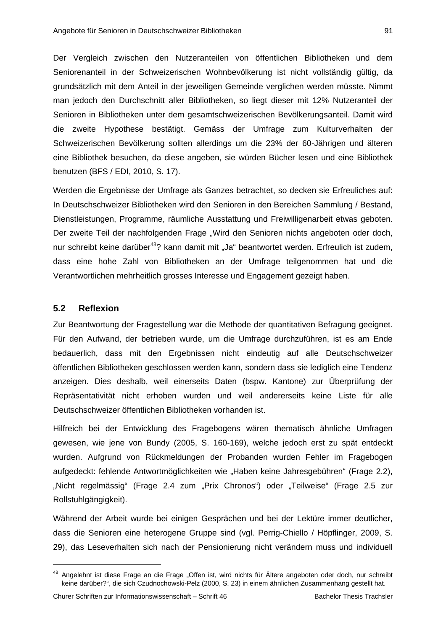Der Vergleich zwischen den Nutzeranteilen von öffentlichen Bibliotheken und dem Seniorenanteil in der Schweizerischen Wohnbevölkerung ist nicht vollständig gültig, da grundsätzlich mit dem Anteil in der jeweiligen Gemeinde verglichen werden müsste. Nimmt man jedoch den Durchschnitt aller Bibliotheken, so liegt dieser mit 12% Nutzeranteil der Senioren in Bibliotheken unter dem gesamtschweizerischen Bevölkerungsanteil. Damit wird die zweite Hypothese bestätigt. Gemäss der Umfrage zum Kulturverhalten der Schweizerischen Bevölkerung sollten allerdings um die 23% der 60-Jährigen und älteren eine Bibliothek besuchen, da diese angeben, sie würden Bücher lesen und eine Bibliothek benutzen (BFS / EDI, 2010, S. 17).

Werden die Ergebnisse der Umfrage als Ganzes betrachtet, so decken sie Erfreuliches auf: In Deutschschweizer Bibliotheken wird den Senioren in den Bereichen Sammlung / Bestand, Dienstleistungen, Programme, räumliche Ausstattung und Freiwilligenarbeit etwas geboten. Der zweite Teil der nachfolgenden Frage "Wird den Senioren nichts angeboten oder doch, nur schreibt keine darüber<sup>48</sup>? kann damit mit "Ja" beantwortet werden. Erfreulich ist zudem, dass eine hohe Zahl von Bibliotheken an der Umfrage teilgenommen hat und die Verantwortlichen mehrheitlich grosses Interesse und Engagement gezeigt haben.

### **5.2 Reflexion**

-

Zur Beantwortung der Fragestellung war die Methode der quantitativen Befragung geeignet. Für den Aufwand, der betrieben wurde, um die Umfrage durchzuführen, ist es am Ende bedauerlich, dass mit den Ergebnissen nicht eindeutig auf alle Deutschschweizer öffentlichen Bibliotheken geschlossen werden kann, sondern dass sie lediglich eine Tendenz anzeigen. Dies deshalb, weil einerseits Daten (bspw. Kantone) zur Überprüfung der Repräsentativität nicht erhoben wurden und weil andererseits keine Liste für alle Deutschschweizer öffentlichen Bibliotheken vorhanden ist.

Hilfreich bei der Entwicklung des Fragebogens wären thematisch ähnliche Umfragen gewesen, wie jene von Bundy (2005, S. 160-169), welche jedoch erst zu spät entdeckt wurden. Aufgrund von Rückmeldungen der Probanden wurden Fehler im Fragebogen aufgedeckt: fehlende Antwortmöglichkeiten wie "Haben keine Jahresgebühren" (Frage 2.2), "Nicht regelmässig" (Frage 2.4 zum "Prix Chronos") oder "Teilweise" (Frage 2.5 zur Rollstuhlgängigkeit).

Während der Arbeit wurde bei einigen Gesprächen und bei der Lektüre immer deutlicher, dass die Senioren eine heterogene Gruppe sind (vgl. Perrig-Chiello / Höpflinger, 2009, S. 29), das Leseverhalten sich nach der Pensionierung nicht verändern muss und individuell

<sup>&</sup>lt;sup>48</sup> Angelehnt ist diese Frage an die Frage "Offen ist, wird nichts für Ältere angeboten oder doch, nur schreibt keine darüber?", die sich Czudnochowski-Pelz (2000, S. 23) in einem ähnlichen Zusammenhang gestellt hat.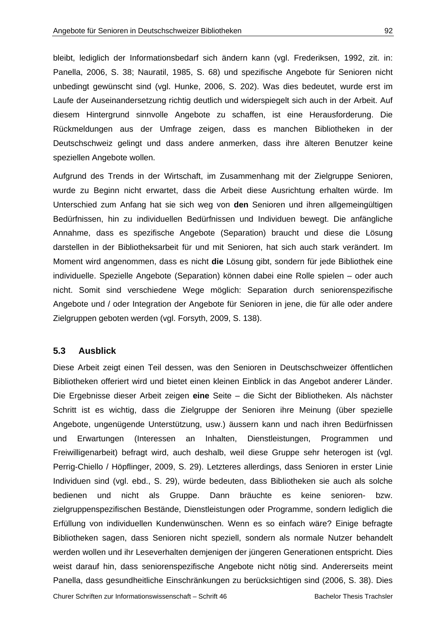bleibt, lediglich der Informationsbedarf sich ändern kann (vgl. Frederiksen, 1992, zit. in: Panella, 2006, S. 38; Nauratil, 1985, S. 68) und spezifische Angebote für Senioren nicht unbedingt gewünscht sind (vgl. Hunke, 2006, S. 202). Was dies bedeutet, wurde erst im Laufe der Auseinandersetzung richtig deutlich und widerspiegelt sich auch in der Arbeit. Auf diesem Hintergrund sinnvolle Angebote zu schaffen, ist eine Herausforderung. Die Rückmeldungen aus der Umfrage zeigen, dass es manchen Bibliotheken in der Deutschschweiz gelingt und dass andere anmerken, dass ihre älteren Benutzer keine speziellen Angebote wollen.

Aufgrund des Trends in der Wirtschaft, im Zusammenhang mit der Zielgruppe Senioren, wurde zu Beginn nicht erwartet, dass die Arbeit diese Ausrichtung erhalten würde. Im Unterschied zum Anfang hat sie sich weg von **den** Senioren und ihren allgemeingültigen Bedürfnissen, hin zu individuellen Bedürfnissen und Individuen bewegt. Die anfängliche Annahme, dass es spezifische Angebote (Separation) braucht und diese die Lösung darstellen in der Bibliotheksarbeit für und mit Senioren, hat sich auch stark verändert. Im Moment wird angenommen, dass es nicht **die** Lösung gibt, sondern für jede Bibliothek eine individuelle. Spezielle Angebote (Separation) können dabei eine Rolle spielen – oder auch nicht. Somit sind verschiedene Wege möglich: Separation durch seniorenspezifische Angebote und / oder Integration der Angebote für Senioren in jene, die für alle oder andere Zielgruppen geboten werden (vgl. Forsyth, 2009, S. 138).

### **5.3 Ausblick**

Diese Arbeit zeigt einen Teil dessen, was den Senioren in Deutschschweizer öffentlichen Bibliotheken offeriert wird und bietet einen kleinen Einblick in das Angebot anderer Länder. Die Ergebnisse dieser Arbeit zeigen **eine** Seite – die Sicht der Bibliotheken. Als nächster Schritt ist es wichtig, dass die Zielgruppe der Senioren ihre Meinung (über spezielle Angebote, ungenügende Unterstützung, usw.) äussern kann und nach ihren Bedürfnissen und Erwartungen (Interessen an Inhalten, Dienstleistungen, Programmen und Freiwilligenarbeit) befragt wird, auch deshalb, weil diese Gruppe sehr heterogen ist (vgl. Perrig-Chiello / Höpflinger, 2009, S. 29). Letzteres allerdings, dass Senioren in erster Linie Individuen sind (vgl. ebd., S. 29), würde bedeuten, dass Bibliotheken sie auch als solche bedienen und nicht als Gruppe. Dann bräuchte es keine senioren- bzw. zielgruppenspezifischen Bestände, Dienstleistungen oder Programme, sondern lediglich die Erfüllung von individuellen Kundenwünschen. Wenn es so einfach wäre? Einige befragte Bibliotheken sagen, dass Senioren nicht speziell, sondern als normale Nutzer behandelt werden wollen und ihr Leseverhalten demjenigen der jüngeren Generationen entspricht. Dies weist darauf hin, dass seniorenspezifische Angebote nicht nötig sind. Andererseits meint Panella, dass gesundheitliche Einschränkungen zu berücksichtigen sind (2006, S. 38). Dies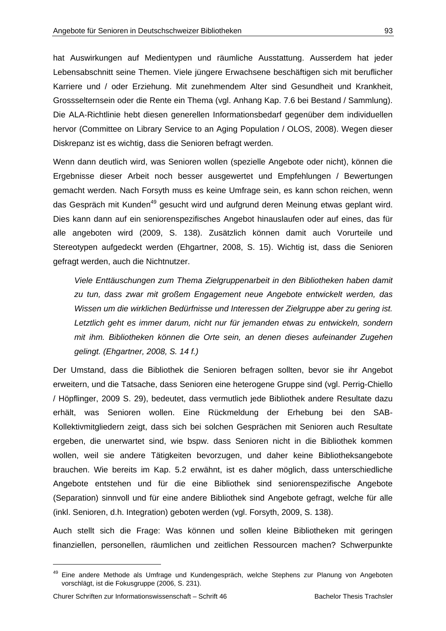hat Auswirkungen auf Medientypen und räumliche Ausstattung. Ausserdem hat jeder Lebensabschnitt seine Themen. Viele jüngere Erwachsene beschäftigen sich mit beruflicher Karriere und / oder Erziehung. Mit zunehmendem Alter sind Gesundheit und Krankheit, Grossselternsein oder die Rente ein Thema (vgl. Anhang Kap. 7.6 bei Bestand / Sammlung). Die ALA-Richtlinie hebt diesen generellen Informationsbedarf gegenüber dem individuellen hervor (Committee on Library Service to an Aging Population / OLOS, 2008). Wegen dieser Diskrepanz ist es wichtig, dass die Senioren befragt werden.

Wenn dann deutlich wird, was Senioren wollen (spezielle Angebote oder nicht), können die Ergebnisse dieser Arbeit noch besser ausgewertet und Empfehlungen / Bewertungen gemacht werden. Nach Forsyth muss es keine Umfrage sein, es kann schon reichen, wenn das Gespräch mit Kunden<sup>49</sup> gesucht wird und aufgrund deren Meinung etwas geplant wird. Dies kann dann auf ein seniorenspezifisches Angebot hinauslaufen oder auf eines, das für alle angeboten wird (2009, S. 138). Zusätzlich können damit auch Vorurteile und Stereotypen aufgedeckt werden (Ehgartner, 2008, S. 15). Wichtig ist, dass die Senioren gefragt werden, auch die Nichtnutzer.

*Viele Enttäuschungen zum Thema Zielgruppenarbeit in den Bibliotheken haben damit zu tun, dass zwar mit großem Engagement neue Angebote entwickelt werden, das Wissen um die wirklichen Bedürfnisse und Interessen der Zielgruppe aber zu gering ist. Letztlich geht es immer darum, nicht nur für jemanden etwas zu entwickeln, sondern mit ihm. Bibliotheken können die Orte sein, an denen dieses aufeinander Zugehen gelingt. (Ehgartner, 2008, S. 14 f.)* 

Der Umstand, dass die Bibliothek die Senioren befragen sollten, bevor sie ihr Angebot erweitern, und die Tatsache, dass Senioren eine heterogene Gruppe sind (vgl. Perrig-Chiello / Höpflinger, 2009 S. 29), bedeutet, dass vermutlich jede Bibliothek andere Resultate dazu erhält, was Senioren wollen. Eine Rückmeldung der Erhebung bei den SAB-Kollektivmitgliedern zeigt, dass sich bei solchen Gesprächen mit Senioren auch Resultate ergeben, die unerwartet sind, wie bspw. dass Senioren nicht in die Bibliothek kommen wollen, weil sie andere Tätigkeiten bevorzugen, und daher keine Bibliotheksangebote brauchen. Wie bereits im Kap. 5.2 erwähnt, ist es daher möglich, dass unterschiedliche Angebote entstehen und für die eine Bibliothek sind seniorenspezifische Angebote (Separation) sinnvoll und für eine andere Bibliothek sind Angebote gefragt, welche für alle (inkl. Senioren, d.h. Integration) geboten werden (vgl. Forsyth, 2009, S. 138).

Auch stellt sich die Frage: Was können und sollen kleine Bibliotheken mit geringen finanziellen, personellen, räumlichen und zeitlichen Ressourcen machen? Schwerpunkte

-

<sup>&</sup>lt;sup>49</sup> Eine andere Methode als Umfrage und Kundengespräch, welche Stephens zur Planung von Angeboten vorschlägt, ist die Fokusgruppe (2006, S. 231).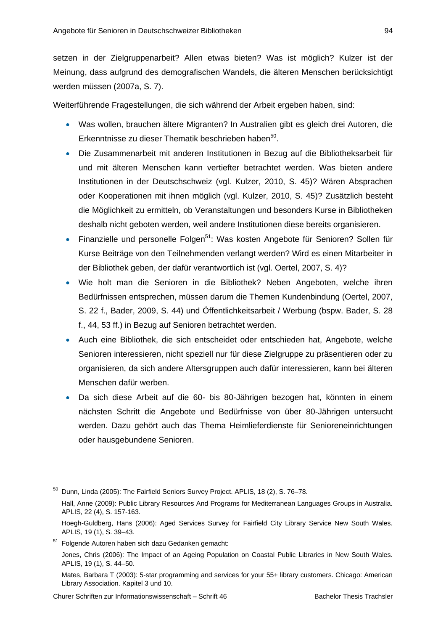setzen in der Zielgruppenarbeit? Allen etwas bieten? Was ist möglich? Kulzer ist der Meinung, dass aufgrund des demografischen Wandels, die älteren Menschen berücksichtigt werden müssen (2007a, S. 7).

Weiterführende Fragestellungen, die sich während der Arbeit ergeben haben, sind:

- Was wollen, brauchen ältere Migranten? In Australien gibt es gleich drei Autoren, die Erkenntnisse zu dieser Thematik beschrieben haben<sup>50</sup>.
- Die Zusammenarbeit mit anderen Institutionen in Bezug auf die Bibliotheksarbeit für und mit älteren Menschen kann vertiefter betrachtet werden. Was bieten andere Institutionen in der Deutschschweiz (vgl. Kulzer, 2010, S. 45)? Wären Absprachen oder Kooperationen mit ihnen möglich (vgl. Kulzer, 2010, S. 45)? Zusätzlich besteht die Möglichkeit zu ermitteln, ob Veranstaltungen und besonders Kurse in Bibliotheken deshalb nicht geboten werden, weil andere Institutionen diese bereits organisieren.
- Finanzielle und personelle Folgen<sup>51</sup>: Was kosten Angebote für Senioren? Sollen für Kurse Beiträge von den Teilnehmenden verlangt werden? Wird es einen Mitarbeiter in der Bibliothek geben, der dafür verantwortlich ist (vgl. Oertel, 2007, S. 4)?
- Wie holt man die Senioren in die Bibliothek? Neben Angeboten, welche ihren Bedürfnissen entsprechen, müssen darum die Themen Kundenbindung (Oertel, 2007, S. 22 f., Bader, 2009, S. 44) und Öffentlichkeitsarbeit / Werbung (bspw. Bader, S. 28 f., 44, 53 ff.) in Bezug auf Senioren betrachtet werden.
- Auch eine Bibliothek, die sich entscheidet oder entschieden hat, Angebote, welche Senioren interessieren, nicht speziell nur für diese Zielgruppe zu präsentieren oder zu organisieren, da sich andere Altersgruppen auch dafür interessieren, kann bei älteren Menschen dafür werben.
- Da sich diese Arbeit auf die 60- bis 80-Jährigen bezogen hat, könnten in einem nächsten Schritt die Angebote und Bedürfnisse von über 80-Jährigen untersucht werden. Dazu gehört auch das Thema Heimlieferdienste für Senioreneinrichtungen oder hausgebundene Senioren.

-

<sup>50</sup> Dunn, Linda (2005): The Fairfield Seniors Survey Project. APLIS, 18 (2), S. 76–78. Hall, Anne (2009): Public Library Resources And Programs for Mediterranean Languages Groups in Australia. APLIS, 22 (4), S. 157-163.

Hoegh-Guldberg, Hans (2006): Aged Services Survey for Fairfield City Library Service New South Wales. APLIS, 19 (1), S. 39–43.

<sup>51</sup> Folgende Autoren haben sich dazu Gedanken gemacht:

Jones, Chris (2006): The Impact of an Ageing Population on Coastal Public Libraries in New South Wales. APLIS, 19 (1), S. 44–50.

Mates, Barbara T (2003): 5-star programming and services for your 55+ library customers. Chicago: American Library Association. Kapitel 3 und 10.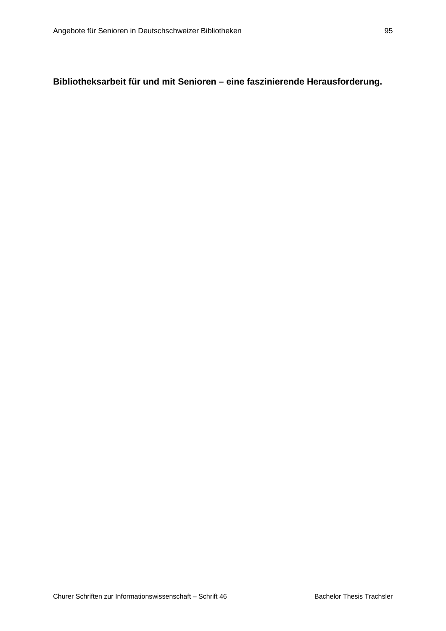# **Bibliotheksarbeit für und mit Senioren – eine faszinierende Herausforderung.**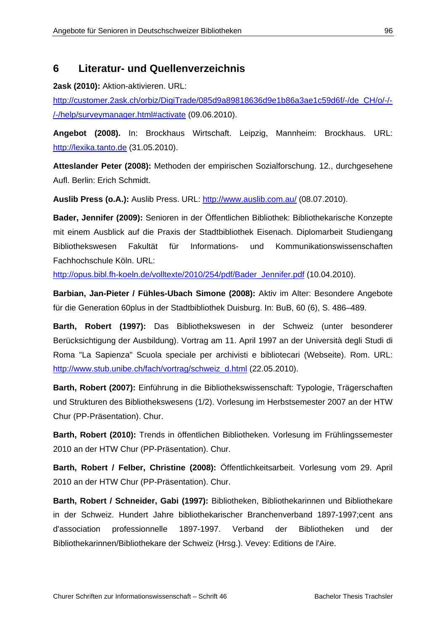## **6 Literatur- und Quellenverzeichnis**

**2ask (2010):** Aktion-aktivieren. URL:

http://customer.2ask.ch/orbiz/DigiTrade/085d9a89818636d9e1b86a3ae1c59d6f/-/de\_CH/o/-/- /-/help/surveymanager.html#activate (09.06.2010).

**Angebot (2008).** In: Brockhaus Wirtschaft. Leipzig, Mannheim: Brockhaus. URL: http://lexika.tanto.de (31.05.2010).

**Atteslander Peter (2008):** Methoden der empirischen Sozialforschung. 12., durchgesehene Aufl. Berlin: Erich Schmidt.

**Auslib Press (o.A.):** Auslib Press. URL: http://www.auslib.com.au/ (08.07.2010).

**Bader, Jennifer (2009):** Senioren in der Öffentlichen Bibliothek: Bibliothekarische Konzepte mit einem Ausblick auf die Praxis der Stadtbibliothek Eisenach. Diplomarbeit Studiengang Bibliothekswesen Fakultät für Informations- und Kommunikationswissenschaften Fachhochschule Köln. URL:

http://opus.bibl.fh-koeln.de/volltexte/2010/254/pdf/Bader\_Jennifer.pdf (10.04.2010).

**Barbian, Jan-Pieter / Fühles-Ubach Simone (2008):** Aktiv im Alter: Besondere Angebote für die Generation 60plus in der Stadtbibliothek Duisburg. In: BuB, 60 (6), S. 486–489.

**Barth, Robert (1997):** Das Bibliothekswesen in der Schweiz (unter besonderer Berücksichtigung der Ausbildung). Vortrag am 11. April 1997 an der Università degli Studi di Roma "La Sapienza" Scuola speciale per archivisti e bibliotecari (Webseite). Rom. URL: http://www.stub.unibe.ch/fach/vortrag/schweiz\_d.html (22.05.2010).

**Barth, Robert (2007):** Einführung in die Bibliothekswissenschaft: Typologie, Trägerschaften und Strukturen des Bibliothekswesens (1/2). Vorlesung im Herbstsemester 2007 an der HTW Chur (PP-Präsentation). Chur.

**Barth, Robert (2010):** Trends in öffentlichen Bibliotheken. Vorlesung im Frühlingssemester 2010 an der HTW Chur (PP-Präsentation). Chur.

**Barth, Robert / Felber, Christine (2008):** Öffentlichkeitsarbeit. Vorlesung vom 29. April 2010 an der HTW Chur (PP-Präsentation). Chur.

**Barth, Robert / Schneider, Gabi (1997):** Bibliotheken, Bibliothekarinnen und Bibliothekare in der Schweiz. Hundert Jahre bibliothekarischer Branchenverband 1897-1997;cent ans d'association professionnelle 1897-1997. Verband der Bibliotheken und der Bibliothekarinnen/Bibliothekare der Schweiz (Hrsg.). Vevey: Editions de l'Aire.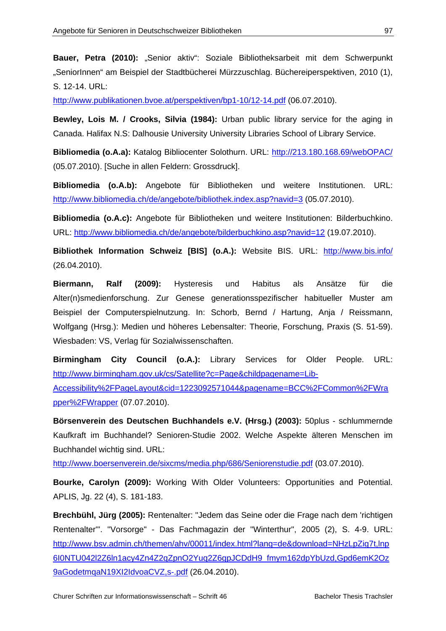Bauer, Petra (2010): "Senior aktiv": Soziale Bibliotheksarbeit mit dem Schwerpunkt "SeniorInnen" am Beispiel der Stadtbücherei Mürzzuschlag. Büchereiperspektiven, 2010 (1), S. 12-14. URL:

http://www.publikationen.bvoe.at/perspektiven/bp1-10/12-14.pdf (06.07.2010).

**Bewley, Lois M. / Crooks, Silvia (1984):** Urban public library service for the aging in Canada. Halifax N.S: Dalhousie University University Libraries School of Library Service.

**Bibliomedia (o.A.a):** Katalog Bibliocenter Solothurn. URL: http://213.180.168.69/webOPAC/ (05.07.2010). [Suche in allen Feldern: Grossdruck].

**Bibliomedia (o.A.b):** Angebote für Bibliotheken und weitere Institutionen. URL: http://www.bibliomedia.ch/de/angebote/bibliothek.index.asp?navid=3 (05.07.2010).

**Bibliomedia (o.A.c):** Angebote für Bibliotheken und weitere Institutionen: Bilderbuchkino. URL: http://www.bibliomedia.ch/de/angebote/bilderbuchkino.asp?navid=12 (19.07.2010).

**Bibliothek Information Schweiz [BIS] (o.A.):** Website BIS. URL: http://www.bis.info/ (26.04.2010).

**Biermann, Ralf (2009):** Hysteresis und Habitus als Ansätze für die Alter(n)smedienforschung. Zur Genese generationsspezifischer habitueller Muster am Beispiel der Computerspielnutzung. In: Schorb, Bernd / Hartung, Anja / Reissmann, Wolfgang (Hrsg.): Medien und höheres Lebensalter: Theorie, Forschung, Praxis (S. 51-59). Wiesbaden: VS, Verlag für Sozialwissenschaften.

**Birmingham City Council (o.A.):** Library Services for Older People. URL: http://www.birmingham.gov.uk/cs/Satellite?c=Page&childpagename=Lib-

Accessibility%2FPageLayout&cid=1223092571044&pagename=BCC%2FCommon%2FWra pper%2FWrapper (07.07.2010).

**Börsenverein des Deutschen Buchhandels e.V. (Hrsg.) (2003):** 50plus - schlummernde Kaufkraft im Buchhandel? Senioren-Studie 2002. Welche Aspekte älteren Menschen im Buchhandel wichtig sind. URL:

http://www.boersenverein.de/sixcms/media.php/686/Seniorenstudie.pdf (03.07.2010).

**Bourke, Carolyn (2009):** Working With Older Volunteers: Opportunities and Potential. APLIS, Jg. 22 (4), S. 181-183.

**Brechbühl, Jürg (2005):** Rentenalter: "Jedem das Seine oder die Frage nach dem 'richtigen Rentenalter'". "Vorsorge" - Das Fachmagazin der "Winterthur", 2005 (2), S. 4-9. URL: http://www.bsv.admin.ch/themen/ahv/00011/index.html?lang=de&download=NHzLpZig7t,lnp 6I0NTU042l2Z6ln1acy4Zn4Z2qZpnO2Yuq2Z6gpJCDdH9\_fmym162dpYbUzd,Gpd6emK2Oz 9aGodetmqaN19XI2IdvoaCVZ,s-.pdf (26.04.2010).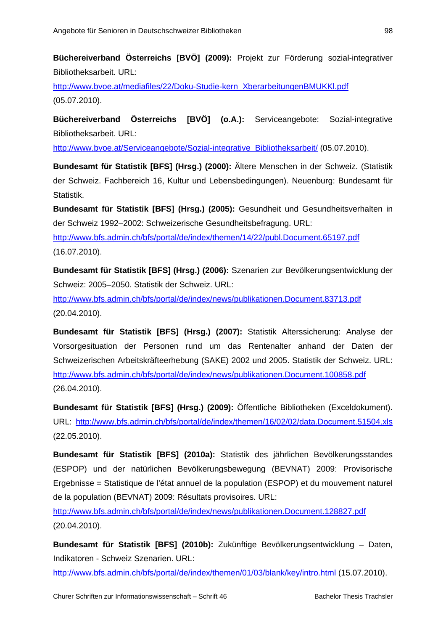**Büchereiverband Österreichs [BVÖ] (2009):** Projekt zur Förderung sozial-integrativer Bibliotheksarbeit. URL:

http://www.bvoe.at/mediafiles/22/Doku-Studie-kern\_XberarbeitungenBMUKKl.pdf (05.07.2010).

**Büchereiverband Österreichs [BVÖ] (o.A.):** Serviceangebote: Sozial-integrative Bibliotheksarbeit. URL:

http://www.bvoe.at/Serviceangebote/Sozial-integrative\_Bibliotheksarbeit/ (05.07.2010).

**Bundesamt für Statistik [BFS] (Hrsg.) (2000):** Ältere Menschen in der Schweiz. (Statistik der Schweiz. Fachbereich 16, Kultur und Lebensbedingungen). Neuenburg: Bundesamt für Statistik.

**Bundesamt für Statistik [BFS] (Hrsg.) (2005):** Gesundheit und Gesundheitsverhalten in der Schweiz 1992–2002: Schweizerische Gesundheitsbefragung. URL: http://www.bfs.admin.ch/bfs/portal/de/index/themen/14/22/publ.Document.65197.pdf (16.07.2010).

**Bundesamt für Statistik [BFS] (Hrsg.) (2006):** Szenarien zur Bevölkerungsentwicklung der Schweiz: 2005–2050. Statistik der Schweiz. URL:

http://www.bfs.admin.ch/bfs/portal/de/index/news/publikationen.Document.83713.pdf (20.04.2010).

**Bundesamt für Statistik [BFS] (Hrsg.) (2007):** Statistik Alterssicherung: Analyse der Vorsorgesituation der Personen rund um das Rentenalter anhand der Daten der Schweizerischen Arbeitskräfteerhebung (SAKE) 2002 und 2005. Statistik der Schweiz. URL: http://www.bfs.admin.ch/bfs/portal/de/index/news/publikationen.Document.100858.pdf (26.04.2010).

**Bundesamt für Statistik [BFS] (Hrsg.) (2009):** Öffentliche Bibliotheken (Exceldokument). URL: http://www.bfs.admin.ch/bfs/portal/de/index/themen/16/02/02/data.Document.51504.xls (22.05.2010).

**Bundesamt für Statistik [BFS] (2010a):** Statistik des jährlichen Bevölkerungsstandes (ESPOP) und der natürlichen Bevölkerungsbewegung (BEVNAT) 2009: Provisorische Ergebnisse = Statistique de l'état annuel de la population (ESPOP) et du mouvement naturel de la population (BEVNAT) 2009: Résultats provisoires. URL:

http://www.bfs.admin.ch/bfs/portal/de/index/news/publikationen.Document.128827.pdf (20.04.2010).

**Bundesamt für Statistik [BFS] (2010b):** Zukünftige Bevölkerungsentwicklung – Daten, Indikatoren - Schweiz Szenarien. URL:

http://www.bfs.admin.ch/bfs/portal/de/index/themen/01/03/blank/key/intro.html (15.07.2010).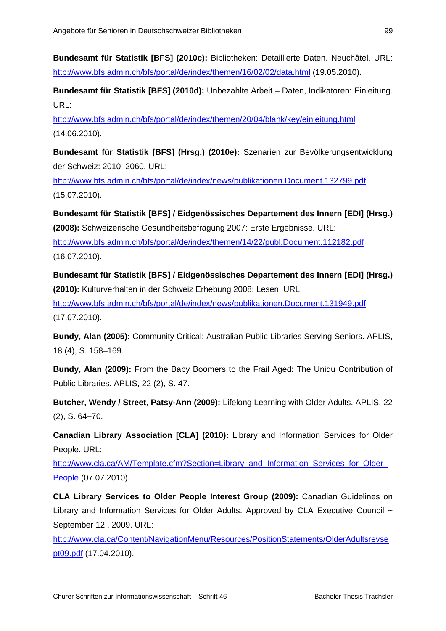**Bundesamt für Statistik [BFS] (2010c):** Bibliotheken: Detaillierte Daten. Neuchâtel. URL: http://www.bfs.admin.ch/bfs/portal/de/index/themen/16/02/02/data.html (19.05.2010).

**Bundesamt für Statistik [BFS] (2010d):** Unbezahlte Arbeit – Daten, Indikatoren: Einleitung. URL:

http://www.bfs.admin.ch/bfs/portal/de/index/themen/20/04/blank/key/einleitung.html (14.06.2010).

**Bundesamt für Statistik [BFS] (Hrsg.) (2010e):** Szenarien zur Bevölkerungsentwicklung der Schweiz: 2010–2060. URL:

http://www.bfs.admin.ch/bfs/portal/de/index/news/publikationen.Document.132799.pdf (15.07.2010).

**Bundesamt für Statistik [BFS] / Eidgenössisches Departement des Innern [EDI] (Hrsg.) (2008):** Schweizerische Gesundheitsbefragung 2007: Erste Ergebnisse. URL: http://www.bfs.admin.ch/bfs/portal/de/index/themen/14/22/publ.Document.112182.pdf (16.07.2010).

**Bundesamt für Statistik [BFS] / Eidgenössisches Departement des Innern [EDI] (Hrsg.) (2010):** Kulturverhalten in der Schweiz Erhebung 2008: Lesen. URL: http://www.bfs.admin.ch/bfs/portal/de/index/news/publikationen.Document.131949.pdf (17.07.2010).

**Bundy, Alan (2005):** Community Critical: Australian Public Libraries Serving Seniors. APLIS, 18 (4), S. 158–169.

**Bundy, Alan (2009):** From the Baby Boomers to the Frail Aged: The Uniqu Contribution of Public Libraries. APLIS, 22 (2), S. 47.

**Butcher, Wendy / Street, Patsy-Ann (2009):** Lifelong Learning with Older Adults. APLIS, 22 (2), S. 64–70.

**Canadian Library Association [CLA] (2010):** Library and Information Services for Older People. URL:

http://www.cla.ca/AM/Template.cfm?Section=Library\_and\_Information\_Services\_for\_Older\_ People (07.07.2010).

**CLA Library Services to Older People Interest Group (2009):** Canadian Guidelines on Library and Information Services for Older Adults. Approved by CLA Executive Council ~ September 12 , 2009. URL:

http://www.cla.ca/Content/NavigationMenu/Resources/PositionStatements/OlderAdultsrevse pt09.pdf (17.04.2010).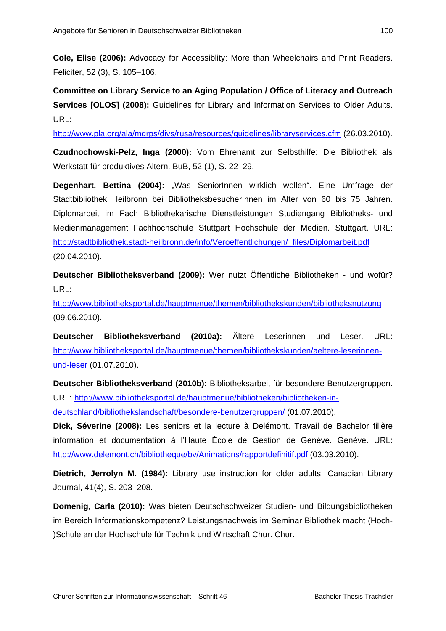**Cole, Elise (2006):** Advocacy for Accessiblity: More than Wheelchairs and Print Readers. Feliciter, 52 (3), S. 105–106.

**Committee on Library Service to an Aging Population / Office of Literacy and Outreach Services [OLOS] (2008):** Guidelines for Library and Information Services to Older Adults. URL:

http://www.pla.org/ala/mgrps/divs/rusa/resources/guidelines/libraryservices.cfm (26.03.2010).

**Czudnochowski-Pelz, Inga (2000):** Vom Ehrenamt zur Selbsthilfe: Die Bibliothek als Werkstatt für produktives Altern. BuB, 52 (1), S. 22–29.

**Degenhart, Bettina (2004):** "Was SeniorInnen wirklich wollen". Eine Umfrage der Stadtbibliothek Heilbronn bei BibliotheksbesucherInnen im Alter von 60 bis 75 Jahren. Diplomarbeit im Fach Bibliothekarische Dienstleistungen Studiengang Bibliotheks- und Medienmanagement Fachhochschule Stuttgart Hochschule der Medien. Stuttgart. URL: http://stadtbibliothek.stadt-heilbronn.de/info/Veroeffentlichungen/\_files/Diplomarbeit.pdf (20.04.2010).

**Deutscher Bibliotheksverband (2009):** Wer nutzt Öffentliche Bibliotheken - und wofür? URL:

http://www.bibliotheksportal.de/hauptmenue/themen/bibliothekskunden/bibliotheksnutzung (09.06.2010).

**Deutscher Bibliotheksverband (2010a):** Ältere Leserinnen und Leser. URL: http://www.bibliotheksportal.de/hauptmenue/themen/bibliothekskunden/aeltere-leserinnenund-leser (01.07.2010).

**Deutscher Bibliotheksverband (2010b):** Bibliotheksarbeit für besondere Benutzergruppen. URL: http://www.bibliotheksportal.de/hauptmenue/bibliotheken/bibliotheken-indeutschland/bibliothekslandschaft/besondere-benutzergruppen/ (01.07.2010).

**Dick, Séverine (2008):** Les seniors et la lecture à Delémont. Travail de Bachelor filière information et documentation à l'Haute École de Gestion de Genève. Genève. URL: http://www.delemont.ch/bibliotheque/bv/Animations/rapportdefinitif.pdf (03.03.2010).

**Dietrich, Jerrolyn M. (1984):** Library use instruction for older adults. Canadian Library Journal, 41(4), S. 203–208.

**Domenig, Carla (2010):** Was bieten Deutschschweizer Studien- und Bildungsbibliotheken im Bereich Informationskompetenz? Leistungsnachweis im Seminar Bibliothek macht (Hoch- )Schule an der Hochschule für Technik und Wirtschaft Chur. Chur.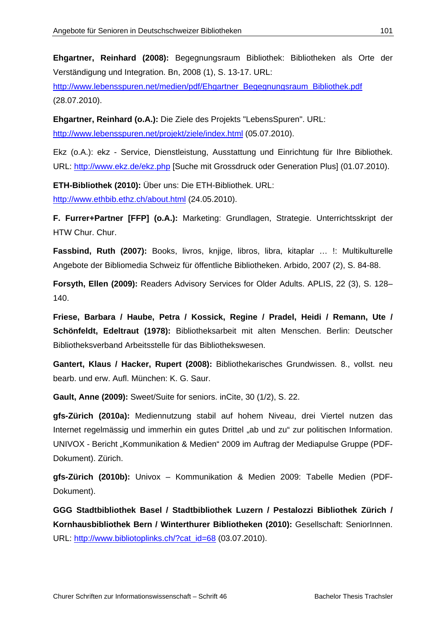**Ehgartner, Reinhard (2008):** Begegnungsraum Bibliothek: Bibliotheken als Orte der Verständigung und Integration. Bn, 2008 (1), S. 13-17. URL:

http://www.lebensspuren.net/medien/pdf/Ehgartner\_Begegnungsraum\_Bibliothek.pdf (28.07.2010).

**Ehgartner, Reinhard (o.A.):** Die Ziele des Projekts "LebensSpuren". URL: http://www.lebensspuren.net/projekt/ziele/index.html (05.07.2010).

Ekz (o.A.): ekz - Service, Dienstleistung, Ausstattung und Einrichtung für Ihre Bibliothek. URL: http://www.ekz.de/ekz.php [Suche mit Grossdruck oder Generation Plus] (01.07.2010).

**ETH-Bibliothek (2010):** Über uns: Die ETH-Bibliothek. URL: http://www.ethbib.ethz.ch/about.html (24.05.2010).

**F. Furrer+Partner [FFP] (o.A.):** Marketing: Grundlagen, Strategie. Unterrichtsskript der HTW Chur. Chur.

**Fassbind, Ruth (2007):** Books, livros, knjige, libros, libra, kitaplar … !: Multikulturelle Angebote der Bibliomedia Schweiz für öffentliche Bibliotheken. Arbido, 2007 (2), S. 84-88.

**Forsyth, Ellen (2009):** Readers Advisory Services for Older Adults. APLIS, 22 (3), S. 128– 140.

**Friese, Barbara / Haube, Petra / Kossick, Regine / Pradel, Heidi / Remann, Ute / Schönfeldt, Edeltraut (1978):** Bibliotheksarbeit mit alten Menschen. Berlin: Deutscher Bibliotheksverband Arbeitsstelle für das Bibliothekswesen.

**Gantert, Klaus / Hacker, Rupert (2008):** Bibliothekarisches Grundwissen. 8., vollst. neu bearb. und erw. Aufl. München: K. G. Saur.

**Gault, Anne (2009):** Sweet/Suite for seniors. inCite, 30 (1/2), S. 22.

**gfs-Zürich (2010a):** Mediennutzung stabil auf hohem Niveau, drei Viertel nutzen das Internet regelmässig und immerhin ein gutes Drittel "ab und zu" zur politischen Information. UNIVOX - Bericht "Kommunikation & Medien" 2009 im Auftrag der Mediapulse Gruppe (PDF-Dokument). Zürich.

**gfs-Zürich (2010b):** Univox – Kommunikation & Medien 2009: Tabelle Medien (PDF-Dokument).

**GGG Stadtbibliothek Basel / Stadtbibliothek Luzern / Pestalozzi Bibliothek Zürich / Kornhausbibliothek Bern / Winterthurer Bibliotheken (2010):** Gesellschaft: SeniorInnen. URL: http://www.bibliotoplinks.ch/?cat\_id=68 (03.07.2010).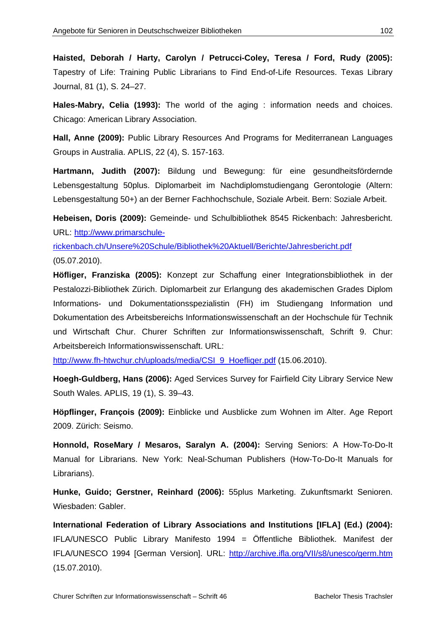**Haisted, Deborah / Harty, Carolyn / Petrucci-Coley, Teresa / Ford, Rudy (2005):** Tapestry of Life: Training Public Librarians to Find End-of-Life Resources. Texas Library Journal, 81 (1), S. 24–27.

**Hales-Mabry, Celia (1993):** The world of the aging : information needs and choices. Chicago: American Library Association.

**Hall, Anne (2009):** Public Library Resources And Programs for Mediterranean Languages Groups in Australia. APLIS, 22 (4), S. 157-163.

**Hartmann, Judith (2007):** Bildung und Bewegung: für eine gesundheitsfördernde Lebensgestaltung 50plus. Diplomarbeit im Nachdiplomstudiengang Gerontologie (Altern: Lebensgestaltung 50+) an der Berner Fachhochschule, Soziale Arbeit. Bern: Soziale Arbeit.

**Hebeisen, Doris (2009):** Gemeinde- und Schulbibliothek 8545 Rickenbach: Jahresbericht. URL: http://www.primarschule-

rickenbach.ch/Unsere%20Schule/Bibliothek%20Aktuell/Berichte/Jahresbericht.pdf (05.07.2010).

**Höfliger, Franziska (2005):** Konzept zur Schaffung einer Integrationsbibliothek in der Pestalozzi-Bibliothek Zürich. Diplomarbeit zur Erlangung des akademischen Grades Diplom Informations- und Dokumentationsspezialistin (FH) im Studiengang Information und Dokumentation des Arbeitsbereichs Informationswissenschaft an der Hochschule für Technik und Wirtschaft Chur. Churer Schriften zur Informationswissenschaft, Schrift 9. Chur: Arbeitsbereich Informationswissenschaft. URL:

http://www.fh-htwchur.ch/uploads/media/CSI\_9\_Hoefliger.pdf (15.06.2010).

**Hoegh-Guldberg, Hans (2006):** Aged Services Survey for Fairfield City Library Service New South Wales. APLIS, 19 (1), S. 39–43.

**Höpflinger, François (2009):** Einblicke und Ausblicke zum Wohnen im Alter. Age Report 2009. Zürich: Seismo.

**Honnold, RoseMary / Mesaros, Saralyn A. (2004):** Serving Seniors: A How-To-Do-It Manual for Librarians. New York: Neal-Schuman Publishers (How-To-Do-It Manuals for Librarians).

**Hunke, Guido; Gerstner, Reinhard (2006):** 55plus Marketing. Zukunftsmarkt Senioren. Wiesbaden: Gabler.

**International Federation of Library Associations and Institutions [IFLA] (Ed.) (2004):** IFLA/UNESCO Public Library Manifesto 1994 = Öffentliche Bibliothek. Manifest der IFLA/UNESCO 1994 [German Version]. URL: http://archive.ifla.org/VII/s8/unesco/germ.htm (15.07.2010).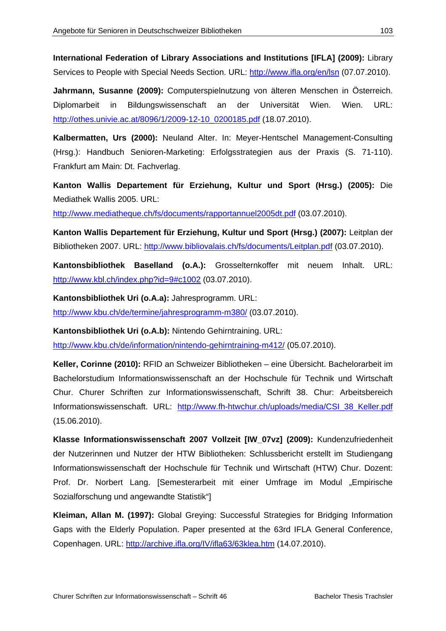**International Federation of Library Associations and Institutions [IFLA] (2009):** Library Services to People with Special Needs Section. URL: http://www.ifla.org/en/lsn (07.07.2010).

**Jahrmann, Susanne (2009):** Computerspielnutzung von älteren Menschen in Österreich. Diplomarbeit in Bildungswissenschaft an der Universität Wien. Wien. URL: http://othes.univie.ac.at/8096/1/2009-12-10\_0200185.pdf (18.07.2010).

**Kalbermatten, Urs (2000):** Neuland Alter. In: Meyer-Hentschel Management-Consulting (Hrsg.): Handbuch Senioren-Marketing: Erfolgsstrategien aus der Praxis (S. 71-110). Frankfurt am Main: Dt. Fachverlag.

**Kanton Wallis Departement für Erziehung, Kultur und Sport (Hrsg.) (2005):** Die Mediathek Wallis 2005. URL:

http://www.mediatheque.ch/fs/documents/rapportannuel2005dt.pdf (03.07.2010).

**Kanton Wallis Departement für Erziehung, Kultur und Sport (Hrsg.) (2007):** Leitplan der Bibliotheken 2007. URL: http://www.bibliovalais.ch/fs/documents/Leitplan.pdf (03.07.2010).

**Kantonsbibliothek Baselland (o.A.):** Grosselternkoffer mit neuem Inhalt. URL: http://www.kbl.ch/index.php?id=9#c1002 (03.07.2010).

**Kantonsbibliothek Uri (o.A.a):** Jahresprogramm. URL: http://www.kbu.ch/de/termine/jahresprogramm-m380/ (03.07.2010).

**Kantonsbibliothek Uri (o.A.b):** Nintendo Gehirntraining. URL:

http://www.kbu.ch/de/information/nintendo-gehirntraining-m412/ (05.07.2010).

**Keller, Corinne (2010):** RFID an Schweizer Bibliotheken – eine Übersicht. Bachelorarbeit im Bachelorstudium Informationswissenschaft an der Hochschule für Technik und Wirtschaft Chur. Churer Schriften zur Informationswissenschaft, Schrift 38. Chur: Arbeitsbereich Informationswissenschaft. URL: http://www.fh-htwchur.ch/uploads/media/CSI\_38\_Keller.pdf (15.06.2010).

**Klasse Informationswissenschaft 2007 Vollzeit [IW\_07vz] (2009):** Kundenzufriedenheit der Nutzerinnen und Nutzer der HTW Bibliotheken: Schlussbericht erstellt im Studiengang Informationswissenschaft der Hochschule für Technik und Wirtschaft (HTW) Chur. Dozent: Prof. Dr. Norbert Lang. [Semesterarbeit mit einer Umfrage im Modul "Empirische Sozialforschung und angewandte Statistik"]

**Kleiman, Allan M. (1997):** Global Greying: Successful Strategies for Bridging Information Gaps with the Elderly Population. Paper presented at the 63rd IFLA General Conference, Copenhagen. URL: http://archive.ifla.org/IV/ifla63/63klea.htm (14.07.2010).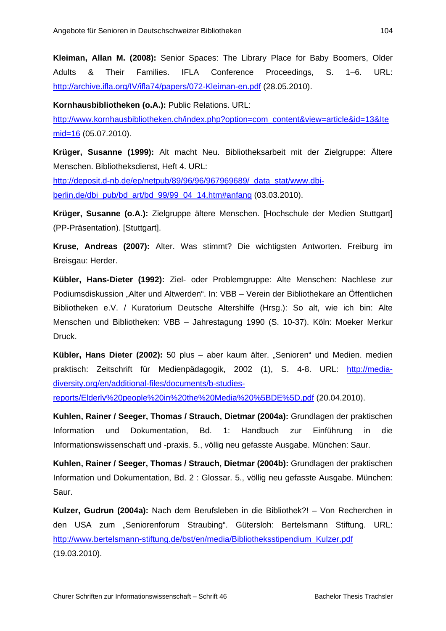**Kleiman, Allan M. (2008):** Senior Spaces: The Library Place for Baby Boomers, Older Adults & Their Families. IFLA Conference Proceedings, S. 1–6. URL: http://archive.ifla.org/IV/ifla74/papers/072-Kleiman-en.pdf (28.05.2010).

**Kornhausbibliotheken (o.A.):** Public Relations. URL:

http://www.kornhausbibliotheken.ch/index.php?option=com\_content&view=article&id=13&Ite mid=16 (05.07.2010).

**Krüger, Susanne (1999):** Alt macht Neu. Bibliotheksarbeit mit der Zielgruppe: Ältere Menschen. Bibliotheksdienst, Heft 4. URL:

http://deposit.d-nb.de/ep/netpub/89/96/96/967969689/\_data\_stat/www.dbiberlin.de/dbi\_pub/bd\_art/bd\_99/99\_04\_14.htm#anfang (03.03.2010).

**Krüger, Susanne (o.A.):** Zielgruppe ältere Menschen. [Hochschule der Medien Stuttgart] (PP-Präsentation). [Stuttgart].

**Kruse, Andreas (2007):** Alter. Was stimmt? Die wichtigsten Antworten. Freiburg im Breisgau: Herder.

**Kübler, Hans-Dieter (1992):** Ziel- oder Problemgruppe: Alte Menschen: Nachlese zur Podiumsdiskussion "Alter und Altwerden". In: VBB – Verein der Bibliothekare an Öffentlichen Bibliotheken e.V. / Kuratorium Deutsche Altershilfe (Hrsg.): So alt, wie ich bin: Alte Menschen und Bibliotheken: VBB – Jahrestagung 1990 (S. 10-37). Köln: Moeker Merkur Druck.

**Kübler, Hans Dieter (2002):** 50 plus – aber kaum älter. "Senioren" und Medien. medien praktisch: Zeitschrift für Medienpädagogik, 2002 (1), S. 4-8. URL: http://mediadiversity.org/en/additional-files/documents/b-studies-

reports/Elderly%20people%20in%20the%20Media%20%5BDE%5D.pdf (20.04.2010).

**Kuhlen, Rainer / Seeger, Thomas / Strauch, Dietmar (2004a):** Grundlagen der praktischen Information und Dokumentation, Bd. 1: Handbuch zur Einführung in die Informationswissenschaft und -praxis. 5., völlig neu gefasste Ausgabe. München: Saur.

**Kuhlen, Rainer / Seeger, Thomas / Strauch, Dietmar (2004b):** Grundlagen der praktischen Information und Dokumentation, Bd. 2 : Glossar. 5., völlig neu gefasste Ausgabe. München: Saur.

**Kulzer, Gudrun (2004a):** Nach dem Berufsleben in die Bibliothek?! – Von Recherchen in den USA zum "Seniorenforum Straubing". Gütersloh: Bertelsmann Stiftung. URL: http://www.bertelsmann-stiftung.de/bst/en/media/Bibliotheksstipendium\_Kulzer.pdf (19.03.2010).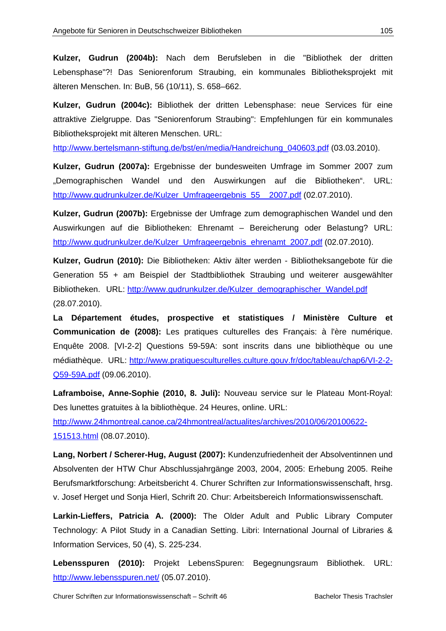**Kulzer, Gudrun (2004b):** Nach dem Berufsleben in die "Bibliothek der dritten Lebensphase"?! Das Seniorenforum Straubing, ein kommunales Bibliotheksprojekt mit älteren Menschen. In: BuB, 56 (10/11), S. 658–662.

**Kulzer, Gudrun (2004c):** Bibliothek der dritten Lebensphase: neue Services für eine attraktive Zielgruppe. Das "Seniorenforum Straubing": Empfehlungen für ein kommunales Bibliotheksprojekt mit älteren Menschen. URL:

http://www.bertelsmann-stiftung.de/bst/en/media/Handreichung\_040603.pdf (03.03.2010).

**Kulzer, Gudrun (2007a):** Ergebnisse der bundesweiten Umfrage im Sommer 2007 zum "Demographischen Wandel und den Auswirkungen auf die Bibliotheken". URL: http://www.gudrunkulzer.de/Kulzer\_Umfrageergebnis\_55\_\_2007.pdf (02.07.2010).

**Kulzer, Gudrun (2007b):** Ergebnisse der Umfrage zum demographischen Wandel und den Auswirkungen auf die Bibliotheken: Ehrenamt – Bereicherung oder Belastung? URL: http://www.gudrunkulzer.de/Kulzer\_Umfrageergebnis\_ehrenamt\_2007.pdf (02.07.2010).

**Kulzer, Gudrun (2010):** Die Bibliotheken: Aktiv älter werden - Bibliotheksangebote für die Generation 55 + am Beispiel der Stadtbibliothek Straubing und weiterer ausgewählter Bibliotheken. URL: http://www.gudrunkulzer.de/Kulzer\_demographischer\_Wandel.pdf (28.07.2010).

**La Département études, prospective et statistiques / Ministère Culture et Communication de (2008):** Les pratiques culturelles des Français: à l'ère numérique. Enquête 2008. [VI-2-2] Questions 59-59A: sont inscrits dans une bibliothèque ou une médiathèque. URL: http://www.pratiquesculturelles.culture.gouv.fr/doc/tableau/chap6/VI-2-2- Q59-59A.pdf (09.06.2010).

**Laframboise, Anne-Sophie (2010, 8. Juli):** Nouveau service sur le Plateau Mont-Royal: Des lunettes gratuites à la bibliothèque. 24 Heures, online. URL:

http://www.24hmontreal.canoe.ca/24hmontreal/actualites/archives/2010/06/20100622- 151513.html (08.07.2010).

**Lang, Norbert / Scherer-Hug, August (2007):** Kundenzufriedenheit der Absolventinnen und Absolventen der HTW Chur Abschlussjahrgänge 2003, 2004, 2005: Erhebung 2005. Reihe Berufsmarktforschung: Arbeitsbericht 4. Churer Schriften zur Informationswissenschaft, hrsg. v. Josef Herget und Sonja Hierl, Schrift 20. Chur: Arbeitsbereich Informationswissenschaft.

**Larkin-Lieffers, Patricia A. (2000):** The Older Adult and Public Library Computer Technology: A Pilot Study in a Canadian Setting. Libri: International Journal of Libraries & Information Services, 50 (4), S. 225-234.

**Lebensspuren (2010):** Projekt LebensSpuren: Begegnungsraum Bibliothek. URL: http://www.lebensspuren.net/ (05.07.2010).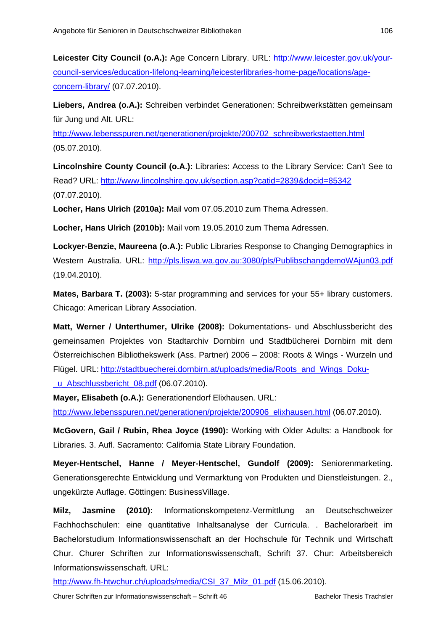Leicester City Council (o.A.): Age Concern Library. URL: http://www.leicester.gov.uk/yourcouncil-services/education-lifelong-learning/leicesterlibraries-home-page/locations/ageconcern-library/ (07.07.2010).

**Liebers, Andrea (o.A.):** Schreiben verbindet Generationen: Schreibwerkstätten gemeinsam für Jung und Alt. URL:

http://www.lebensspuren.net/generationen/projekte/200702\_schreibwerkstaetten.html (05.07.2010).

**Lincolnshire County Council (o.A.):** Libraries: Access to the Library Service: Can't See to Read? URL: http://www.lincolnshire.gov.uk/section.asp?catid=2839&docid=85342 (07.07.2010).

**Locher, Hans Ulrich (2010a):** Mail vom 07.05.2010 zum Thema Adressen.

**Locher, Hans Ulrich (2010b):** Mail vom 19.05.2010 zum Thema Adressen.

**Lockyer-Benzie, Maureena (o.A.):** Public Libraries Response to Changing Demographics in Western Australia. URL: http://pls.liswa.wa.gov.au:3080/pls/PublibschangdemoWAjun03.pdf (19.04.2010).

**Mates, Barbara T. (2003):** 5-star programming and services for your 55+ library customers. Chicago: American Library Association.

**Matt, Werner / Unterthumer, Ulrike (2008):** Dokumentations- und Abschlussbericht des gemeinsamen Projektes von Stadtarchiv Dornbirn und Stadtbücherei Dornbirn mit dem Österreichischen Bibliothekswerk (Ass. Partner) 2006 – 2008: Roots & Wings - Wurzeln und Flügel. URL: http://stadtbuecherei.dornbirn.at/uploads/media/Roots\_and\_Wings\_Doku u Abschlussbericht 08.pdf (06.07.2010).

**Mayer, Elisabeth (o.A.):** Generationendorf Elixhausen. URL:

http://www.lebensspuren.net/generationen/projekte/200906\_elixhausen.html (06.07.2010).

**McGovern, Gail / Rubin, Rhea Joyce (1990):** Working with Older Adults: a Handbook for Libraries. 3. Aufl. Sacramento: California State Library Foundation.

**Meyer-Hentschel, Hanne / Meyer-Hentschel, Gundolf (2009):** Seniorenmarketing. Generationsgerechte Entwicklung und Vermarktung von Produkten und Dienstleistungen. 2., ungekürzte Auflage. Göttingen: BusinessVillage.

**Milz, Jasmine (2010):** Informationskompetenz-Vermittlung an Deutschschweizer Fachhochschulen: eine quantitative Inhaltsanalyse der Curricula. . Bachelorarbeit im Bachelorstudium Informationswissenschaft an der Hochschule für Technik und Wirtschaft Chur. Churer Schriften zur Informationswissenschaft, Schrift 37. Chur: Arbeitsbereich Informationswissenschaft. URL:

http://www.fh-htwchur.ch/uploads/media/CSI\_37\_Milz\_01.pdf (15.06.2010).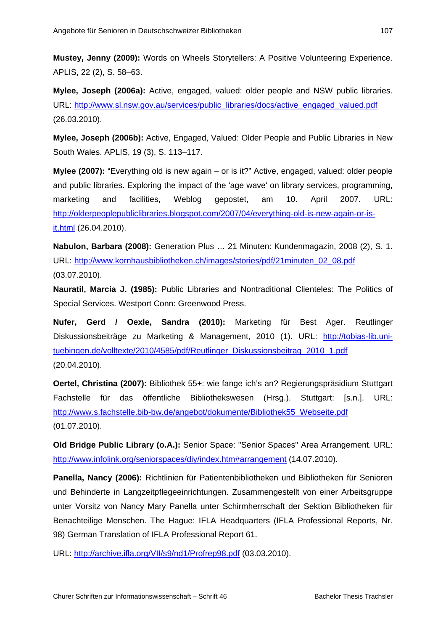**Mustey, Jenny (2009):** Words on Wheels Storytellers: A Positive Volunteering Experience. APLIS, 22 (2), S. 58–63.

**Mylee, Joseph (2006a):** Active, engaged, valued: older people and NSW public libraries. URL: http://www.sl.nsw.gov.au/services/public\_libraries/docs/active\_engaged\_valued.pdf (26.03.2010).

**Mylee, Joseph (2006b):** Active, Engaged, Valued: Older People and Public Libraries in New South Wales. APLIS, 19 (3), S. 113–117.

**Mylee (2007):** "Everything old is new again – or is it?" Active, engaged, valued: older people and public libraries. Exploring the impact of the 'age wave' on library services, programming, marketing and facilities, Weblog gepostet, am 10. April 2007. URL: http://olderpeoplepubliclibraries.blogspot.com/2007/04/everything-old-is-new-again-or-isit.html (26.04.2010).

**Nabulon, Barbara (2008):** Generation Plus … 21 Minuten: Kundenmagazin, 2008 (2), S. 1. URL: http://www.kornhausbibliotheken.ch/images/stories/pdf/21minuten\_02\_08.pdf (03.07.2010).

**Nauratil, Marcia J. (1985):** Public Libraries and Nontraditional Clienteles: The Politics of Special Services. Westport Conn: Greenwood Press.

**Nufer, Gerd / Oexle, Sandra (2010):** Marketing für Best Ager. Reutlinger Diskussionsbeiträge zu Marketing & Management, 2010 (1). URL: http://tobias-lib.unituebingen.de/volltexte/2010/4585/pdf/Reutlinger\_Diskussionsbeitrag\_2010\_1.pdf (20.04.2010).

**Oertel, Christina (2007):** Bibliothek 55+: wie fange ich's an? Regierungspräsidium Stuttgart Fachstelle für das öffentliche Bibliothekswesen (Hrsg.). Stuttgart: [s.n.]. URL: http://www.s.fachstelle.bib-bw.de/angebot/dokumente/Bibliothek55\_Webseite.pdf (01.07.2010).

**Old Bridge Public Library (o.A.):** Senior Space: "Senior Spaces" Area Arrangement. URL: http://www.infolink.org/seniorspaces/diy/index.htm#arrangement (14.07.2010).

**Panella, Nancy (2006):** Richtlinien für Patientenbibliotheken und Bibliotheken für Senioren und Behinderte in Langzeitpflegeeinrichtungen. Zusammengestellt von einer Arbeitsgruppe unter Vorsitz von Nancy Mary Panella unter Schirmherrschaft der Sektion Bibliotheken für Benachteilige Menschen. The Hague: IFLA Headquarters (IFLA Professional Reports, Nr. 98) German Translation of IFLA Professional Report 61.

URL: http://archive.ifla.org/VII/s9/nd1/Profrep98.pdf (03.03.2010).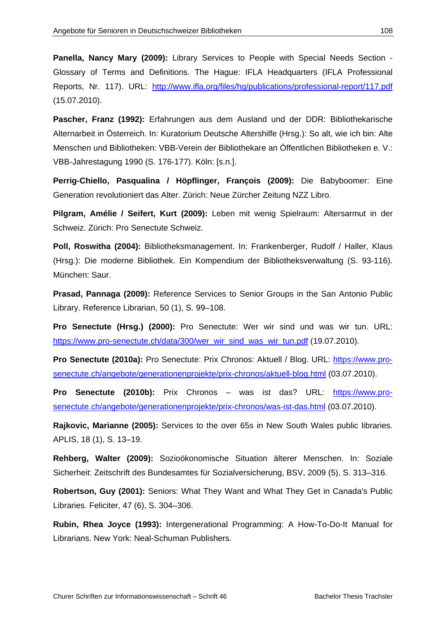**Panella, Nancy Mary (2009):** Library Services to People with Special Needs Section - Glossary of Terms and Definitions. The Hague: IFLA Headquarters (IFLA Professional Reports, Nr. 117). URL: http://www.ifla.org/files/hq/publications/professional-report/117.pdf (15.07.2010).

**Pascher, Franz (1992):** Erfahrungen aus dem Ausland und der DDR: Bibliothekarische Alternarbeit in Österreich. In: Kuratorium Deutsche Altershilfe (Hrsg.): So alt, wie ich bin: Alte Menschen und Bibliotheken: VBB-Verein der Bibliothekare an Öffentlichen Bibliotheken e. V.: VBB-Jahrestagung 1990 (S. 176-177). Köln: [s.n.].

**Perrig-Chiello, Pasqualina / Höpflinger, François (2009):** Die Babyboomer: Eine Generation revolutioniert das Alter. Zürich: Neue Zürcher Zeitung NZZ Libro.

**Pilgram, Amélie / Seifert, Kurt (2009):** Leben mit wenig Spielraum: Altersarmut in der Schweiz. Zürich: Pro Senectute Schweiz.

**Poll, Roswitha (2004):** Bibliotheksmanagement. In: Frankenberger, Rudolf / Haller, Klaus (Hrsg.): Die moderne Bibliothek. Ein Kompendium der Bibliotheksverwaltung (S. 93-116). München: Saur.

**Prasad, Pannaga (2009):** Reference Services to Senior Groups in the San Antonio Public Library. Reference Librarian, 50 (1), S. 99–108.

**Pro Senectute (Hrsg.) (2000):** Pro Senectute: Wer wir sind und was wir tun. URL: https://www.pro-senectute.ch/data/300/wer\_wir\_sind\_was\_wir\_tun.pdf (19.07.2010).

**Pro Senectute (2010a):** Pro Senectute: Prix Chronos: Aktuell / Blog. URL: https://www.prosenectute.ch/angebote/generationenprojekte/prix-chronos/aktuell-blog.html (03.07.2010).

**Pro Senectute (2010b):** Prix Chronos – was ist das? URL: https://www.prosenectute.ch/angebote/generationenprojekte/prix-chronos/was-ist-das.html (03.07.2010).

**Rajkovic, Marianne (2005):** Services to the over 65s in New South Wales public libraries. APLIS, 18 (1), S. 13–19.

**Rehberg, Walter (2009):** Sozioökonomische Situation älterer Menschen. In: Soziale Sicherheit: Zeitschrift des Bundesamtes für Sozialversicherung, BSV, 2009 (5), S. 313–316.

**Robertson, Guy (2001):** Seniors: What They Want and What They Get in Canada's Public Libraries. Feliciter, 47 (6), S. 304–306.

**Rubin, Rhea Joyce (1993):** Intergenerational Programming: A How-To-Do-It Manual for Librarians. New York: Neal-Schuman Publishers.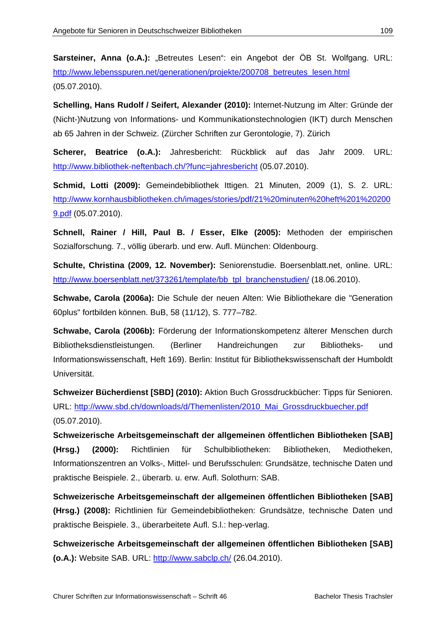Sarsteiner, Anna (o.A.): "Betreutes Lesen": ein Angebot der ÖB St. Wolfgang. URL: http://www.lebensspuren.net/generationen/projekte/200708\_betreutes\_lesen.html (05.07.2010).

**Schelling, Hans Rudolf / Seifert, Alexander (2010):** Internet-Nutzung im Alter: Gründe der (Nicht-)Nutzung von Informations- und Kommunikationstechnologien (IKT) durch Menschen ab 65 Jahren in der Schweiz. (Zürcher Schriften zur Gerontologie, 7). Zürich

**Scherer, Beatrice (o.A.):** Jahresbericht: Rückblick auf das Jahr 2009. URL: http://www.bibliothek-neftenbach.ch/?func=jahresbericht (05.07.2010).

**Schmid, Lotti (2009):** Gemeindebibliothek Ittigen. 21 Minuten, 2009 (1), S. 2. URL: http://www.kornhausbibliotheken.ch/images/stories/pdf/21%20minuten%20heft%201%20200 9.pdf (05.07.2010).

**Schnell, Rainer / Hill, Paul B. / Esser, Elke (2005):** Methoden der empirischen Sozialforschung. 7., völlig überarb. und erw. Aufl. München: Oldenbourg.

**Schulte, Christina (2009, 12. November):** Seniorenstudie. Boersenblatt.net, online. URL: http://www.boersenblatt.net/373261/template/bb\_tpl\_branchenstudien/ (18.06.2010).

**Schwabe, Carola (2006a):** Die Schule der neuen Alten: Wie Bibliothekare die "Generation 60plus" fortbilden können. BuB, 58 (11/12), S. 777–782.

**Schwabe, Carola (2006b):** Förderung der Informationskompetenz älterer Menschen durch Bibliotheksdienstleistungen. (Berliner Handreichungen zur Bibliotheks- und Informationswissenschaft, Heft 169). Berlin: Institut für Bibliothekswissenschaft der Humboldt Universität.

**Schweizer Bücherdienst [SBD] (2010):** Aktion Buch Grossdruckbücher: Tipps für Senioren. URL: http://www.sbd.ch/downloads/d/Themenlisten/2010\_Mai\_Grossdruckbuecher.pdf (05.07.2010).

**Schweizerische Arbeitsgemeinschaft der allgemeinen öffentlichen Bibliotheken [SAB] (Hrsg.) (2000):** Richtlinien für Schulbibliotheken: Bibliotheken, Mediotheken, Informationszentren an Volks-, Mittel- und Berufsschulen: Grundsätze, technische Daten und praktische Beispiele. 2., überarb. u. erw. Aufl. Solothurn: SAB.

**Schweizerische Arbeitsgemeinschaft der allgemeinen öffentlichen Bibliotheken [SAB] (Hrsg.) (2008):** Richtlinien für Gemeindebibliotheken: Grundsätze, technische Daten und praktische Beispiele. 3., überarbeitete Aufl. S.l.: hep-verlag.

**Schweizerische Arbeitsgemeinschaft der allgemeinen öffentlichen Bibliotheken [SAB] (o.A.):** Website SAB. URL: http://www.sabclp.ch/ (26.04.2010).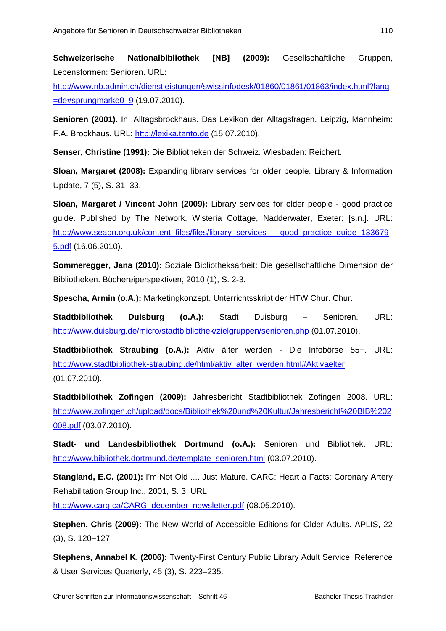**Schweizerische Nationalbibliothek [NB] (2009):** Gesellschaftliche Gruppen, Lebensformen: Senioren. URL:

http://www.nb.admin.ch/dienstleistungen/swissinfodesk/01860/01861/01863/index.html?lang =de#sprungmarke0\_9 (19.07.2010).

**Senioren (2001).** In: Alltagsbrockhaus. Das Lexikon der Alltagsfragen. Leipzig, Mannheim: F.A. Brockhaus. URL: http://lexika.tanto.de (15.07.2010).

**Senser, Christine (1991):** Die Bibliotheken der Schweiz. Wiesbaden: Reichert.

**Sloan, Margaret (2008):** Expanding library services for older people. Library & Information Update, 7 (5), S. 31–33.

**Sloan, Margaret / Vincent John (2009):** Library services for older people - good practice guide. Published by The Network. Wisteria Cottage, Nadderwater, Exeter: [s.n.]. URL: http://www.seapn.org.uk/content\_files/files/library\_services\_\_\_good\_practice\_guide\_133679 5.pdf (16.06.2010).

**Sommeregger, Jana (2010):** Soziale Bibliotheksarbeit: Die gesellschaftliche Dimension der Bibliotheken. Büchereiperspektiven, 2010 (1), S. 2-3.

**Spescha, Armin (o.A.):** Marketingkonzept. Unterrichtsskript der HTW Chur. Chur.

**Stadtbibliothek Duisburg (o.A.):** Stadt Duisburg – Senioren. URL: http://www.duisburg.de/micro/stadtbibliothek/zielgruppen/senioren.php (01.07.2010).

**Stadtbibliothek Straubing (o.A.):** Aktiv älter werden - Die Infobörse 55+. URL: http://www.stadtbibliothek-straubing.de/html/aktiv\_alter\_werden.html#Aktivaelter (01.07.2010).

**Stadtbibliothek Zofingen (2009):** Jahresbericht Stadtbibliothek Zofingen 2008. URL: http://www.zofingen.ch/upload/docs/Bibliothek%20und%20Kultur/Jahresbericht%20BIB%202 008.pdf (03.07.2010).

**Stadt- und Landesbibliothek Dortmund (o.A.):** Senioren und Bibliothek. URL: http://www.bibliothek.dortmund.de/template\_senioren.html (03.07.2010).

**Stangland, E.C. (2001):** I'm Not Old .... Just Mature. CARC: Heart a Facts: Coronary Artery Rehabilitation Group Inc., 2001, S. 3. URL:

http://www.carg.ca/CARG\_december\_newsletter.pdf (08.05.2010).

**Stephen, Chris (2009):** The New World of Accessible Editions for Older Adults. APLIS, 22 (3), S. 120–127.

**Stephens, Annabel K. (2006):** Twenty-First Century Public Library Adult Service. Reference & User Services Quarterly, 45 (3), S. 223–235.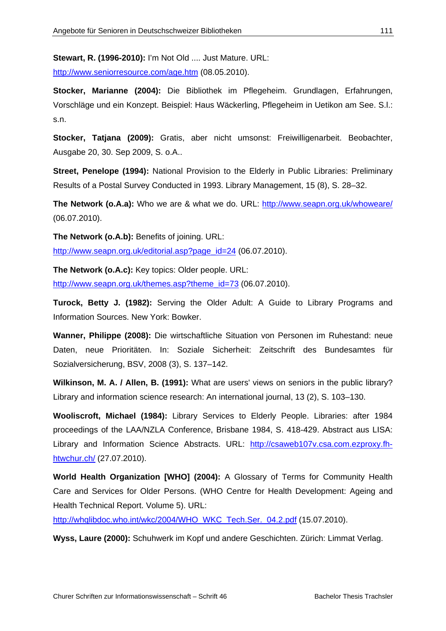**Stewart, R. (1996-2010):** I'm Not Old .... Just Mature. URL:

http://www.seniorresource.com/age.htm (08.05.2010).

**Stocker, Marianne (2004):** Die Bibliothek im Pflegeheim. Grundlagen, Erfahrungen, Vorschläge und ein Konzept. Beispiel: Haus Wäckerling, Pflegeheim in Uetikon am See. S.l.: s.n.

**Stocker, Tatjana (2009):** Gratis, aber nicht umsonst: Freiwilligenarbeit. Beobachter, Ausgabe 20, 30. Sep 2009, S. o.A..

**Street, Penelope (1994):** National Provision to the Elderly in Public Libraries: Preliminary Results of a Postal Survey Conducted in 1993. Library Management, 15 (8), S. 28–32.

**The Network (o.A.a):** Who we are & what we do. URL: http://www.seapn.org.uk/whoweare/ (06.07.2010).

**The Network (o.A.b):** Benefits of joining. URL:

http://www.seapn.org.uk/editorial.asp?page\_id=24 (06.07.2010).

**The Network (o.A.c):** Key topics: Older people. URL:

http://www.seapn.org.uk/themes.asp?theme\_id=73 (06.07.2010).

**Turock, Betty J. (1982):** Serving the Older Adult: A Guide to Library Programs and Information Sources. New York: Bowker.

**Wanner, Philippe (2008):** Die wirtschaftliche Situation von Personen im Ruhestand: neue Daten, neue Prioritäten. In: Soziale Sicherheit: Zeitschrift des Bundesamtes für Sozialversicherung, BSV, 2008 (3), S. 137–142.

**Wilkinson, M. A. / Allen, B. (1991):** What are users' views on seniors in the public library? Library and information science research: An international journal, 13 (2), S. 103–130.

**Wooliscroft, Michael (1984):** Library Services to Elderly People. Libraries: after 1984 proceedings of the LAA/NZLA Conference, Brisbane 1984, S. 418-429. Abstract aus LISA: Library and Information Science Abstracts. URL: http://csaweb107v.csa.com.ezproxy.fhhtwchur.ch/ (27.07.2010).

**World Health Organization [WHO] (2004):** A Glossary of Terms for Community Health Care and Services for Older Persons. (WHO Centre for Health Development: Ageing and Health Technical Report. Volume 5). URL:

http://whqlibdoc.who.int/wkc/2004/WHO\_WKC\_Tech.Ser.\_04.2.pdf (15.07.2010).

**Wyss, Laure (2000):** Schuhwerk im Kopf und andere Geschichten. Zürich: Limmat Verlag.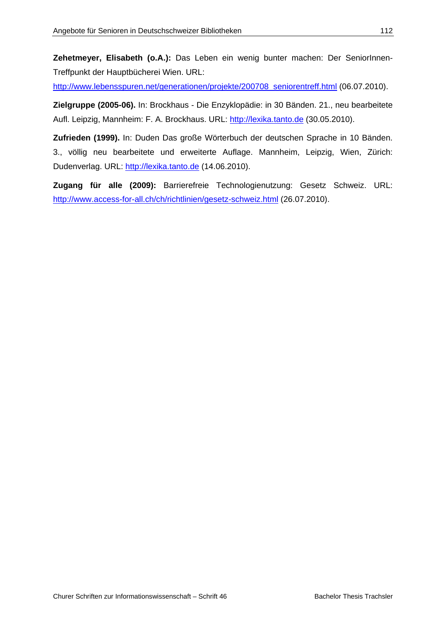**Zehetmeyer, Elisabeth (o.A.):** Das Leben ein wenig bunter machen: Der SeniorInnen-Treffpunkt der Hauptbücherei Wien. URL:

http://www.lebensspuren.net/generationen/projekte/200708\_seniorentreff.html (06.07.2010).

**Zielgruppe (2005-06).** In: Brockhaus - Die Enzyklopädie: in 30 Bänden. 21., neu bearbeitete Aufl. Leipzig, Mannheim: F. A. Brockhaus. URL: http://lexika.tanto.de (30.05.2010).

**Zufrieden (1999).** In: Duden Das große Wörterbuch der deutschen Sprache in 10 Bänden. 3., völlig neu bearbeitete und erweiterte Auflage. Mannheim, Leipzig, Wien, Zürich: Dudenverlag. URL: http://lexika.tanto.de (14.06.2010).

**Zugang für alle (2009):** Barrierefreie Technologienutzung: Gesetz Schweiz. URL: http://www.access-for-all.ch/ch/richtlinien/gesetz-schweiz.html (26.07.2010).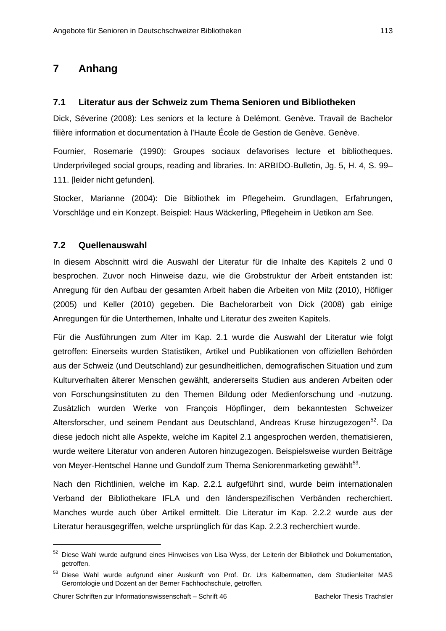# **7 Anhang**

#### **7.1 Literatur aus der Schweiz zum Thema Senioren und Bibliotheken**

Dick, Séverine (2008): Les seniors et la lecture à Delémont. Genève. Travail de Bachelor filière information et documentation à l'Haute École de Gestion de Genève. Genève.

Fournier, Rosemarie (1990): Groupes sociaux defavorises lecture et bibliotheques. Underprivileged social groups, reading and libraries. In: ARBIDO-Bulletin, Jg. 5, H. 4, S. 99– 111. [leider nicht gefunden].

Stocker, Marianne (2004): Die Bibliothek im Pflegeheim. Grundlagen, Erfahrungen, Vorschläge und ein Konzept. Beispiel: Haus Wäckerling, Pflegeheim in Uetikon am See.

#### **7.2 Quellenauswahl**

In diesem Abschnitt wird die Auswahl der Literatur für die Inhalte des Kapitels 2 und 0 besprochen. Zuvor noch Hinweise dazu, wie die Grobstruktur der Arbeit entstanden ist: Anregung für den Aufbau der gesamten Arbeit haben die Arbeiten von Milz (2010), Höfliger (2005) und Keller (2010) gegeben. Die Bachelorarbeit von Dick (2008) gab einige Anregungen für die Unterthemen, Inhalte und Literatur des zweiten Kapitels.

Für die Ausführungen zum Alter im Kap. 2.1 wurde die Auswahl der Literatur wie folgt getroffen: Einerseits wurden Statistiken, Artikel und Publikationen von offiziellen Behörden aus der Schweiz (und Deutschland) zur gesundheitlichen, demografischen Situation und zum Kulturverhalten älterer Menschen gewählt, andererseits Studien aus anderen Arbeiten oder von Forschungsinstituten zu den Themen Bildung oder Medienforschung und -nutzung. Zusätzlich wurden Werke von François Höpflinger, dem bekanntesten Schweizer Altersforscher, und seinem Pendant aus Deutschland, Andreas Kruse hinzugezogen<sup>52</sup>. Da diese jedoch nicht alle Aspekte, welche im Kapitel 2.1 angesprochen werden, thematisieren, wurde weitere Literatur von anderen Autoren hinzugezogen. Beispielsweise wurden Beiträge von Meyer-Hentschel Hanne und Gundolf zum Thema Seniorenmarketing gewählt<sup>53</sup>.

Nach den Richtlinien, welche im Kap. 2.2.1 aufgeführt sind, wurde beim internationalen Verband der Bibliothekare IFLA und den länderspezifischen Verbänden recherchiert. Manches wurde auch über Artikel ermittelt. Die Literatur im Kap. 2.2.2 wurde aus der Literatur herausgegriffen, welche ursprünglich für das Kap. 2.2.3 recherchiert wurde.

 $\overline{a}$ 

<sup>52</sup> Diese Wahl wurde aufgrund eines Hinweises von Lisa Wyss, der Leiterin der Bibliothek und Dokumentation, getroffen.

<sup>53</sup> Diese Wahl wurde aufgrund einer Auskunft von Prof. Dr. Urs Kalbermatten, dem Studienleiter MAS Gerontologie und Dozent an der Berner Fachhochschule, getroffen.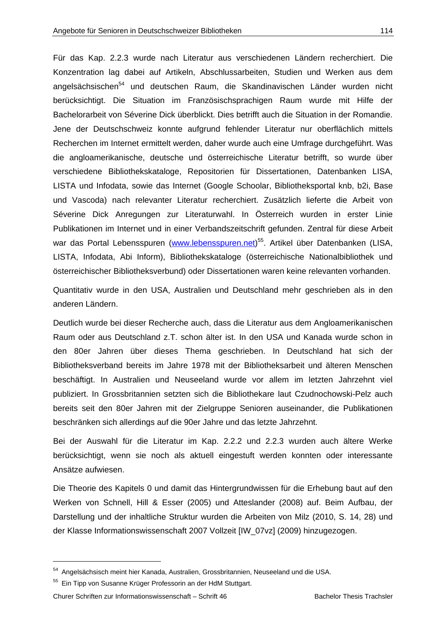Für das Kap. 2.2.3 wurde nach Literatur aus verschiedenen Ländern recherchiert. Die Konzentration lag dabei auf Artikeln, Abschlussarbeiten, Studien und Werken aus dem angelsächsischen<sup>54</sup> und deutschen Raum, die Skandinavischen Länder wurden nicht berücksichtigt. Die Situation im Französischsprachigen Raum wurde mit Hilfe der Bachelorarbeit von Séverine Dick überblickt. Dies betrifft auch die Situation in der Romandie. Jene der Deutschschweiz konnte aufgrund fehlender Literatur nur oberflächlich mittels Recherchen im Internet ermittelt werden, daher wurde auch eine Umfrage durchgeführt. Was die angloamerikanische, deutsche und österreichische Literatur betrifft, so wurde über verschiedene Bibliothekskataloge, Repositorien für Dissertationen, Datenbanken LISA, LISTA und Infodata, sowie das Internet (Google Schoolar, Bibliotheksportal knb, b2i, Base und Vascoda) nach relevanter Literatur recherchiert. Zusätzlich lieferte die Arbeit von Séverine Dick Anregungen zur Literaturwahl. In Österreich wurden in erster Linie Publikationen im Internet und in einer Verbandszeitschrift gefunden. Zentral für diese Arbeit war das Portal Lebensspuren (www.lebensspuren.net)<sup>55</sup>. Artikel über Datenbanken (LISA, LISTA, Infodata, Abi Inform), Bibliothekskataloge (österreichische Nationalbibliothek und

Quantitativ wurde in den USA, Australien und Deutschland mehr geschrieben als in den anderen Ländern.

österreichischer Bibliotheksverbund) oder Dissertationen waren keine relevanten vorhanden.

Deutlich wurde bei dieser Recherche auch, dass die Literatur aus dem Angloamerikanischen Raum oder aus Deutschland z.T. schon älter ist. In den USA und Kanada wurde schon in den 80er Jahren über dieses Thema geschrieben. In Deutschland hat sich der Bibliotheksverband bereits im Jahre 1978 mit der Bibliotheksarbeit und älteren Menschen beschäftigt. In Australien und Neuseeland wurde vor allem im letzten Jahrzehnt viel publiziert. In Grossbritannien setzten sich die Bibliothekare laut Czudnochowski-Pelz auch bereits seit den 80er Jahren mit der Zielgruppe Senioren auseinander, die Publikationen beschränken sich allerdings auf die 90er Jahre und das letzte Jahrzehnt.

Bei der Auswahl für die Literatur im Kap. 2.2.2 und 2.2.3 wurden auch ältere Werke berücksichtigt, wenn sie noch als aktuell eingestuft werden konnten oder interessante Ansätze aufwiesen.

Die Theorie des Kapitels 0 und damit das Hintergrundwissen für die Erhebung baut auf den Werken von Schnell, Hill & Esser (2005) und Atteslander (2008) auf. Beim Aufbau, der Darstellung und der inhaltliche Struktur wurden die Arbeiten von Milz (2010, S. 14, 28) und der Klasse Informationswissenschaft 2007 Vollzeit [IW\_07vz] (2009) hinzugezogen.

<sup>54</sup> Angelsächsisch meint hier Kanada, Australien, Grossbritannien, Neuseeland und die USA.

<sup>&</sup>lt;sup>55</sup> Ein Tipp von Susanne Krüger Professorin an der HdM Stuttgart.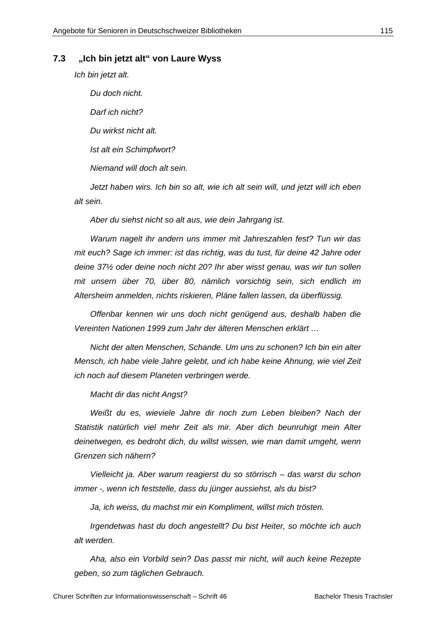#### **7.3 "Ich bin jetzt alt" von Laure Wyss**

*Ich bin jetzt alt.* 

*alt sein.* 

 *Du doch nicht. Darf ich nicht? Du wirkst nicht alt. Ist alt ein Schimpfwort? Niemand will doch alt sein. Jetzt haben wirs. Ich bin so alt, wie ich alt sein will, und jetzt will ich eben* 

 *Aber du siehst nicht so alt aus, wie dein Jahrgang ist.* 

 *Warum nagelt ihr andern uns immer mit Jahreszahlen fest? Tun wir das mit euch? Sage ich immer: ist das richtig, was du tust, für deine 42 Jahre oder deine 37½ oder deine noch nicht 20? Ihr aber wisst genau, was wir tun sollen mit unsern über 70, über 80, nämlich vorsichtig sein, sich endlich im Altersheim anmelden, nichts riskieren, Pläne fallen lassen, da überflüssig.* 

 *Offenbar kennen wir uns doch nicht genügend aus, deshalb haben die Vereinten Nationen 1999 zum Jahr der älteren Menschen erklärt …* 

 *Nicht der alten Menschen, Schande. Um uns zu schonen? Ich bin ein alter Mensch, ich habe viele Jahre gelebt, und ich habe keine Ahnung, wie viel Zeit ich noch auf diesem Planeten verbringen werde.* 

 *Macht dir das nicht Angst?* 

 *Weißt du es, wieviele Jahre dir noch zum Leben bleiben? Nach der Statistik natürlich viel mehr Zeit als mir. Aber dich beunruhigt mein Alter deinetwegen, es bedroht dich, du willst wissen, wie man damit umgeht, wenn Grenzen sich nähern?* 

 *Vielleicht ja. Aber warum reagierst du so störrisch – das warst du schon immer -, wenn ich feststelle, dass du jünger aussiehst, als du bist?* 

Ja, ich weiss, du machst mir ein Kompliment, willst mich trösten.

 *Irgendetwas hast du doch angestellt? Du bist Heiter, so möchte ich auch alt werden.* 

 *Aha, also ein Vorbild sein? Das passt mir nicht, will auch keine Rezepte geben, so zum täglichen Gebrauch.*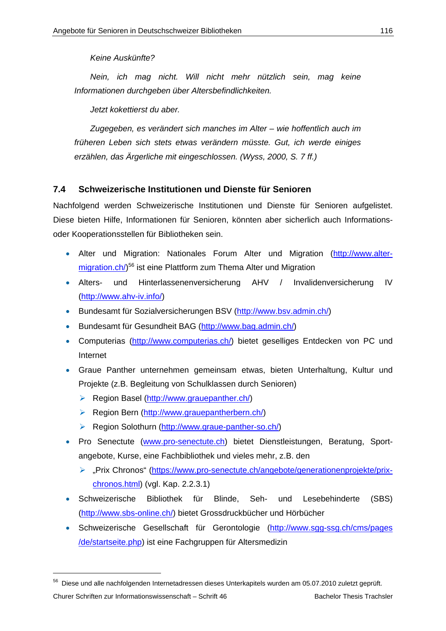*Keine Auskünfte?* 

 *Nein, ich mag nicht. Will nicht mehr nützlich sein, mag keine Informationen durchgeben über Altersbefindlichkeiten.* 

 *Jetzt kokettierst du aber.* 

 *Zugegeben, es verändert sich manches im Alter – wie hoffentlich auch im früheren Leben sich stets etwas verändern müsste. Gut, ich werde einiges erzählen, das Ärgerliche mit eingeschlossen. (Wyss, 2000, S. 7 ff.)* 

## **7.4 Schweizerische Institutionen und Dienste für Senioren**

Nachfolgend werden Schweizerische Institutionen und Dienste für Senioren aufgelistet. Diese bieten Hilfe, Informationen für Senioren, könnten aber sicherlich auch Informationsoder Kooperationsstellen für Bibliotheken sein.

- Alter und Migration: Nationales Forum Alter und Migration (http://www.altermigration.ch/)<sup>56</sup> ist eine Plattform zum Thema Alter und Migration
- Alters- und Hinterlassenenversicherung AHV / Invalidenversicherung IV (http://www.ahv-iv.info/)
- Bundesamt für Sozialversicherungen BSV (http://www.bsv.admin.ch/)
- Bundesamt für Gesundheit BAG (http://www.bag.admin.ch/)
- Computerias (http://www.computerias.ch/) bietet geselliges Entdecken von PC und Internet
- Graue Panther unternehmen gemeinsam etwas, bieten Unterhaltung, Kultur und Projekte (z.B. Begleitung von Schulklassen durch Senioren)
	- $\triangleright$  Region Basel (http://www.grauepanther.ch/)
	- ▶ Region Bern (http://www.grauepantherbern.ch/)
	- Region Solothurn (http://www.graue-panther-so.ch/)
- Pro Senectute (www.pro-senectute.ch) bietet Dienstleistungen, Beratung, Sportangebote, Kurse, eine Fachbibliothek und vieles mehr, z.B. den
	- > "Prix Chronos" (https://www.pro-senectute.ch/angebote/generationenprojekte/prixchronos.html) (vgl. Kap. 2.2.3.1)
- Schweizerische Bibliothek für Blinde, Seh- und Lesebehinderte (SBS) (http://www.sbs-online.ch/) bietet Grossdruckbücher und Hörbücher
- Schweizerische Gesellschaft für Gerontologie (http://www.sqq-ssq.ch/cms/pages /de/startseite.php) ist eine Fachgruppen für Altersmedizin

<sup>56</sup> Diese und alle nachfolgenden Internetadressen dieses Unterkapitels wurden am 05.07.2010 zuletzt geprüft.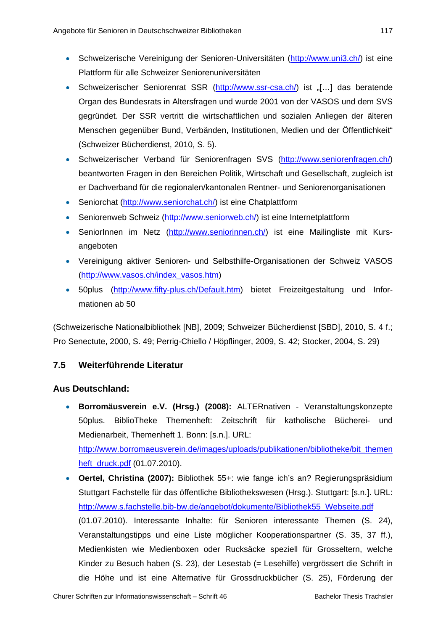- Schweizerische Vereinigung der Senioren-Universitäten (http://www.uni3.ch/) ist eine Plattform für alle Schweizer Seniorenuniversitäten
- Schweizerischer Seniorenrat SSR (http://www.ssr-csa.ch/) ist [[…] das beratende Organ des Bundesrats in Altersfragen und wurde 2001 von der VASOS und dem SVS gegründet. Der SSR vertritt die wirtschaftlichen und sozialen Anliegen der älteren Menschen gegenüber Bund, Verbänden, Institutionen, Medien und der Öffentlichkeit" (Schweizer Bücherdienst, 2010, S. 5).
- Schweizerischer Verband für Seniorenfragen SVS (http://www.seniorenfragen.ch/) beantworten Fragen in den Bereichen Politik, Wirtschaft und Gesellschaft, zugleich ist er Dachverband für die regionalen/kantonalen Rentner- und Seniorenorganisationen
- Seniorchat (http://www.seniorchat.ch/) ist eine Chatplattform
- Seniorenweb Schweiz (http://www.seniorweb.ch/) ist eine Internetplattform
- SeniorInnen im Netz (http://www.seniorinnen.ch/) ist eine Mailingliste mit Kursangeboten
- Vereinigung aktiver Senioren- und Selbsthilfe-Organisationen der Schweiz VASOS (http://www.vasos.ch/index\_vasos.htm)
- 50plus (http://www.fifty-plus.ch/Default.htm) bietet Freizeitgestaltung und Informationen ab 50

(Schweizerische Nationalbibliothek [NB], 2009; Schweizer Bücherdienst [SBD], 2010, S. 4 f.; Pro Senectute, 2000, S. 49; Perrig-Chiello / Höpflinger, 2009, S. 42; Stocker, 2004, S. 29)

# **7.5 Weiterführende Literatur**

## **Aus Deutschland:**

- **Borromäusverein e.V. (Hrsg.) (2008):** ALTERnativen Veranstaltungskonzepte 50plus. BiblioTheke Themenheft: Zeitschrift für katholische Bücherei- und Medienarbeit, Themenheft 1. Bonn: [s.n.]. URL: http://www.borromaeusverein.de/images/uploads/publikationen/bibliotheke/bit\_themen heft\_druck.pdf (01.07.2010).
- **Oertel, Christina (2007):** Bibliothek 55+: wie fange ich's an? Regierungspräsidium Stuttgart Fachstelle für das öffentliche Bibliothekswesen (Hrsg.). Stuttgart: [s.n.]. URL: http://www.s.fachstelle.bib-bw.de/angebot/dokumente/Bibliothek55\_Webseite.pdf (01.07.2010). Interessante Inhalte: für Senioren interessante Themen (S. 24), Veranstaltungstipps und eine Liste möglicher Kooperationspartner (S. 35, 37 ff.), Medienkisten wie Medienboxen oder Rucksäcke speziell für Grosseltern, welche Kinder zu Besuch haben (S. 23), der Lesestab (= Lesehilfe) vergrössert die Schrift in die Höhe und ist eine Alternative für Grossdruckbücher (S. 25), Förderung der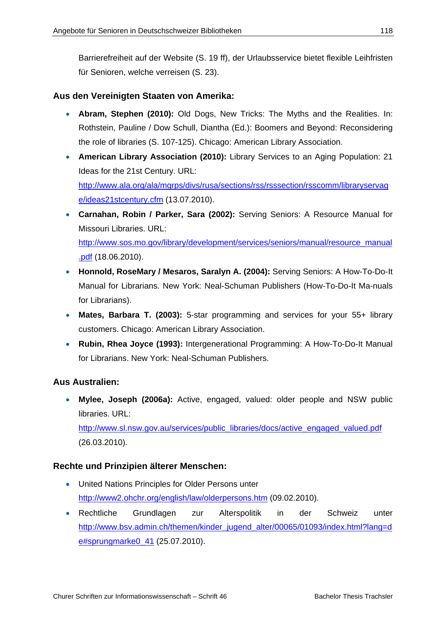Barrierefreiheit auf der Website (S. 19 ff), der Urlaubsservice bietet flexible Leihfristen für Senioren, welche verreisen (S. 23).

### **Aus den Vereinigten Staaten von Amerika:**

- **Abram, Stephen (2010):** Old Dogs, New Tricks: The Myths and the Realities. In: Rothstein, Pauline / Dow Schull, Diantha (Ed.): Boomers and Beyond: Reconsidering the role of libraries (S. 107-125). Chicago: American Library Association.
- **American Library Association (2010):** Library Services to an Aging Population: 21 Ideas for the 21st Century. URL: http://www.ala.org/ala/mgrps/divs/rusa/sections/rss/rsssection/rsscomm/libraryservag e/ideas21stcentury.cfm (13.07.2010).
- **Carnahan, Robin / Parker, Sara (2002):** Serving Seniors: A Resource Manual for Missouri Libraries. URL:

http://www.sos.mo.gov/library/development/services/seniors/manual/resource\_manual .pdf (18.06.2010).

- **Honnold, RoseMary / Mesaros, Saralyn A. (2004):** Serving Seniors: A How-To-Do-It Manual for Librarians. New York: Neal-Schuman Publishers (How-To-Do-It Ma-nuals for Librarians).
- **Mates, Barbara T. (2003):** 5-star programming and services for your 55+ library customers. Chicago: American Library Association.
- **Rubin, Rhea Joyce (1993):** Intergenerational Programming: A How-To-Do-It Manual for Librarians. New York: Neal-Schuman Publishers.

## **Aus Australien:**

 **Mylee, Joseph (2006a):** Active, engaged, valued: older people and NSW public libraries. URL:

http://www.sl.nsw.gov.au/services/public\_libraries/docs/active\_engaged\_valued.pdf (26.03.2010).

### **Rechte und Prinzipien älterer Menschen:**

- United Nations Principles for Older Persons unter http://www2.ohchr.org/english/law/olderpersons.htm (09.02.2010).
- Rechtliche Grundlagen zur Alterspolitik in der Schweiz unter http://www.bsv.admin.ch/themen/kinder\_jugend\_alter/00065/01093/index.html?lang=d e#sprungmarke0\_41 (25.07.2010).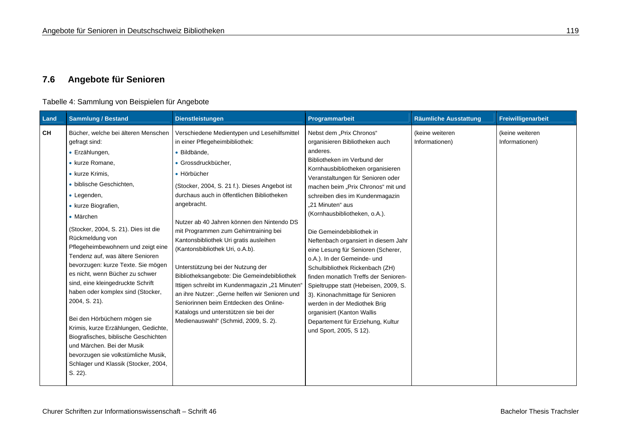# **7.6 Angebote für Senioren**

### Tabelle 4: Sammlung von Beispielen für Angebote

| Land      | <b>Sammlung / Bestand</b>                                                                                                                                                                                                                                                                                                                                                                                                                                                                                                                                                                                                                                                                                                                    | <b>Dienstleistungen</b>                                                                                                                                                                                                                                                                                                                                                                                                                                                                                                                                                                                                                                                                                                                   | Programmarbeit                                                                                                                                                                                                                                                                                                                                                                                                                                                                                                                                                                                                                                                                                                                                 | <b>Räumliche Ausstattung</b>      | Freiwilligenarbeit                |
|-----------|----------------------------------------------------------------------------------------------------------------------------------------------------------------------------------------------------------------------------------------------------------------------------------------------------------------------------------------------------------------------------------------------------------------------------------------------------------------------------------------------------------------------------------------------------------------------------------------------------------------------------------------------------------------------------------------------------------------------------------------------|-------------------------------------------------------------------------------------------------------------------------------------------------------------------------------------------------------------------------------------------------------------------------------------------------------------------------------------------------------------------------------------------------------------------------------------------------------------------------------------------------------------------------------------------------------------------------------------------------------------------------------------------------------------------------------------------------------------------------------------------|------------------------------------------------------------------------------------------------------------------------------------------------------------------------------------------------------------------------------------------------------------------------------------------------------------------------------------------------------------------------------------------------------------------------------------------------------------------------------------------------------------------------------------------------------------------------------------------------------------------------------------------------------------------------------------------------------------------------------------------------|-----------------------------------|-----------------------------------|
| <b>CH</b> | Bücher, welche bei älteren Menschen<br>gefragt sind:<br>• Erzählungen,<br>• kurze Romane,<br>• kurze Krimis.<br>· biblische Geschichten,<br>• Legenden,<br>• kurze Biografien,<br>• Märchen<br>(Stocker, 2004, S. 21). Dies ist die<br>Rückmeldung von<br>Pflegeheimbewohnern und zeigt eine<br>Tendenz auf, was ältere Senioren<br>bevorzugen: kurze Texte. Sie mögen<br>es nicht, wenn Bücher zu schwer<br>sind, eine kleingedruckte Schrift<br>haben oder komplex sind (Stocker,<br>2004, S. 21).<br>Bei den Hörbüchern mögen sie<br>Krimis, kurze Erzählungen, Gedichte,<br>Biografisches, biblische Geschichten<br>und Märchen. Bei der Musik<br>bevorzugen sie volkstümliche Musik,<br>Schlager und Klassik (Stocker, 2004,<br>S. 22). | Verschiedene Medientypen und Lesehilfsmittel<br>in einer Pflegeheimbibliothek:<br>· Bildbände,<br>• Grossdruckbücher,<br>• Hörbücher<br>(Stocker, 2004, S. 21 f.). Dieses Angebot ist<br>durchaus auch in öffentlichen Bibliotheken<br>angebracht.<br>Nutzer ab 40 Jahren können den Nintendo DS<br>mit Programmen zum Gehirntraining bei<br>Kantonsbibliothek Uri gratis ausleihen<br>(Kantonsbibliothek Uri, o.A.b).<br>Unterstützung bei der Nutzung der<br>Bibliotheksangebote: Die Gemeindebibliothek<br>lttigen schreibt im Kundenmagazin "21 Minuten"<br>an ihre Nutzer: "Gerne helfen wir Senioren und<br>Seniorinnen beim Entdecken des Online-<br>Katalogs und unterstützen sie bei der<br>Medienauswahl" (Schmid, 2009, S. 2). | Nebst dem "Prix Chronos"<br>organisieren Bibliotheken auch<br>anderes.<br>Bibliotheken im Verbund der<br>Kornhausbibliotheken organisieren<br>Veranstaltungen für Senioren oder<br>machen beim "Prix Chronos" mit und<br>schreiben dies im Kundenmagazin<br>"21 Minuten" aus<br>(Kornhausbibliotheken, o.A.).<br>Die Gemeindebibliothek in<br>Neftenbach organsiert in diesem Jahr<br>eine Lesung für Senioren (Scherer,<br>o.A.). In der Gemeinde- und<br>Schulbibliothek Rickenbach (ZH)<br>finden monatlich Treffs der Senioren-<br>Spieltruppe statt (Hebeisen, 2009, S.<br>3). Kinonachmittage für Senioren<br>werden in der Mediothek Brig<br>organisiert (Kanton Wallis<br>Departement für Erziehung, Kultur<br>und Sport, 2005, S 12). | (keine weiteren<br>Informationen) | (keine weiteren<br>Informationen) |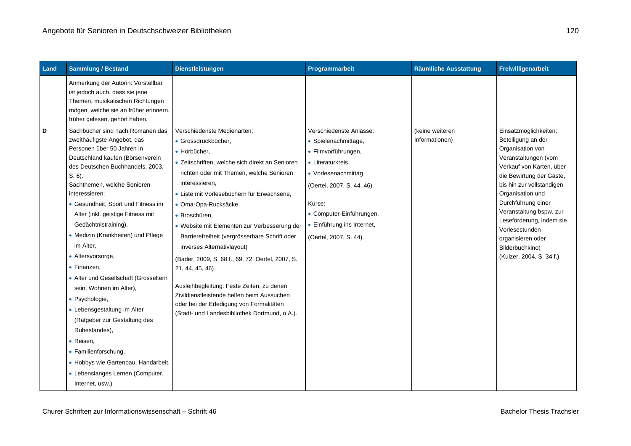| Land | <b>Sammlung / Bestand</b>                                                                                                                                                                                                                                                                                                                                                                                                                                                                                                                                                                                                                                                                                                              | <b>Dienstleistungen</b>                                                                                                                                                                                                                                                                                                                                                                                                                                                                                                                                                                                                                                                   | Programmarbeit                                                                                                                                                                                                                                 | <b>Räumliche Ausstattung</b>      | Freiwilligenarbeit                                                                                                                                                                                                                                                                                                                                                   |
|------|----------------------------------------------------------------------------------------------------------------------------------------------------------------------------------------------------------------------------------------------------------------------------------------------------------------------------------------------------------------------------------------------------------------------------------------------------------------------------------------------------------------------------------------------------------------------------------------------------------------------------------------------------------------------------------------------------------------------------------------|---------------------------------------------------------------------------------------------------------------------------------------------------------------------------------------------------------------------------------------------------------------------------------------------------------------------------------------------------------------------------------------------------------------------------------------------------------------------------------------------------------------------------------------------------------------------------------------------------------------------------------------------------------------------------|------------------------------------------------------------------------------------------------------------------------------------------------------------------------------------------------------------------------------------------------|-----------------------------------|----------------------------------------------------------------------------------------------------------------------------------------------------------------------------------------------------------------------------------------------------------------------------------------------------------------------------------------------------------------------|
|      | Anmerkung der Autorin: Vorstellbar<br>ist jedoch auch, dass sie jene<br>Themen, musikalischen Richtungen<br>mögen, welche sie an früher erinnern,<br>früher gelesen, gehört haben.                                                                                                                                                                                                                                                                                                                                                                                                                                                                                                                                                     |                                                                                                                                                                                                                                                                                                                                                                                                                                                                                                                                                                                                                                                                           |                                                                                                                                                                                                                                                |                                   |                                                                                                                                                                                                                                                                                                                                                                      |
| D    | Sachbücher sind nach Romanen das<br>zweithäufigste Angebot, das<br>Personen über 50 Jahren in<br>Deutschland kaufen (Börsenverein<br>des Deutschen Buchhandels, 2003,<br>$S. 6$ ).<br>Sachthemen, welche Senioren<br>interessieren:<br>• Gesundheit, Sport und Fitness im<br>Alter (inkl. geistige Fitness mit<br>Gedächtnistraining),<br>• Medizin (Krankheiten) und Pflege<br>im Alter,<br>• Altersvorsorge,<br>• Finanzen,<br>• Alter und Gesellschaft (Grosseltern<br>sein, Wohnen im Alter),<br>• Psychologie,<br>• Lebensgestaltung im Alter<br>(Ratgeber zur Gestaltung des<br>Ruhestandes),<br>• Reisen,<br>• Familienforschung,<br>• Hobbys wie Gartenbau, Handarbeit,<br>• Lebenslanges Lernen (Computer,<br>Internet, usw.) | Verschiedenste Medienarten:<br>· Grossdruckbücher,<br>• Hörbücher,<br>• Zeitschriften, welche sich direkt an Senioren<br>richten oder mit Themen, welche Senioren<br>interessieren.<br>• Liste mit Vorlesebüchern für Erwachsene.<br>· Oma-Opa-Rucksäcke,<br>• Broschüren.<br>• Website mit Elementen zur Verbesserung der<br>Barrierefreiheit (vergrösserbare Schrift oder<br>inverses Alternativlayout)<br>(Bader, 2009, S. 68 f., 69, 72, Oertel, 2007, S.<br>21, 44, 45, 46).<br>Ausleihbegleitung: Feste Zeiten, zu denen<br>Zivildienstleistende helfen beim Aussuchen<br>oder bei der Erledigung von Formalitäten<br>(Stadt- und Landesbibliothek Dortmund, o.A.). | Verschiedenste Anlässe:<br>• Spielenachmittage,<br>• Filmvorführungen,<br>• Literaturkreis,<br>• Vorlesenachmittag<br>(Oertel, 2007, S. 44, 46).<br>Kurse:<br>• Computer-Einführungen,<br>• Einführung ins Internet,<br>(Oertel, 2007, S. 44). | (keine weiteren<br>Informationen) | Einsatzmöglichkeiten:<br>Beteiligung an der<br>Organisation von<br>Veranstaltungen (vom<br>Verkauf von Karten, über<br>die Bewirtung der Gäste,<br>bis hin zur vollständigen<br>Organisation und<br>Durchführung einer<br>Veranstaltung bspw. zur<br>Leseförderung, indem sie<br>Vorlesestunden<br>organisieren oder<br>Bilderbuchkino)<br>(Kulzer, 2004, S. 34 f.). |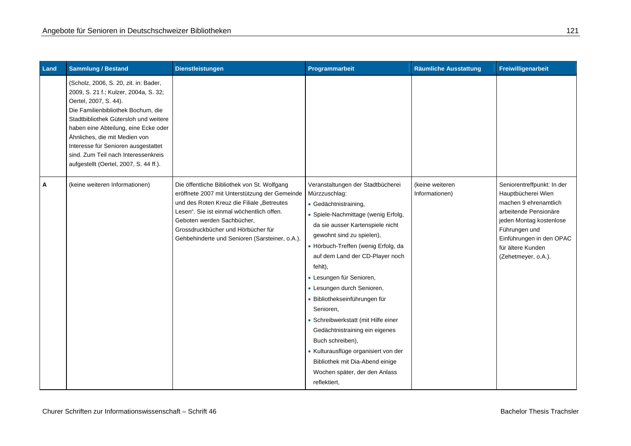| Land | <b>Sammlung / Bestand</b>                                                                                                                                                                                                                                                                                                                                                               | Dienstleistungen                                                                                                                                                                                                                                                                                              | Programmarbeit                                                                                                                                                                                                                                                                                                                                                                                                                                                                                                                                                                                            | <b>Räumliche Ausstattung</b>      | Freiwilligenarbeit                                                                                                                                                                                                     |
|------|-----------------------------------------------------------------------------------------------------------------------------------------------------------------------------------------------------------------------------------------------------------------------------------------------------------------------------------------------------------------------------------------|---------------------------------------------------------------------------------------------------------------------------------------------------------------------------------------------------------------------------------------------------------------------------------------------------------------|-----------------------------------------------------------------------------------------------------------------------------------------------------------------------------------------------------------------------------------------------------------------------------------------------------------------------------------------------------------------------------------------------------------------------------------------------------------------------------------------------------------------------------------------------------------------------------------------------------------|-----------------------------------|------------------------------------------------------------------------------------------------------------------------------------------------------------------------------------------------------------------------|
|      | (Scholz, 2006, S. 20, zit. in: Bader,<br>2009, S. 21 f.; Kulzer, 2004a, S. 32;<br>Oertel, 2007, S. 44).<br>Die Familienbibliothek Bochum, die<br>Stadtbibliothek Gütersloh und weitere<br>haben eine Abteilung, eine Ecke oder<br>Ähnliches, die mit Medien von<br>Interesse für Senioren ausgestattet<br>sind. Zum Teil nach Interessenkreis<br>aufgestellt (Oertel, 2007, S. 44 ff.). |                                                                                                                                                                                                                                                                                                               |                                                                                                                                                                                                                                                                                                                                                                                                                                                                                                                                                                                                           |                                   |                                                                                                                                                                                                                        |
| A    | (keine weiteren Informationen)                                                                                                                                                                                                                                                                                                                                                          | Die öffentliche Bibliothek von St. Wolfgang<br>eröffnete 2007 mit Unterstützung der Gemeinde<br>und des Roten Kreuz die Filiale "Betreutes<br>Lesen". Sie ist einmal wöchentlich offen.<br>Geboten werden Sachbücher,<br>Grossdruckbücher und Hörbücher für<br>Gehbehinderte und Senioren (Sarsteiner, o.A.). | Veranstaltungen der Stadtbücherei<br>Mürzzuschlag:<br>• Gedächtnistraining,<br>• Spiele-Nachmittage (wenig Erfolg,<br>da sie ausser Kartenspiele nicht<br>gewohnt sind zu spielen),<br>• Hörbuch-Treffen (wenig Erfolg, da<br>auf dem Land der CD-Player noch<br>fehlt),<br>• Lesungen für Senioren,<br>• Lesungen durch Senioren,<br>· Bibliothekseinführungen für<br>Senioren,<br>• Schreibwerkstatt (mit Hilfe einer<br>Gedächtnistraining ein eigenes<br>Buch schreiben),<br>• Kulturausflüge organisiert von der<br>Bibliothek mit Dia-Abend einige<br>Wochen später, der den Anlass<br>reflektiert, | (keine weiteren<br>Informationen) | Seniorentreffpunkt: In der<br>Hauptbücherei Wien<br>machen 9 ehrenamtlich<br>arbeitende Pensionäre<br>jeden Montag kostenlose<br>Führungen und<br>Einführungen in den OPAC<br>für ältere Kunden<br>(Zehetmeyer, o.A.). |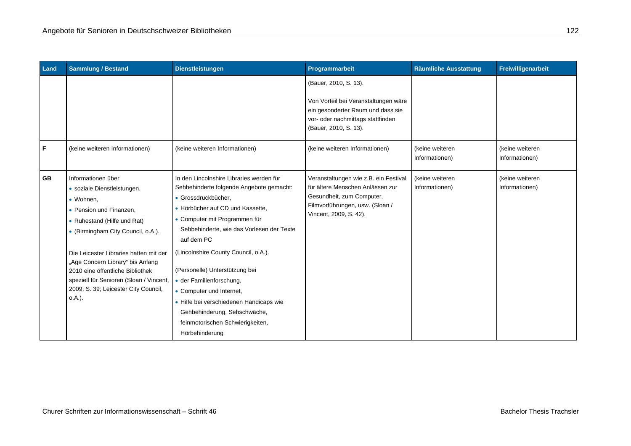| Land      | <b>Sammlung / Bestand</b>                                                                                                                                                                                                                                                                                                                                                     | <b>Dienstleistungen</b>                                                                                                                                                                                                                                                                                                                                                                                                                                                                                        | Programmarbeit                                                                                                                                                      | <b>Räumliche Ausstattung</b>      | Freiwilligenarbeit                |
|-----------|-------------------------------------------------------------------------------------------------------------------------------------------------------------------------------------------------------------------------------------------------------------------------------------------------------------------------------------------------------------------------------|----------------------------------------------------------------------------------------------------------------------------------------------------------------------------------------------------------------------------------------------------------------------------------------------------------------------------------------------------------------------------------------------------------------------------------------------------------------------------------------------------------------|---------------------------------------------------------------------------------------------------------------------------------------------------------------------|-----------------------------------|-----------------------------------|
|           |                                                                                                                                                                                                                                                                                                                                                                               |                                                                                                                                                                                                                                                                                                                                                                                                                                                                                                                | (Bauer, 2010, S. 13).<br>Von Vorteil bei Veranstaltungen wäre<br>ein gesonderter Raum und dass sie<br>vor- oder nachmittags stattfinden<br>(Bauer, 2010, S. 13).    |                                   |                                   |
| F         | (keine weiteren Informationen)                                                                                                                                                                                                                                                                                                                                                | (keine weiteren Informationen)                                                                                                                                                                                                                                                                                                                                                                                                                                                                                 | (keine weiteren Informationen)                                                                                                                                      | (keine weiteren<br>Informationen) | (keine weiteren<br>Informationen) |
| <b>GB</b> | Informationen über<br>· soziale Dienstleistungen,<br>• Wohnen,<br>• Pension und Finanzen,<br>• Ruhestand (Hilfe und Rat)<br>• (Birmingham City Council, o.A.).<br>Die Leicester Libraries hatten mit der<br>"Age Concern Library" bis Anfang<br>2010 eine öffentliche Bibliothek<br>speziell für Senioren (Sloan / Vincent,<br>2009, S. 39; Leicester City Council,<br>o.A.). | In den Lincolnshire Libraries werden für<br>Sehbehinderte folgende Angebote gemacht:<br>· Grossdruckbücher,<br>• Hörbücher auf CD und Kassette,<br>• Computer mit Programmen für<br>Sehbehinderte, wie das Vorlesen der Texte<br>auf dem PC<br>(Lincolnshire County Council, o.A.).<br>(Personelle) Unterstützung bei<br>· der Familienforschung,<br>• Computer und Internet,<br>• Hilfe bei verschiedenen Handicaps wie<br>Gehbehinderung, Sehschwäche,<br>feinmotorischen Schwierigkeiten,<br>Hörbehinderung | Veranstaltungen wie z.B. ein Festival<br>für ältere Menschen Anlässen zur<br>Gesundheit, zum Computer,<br>Filmvorführungen, usw. (Sloan /<br>Vincent, 2009, S. 42). | (keine weiteren<br>Informationen) | (keine weiteren<br>Informationen) |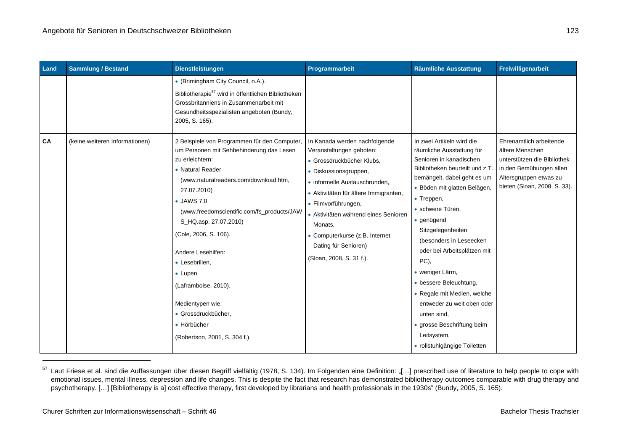| Land | <b>Sammlung / Bestand</b>      | <b>Dienstleistungen</b>                                                                                                                                                                                                                                                                                                                                                                                                     | Programmarbeit                                                                                                                                                                                                                                                                                                           | <b>Räumliche Ausstattung</b>                                                                                                                                                                                                                                                                                                                                                                                                                                                                        | Freiwilligenarbeit                                                                                                                  |
|------|--------------------------------|-----------------------------------------------------------------------------------------------------------------------------------------------------------------------------------------------------------------------------------------------------------------------------------------------------------------------------------------------------------------------------------------------------------------------------|--------------------------------------------------------------------------------------------------------------------------------------------------------------------------------------------------------------------------------------------------------------------------------------------------------------------------|-----------------------------------------------------------------------------------------------------------------------------------------------------------------------------------------------------------------------------------------------------------------------------------------------------------------------------------------------------------------------------------------------------------------------------------------------------------------------------------------------------|-------------------------------------------------------------------------------------------------------------------------------------|
| CA   | (keine weiteren Informationen) | • (Brimingham City Council, o.A.).<br>Bibliotherapie <sup>57</sup> wird in öffentlichen Bibliotheken<br>Grossbritanniens in Zusammenarbeit mit<br>Gesundheitsspezialisten angeboten (Bundy,<br>2005, S. 165).<br>2 Beispiele von Programmen für den Computer,                                                                                                                                                               | In Kanada werden nachfolgende                                                                                                                                                                                                                                                                                            | In zwei Artikeln wird die                                                                                                                                                                                                                                                                                                                                                                                                                                                                           | Ehrenamtlich arbeitende                                                                                                             |
|      |                                | um Personen mit Sehbehinderung das Lesen<br>zu erleichtern:<br>• Natural Reader<br>(www.naturalreaders.com/download.htm,<br>27.07.2010)<br>• JAWS 7.0<br>(www.freedomscientific.com/fs_products/JAW<br>S_HQ.asp, 27.07.2010)<br>(Cole, 2006, S. 106).<br>Andere Lesehilfen:<br>• Lesebrillen,<br>• Lupen<br>(Laframboise, 2010).<br>Medientypen wie:<br>· Grossdruckbücher,<br>• Hörbücher<br>(Robertson, 2001, S. 304 f.). | Veranstaltungen geboten:<br>· Grossdruckbücher Klubs,<br>• Diskussionsgruppen,<br>· informelle Austauschrunden,<br>• Aktivitäten für ältere Immigranten,<br>• Filmvorführungen,<br>• Aktivitäten während eines Senioren<br>Monats,<br>• Computerkurse (z.B. Internet<br>Dating für Senioren)<br>(Sloan, 2008, S. 31 f.). | räumliche Ausstattung für<br>Senioren in kanadischen<br>Bibliotheken beurteilt und z.T.<br>bemängelt, dabei geht es um<br>· Böden mit glatten Belägen,<br>• Treppen,<br>• schwere Türen,<br>• genügend<br>Sitzgelegenheiten<br>(besonders in Leseecken<br>oder bei Arbeitsplätzen mit<br>PC),<br>· weniger Lärm,<br>• bessere Beleuchtung,<br>• Regale mit Medien, welche<br>entweder zu weit oben oder<br>unten sind.<br>· grosse Beschriftung beim<br>Leitsystem,<br>· rollstuhlgängige Toiletten | ältere Menschen<br>unterstützen die Bibliothek<br>in den Bemühungen allen<br>Altersgruppen etwas zu<br>bieten (Sloan, 2008, S. 33). |

<sup>57</sup> Laut Friese et al. sind die Auffassungen über diesen Begriff vielfältig (1978, S. 134). Im Folgenden eine Definition: "[...] prescribed use of literature to help people to cope with emotional issues, mental illness, depression and life changes. This is despite the fact that research has demonstrated bibliotherapy outcomes comparable with drug therapy and psychotherapy. […] [Bibliotherapy is a] cost effective therapy, first developed by librarians and health professionals in the 1930s" (Bundy, 2005, S. 165).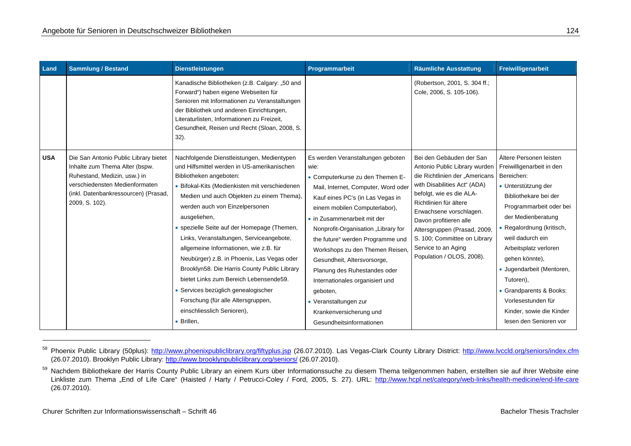| Land       | <b>Sammlung / Bestand</b>                                                                                                                                                                           | <b>Dienstleistungen</b>                                                                                                                                                                                                                                                                                                                                                                                                                                                                                                                                                                                                                                                     | Programmarbeit                                                                                                                                                                                                                                                                                                                                                                                                                                                                                                                       | <b>Räumliche Ausstattung</b>                                                                                                                                                                                                                                                                                                                               | Freiwilligenarbeit                                                                                                                                                                                                                                                                                                                                                                                               |
|------------|-----------------------------------------------------------------------------------------------------------------------------------------------------------------------------------------------------|-----------------------------------------------------------------------------------------------------------------------------------------------------------------------------------------------------------------------------------------------------------------------------------------------------------------------------------------------------------------------------------------------------------------------------------------------------------------------------------------------------------------------------------------------------------------------------------------------------------------------------------------------------------------------------|--------------------------------------------------------------------------------------------------------------------------------------------------------------------------------------------------------------------------------------------------------------------------------------------------------------------------------------------------------------------------------------------------------------------------------------------------------------------------------------------------------------------------------------|------------------------------------------------------------------------------------------------------------------------------------------------------------------------------------------------------------------------------------------------------------------------------------------------------------------------------------------------------------|------------------------------------------------------------------------------------------------------------------------------------------------------------------------------------------------------------------------------------------------------------------------------------------------------------------------------------------------------------------------------------------------------------------|
|            |                                                                                                                                                                                                     | Kanadische Bibliotheken (z.B. Calgary: "50 and<br>Forward") haben eigene Webseiten für<br>Senioren mit Informationen zu Veranstaltungen<br>der Bibliothek und anderen Einrichtungen,<br>Literaturlisten, Informationen zu Freizeit,<br>Gesundheit, Reisen und Recht (Sloan, 2008, S.<br>$32$ ).                                                                                                                                                                                                                                                                                                                                                                             |                                                                                                                                                                                                                                                                                                                                                                                                                                                                                                                                      | (Robertson, 2001, S. 304 ff.;<br>Cole, 2006, S. 105-106).                                                                                                                                                                                                                                                                                                  |                                                                                                                                                                                                                                                                                                                                                                                                                  |
| <b>USA</b> | Die San Antonio Public Library bietet<br>Inhalte zum Thema Alter (bspw.<br>Ruhestand, Medizin, usw.) in<br>verschiedensten Medienformaten<br>(inkl. Datenbankressourcen) (Prasad,<br>2009, S. 102). | Nachfolgende Dienstleistungen, Medientypen<br>und Hilfsmittel werden in US-amerikanischen<br>Bibliotheken angeboten:<br>• Bifokal-Kits (Medienkisten mit verschiedenen<br>Medien und auch Objekten zu einem Thema),<br>werden auch von Einzelpersonen<br>ausgeliehen,<br>• spezielle Seite auf der Homepage (Themen,<br>Links, Veranstaltungen, Serviceangebote,<br>allgemeine Informationen, wie z.B. für<br>Neubürger) z.B. in Phoenix, Las Vegas oder<br>Brooklyn58. Die Harris County Public Library<br>bietet Links zum Bereich Lebensende59.<br>• Services bezüglich genealogischer<br>Forschung (für alle Altersgruppen,<br>einschliesslich Senioren),<br>· Brillen, | Es werden Veranstaltungen geboten<br>wie:<br>• Computerkurse zu den Themen E-<br>Mail, Internet, Computer, Word oder<br>Kauf eines PC's (in Las Vegas in<br>einem mobilen Computerlabor),<br>• in Zusammenarbeit mit der<br>Nonprofit-Organisation "Library for<br>the future" werden Programme und<br>Workshops zu den Themen Reisen,<br>Gesundheit, Altersvorsorge,<br>Planung des Ruhestandes oder<br>Internationales organisiert und<br>geboten,<br>• Veranstaltungen zur<br>Krankenversicherung und<br>Gesundheitsinformationen | Bei den Gebäuden der San<br>Antonio Public Library wurden<br>die Richtlinien der "Americans<br>with Disabilities Act" (ADA)<br>befolgt, wie es die ALA-<br>Richtlinien für ältere<br>Erwachsene vorschlagen.<br>Davon profitieren alle<br>Altersgruppen (Prasad, 2009,<br>S. 100; Committee on Library<br>Service to an Aging<br>Population / OLOS, 2008). | Ältere Personen leisten<br>Freiwilligenarbeit in den<br>Bereichen:<br>• Unterstützung der<br>Bibliothekare bei der<br>Programmarbeit oder bei<br>der Medienberatung<br>• Regalordnung (kritisch,<br>weil dadurch ein<br>Arbeitsplatz verloren<br>gehen könnte),<br>· Jugendarbeit (Mentoren,<br>Tutoren),<br>• Grandparents & Books:<br>Vorlesestunden für<br>Kinder, sowie die Kinder<br>lesen den Senioren vor |

<sup>58</sup> Phoenix Public Library (50plus): http://www.phoenixpubliclibrary.org/fiftyplus.jsp (26.07.2010). Las Vegas-Clark County Library District: http://www.lvccld.org/seniors/index.cfm (26.07.2010). Brooklyn Public Library: http://www.brooklynpubliclibrary.org/seniors/ (26.07.2010).

<sup>59</sup> Nachdem Bibliothekare der Harris County Public Library an einem Kurs über Informationssuche zu diesem Thema teilgenommen haben, erstellten sie auf ihrer Website eine Linkliste zum Thema "End of Life Care" (Haisted / Harty / Petrucci-Coley / Ford, 2005, S. 27). URL: http://www.hcpl.net/category/web-links/health-medicine/end-life-care (26.07.2010).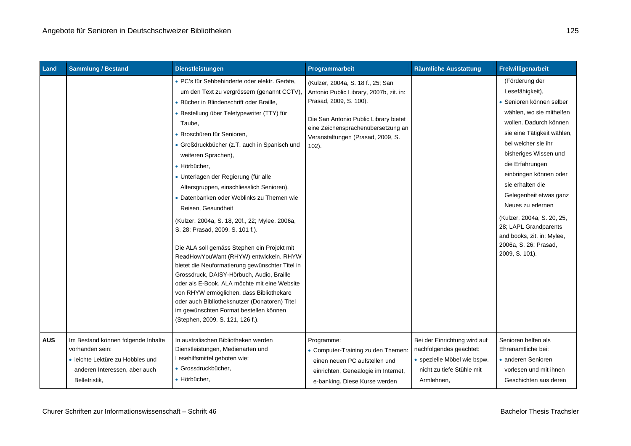| Land       | <b>Sammlung / Bestand</b>                                                                                                                   | <b>Dienstleistungen</b>                                                                                                                                                                                                                                                                                                                                                                                                                                                                                                                                                                                                                                                                                                                                                                                                                                                                                                                                                                | Programmarbeit                                                                                                                                                                                                                         | <b>Räumliche Ausstattung</b>                                                                                                      | Freiwilligenarbeit                                                                                                                                                                                                                                                                                                                                                                                                                                |
|------------|---------------------------------------------------------------------------------------------------------------------------------------------|----------------------------------------------------------------------------------------------------------------------------------------------------------------------------------------------------------------------------------------------------------------------------------------------------------------------------------------------------------------------------------------------------------------------------------------------------------------------------------------------------------------------------------------------------------------------------------------------------------------------------------------------------------------------------------------------------------------------------------------------------------------------------------------------------------------------------------------------------------------------------------------------------------------------------------------------------------------------------------------|----------------------------------------------------------------------------------------------------------------------------------------------------------------------------------------------------------------------------------------|-----------------------------------------------------------------------------------------------------------------------------------|---------------------------------------------------------------------------------------------------------------------------------------------------------------------------------------------------------------------------------------------------------------------------------------------------------------------------------------------------------------------------------------------------------------------------------------------------|
|            |                                                                                                                                             | · PC's für Sehbehinderte oder elektr. Geräte,<br>um den Text zu vergrössern (genannt CCTV),<br>· Bücher in Blindenschrift oder Braille,<br>· Bestellung über Teletypewriter (TTY) für<br>Taube,<br>· Broschüren für Senioren,<br>• Großdruckbücher (z.T. auch in Spanisch und<br>weiteren Sprachen),<br>· Hörbücher,<br>• Unterlagen der Regierung (für alle<br>Altersgruppen, einschliesslich Senioren),<br>• Datenbanken oder Weblinks zu Themen wie<br>Reisen, Gesundheit<br>(Kulzer, 2004a, S. 18, 20f., 22; Mylee, 2006a,<br>S. 28; Prasad, 2009, S. 101 f.).<br>Die ALA soll gemäss Stephen ein Projekt mit<br>ReadHowYouWant (RHYW) entwickeln. RHYW<br>bietet die Neuformatierung gewünschter Titel in<br>Grossdruck, DAISY-Hörbuch, Audio, Braille<br>oder als E-Book. ALA möchte mit eine Website<br>von RHYW ermöglichen, dass Bibliothekare<br>oder auch Bibliotheksnutzer (Donatoren) Titel<br>im gewünschten Format bestellen können<br>(Stephen, 2009, S. 121, 126 f.). | (Kulzer, 2004a, S. 18 f., 25; San<br>Antonio Public Library, 2007b, zit. in:<br>Prasad, 2009, S. 100).<br>Die San Antonio Public Library bietet<br>eine Zeichensprachenübersetzung an<br>Veranstaltungen (Prasad, 2009, S.<br>$102$ ). |                                                                                                                                   | (Förderung der<br>Lesefähigkeit),<br>• Senioren können selber<br>wählen, wo sie mithelfen<br>wollen. Dadurch können<br>sie eine Tätigkeit wählen,<br>bei welcher sie ihr<br>bisheriges Wissen und<br>die Erfahrungen<br>einbringen können oder<br>sie erhalten die<br>Gelegenheit etwas ganz<br>Neues zu erlernen<br>(Kulzer, 2004a, S. 20, 25,<br>28; LAPL Grandparents<br>and books, zit. in: Mylee,<br>2006a, S. 26; Prasad,<br>2009, S. 101). |
| <b>AUS</b> | Im Bestand können folgende Inhalte<br>vorhanden sein:<br>· leichte Lektüre zu Hobbies und<br>anderen Interessen, aber auch<br>Belletristik, | In australischen Bibliotheken werden<br>Dienstleistungen, Medienarten und<br>Lesehilfsmittel geboten wie:<br>· Grossdruckbücher,<br>· Hörbücher,                                                                                                                                                                                                                                                                                                                                                                                                                                                                                                                                                                                                                                                                                                                                                                                                                                       | Programme:<br>• Computer-Training zu den Themen:<br>einen neuen PC aufstellen und<br>einrichten, Genealogie im Internet,<br>e-banking. Diese Kurse werden                                                                              | Bei der Einrichtung wird auf<br>nachfolgendes geachtet:<br>· spezielle Möbel wie bspw.<br>nicht zu tiefe Stühle mit<br>Armlehnen, | Senioren helfen als<br>Ehrenamtliche bei:<br>• anderen Senioren<br>vorlesen und mit ihnen<br>Geschichten aus deren                                                                                                                                                                                                                                                                                                                                |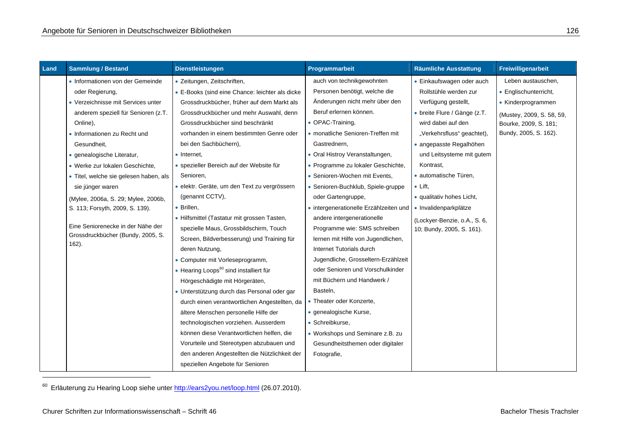| Land | <b>Sammlung / Bestand</b>                     | <b>Dienstleistungen</b>                            | Programmarbeit                         | <b>Räumliche Ausstattung</b> | Freiwilligenarbeit        |
|------|-----------------------------------------------|----------------------------------------------------|----------------------------------------|------------------------------|---------------------------|
|      | • Informationen von der Gemeinde              | · Zeitungen, Zeitschriften,                        | auch von technikgewohnten              | • Einkaufswagen oder auch    | Leben austauschen,        |
|      | oder Regierung,                               | • E-Books (sind eine Chance: leichter als dicke    | Personen benötigt, welche die          | Rollstühle werden zur        | • Englischunterricht,     |
|      | • Verzeichnisse mit Services unter            | Grossdruckbücher, früher auf dem Markt als         | Änderungen nicht mehr über den         | Verfügung gestellt,          | • Kinderprogrammen        |
|      | anderem speziell für Senioren (z.T.           | Grossdruckbücher und mehr Auswahl, denn            | Beruf erlernen können.                 | • breite Flure / Gänge (z.T. | (Mustey, 2009, S. 58, 59, |
|      | Online),                                      | Grossdruckbücher sind beschränkt                   | • OPAC-Training,                       | wird dabei auf den           | Bourke, 2009, S. 181;     |
|      | • Informationen zu Recht und                  | vorhanden in einem bestimmten Genre oder           | • monatliche Senioren-Treffen mit      | "Verkehrsfluss" geachtet),   | Bundy, 2005, S. 162).     |
|      | Gesundheit,                                   | bei den Sachbüchern),                              | Gastrednern,                           | • angepasste Regalhöhen      |                           |
|      | · genealogische Literatur,                    | • Internet,                                        | • Oral Histroy Veranstaltungen,        | und Leitsysteme mit gutem    |                           |
|      | · Werke zur lokalen Geschichte,               | • spezieller Bereich auf der Website für           | • Programme zu lokaler Geschichte,     | Kontrast,                    |                           |
|      | • Titel, welche sie gelesen haben, als        | Senioren,                                          | • Senioren-Wochen mit Events,          | · automatische Türen,        |                           |
|      | sie jünger waren                              | · elektr. Geräte, um den Text zu vergrössern       | • Senioren-Buchklub, Spiele-gruppe     | $\bullet$ Lift,              |                           |
|      | (Mylee, 2006a, S. 29; Mylee, 2006b,           | (genannt CCTV),                                    | oder Gartengruppe,                     | · qualitativ hohes Licht,    |                           |
|      | S. 113; Forsyth, 2009, S. 139).               | • Brillen,                                         | • intergenerationelle Erzählzeiten und | · Invalidenparkplätze        |                           |
|      |                                               | • Hilfsmittel (Tastatur mit grossen Tasten,        | andere intergenerationelle             | (Lockyer-Benzie, o.A., S. 6, |                           |
|      | Eine Seniorenecke in der Nähe der             | spezielle Maus, Grossbildschirm, Touch             | Programme wie: SMS schreiben           | 10; Bundy, 2005, S. 161).    |                           |
|      | Grossdruckbücher (Bundy, 2005, S.<br>$162$ ). | Screen, Bildverbesserung) und Training für         | lernen mit Hilfe von Jugendlichen,     |                              |                           |
|      |                                               | deren Nutzung,                                     | Internet Tutorials durch               |                              |                           |
|      |                                               | • Computer mit Vorleseprogramm,                    | Jugendliche, Grosseltern-Erzählzeit    |                              |                           |
|      |                                               | • Hearing Loops <sup>60</sup> sind installiert für | oder Senioren und Vorschulkinder       |                              |                           |
|      |                                               | Hörgeschädigte mit Hörgeräten,                     | mit Büchern und Handwerk /             |                              |                           |
|      |                                               | • Unterstützung durch das Personal oder gar        | Basteln,                               |                              |                           |
|      |                                               | durch einen verantwortlichen Angestellten, da      | • Theater oder Konzerte,               |                              |                           |
|      |                                               | ältere Menschen personelle Hilfe der               | · genealogische Kurse,                 |                              |                           |
|      |                                               | technologischen vorziehen. Ausserdem               | · Schreibkurse,                        |                              |                           |
|      |                                               | können diese Verantwortlichen helfen, die          | • Workshops und Seminare z.B. zu       |                              |                           |
|      |                                               | Vorurteile und Stereotypen abzubauen und           | Gesundheitsthemen oder digitaler       |                              |                           |
|      |                                               | den anderen Angestellten die Nützlichkeit der      | Fotografie,                            |                              |                           |
|      |                                               | speziellen Angebote für Senioren                   |                                        |                              |                           |

<sup>60</sup> Erläuterung zu Hearing Loop siehe unter **http://ears2you.net/loop.html** (26.07.2010).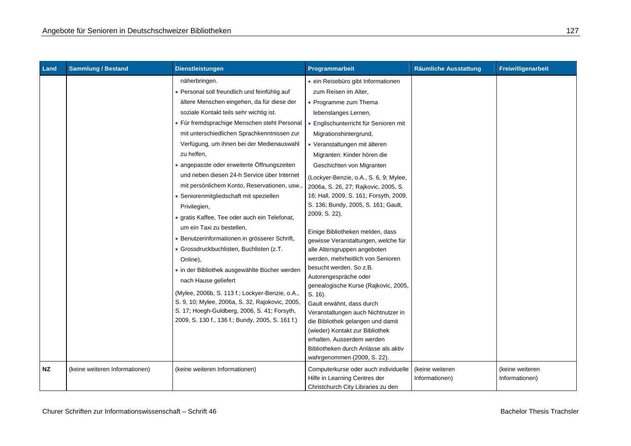| Land | <b>Sammlung / Bestand</b>      | <b>Dienstleistungen</b>                                                                                                                                                                                                                                                                                                                                                                                                                                                                                                                                                                                                                                                                                                                                                                                                                                                                                                                                                                           | Programmarbeit                                                                                                                                                                                                                                                                                                                                                                                                                                                                                                                                                                                                                                                                                                                                                                                                                                                                                                                           | <b>Räumliche Ausstattung</b> | Freiwilligenarbeit |
|------|--------------------------------|---------------------------------------------------------------------------------------------------------------------------------------------------------------------------------------------------------------------------------------------------------------------------------------------------------------------------------------------------------------------------------------------------------------------------------------------------------------------------------------------------------------------------------------------------------------------------------------------------------------------------------------------------------------------------------------------------------------------------------------------------------------------------------------------------------------------------------------------------------------------------------------------------------------------------------------------------------------------------------------------------|------------------------------------------------------------------------------------------------------------------------------------------------------------------------------------------------------------------------------------------------------------------------------------------------------------------------------------------------------------------------------------------------------------------------------------------------------------------------------------------------------------------------------------------------------------------------------------------------------------------------------------------------------------------------------------------------------------------------------------------------------------------------------------------------------------------------------------------------------------------------------------------------------------------------------------------|------------------------------|--------------------|
|      |                                | näherbringen.<br>· Personal soll freundlich und feinfühlig auf<br>ältere Menschen eingehen, da für diese der<br>soziale Kontakt teils sehr wichtig ist.<br>• Für fremdsprachige Menschen steht Personal<br>mit unterschiedlichen Sprachkenntnissen zur<br>Verfügung, um ihnen bei der Medienauswahl<br>zu helfen,<br>· angepasste oder erweiterte Öffnungszeiten<br>und neben diesen 24-h Service über Internet<br>mit persönlichem Konto, Reservationen, usw.<br>• Seniorenmitgliedschaft mit speziellen<br>Privilegien,<br>· gratis Kaffee, Tee oder auch ein Telefonat,<br>um ein Taxi zu bestellen,<br>Benutzerinformationen in grösserer Schrift,<br>· Grossdruckbuchlisten, Buchlisten (z.T.<br>Online),<br>· in der Bibliothek ausgewählte Bücher werden<br>nach Hause geliefert<br>(Mylee, 2006b, S. 113 f.; Lockyer-Benzie, o.A.,<br>S. 9, 10; Mylee, 2006a, S. 32, Rajokovic, 2005,<br>S. 17; Hoegh-Guldberg, 2006, S. 41; Forsyth,<br>2009, S. 130 f., 136 f.; Bundy, 2005, S. 161 f.) | · ein Reisebüro gibt Informationen<br>zum Reisen im Alter,<br>• Programme zum Thema<br>lebenslanges Lernen,<br>• Englischunterricht für Senioren mit<br>Migrationshintergrund,<br>• Veranstaltungen mit älteren<br>Migranten: Kinder hören die<br>Geschichten von Migranten<br>(Lockyer-Benzie, o.A., S. 6, 9; Mylee,<br>2006a, S. 26, 27; Rajkovic, 2005, S.<br>16; Hall, 2009, S. 161; Forsyth, 2009,<br>S. 136; Bundy, 2005, S. 161; Gault,<br>2009, S. 22).<br>Einige Bibliotheken melden, dass<br>gewisse Veranstaltungen, welche für<br>alle Altersgruppen angeboten<br>werden, mehrheitlich von Senioren<br>besucht werden. So z.B.<br>Autorengespräche oder<br>genealogische Kurse (Rajkovic, 2005,<br>S. 16).<br>Gault erwähnt, dass durch<br>Veranstaltungen auch Nichtnutzer in<br>die Bibliothek gelangen und damit<br>(wieder) Kontakt zur Bibliothek<br>erhalten. Ausserdem werden<br>Bibliotheken durch Anlässe als aktiv |                              |                    |
| ΝZ   | (keine weiteren Informationen) | (keine weiteren Informationen)                                                                                                                                                                                                                                                                                                                                                                                                                                                                                                                                                                                                                                                                                                                                                                                                                                                                                                                                                                    | wahrgenommen (2009, S. 22).<br>Computerkurse oder auch individuelle                                                                                                                                                                                                                                                                                                                                                                                                                                                                                                                                                                                                                                                                                                                                                                                                                                                                      | (keine weiteren              | (keine weiteren    |
|      |                                |                                                                                                                                                                                                                                                                                                                                                                                                                                                                                                                                                                                                                                                                                                                                                                                                                                                                                                                                                                                                   | Hilfe in Learning Centres der<br>Christchurch City Libraries zu den                                                                                                                                                                                                                                                                                                                                                                                                                                                                                                                                                                                                                                                                                                                                                                                                                                                                      | Informationen)               | Informationen)     |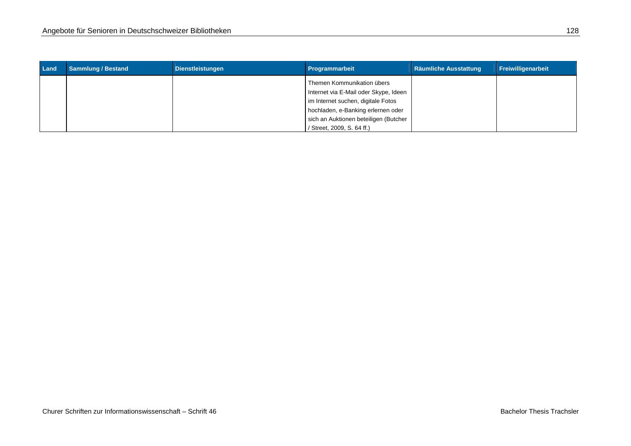| Land | <b>Sammlung / Bestand</b> | <b>Dienstleistungen</b> | Programmarbeit                        | <b>Räumliche Ausstattung</b> | Freiwilligenarbeit |
|------|---------------------------|-------------------------|---------------------------------------|------------------------------|--------------------|
|      |                           |                         | Themen Kommunikation übers            |                              |                    |
|      |                           |                         | Internet via E-Mail oder Skype, Ideen |                              |                    |
|      |                           |                         | im Internet suchen, digitale Fotos    |                              |                    |
|      |                           |                         | hochladen, e-Banking erlernen oder    |                              |                    |
|      |                           |                         | sich an Auktionen beteiligen (Butcher |                              |                    |
|      |                           |                         | / Street, 2009, S. 64 ff.)            |                              |                    |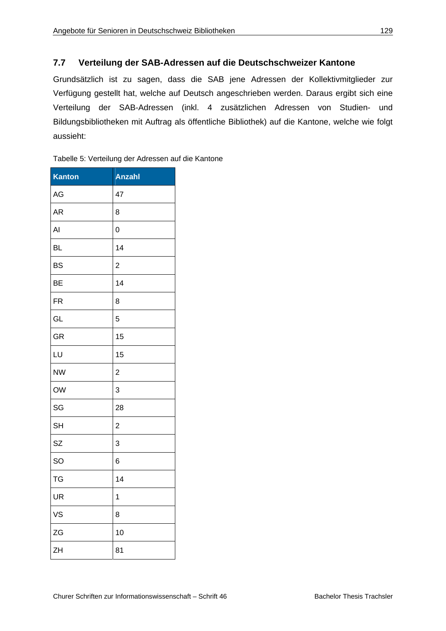# **7.7 Verteilung der SAB-Adressen auf die Deutschschweizer Kantone**

Grundsätzlich ist zu sagen, dass die SAB jene Adressen der Kollektivmitglieder zur Verfügung gestellt hat, welche auf Deutsch angeschrieben werden. Daraus ergibt sich eine Verteilung der SAB-Adressen (inkl. 4 zusätzlichen Adressen von Studien- und Bildungsbibliotheken mit Auftrag als öffentliche Bibliothek) auf die Kantone, welche wie folgt aussieht:

| Kanton    | <b>Anzahl</b>  |
|-----------|----------------|
| AG        | 47             |
| <b>AR</b> | 8              |
| Al        | 0              |
| BL        | 14             |
| <b>BS</b> | $\overline{c}$ |
| <b>BE</b> | 14             |
| FR        | 8              |
| GL        | 5              |
| GR        | 15             |
| LU        | 15             |
| <b>NW</b> | $\overline{c}$ |
| OW        | 3              |
| SG        | 28             |
| <b>SH</b> | $\overline{c}$ |
| SZ        | 3              |
| SO        | 6              |
| <b>TG</b> | 14             |
| UR        | 1              |
| VS        | 8              |
| ZG        | 10             |
| ZΗ        | 81             |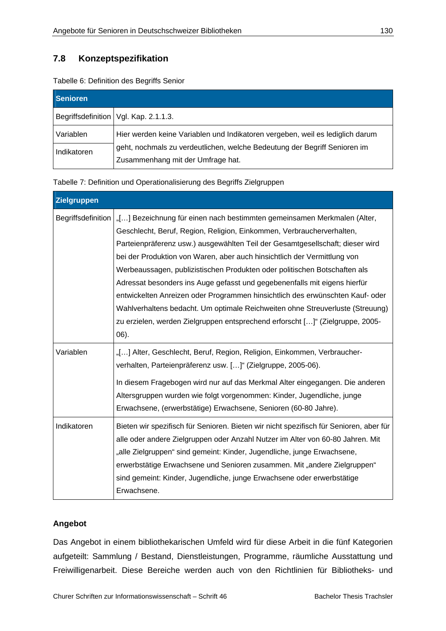# **7.8 Konzeptspezifikation**

| Tabelle 6: Definition des Begriffs Senior |  |  |
|-------------------------------------------|--|--|
|                                           |  |  |

| <b>Senioren</b> |                                                                               |
|-----------------|-------------------------------------------------------------------------------|
|                 | Begriffsdefinition   Vgl. Kap. 2.1.1.3.                                       |
| Variablen       | Hier werden keine Variablen und Indikatoren vergeben, weil es lediglich darum |
| Indikatoren     | geht, nochmals zu verdeutlichen, welche Bedeutung der Begriff Senioren im     |
|                 | Zusammenhang mit der Umfrage hat.                                             |

Tabelle 7: Definition und Operationalisierung des Begriffs Zielgruppen

| Zielgruppen        |                                                                                                                                                                                                                                                                                                                                                                                                                                                                                                                                                                                                                                                                                                                                        |
|--------------------|----------------------------------------------------------------------------------------------------------------------------------------------------------------------------------------------------------------------------------------------------------------------------------------------------------------------------------------------------------------------------------------------------------------------------------------------------------------------------------------------------------------------------------------------------------------------------------------------------------------------------------------------------------------------------------------------------------------------------------------|
| Begriffsdefinition | "[] Bezeichnung für einen nach bestimmten gemeinsamen Merkmalen (Alter,<br>Geschlecht, Beruf, Region, Religion, Einkommen, Verbraucherverhalten,<br>Parteienpräferenz usw.) ausgewählten Teil der Gesamtgesellschaft; dieser wird<br>bei der Produktion von Waren, aber auch hinsichtlich der Vermittlung von<br>Werbeaussagen, publizistischen Produkten oder politischen Botschaften als<br>Adressat besonders ins Auge gefasst und gegebenenfalls mit eigens hierfür<br>entwickelten Anreizen oder Programmen hinsichtlich des erwünschten Kauf- oder<br>Wahlverhaltens bedacht. Um optimale Reichweiten ohne Streuverluste (Streuung)<br>zu erzielen, werden Zielgruppen entsprechend erforscht []" (Zielgruppe, 2005-<br>$(06)$ . |
| Variablen          | "[] Alter, Geschlecht, Beruf, Region, Religion, Einkommen, Verbraucher-<br>verhalten, Parteienpräferenz usw. []" (Zielgruppe, 2005-06).<br>In diesem Fragebogen wird nur auf das Merkmal Alter eingegangen. Die anderen<br>Altersgruppen wurden wie folgt vorgenommen: Kinder, Jugendliche, junge<br>Erwachsene, (erwerbstätige) Erwachsene, Senioren (60-80 Jahre).                                                                                                                                                                                                                                                                                                                                                                   |
| Indikatoren        | Bieten wir spezifisch für Senioren. Bieten wir nicht spezifisch für Senioren, aber für<br>alle oder andere Zielgruppen oder Anzahl Nutzer im Alter von 60-80 Jahren. Mit<br>"alle Zielgruppen" sind gemeint: Kinder, Jugendliche, junge Erwachsene,<br>erwerbstätige Erwachsene und Senioren zusammen. Mit "andere Zielgruppen"<br>sind gemeint: Kinder, Jugendliche, junge Erwachsene oder erwerbstätige<br>Erwachsene.                                                                                                                                                                                                                                                                                                               |

## **Angebot**

Das Angebot in einem bibliothekarischen Umfeld wird für diese Arbeit in die fünf Kategorien aufgeteilt: Sammlung / Bestand, Dienstleistungen, Programme, räumliche Ausstattung und Freiwilligenarbeit. Diese Bereiche werden auch von den Richtlinien für Bibliotheks- und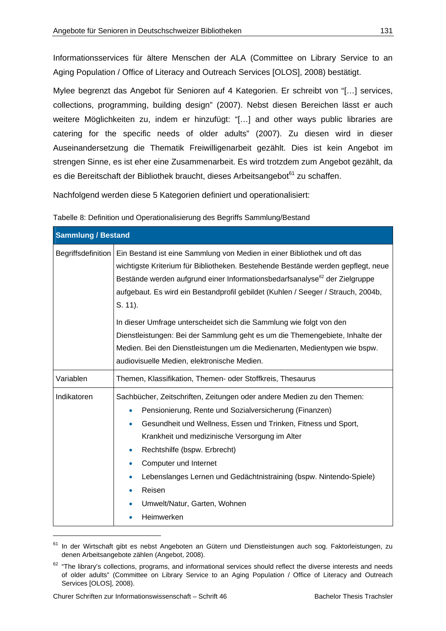Informationsservices für ältere Menschen der ALA (Committee on Library Service to an Aging Population / Office of Literacy and Outreach Services [OLOS], 2008) bestätigt.

Mylee begrenzt das Angebot für Senioren auf 4 Kategorien. Er schreibt von "[…] services, collections, programming, building design" (2007). Nebst diesen Bereichen lässt er auch weitere Möglichkeiten zu, indem er hinzufügt: "[…] and other ways public libraries are catering for the specific needs of older adults" (2007). Zu diesen wird in dieser Auseinandersetzung die Thematik Freiwilligenarbeit gezählt. Dies ist kein Angebot im strengen Sinne, es ist eher eine Zusammenarbeit. Es wird trotzdem zum Angebot gezählt, da es die Bereitschaft der Bibliothek braucht, dieses Arbeitsangebot<sup>61</sup> zu schaffen.

Nachfolgend werden diese 5 Kategorien definiert und operationalisiert:

Tabelle 8: Definition und Operationalisierung des Begriffs Sammlung/Bestand

|  | Tabelle 6. Definition und Operationalisierung des Begnins Sammung/Beständ |  |
|--|---------------------------------------------------------------------------|--|
|  |                                                                           |  |

| <b>Sammlung / Bestand</b> |                                                                                                                                                                                                                                                                                                                                                                                                                                                                                                                                                                                                                                           |
|---------------------------|-------------------------------------------------------------------------------------------------------------------------------------------------------------------------------------------------------------------------------------------------------------------------------------------------------------------------------------------------------------------------------------------------------------------------------------------------------------------------------------------------------------------------------------------------------------------------------------------------------------------------------------------|
| Begriffsdefinition        | Ein Bestand ist eine Sammlung von Medien in einer Bibliothek und oft das<br>wichtigste Kriterium für Bibliotheken. Bestehende Bestände werden gepflegt, neue<br>Bestände werden aufgrund einer Informationsbedarfsanalyse <sup>62</sup> der Zielgruppe<br>aufgebaut. Es wird ein Bestandprofil gebildet (Kuhlen / Seeger / Strauch, 2004b,<br>S. 11).<br>In dieser Umfrage unterscheidet sich die Sammlung wie folgt von den<br>Dienstleistungen: Bei der Sammlung geht es um die Themengebiete, Inhalte der<br>Medien. Bei den Dienstleistungen um die Medienarten, Medientypen wie bspw.<br>audiovisuelle Medien, elektronische Medien. |
| Variablen                 | Themen, Klassifikation, Themen- oder Stoffkreis, Thesaurus                                                                                                                                                                                                                                                                                                                                                                                                                                                                                                                                                                                |
| Indikatoren               | Sachbücher, Zeitschriften, Zeitungen oder andere Medien zu den Themen:<br>Pensionierung, Rente und Sozialversicherung (Finanzen)<br>$\bullet$<br>Gesundheit und Wellness, Essen und Trinken, Fitness und Sport,<br>$\bullet$<br>Krankheit und medizinische Versorgung im Alter<br>Rechtshilfe (bspw. Erbrecht)<br>۰<br>Computer und Internet<br>$\bullet$<br>Lebenslanges Lernen und Gedächtnistraining (bspw. Nintendo-Spiele)<br>۰<br>Reisen<br>$\bullet$<br>Umwelt/Natur, Garten, Wohnen<br>$\bullet$<br>Heimwerken                                                                                                                    |

<sup>&</sup>lt;sup>61</sup> In der Wirtschaft gibt es nebst Angeboten an Gütern und Dienstleistungen auch sog. Faktorleistungen, zu denen Arbeitsangebote zählen (Angebot, 2008).

 $62$  "The library's collections, programs, and informational services should reflect the diverse interests and needs of older adults" (Committee on Library Service to an Aging Population / Office of Literacy and Outreach Services [OLOS], 2008).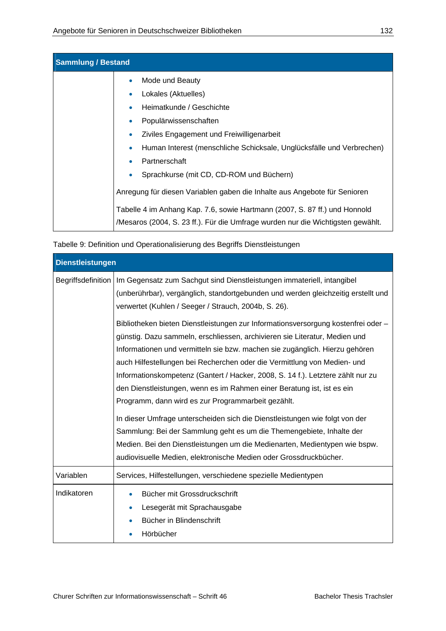| <b>Sammlung / Bestand</b> |                                                                                 |  |
|---------------------------|---------------------------------------------------------------------------------|--|
|                           | Mode und Beauty                                                                 |  |
|                           | Lokales (Aktuelles)                                                             |  |
|                           | Heimatkunde / Geschichte                                                        |  |
|                           | Populärwissenschaften<br>$\bullet$                                              |  |
|                           | Ziviles Engagement und Freiwilligenarbeit                                       |  |
|                           | Human Interest (menschliche Schicksale, Unglücksfälle und Verbrechen)           |  |
|                           | Partnerschaft                                                                   |  |
|                           | Sprachkurse (mit CD, CD-ROM und Büchern)                                        |  |
|                           | Anregung für diesen Variablen gaben die Inhalte aus Angebote für Senioren       |  |
|                           | Tabelle 4 im Anhang Kap. 7.6, sowie Hartmann (2007, S. 87 ff.) und Honnold      |  |
|                           | /Mesaros (2004, S. 23 ff.). Für die Umfrage wurden nur die Wichtigsten gewählt. |  |

| Tabelle 9: Definition und Operationalisierung des Begriffs Dienstleistungen |  |  |
|-----------------------------------------------------------------------------|--|--|
|                                                                             |  |  |
|                                                                             |  |  |

| <b>Dienstleistungen</b> |                                                                                                                                                                                                                                                                                                                                                                                                                                                                                                                                                                                                                                                                                                                                                                      |  |
|-------------------------|----------------------------------------------------------------------------------------------------------------------------------------------------------------------------------------------------------------------------------------------------------------------------------------------------------------------------------------------------------------------------------------------------------------------------------------------------------------------------------------------------------------------------------------------------------------------------------------------------------------------------------------------------------------------------------------------------------------------------------------------------------------------|--|
| Begriffsdefinition      | Im Gegensatz zum Sachgut sind Dienstleistungen immateriell, intangibel<br>(unberührbar), vergänglich, standortgebunden und werden gleichzeitig erstellt und<br>verwertet (Kuhlen / Seeger / Strauch, 2004b, S. 26).<br>Bibliotheken bieten Dienstleistungen zur Informationsversorgung kostenfrei oder -<br>günstig. Dazu sammeln, erschliessen, archivieren sie Literatur, Medien und<br>Informationen und vermitteln sie bzw. machen sie zugänglich. Hierzu gehören<br>auch Hilfestellungen bei Recherchen oder die Vermittlung von Medien- und<br>Informationskompetenz (Gantert / Hacker, 2008, S. 14 f.). Letztere zählt nur zu<br>den Dienstleistungen, wenn es im Rahmen einer Beratung ist, ist es ein<br>Programm, dann wird es zur Programmarbeit gezählt. |  |
|                         | In dieser Umfrage unterscheiden sich die Dienstleistungen wie folgt von der<br>Sammlung: Bei der Sammlung geht es um die Themengebiete, Inhalte der<br>Medien. Bei den Dienstleistungen um die Medienarten, Medientypen wie bspw.<br>audiovisuelle Medien, elektronische Medien oder Grossdruckbücher.                                                                                                                                                                                                                                                                                                                                                                                                                                                               |  |
| Variablen               | Services, Hilfestellungen, verschiedene spezielle Medientypen                                                                                                                                                                                                                                                                                                                                                                                                                                                                                                                                                                                                                                                                                                        |  |
| Indikatoren             | Bücher mit Grossdruckschrift<br>Lesegerät mit Sprachausgabe<br>۰<br>Bücher in Blindenschrift<br>Hörbücher                                                                                                                                                                                                                                                                                                                                                                                                                                                                                                                                                                                                                                                            |  |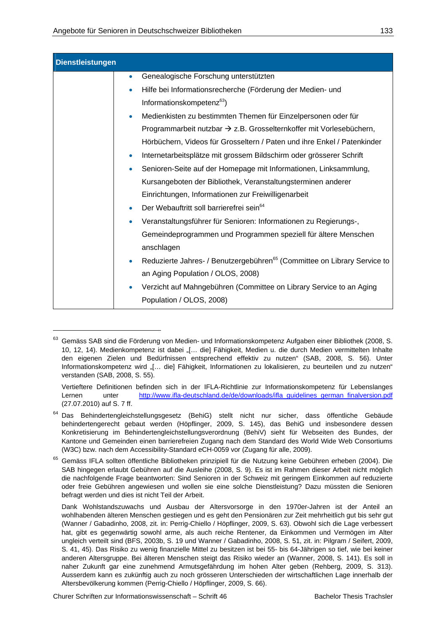| <b>Dienstleistungen</b> |                                                                                           |
|-------------------------|-------------------------------------------------------------------------------------------|
|                         | Genealogische Forschung unterstützten<br>$\bullet$                                        |
|                         | Hilfe bei Informationsrecherche (Förderung der Medien- und<br>$\bullet$                   |
|                         | Informationskompetenz <sup>63</sup> )                                                     |
|                         | Medienkisten zu bestimmten Themen für Einzelpersonen oder für                             |
|                         | Programmarbeit nutzbar $\rightarrow$ z.B. Grosselternkoffer mit Vorlesebüchern,           |
|                         | Hörbüchern, Videos für Grosseltern / Paten und ihre Enkel / Patenkinder                   |
|                         | Internetarbeitsplätze mit grossem Bildschirm oder grösserer Schrift<br>۰                  |
|                         | Senioren-Seite auf der Homepage mit Informationen, Linksammlung,                          |
|                         | Kursangeboten der Bibliothek, Veranstaltungsterminen anderer                              |
|                         | Einrichtungen, Informationen zur Freiwilligenarbeit                                       |
|                         | Der Webauftritt soll barrierefrei sein <sup>64</sup>                                      |
|                         | Veranstaltungsführer für Senioren: Informationen zu Regierungs-,                          |
|                         | Gemeindeprogrammen und Programmen speziell für ältere Menschen                            |
|                         | anschlagen                                                                                |
|                         | Reduzierte Jahres- / Benutzergebühren <sup>65</sup> (Committee on Library Service to<br>۰ |
|                         | an Aging Population / OLOS, 2008)                                                         |
|                         | Verzicht auf Mahngebühren (Committee on Library Service to an Aging                       |
|                         | Population / OLOS, 2008)                                                                  |

<sup>&</sup>lt;sup>63</sup> Gemäss SAB sind die Förderung von Medien- und Informationskompetenz Aufgaben einer Bibliothek (2008, S. 10, 12, 14). Medienkompetenz ist dabei "[... die] Fähigkeit, Medien u. die durch Medien vermittelten Inhalte den eigenen Zielen und Bedürfnissen entsprechend effektiv zu nutzen" (SAB, 2008, S. 56). Unter Informationskompetenz wird "[… die] Fähigkeit, Informationen zu lokalisieren, zu beurteilen und zu nutzen" verstanden (SAB, 2008, S. 55).

Vertieftere Definitionen befinden sich in der IFLA-Richtlinie zur Informationskompetenz für Lebenslanges Lernen unter http://www.ifla-deutschland.de/de/downloads/ifla\_guidelines\_german\_finalversion.pdf (27.07.2010) auf S. 7 ff.

<sup>&</sup>lt;sup>64</sup> Das Behindertengleichstellungsgesetz (BehiG) stellt nicht nur sicher, dass öffentliche Gebäude behindertengerecht gebaut werden (Höpflinger, 2009, S. 145), das BehiG und insbesondere dessen Konkretisierung im Behindertengleichstellungsverordnung (BehiV) sieht für Webseiten des Bundes, der Kantone und Gemeinden einen barrierefreien Zugang nach dem Standard des World Wide Web Consortiums (W3C) bzw. nach dem Accessibility-Standard eCH-0059 vor (Zugang für alle, 2009).

<sup>65</sup> Gemäss IFLA sollten öffentliche Bibliotheken prinzipiell für die Nutzung keine Gebühren erheben (2004). Die SAB hingegen erlaubt Gebühren auf die Ausleihe (2008, S. 9). Es ist im Rahmen dieser Arbeit nicht möglich die nachfolgende Frage beantworten: Sind Senioren in der Schweiz mit geringem Einkommen auf reduzierte oder freie Gebühren angewiesen und wollen sie eine solche Dienstleistung? Dazu müssten die Senioren befragt werden und dies ist nicht Teil der Arbeit.

Dank Wohlstandszuwachs und Ausbau der Altersvorsorge in den 1970er-Jahren ist der Anteil an wohlhabenden älteren Menschen gestiegen und es geht den Pensionären zur Zeit mehrheitlich gut bis sehr gut (Wanner / Gabadinho, 2008, zit. in: Perrig-Chiello / Höpflinger, 2009, S. 63). Obwohl sich die Lage verbessert hat, gibt es gegenwärtig sowohl arme, als auch reiche Rentener, da Einkommen und Vermögen im Alter ungleich verteilt sind (BFS, 2003b, S. 19 und Wanner / Gabadinho, 2008, S. 51, zit. in: Pilgram / Seifert, 2009, S. 41, 45). Das Risiko zu wenig finanzielle Mittel zu besitzen ist bei 55- bis 64-Jährigen so tief, wie bei keiner anderen Altersgruppe. Bei älteren Menschen steigt das Risiko wieder an (Wanner, 2008, S. 141). Es soll in naher Zukunft gar eine zunehmend Armutsgefährdung im hohen Alter geben (Rehberg, 2009, S. 313). Ausserdem kann es zukünftig auch zu noch grösseren Unterschieden der wirtschaftlichen Lage innerhalb der Altersbevölkerung kommen (Perrig-Chiello / Höpflinger, 2009, S. 66).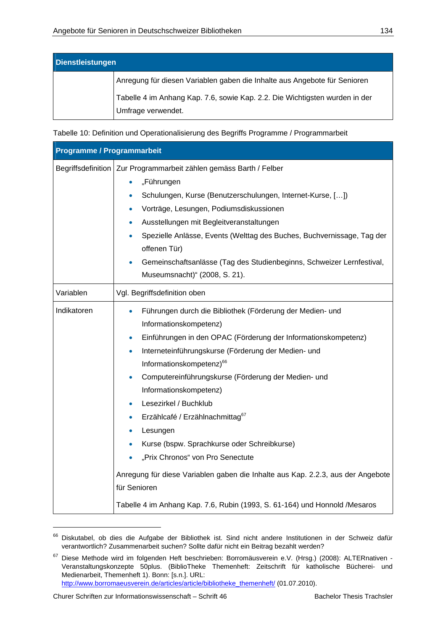| <b>Dienstleistungen</b> |                                                                             |  |
|-------------------------|-----------------------------------------------------------------------------|--|
|                         | Anregung für diesen Variablen gaben die Inhalte aus Angebote für Senioren   |  |
|                         | Tabelle 4 im Anhang Kap. 7.6, sowie Kap. 2.2. Die Wichtigsten wurden in der |  |
|                         | Umfrage verwendet.                                                          |  |

Tabelle 10: Definition und Operationalisierung des Begriffs Programme / Programmarbeit

| <b>Programme / Programmarbeit</b> |                                                                                                                                                                                                                                                                                                                                                                                                                                                                                                                                                                                                                                                                                                                                |
|-----------------------------------|--------------------------------------------------------------------------------------------------------------------------------------------------------------------------------------------------------------------------------------------------------------------------------------------------------------------------------------------------------------------------------------------------------------------------------------------------------------------------------------------------------------------------------------------------------------------------------------------------------------------------------------------------------------------------------------------------------------------------------|
|                                   | Begriffsdefinition   Zur Programmarbeit zählen gemäss Barth / Felber<br>"Führungen<br>Schulungen, Kurse (Benutzerschulungen, Internet-Kurse, [])<br>Vorträge, Lesungen, Podiumsdiskussionen<br>Ausstellungen mit Begleitveranstaltungen<br>$\bullet$<br>Spezielle Anlässe, Events (Welttag des Buches, Buchvernissage, Tag der<br>offenen Tür)<br>Gemeinschaftsanlässe (Tag des Studienbeginns, Schweizer Lernfestival,<br>Museumsnacht)" (2008, S. 21).                                                                                                                                                                                                                                                                       |
| Variablen                         | Vgl. Begriffsdefinition oben                                                                                                                                                                                                                                                                                                                                                                                                                                                                                                                                                                                                                                                                                                   |
| Indikatoren                       | Führungen durch die Bibliothek (Förderung der Medien- und<br>Informationskompetenz)<br>Einführungen in den OPAC (Förderung der Informationskompetenz)<br>$\bullet$<br>Interneteinführungskurse (Förderung der Medien- und<br>$\bullet$<br>Informationskompetenz) <sup>66</sup><br>Computereinführungskurse (Förderung der Medien- und<br>Informationskompetenz)<br>Lesezirkel / Buchklub<br>Erzählcafé / Erzählnachmittag67<br>Lesungen<br>$\bullet$<br>Kurse (bspw. Sprachkurse oder Schreibkurse)<br>۰<br>"Prix Chronos" von Pro Senectute<br>Anregung für diese Variablen gaben die Inhalte aus Kap. 2.2.3, aus der Angebote<br>für Senioren<br>Tabelle 4 im Anhang Kap. 7.6, Rubin (1993, S. 61-164) und Honnold / Mesaros |

<sup>&</sup>lt;sup>66</sup> Diskutabel, ob dies die Aufgabe der Bibliothek ist. Sind nicht andere Institutionen in der Schweiz dafür verantwortlich? Zusammenarbeit suchen? Sollte dafür nicht ein Beitrag bezahlt werden?

<sup>67</sup> Diese Methode wird im folgenden Heft beschrieben: Borromäusverein e.V. (Hrsg.) (2008): ALTERnativen - Veranstaltungskonzepte 50plus. (BiblioTheke Themenheft: Zeitschrift für katholische Bücherei- und Medienarbeit, Themenheft 1). Bonn: [s.n.]. URL: http://www.borromaeusverein.de/articles/article/bibliotheke\_themenheft/ (01.07.2010).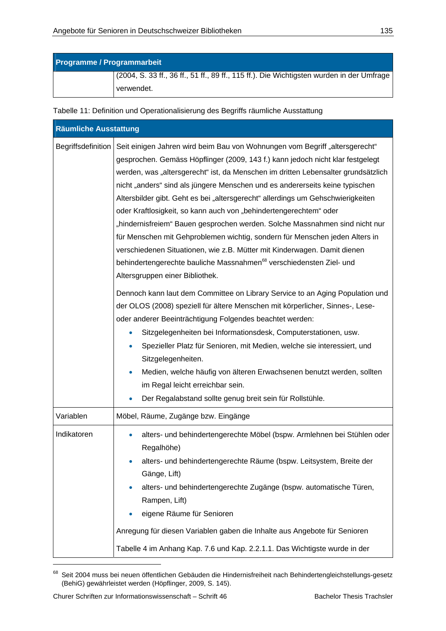| <b>Programme / Programmarbeit</b> |                                                                                           |
|-----------------------------------|-------------------------------------------------------------------------------------------|
|                                   | (2004, S. 33 ff., 36 ff., 51 ff., 89 ff., 115 ff.). Die Wichtigsten wurden in der Umfrage |
|                                   | verwendet.                                                                                |

Tabelle 11: Definition und Operationalisierung des Begriffs räumliche Ausstattung

| <b>Räumliche Ausstattung</b> |                                                                                                                                                                                                                                                                                                                                                                                                                                                                                                                                                                                                                                                                                                                                                                                                                         |  |  |  |
|------------------------------|-------------------------------------------------------------------------------------------------------------------------------------------------------------------------------------------------------------------------------------------------------------------------------------------------------------------------------------------------------------------------------------------------------------------------------------------------------------------------------------------------------------------------------------------------------------------------------------------------------------------------------------------------------------------------------------------------------------------------------------------------------------------------------------------------------------------------|--|--|--|
| Begriffsdefinition           | Seit einigen Jahren wird beim Bau von Wohnungen vom Begriff "altersgerecht"<br>gesprochen. Gemäss Höpflinger (2009, 143 f.) kann jedoch nicht klar festgelegt<br>werden, was "altersgerecht" ist, da Menschen im dritten Lebensalter grundsätzlich<br>nicht "anders" sind als jüngere Menschen und es andererseits keine typischen<br>Altersbilder gibt. Geht es bei "altersgerecht" allerdings um Gehschwierigkeiten<br>oder Kraftlosigkeit, so kann auch von "behindertengerechtem" oder<br>"hindernisfreiem" Bauen gesprochen werden. Solche Massnahmen sind nicht nur<br>für Menschen mit Gehproblemen wichtig, sondern für Menschen jeden Alters in<br>verschiedenen Situationen, wie z.B. Mütter mit Kinderwagen. Damit dienen<br>behindertengerechte bauliche Massnahmen <sup>68</sup> verschiedensten Ziel- und |  |  |  |
|                              | Altersgruppen einer Bibliothek.<br>Dennoch kann laut dem Committee on Library Service to an Aging Population und<br>der OLOS (2008) speziell für ältere Menschen mit körperlicher, Sinnes-, Lese-<br>oder anderer Beeinträchtigung Folgendes beachtet werden:<br>Sitzgelegenheiten bei Informationsdesk, Computerstationen, usw.<br>Spezieller Platz für Senioren, mit Medien, welche sie interessiert, und<br>Sitzgelegenheiten.<br>Medien, welche häufig von älteren Erwachsenen benutzt werden, sollten<br>im Regal leicht erreichbar sein.<br>Der Regalabstand sollte genug breit sein für Rollstühle.<br>$\bullet$                                                                                                                                                                                                 |  |  |  |
| Variablen                    | Möbel, Räume, Zugänge bzw. Eingänge                                                                                                                                                                                                                                                                                                                                                                                                                                                                                                                                                                                                                                                                                                                                                                                     |  |  |  |
| Indikatoren                  | alters- und behindertengerechte Möbel (bspw. Armlehnen bei Stühlen oder<br>$\bullet$<br>Regalhöhe)<br>alters- und behindertengerechte Räume (bspw. Leitsystem, Breite der<br>Gänge, Lift)<br>alters- und behindertengerechte Zugänge (bspw. automatische Türen,<br>Rampen, Lift)<br>eigene Räume für Senioren<br>Anregung für diesen Variablen gaben die Inhalte aus Angebote für Senioren<br>Tabelle 4 im Anhang Kap. 7.6 und Kap. 2.2.1.1. Das Wichtigste wurde in der                                                                                                                                                                                                                                                                                                                                                |  |  |  |

<sup>68</sup> Seit 2004 muss bei neuen öffentlichen Gebäuden die Hindernisfreiheit nach Behindertengleichstellungs-gesetz (BehiG) gewährleistet werden (Höpflinger, 2009, S. 145).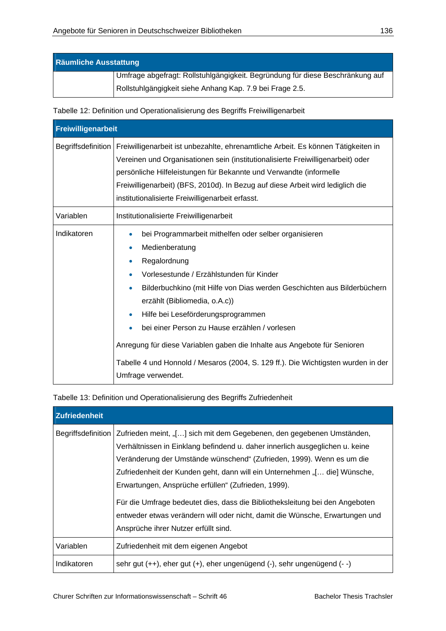| <b>Räumliche Ausstattung</b>                             |                                                                                 |  |  |
|----------------------------------------------------------|---------------------------------------------------------------------------------|--|--|
|                                                          | I Umfrage abgefragt: Rollstuhlgängigkeit. Begründung für diese Beschränkung auf |  |  |
| Rollstuhlgängigkeit siehe Anhang Kap. 7.9 bei Frage 2.5. |                                                                                 |  |  |

Tabelle 12: Definition und Operationalisierung des Begriffs Freiwilligenarbeit

| Freiwilligenarbeit |                                                                                                                                                                                                                                                                                                                                                                                                                                                                                                                                                        |  |  |
|--------------------|--------------------------------------------------------------------------------------------------------------------------------------------------------------------------------------------------------------------------------------------------------------------------------------------------------------------------------------------------------------------------------------------------------------------------------------------------------------------------------------------------------------------------------------------------------|--|--|
| Begriffsdefinition | Freiwilligenarbeit ist unbezahlte, ehrenamtliche Arbeit. Es können Tätigkeiten in<br>Vereinen und Organisationen sein (institutionalisierte Freiwilligenarbeit) oder<br>persönliche Hilfeleistungen für Bekannte und Verwandte (informelle<br>Freiwilligenarbeit) (BFS, 2010d). In Bezug auf diese Arbeit wird lediglich die<br>institutionalisierte Freiwilligenarbeit erfasst.                                                                                                                                                                       |  |  |
| Variablen          | Institutionalisierte Freiwilligenarbeit                                                                                                                                                                                                                                                                                                                                                                                                                                                                                                                |  |  |
| Indikatoren        | bei Programmarbeit mithelfen oder selber organisieren<br>۰<br>Medienberatung<br>۰<br>Regalordnung<br>Vorlesestunde / Erzählstunden für Kinder<br>Bilderbuchkino (mit Hilfe von Dias werden Geschichten aus Bilderbüchern<br>۰<br>erzählt (Bibliomedia, o.A.c))<br>Hilfe bei Leseförderungsprogrammen<br>۰<br>bei einer Person zu Hause erzählen / vorlesen<br>۰<br>Anregung für diese Variablen gaben die Inhalte aus Angebote für Senioren<br>Tabelle 4 und Honnold / Mesaros (2004, S. 129 ff.). Die Wichtigsten wurden in der<br>Umfrage verwendet. |  |  |

Tabelle 13: Definition und Operationalisierung des Begriffs Zufriedenheit

| <b>Zufriedenheit</b> |                                                                                                                                                                                                                                                                                                                                                                                                                                                                                                                                                                                                 |
|----------------------|-------------------------------------------------------------------------------------------------------------------------------------------------------------------------------------------------------------------------------------------------------------------------------------------------------------------------------------------------------------------------------------------------------------------------------------------------------------------------------------------------------------------------------------------------------------------------------------------------|
|                      | Begriffsdefinition   Zufrieden meint, "[] sich mit dem Gegebenen, den gegebenen Umständen,<br>Verhältnissen in Einklang befindend u. daher innerlich ausgeglichen u. keine<br>Veränderung der Umstände wünschend" (Zufrieden, 1999). Wenn es um die<br>Zufriedenheit der Kunden geht, dann will ein Unternehmen "[ die] Wünsche,<br>Erwartungen, Ansprüche erfüllen" (Zufrieden, 1999).<br>Für die Umfrage bedeutet dies, dass die Bibliotheksleitung bei den Angeboten<br>entweder etwas verändern will oder nicht, damit die Wünsche, Erwartungen und<br>Ansprüche ihrer Nutzer erfüllt sind. |
| Variablen            | Zufriedenheit mit dem eigenen Angebot                                                                                                                                                                                                                                                                                                                                                                                                                                                                                                                                                           |
| Indikatoren          | sehr gut (++), eher gut (+), eher ungenügend (-), sehr ungenügend (--)                                                                                                                                                                                                                                                                                                                                                                                                                                                                                                                          |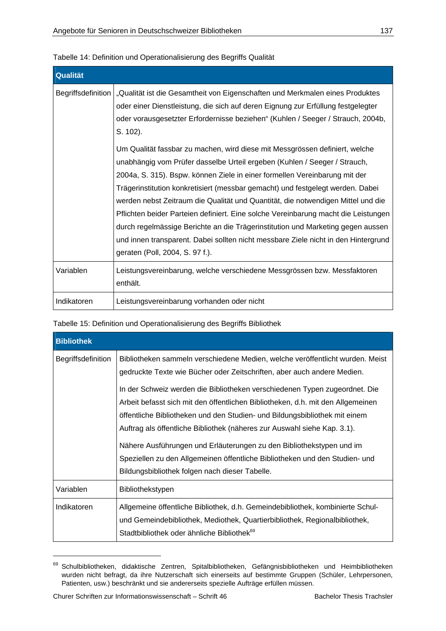| <b>Qualität</b>    |                                                                                                                                                                                                                                                                                                                                                                                                                                                                                                                                                                                                                                                                                                                                                                                                                                                                                                                                                                                   |
|--------------------|-----------------------------------------------------------------------------------------------------------------------------------------------------------------------------------------------------------------------------------------------------------------------------------------------------------------------------------------------------------------------------------------------------------------------------------------------------------------------------------------------------------------------------------------------------------------------------------------------------------------------------------------------------------------------------------------------------------------------------------------------------------------------------------------------------------------------------------------------------------------------------------------------------------------------------------------------------------------------------------|
| Begriffsdefinition | "Qualität ist die Gesamtheit von Eigenschaften und Merkmalen eines Produktes<br>oder einer Dienstleistung, die sich auf deren Eignung zur Erfüllung festgelegter<br>oder vorausgesetzter Erfordernisse beziehen" (Kuhlen / Seeger / Strauch, 2004b,<br>S. 102).<br>Um Qualität fassbar zu machen, wird diese mit Messgrössen definiert, welche<br>unabhängig vom Prüfer dasselbe Urteil ergeben (Kuhlen / Seeger / Strauch,<br>2004a, S. 315). Bspw. können Ziele in einer formellen Vereinbarung mit der<br>Trägerinstitution konkretisiert (messbar gemacht) und festgelegt werden. Dabei<br>werden nebst Zeitraum die Qualität und Quantität, die notwendigen Mittel und die<br>Pflichten beider Parteien definiert. Eine solche Vereinbarung macht die Leistungen<br>durch regelmässige Berichte an die Trägerinstitution und Marketing gegen aussen<br>und innen transparent. Dabei sollten nicht messbare Ziele nicht in den Hintergrund<br>geraten (Poll, 2004, S. 97 f.). |
| Variablen          | Leistungsvereinbarung, welche verschiedene Messgrössen bzw. Messfaktoren<br>enthält.                                                                                                                                                                                                                                                                                                                                                                                                                                                                                                                                                                                                                                                                                                                                                                                                                                                                                              |
| Indikatoren        | Leistungsvereinbarung vorhanden oder nicht                                                                                                                                                                                                                                                                                                                                                                                                                                                                                                                                                                                                                                                                                                                                                                                                                                                                                                                                        |

Tabelle 14: Definition und Operationalisierung des Begriffs Qualität

Tabelle 15: Definition und Operationalisierung des Begriffs Bibliothek

| <b>Bibliothek</b>  |                                                                                                                                                                                                                                                                                                                                                                                                                                                                                                                                                                                                                                            |  |
|--------------------|--------------------------------------------------------------------------------------------------------------------------------------------------------------------------------------------------------------------------------------------------------------------------------------------------------------------------------------------------------------------------------------------------------------------------------------------------------------------------------------------------------------------------------------------------------------------------------------------------------------------------------------------|--|
| Begriffsdefinition | Bibliotheken sammeln verschiedene Medien, welche veröffentlicht wurden. Meist<br>gedruckte Texte wie Bücher oder Zeitschriften, aber auch andere Medien.<br>In der Schweiz werden die Bibliotheken verschiedenen Typen zugeordnet. Die<br>Arbeit befasst sich mit den öffentlichen Bibliotheken, d.h. mit den Allgemeinen<br>öffentliche Bibliotheken und den Studien- und Bildungsbibliothek mit einem<br>Auftrag als öffentliche Bibliothek (näheres zur Auswahl siehe Kap. 3.1).<br>Nähere Ausführungen und Erläuterungen zu den Bibliothekstypen und im<br>Speziellen zu den Allgemeinen öffentliche Bibliotheken und den Studien- und |  |
| Variablen          | Bibliothekstypen                                                                                                                                                                                                                                                                                                                                                                                                                                                                                                                                                                                                                           |  |
| Indikatoren        | Allgemeine öffentliche Bibliothek, d.h. Gemeindebibliothek, kombinierte Schul-<br>und Gemeindebibliothek, Mediothek, Quartierbibliothek, Regionalbibliothek,<br>Stadtbibliothek oder ähnliche Bibliothek <sup>69</sup>                                                                                                                                                                                                                                                                                                                                                                                                                     |  |

<sup>69</sup> Schulbibliotheken, didaktische Zentren, Spitalbibliotheken, Gefängnisbibliotheken und Heimbibliotheken wurden nicht befragt, da ihre Nutzerschaft sich einerseits auf bestimmte Gruppen (Schüler, Lehrpersonen, Patienten, usw.) beschränkt und sie andererseits spezielle Aufträge erfüllen müssen.

 $\overline{a}$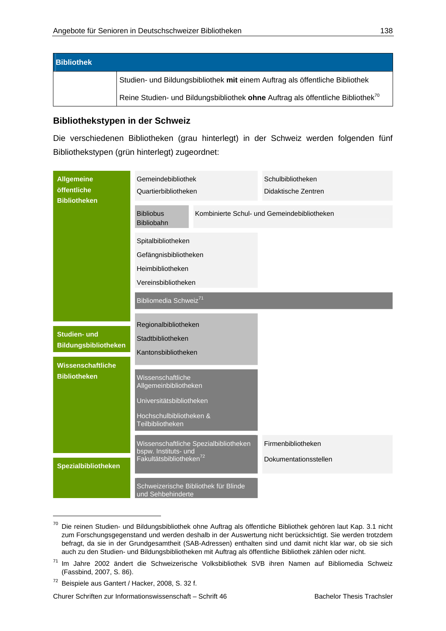| <b>Bibliothek</b> |                                                                                             |
|-------------------|---------------------------------------------------------------------------------------------|
|                   | Studien- und Bildungsbibliothek mit einem Auftrag als öffentliche Bibliothek                |
|                   | Reine Studien- und Bildungsbibliothek ohne Auftrag als öffentliche Bibliothek <sup>70</sup> |

### **Bibliothekstypen in der Schweiz**

Die verschiedenen Bibliotheken (grau hinterlegt) in der Schweiz werden folgenden fünf Bibliothekstypen (grün hinterlegt) zugeordnet:

| <b>Allgemeine</b><br>öffentliche<br><b>Bibliotheken</b> | Gemeindebibliothek<br>Quartierbibliotheken                                                        |                                       | Schulbibliotheken<br>Didaktische Zentren    |  |
|---------------------------------------------------------|---------------------------------------------------------------------------------------------------|---------------------------------------|---------------------------------------------|--|
|                                                         | <b>Bibliobus</b><br>Bibliobahn                                                                    |                                       | Kombinierte Schul- und Gemeindebibliotheken |  |
|                                                         | Spitalbibliotheken<br>Gefängnisbibliotheken                                                       |                                       |                                             |  |
|                                                         | Heimbibliotheken<br>Vereinsbibliotheken                                                           |                                       |                                             |  |
|                                                         | Bibliomedia Schweiz <sup>71</sup>                                                                 |                                       |                                             |  |
| <b>Studien- und</b><br><b>Bildungsbibliotheken</b>      | Regionalbibliotheken<br>Stadtbibliotheken<br>Kantonsbibliotheken                                  |                                       |                                             |  |
| Wissenschaftliche<br><b>Bibliotheken</b>                | Wissenschaftliche<br>Allgemeinbibliotheken<br>Universitätsbibliotheken<br>Hochschulbibliotheken & |                                       |                                             |  |
|                                                         | Teilbibliotheken<br>bspw. Instituts- und<br>Fakultätsbibliotheken <sup>72</sup>                   | Wissenschaftliche Spezialbibliotheken | Firmenbibliotheken<br>Dokumentationsstellen |  |
| <b>Spezialbibliotheken</b>                              | und Sehbehinderte                                                                                 | Schweizerische Bibliothek für Blinde  |                                             |  |

<sup>70</sup> Die reinen Studien- und Bildungsbibliothek ohne Auftrag als öffentliche Bibliothek gehören laut Kap. 3.1 nicht zum Forschungsgegenstand und werden deshalb in der Auswertung nicht berücksichtigt. Sie werden trotzdem befragt, da sie in der Grundgesamtheit (SAB-Adressen) enthalten sind und damit nicht klar war, ob sie sich auch zu den Studien- und Bildungsbibliotheken mit Auftrag als öffentliche Bibliothek zählen oder nicht.

-

Churer Schriften zur Informationswissenschaft – Schrift 46 Bachelor Thesis Trachsler

<sup>71</sup> Im Jahre 2002 ändert die Schweizerische Volksbibliothek SVB ihren Namen auf Bibliomedia Schweiz (Fassbind, 2007, S. 86).

<sup>72</sup> Beispiele aus Gantert / Hacker, 2008, S. 32 f.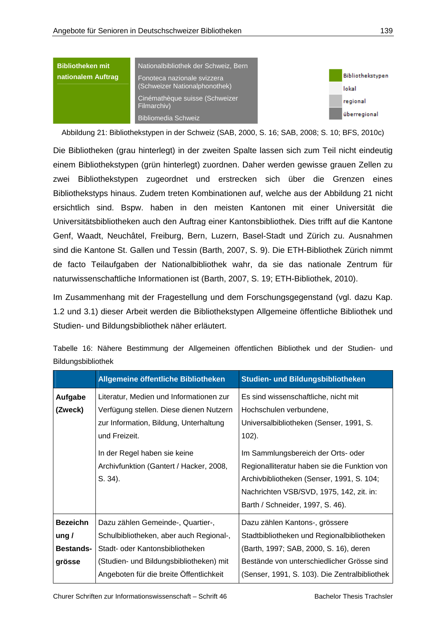| <b>Bibliotheken mit</b> | Nationalbibliothek der Schweiz, Bern          |                  |
|-------------------------|-----------------------------------------------|------------------|
| nationalem Auftrag      | Fonoteca nazionale svizzera                   | Bibliothekstypen |
|                         | (Schweizer Nationalphonothek)                 | lokal            |
|                         | Cinémathèque suisse (Schweizer<br>Filmarchiv) | regional         |
|                         | <b>Bibliomedia Schweiz</b>                    | überregional     |

Abbildung 21: Bibliothekstypen in der Schweiz (SAB, 2000, S. 16; SAB, 2008; S. 10; BFS, 2010c)

Die Bibliotheken (grau hinterlegt) in der zweiten Spalte lassen sich zum Teil nicht eindeutig einem Bibliothekstypen (grün hinterlegt) zuordnen. Daher werden gewisse grauen Zellen zu zwei Bibliothekstypen zugeordnet und erstrecken sich über die Grenzen eines Bibliothekstyps hinaus. Zudem treten Kombinationen auf, welche aus der Abbildung 21 nicht ersichtlich sind. Bspw. haben in den meisten Kantonen mit einer Universität die Universitätsbibliotheken auch den Auftrag einer Kantonsbibliothek. Dies trifft auf die Kantone Genf, Waadt, Neuchâtel, Freiburg, Bern, Luzern, Basel-Stadt und Zürich zu. Ausnahmen sind die Kantone St. Gallen und Tessin (Barth, 2007, S. 9). Die ETH-Bibliothek Zürich nimmt de facto Teilaufgaben der Nationalbibliothek wahr, da sie das nationale Zentrum für naturwissenschaftliche Informationen ist (Barth, 2007, S. 19; ETH-Bibliothek, 2010).

Im Zusammenhang mit der Fragestellung und dem Forschungsgegenstand (vgl. dazu Kap. 1.2 und 3.1) dieser Arbeit werden die Bibliothekstypen Allgemeine öffentliche Bibliothek und Studien- und Bildungsbibliothek näher erläutert.

|                                                               | Allgemeine öffentliche Bibliotheken                                                                                                                                                                                                    | Studien- und Bildungsbibliotheken                                                                                                                                                                                                                                                                                                         |
|---------------------------------------------------------------|----------------------------------------------------------------------------------------------------------------------------------------------------------------------------------------------------------------------------------------|-------------------------------------------------------------------------------------------------------------------------------------------------------------------------------------------------------------------------------------------------------------------------------------------------------------------------------------------|
| Aufgabe<br>(Zweck)                                            | Literatur, Medien und Informationen zur<br>Verfügung stellen. Diese dienen Nutzern<br>zur Information, Bildung, Unterhaltung<br>und Freizeit.<br>In der Regel haben sie keine<br>Archivfunktion (Gantert / Hacker, 2008,<br>$S. 34$ ). | Es sind wissenschaftliche, nicht mit<br>Hochschulen verbundene,<br>Universalbibliotheken (Senser, 1991, S.<br>$102$ ).<br>Im Sammlungsbereich der Orts- oder<br>Regionalliteratur haben sie die Funktion von<br>Archivbibliotheken (Senser, 1991, S. 104;<br>Nachrichten VSB/SVD, 1975, 142, zit. in:<br>Barth / Schneider, 1997, S. 46). |
| <b>Bezeichn</b><br>ung $\prime$<br><b>Bestands-</b><br>grösse | Dazu zählen Gemeinde-, Quartier-,<br>Schulbibliotheken, aber auch Regional-,<br>Stadt- oder Kantonsbibliotheken<br>(Studien- und Bildungsbibliotheken) mit<br>Angeboten für die breite Öffentlichkeit                                  | Dazu zählen Kantons-, grössere<br>Stadtbibliotheken und Regionalbibliotheken<br>(Barth, 1997; SAB, 2000, S. 16), deren<br>Bestände von unterschiedlicher Grösse sind<br>(Senser, 1991, S. 103). Die Zentralbibliothek                                                                                                                     |

Tabelle 16: Nähere Bestimmung der Allgemeinen öffentlichen Bibliothek und der Studien- und Bildungsbibliothek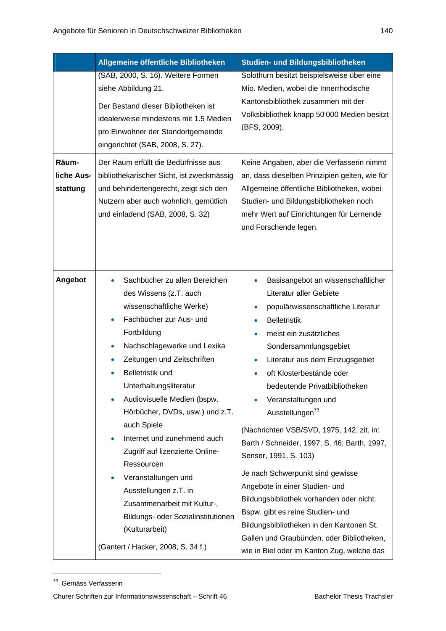|                                 | Allgemeine öffentliche Bibliotheken                                                                                                                                                                                                                                                                                                                                                                                                                                                                                                                                                                                                | Studien- und Bildungsbibliotheken                                                                                                                                                                                                                                                                                                                                                                                                                                                                                                                                                                                                                                                                                                                                                |
|---------------------------------|------------------------------------------------------------------------------------------------------------------------------------------------------------------------------------------------------------------------------------------------------------------------------------------------------------------------------------------------------------------------------------------------------------------------------------------------------------------------------------------------------------------------------------------------------------------------------------------------------------------------------------|----------------------------------------------------------------------------------------------------------------------------------------------------------------------------------------------------------------------------------------------------------------------------------------------------------------------------------------------------------------------------------------------------------------------------------------------------------------------------------------------------------------------------------------------------------------------------------------------------------------------------------------------------------------------------------------------------------------------------------------------------------------------------------|
|                                 | (SAB, 2000, S. 16). Weitere Formen<br>siehe Abbildung 21.<br>Der Bestand dieser Bibliotheken ist<br>idealerweise mindestens mit 1.5 Medien<br>pro Einwohner der Standortgemeinde<br>eingerichtet (SAB, 2008, S. 27).                                                                                                                                                                                                                                                                                                                                                                                                               | Solothurn besitzt beispielsweise über eine<br>Mio. Medien, wobei die Innerrhodische<br>Kantonsbibliothek zusammen mit der<br>Volksbibliothek knapp 50'000 Medien besitzt<br>(BFS, 2009).                                                                                                                                                                                                                                                                                                                                                                                                                                                                                                                                                                                         |
| Räum-<br>liche Aus-<br>stattung | Der Raum erfüllt die Bedürfnisse aus<br>bibliothekarischer Sicht, ist zweckmässig<br>und behindertengerecht, zeigt sich den<br>Nutzern aber auch wohnlich, gemütlich<br>und einladend (SAB, 2008, S. 32)                                                                                                                                                                                                                                                                                                                                                                                                                           | Keine Angaben, aber die Verfasserin nimmt<br>an, dass dieselben Prinzipien gelten, wie für<br>Allgemeine öffentliche Bibliotheken, wobei<br>Studien- und Bildungsbibliotheken noch<br>mehr Wert auf Einrichtungen für Lernende<br>und Forschende legen.                                                                                                                                                                                                                                                                                                                                                                                                                                                                                                                          |
| Angebot                         | Sachbücher zu allen Bereichen<br>۰<br>des Wissens (z.T. auch<br>wissenschaftliche Werke)<br>Fachbücher zur Aus- und<br>Fortbildung<br>Nachschlagewerke und Lexika<br>$\bullet$<br>Zeitungen und Zeitschriften<br>$\bullet$<br><b>Belletristik und</b><br>Unterhaltungsliteratur<br>Audiovisuelle Medien (bspw.<br>Hörbücher, DVDs, usw.) und z.T.<br>auch Spiele<br>Internet und zunehmend auch<br>۰<br>Zugriff auf lizenzierte Online-<br>Ressourcen<br>Veranstaltungen und<br>Ausstellungen z.T. in<br>Zusammenarbeit mit Kultur-,<br>Bildungs- oder Sozialinstitutionen<br>(Kulturarbeit)<br>(Gantert / Hacker, 2008, S. 34 f.) | Basisangebot an wissenschaftlicher<br>$\bullet$<br>Literatur aller Gebiete<br>populärwissenschaftliche Literatur<br><b>Belletristik</b><br>meist ein zusätzliches<br>Sondersammlungsgebiet<br>Literatur aus dem Einzugsgebiet<br>$\bullet$<br>oft Klosterbestände oder<br>bedeutende Privatbibliotheken<br>Veranstaltungen und<br>Ausstellungen <sup>73</sup><br>(Nachrichten VSB/SVD, 1975, 142, zit. in:<br>Barth / Schneider, 1997, S. 46; Barth, 1997,<br>Senser, 1991, S. 103)<br>Je nach Schwerpunkt sind gewisse<br>Angebote in einer Studien- und<br>Bildungsbibliothek vorhanden oder nicht.<br>Bspw. gibt es reine Studien- und<br>Bildungsbibliotheken in den Kantonen St.<br>Gallen und Graubünden, oder Bibliotheken,<br>wie in Biel oder im Kanton Zug, welche das |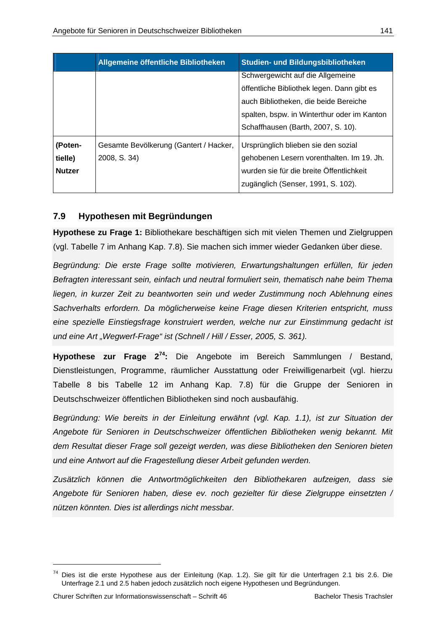|                                     | Allgemeine öffentliche Bibliotheken                    | Studien- und Bildungsbibliotheken                                                                                                                                                                            |
|-------------------------------------|--------------------------------------------------------|--------------------------------------------------------------------------------------------------------------------------------------------------------------------------------------------------------------|
|                                     |                                                        | Schwergewicht auf die Allgemeine<br>öffentliche Bibliothek legen. Dann gibt es<br>auch Bibliotheken, die beide Bereiche<br>spalten, bspw. in Winterthur oder im Kanton<br>Schaffhausen (Barth, 2007, S. 10). |
| (Poten-<br>tielle)<br><b>Nutzer</b> | Gesamte Bevölkerung (Gantert / Hacker,<br>2008, S. 34) | Ursprünglich blieben sie den sozial<br>gehobenen Lesern vorenthalten. Im 19. Jh.<br>wurden sie für die breite Öffentlichkeit<br>zugänglich (Senser, 1991, S. 102).                                           |

## **7.9 Hypothesen mit Begründungen**

**Hypothese zu Frage 1:** Bibliothekare beschäftigen sich mit vielen Themen und Zielgruppen (vgl. Tabelle 7 im Anhang Kap. 7.8). Sie machen sich immer wieder Gedanken über diese.

*Begründung: Die erste Frage sollte motivieren, Erwartungshaltungen erfüllen, für jeden Befragten interessant sein, einfach und neutral formuliert sein, thematisch nahe beim Thema liegen, in kurzer Zeit zu beantworten sein und weder Zustimmung noch Ablehnung eines Sachverhalts erfordern. Da möglicherweise keine Frage diesen Kriterien entspricht, muss eine spezielle Einstiegsfrage konstruiert werden, welche nur zur Einstimmung gedacht ist*  und eine Art "Wegwerf-Frage" ist (Schnell / Hill / Esser, 2005, S. 361).

**Hypothese zur Frage 274:** Die Angebote im Bereich Sammlungen / Bestand, Dienstleistungen, Programme, räumlicher Ausstattung oder Freiwilligenarbeit (vgl. hierzu Tabelle 8 bis Tabelle 12 im Anhang Kap. 7.8) für die Gruppe der Senioren in Deutschschweizer öffentlichen Bibliotheken sind noch ausbaufähig.

*Begründung: Wie bereits in der Einleitung erwähnt (vgl. Kap. 1.1), ist zur Situation der Angebote für Senioren in Deutschschweizer öffentlichen Bibliotheken wenig bekannt. Mit dem Resultat dieser Frage soll gezeigt werden, was diese Bibliotheken den Senioren bieten und eine Antwort auf die Fragestellung dieser Arbeit gefunden werden.* 

*Zusätzlich können die Antwortmöglichkeiten den Bibliothekaren aufzeigen, dass sie Angebote für Senioren haben, diese ev. noch gezielter für diese Zielgruppe einsetzten / nützen könnten. Dies ist allerdings nicht messbar.* 

<sup>&</sup>lt;sup>74</sup> Dies ist die erste Hypothese aus der Einleitung (Kap. 1.2). Sie gilt für die Unterfragen 2.1 bis 2.6. Die Unterfrage 2.1 und 2.5 haben jedoch zusätzlich noch eigene Hypothesen und Begründungen.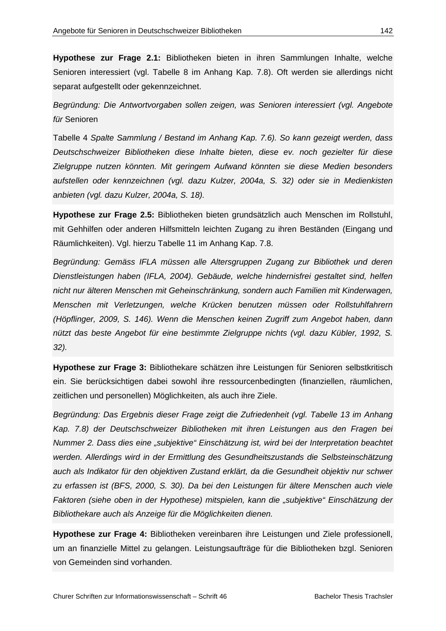**Hypothese zur Frage 2.1:** Bibliotheken bieten in ihren Sammlungen Inhalte, welche Senioren interessiert (vgl. Tabelle 8 im Anhang Kap. 7.8). Oft werden sie allerdings nicht separat aufgestellt oder gekennzeichnet.

*Begründung: Die Antwortvorgaben sollen zeigen, was Senioren interessiert (vgl. Angebote für* Senioren

Tabelle 4 *Spalte Sammlung / Bestand im Anhang Kap. 7.6). So kann gezeigt werden, dass Deutschschweizer Bibliotheken diese Inhalte bieten, diese ev. noch gezielter für diese Zielgruppe nutzen könnten. Mit geringem Aufwand könnten sie diese Medien besonders aufstellen oder kennzeichnen (vgl. dazu Kulzer, 2004a, S. 32) oder sie in Medienkisten anbieten (vgl. dazu Kulzer, 2004a, S. 18).* 

**Hypothese zur Frage 2.5:** Bibliotheken bieten grundsätzlich auch Menschen im Rollstuhl, mit Gehhilfen oder anderen Hilfsmitteln leichten Zugang zu ihren Beständen (Eingang und Räumlichkeiten). Vgl. hierzu Tabelle 11 im Anhang Kap. 7.8.

*Begründung: Gemäss IFLA müssen alle Altersgruppen Zugang zur Bibliothek und deren Dienstleistungen haben (IFLA, 2004). Gebäude, welche hindernisfrei gestaltet sind, helfen nicht nur älteren Menschen mit Geheinschränkung, sondern auch Familien mit Kinderwagen, Menschen mit Verletzungen, welche Krücken benutzen müssen oder Rollstuhlfahrern (Höpflinger, 2009, S. 146). Wenn die Menschen keinen Zugriff zum Angebot haben, dann nützt das beste Angebot für eine bestimmte Zielgruppe nichts (vgl. dazu Kübler, 1992, S. 32).* 

**Hypothese zur Frage 3:** Bibliothekare schätzen ihre Leistungen für Senioren selbstkritisch ein. Sie berücksichtigen dabei sowohl ihre ressourcenbedingten (finanziellen, räumlichen, zeitlichen und personellen) Möglichkeiten, als auch ihre Ziele.

*Begründung: Das Ergebnis dieser Frage zeigt die Zufriedenheit (vgl. Tabelle 13 im Anhang Kap. 7.8) der Deutschschweizer Bibliotheken mit ihren Leistungen aus den Fragen bei Nummer 2. Dass dies eine "subjektive" Einschätzung ist, wird bei der Interpretation beachtet werden. Allerdings wird in der Ermittlung des Gesundheitszustands die Selbsteinschätzung auch als Indikator für den objektiven Zustand erklärt, da die Gesundheit objektiv nur schwer zu erfassen ist (BFS, 2000, S. 30). Da bei den Leistungen für ältere Menschen auch viele Faktoren (siehe oben in der Hypothese) mitspielen, kann die "subjektive" Einschätzung der Bibliothekare auch als Anzeige für die Möglichkeiten dienen.* 

**Hypothese zur Frage 4:** Bibliotheken vereinbaren ihre Leistungen und Ziele professionell, um an finanzielle Mittel zu gelangen. Leistungsaufträge für die Bibliotheken bzgl. Senioren von Gemeinden sind vorhanden.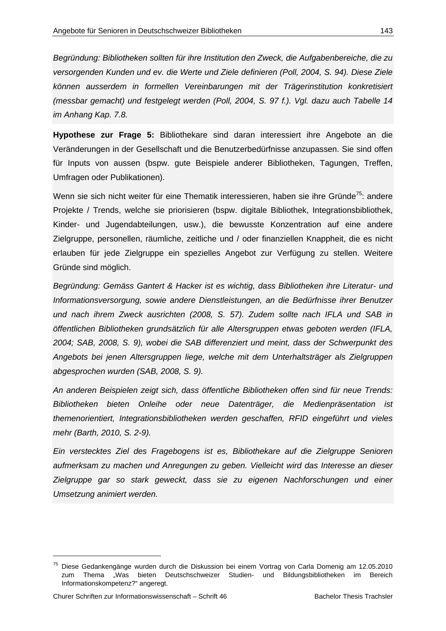*Begründung: Bibliotheken sollten für ihre Institution den Zweck, die Aufgabenbereiche, die zu versorgenden Kunden und ev. die Werte und Ziele definieren (Poll, 2004, S. 94). Diese Ziele können ausserdem in formellen Vereinbarungen mit der Trägerinstitution konkretisiert (messbar gemacht) und festgelegt werden (Poll, 2004, S. 97 f.). Vgl. dazu auch Tabelle 14 im Anhang Kap. 7.8.* 

**Hypothese zur Frage 5:** Bibliothekare sind daran interessiert ihre Angebote an die Veränderungen in der Gesellschaft und die Benutzerbedürfnisse anzupassen. Sie sind offen für Inputs von aussen (bspw. gute Beispiele anderer Bibliotheken, Tagungen, Treffen, Umfragen oder Publikationen).

Wenn sie sich nicht weiter für eine Thematik interessieren, haben sie ihre Gründe<sup>75</sup>; andere Projekte / Trends, welche sie priorisieren (bspw. digitale Bibliothek, Integrationsbibliothek, Kinder- und Jugendabteilungen, usw.), die bewusste Konzentration auf eine andere Zielgruppe, personellen, räumliche, zeitliche und / oder finanziellen Knappheit, die es nicht erlauben für jede Zielgruppe ein spezielles Angebot zur Verfügung zu stellen. Weitere Gründe sind möglich.

*Begründung: Gemäss Gantert & Hacker ist es wichtig, dass Bibliotheken ihre Literatur- und Informationsversorgung, sowie andere Dienstleistungen, an die Bedürfnisse ihrer Benutzer und nach ihrem Zweck ausrichten (2008, S. 57). Zudem sollte nach IFLA und SAB in öffentlichen Bibliotheken grundsätzlich für alle Altersgruppen etwas geboten werden (IFLA, 2004; SAB, 2008, S. 9), wobei die SAB differenziert und meint, dass der Schwerpunkt des Angebots bei jenen Altersgruppen liege, welche mit dem Unterhaltsträger als Zielgruppen abgesprochen wurden (SAB, 2008, S. 9).* 

*An anderen Beispielen zeigt sich, dass öffentliche Bibliotheken offen sind für neue Trends: Bibliotheken bieten Onleihe oder neue Datenträger, die Medienpräsentation ist themenorientiert, Integrationsbibliotheken werden geschaffen, RFID eingeführt und vieles mehr (Barth, 2010, S. 2-9).* 

*Ein verstecktes Ziel des Fragebogens ist es, Bibliothekare auf die Zielgruppe Senioren aufmerksam zu machen und Anregungen zu geben. Vielleicht wird das Interesse an dieser*  Zielgruppe gar so stark geweckt, dass sie zu eigenen Nachforschungen und einer *Umsetzung animiert werden.* 

 $\overline{a}$ 

<sup>75</sup> Diese Gedankengänge wurden durch die Diskussion bei einem Vortrag von Carla Domenig am 12.05.2010 zum Thema "Was bieten Deutschschweizer Studien- und Bildungsbibliotheken im Bereich Informationskompetenz?" angeregt.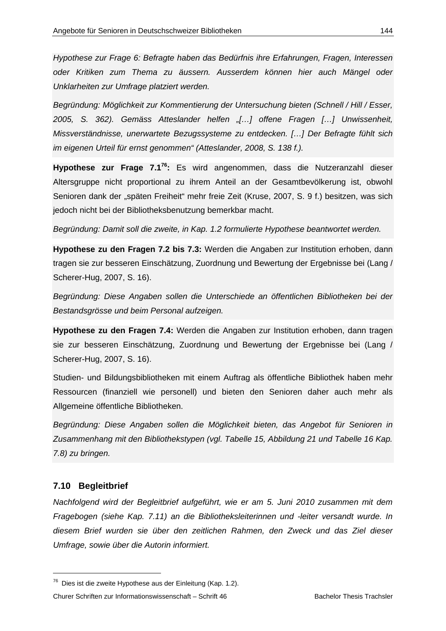*Hypothese zur Frage 6: Befragte haben das Bedürfnis ihre Erfahrungen, Fragen, Interessen oder Kritiken zum Thema zu äussern. Ausserdem können hier auch Mängel oder Unklarheiten zur Umfrage platziert werden.* 

*Begründung: Möglichkeit zur Kommentierung der Untersuchung bieten (Schnell / Hill / Esser, 2005, S. 362). Gemäss Atteslander helfen "[…] offene Fragen […] Unwissenheit, Missverständnisse, unerwartete Bezugssysteme zu entdecken. […] Der Befragte fühlt sich im eigenen Urteil für ernst genommen" (Atteslander, 2008, S. 138 f.).* 

**Hypothese zur Frage 7.176:** Es wird angenommen, dass die Nutzeranzahl dieser Altersgruppe nicht proportional zu ihrem Anteil an der Gesamtbevölkerung ist, obwohl Senioren dank der "späten Freiheit" mehr freie Zeit (Kruse, 2007, S. 9 f.) besitzen, was sich jedoch nicht bei der Bibliotheksbenutzung bemerkbar macht.

*Begründung: Damit soll die zweite, in Kap. 1.2 formulierte Hypothese beantwortet werden.* 

**Hypothese zu den Fragen 7.2 bis 7.3:** Werden die Angaben zur Institution erhoben, dann tragen sie zur besseren Einschätzung, Zuordnung und Bewertung der Ergebnisse bei (Lang / Scherer-Hug, 2007, S. 16).

*Begründung: Diese Angaben sollen die Unterschiede an öffentlichen Bibliotheken bei der Bestandsgrösse und beim Personal aufzeigen.* 

**Hypothese zu den Fragen 7.4:** Werden die Angaben zur Institution erhoben, dann tragen sie zur besseren Einschätzung, Zuordnung und Bewertung der Ergebnisse bei (Lang / Scherer-Hug, 2007, S. 16).

Studien- und Bildungsbibliotheken mit einem Auftrag als öffentliche Bibliothek haben mehr Ressourcen (finanziell wie personell) und bieten den Senioren daher auch mehr als Allgemeine öffentliche Bibliotheken.

*Begründung: Diese Angaben sollen die Möglichkeit bieten, das Angebot für Senioren in Zusammenhang mit den Bibliothekstypen (vgl. Tabelle 15, Abbildung 21 und Tabelle 16 Kap. 7.8) zu bringen.* 

#### **7.10 Begleitbrief**

-

*Nachfolgend wird der Begleitbrief aufgeführt, wie er am 5. Juni 2010 zusammen mit dem Fragebogen (siehe Kap. 7.11) an die Bibliotheksleiterinnen und -leiter versandt wurde. In diesem Brief wurden sie über den zeitlichen Rahmen, den Zweck und das Ziel dieser Umfrage, sowie über die Autorin informiert.* 

<sup>76</sup> Dies ist die zweite Hypothese aus der Einleitung (Kap. 1.2).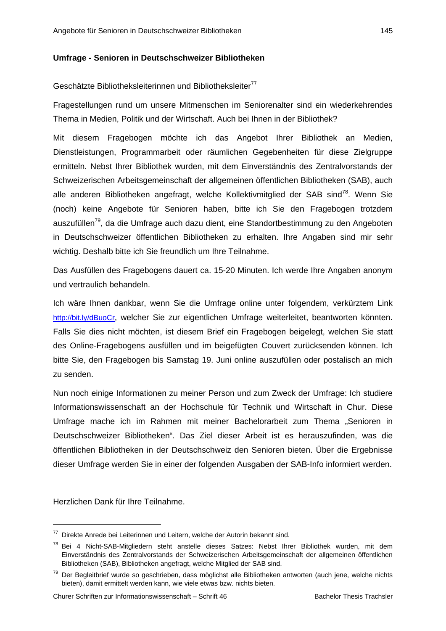# **Umfrage - Senioren in Deutschschweizer Bibliotheken**

## Geschätzte Bibliotheksleiterinnen und Bibliotheksleiter<sup>77</sup>

Fragestellungen rund um unsere Mitmenschen im Seniorenalter sind ein wiederkehrendes Thema in Medien, Politik und der Wirtschaft. Auch bei Ihnen in der Bibliothek?

Mit diesem Fragebogen möchte ich das Angebot Ihrer Bibliothek an Medien, Dienstleistungen, Programmarbeit oder räumlichen Gegebenheiten für diese Zielgruppe ermitteln. Nebst Ihrer Bibliothek wurden, mit dem Einverständnis des Zentralvorstands der Schweizerischen Arbeitsgemeinschaft der allgemeinen öffentlichen Bibliotheken (SAB), auch alle anderen Bibliotheken angefragt, welche Kollektivmitglied der SAB sind<sup>78</sup>. Wenn Sie (noch) keine Angebote für Senioren haben, bitte ich Sie den Fragebogen trotzdem auszufüllen<sup>79</sup>, da die Umfrage auch dazu dient, eine Standortbestimmung zu den Angeboten in Deutschschweizer öffentlichen Bibliotheken zu erhalten. Ihre Angaben sind mir sehr wichtig. Deshalb bitte ich Sie freundlich um Ihre Teilnahme.

Das Ausfüllen des Fragebogens dauert ca. 15-20 Minuten. Ich werde Ihre Angaben anonym und vertraulich behandeln.

Ich wäre Ihnen dankbar, wenn Sie die Umfrage online unter folgendem, verkürztem Link http://bit.ly/dBuoCr, welcher Sie zur eigentlichen Umfrage weiterleitet, beantworten könnten. Falls Sie dies nicht möchten, ist diesem Brief ein Fragebogen beigelegt, welchen Sie statt des Online-Fragebogens ausfüllen und im beigefügten Couvert zurücksenden können. Ich bitte Sie, den Fragebogen bis Samstag 19. Juni online auszufüllen oder postalisch an mich zu senden.

Nun noch einige Informationen zu meiner Person und zum Zweck der Umfrage: Ich studiere Informationswissenschaft an der Hochschule für Technik und Wirtschaft in Chur. Diese Umfrage mache ich im Rahmen mit meiner Bachelorarbeit zum Thema "Senioren in Deutschschweizer Bibliotheken". Das Ziel dieser Arbeit ist es herauszufinden, was die öffentlichen Bibliotheken in der Deutschschweiz den Senioren bieten. Über die Ergebnisse dieser Umfrage werden Sie in einer der folgenden Ausgaben der SAB-Info informiert werden.

Herzlichen Dank für Ihre Teilnahme.

-

<sup>77</sup> Direkte Anrede bei Leiterinnen und Leitern, welche der Autorin bekannt sind.

<sup>78</sup> Bei 4 Nicht-SAB-Mitgliedern steht anstelle dieses Satzes: Nebst Ihrer Bibliothek wurden, mit dem Einverständnis des Zentralvorstands der Schweizerischen Arbeitsgemeinschaft der allgemeinen öffentlichen Bibliotheken (SAB), Bibliotheken angefragt, welche Mitglied der SAB sind.

<sup>&</sup>lt;sup>79</sup> Der Begleitbrief wurde so geschrieben, dass möglichst alle Bibliotheken antworten (auch jene, welche nichts bieten), damit ermittelt werden kann, wie viele etwas bzw. nichts bieten.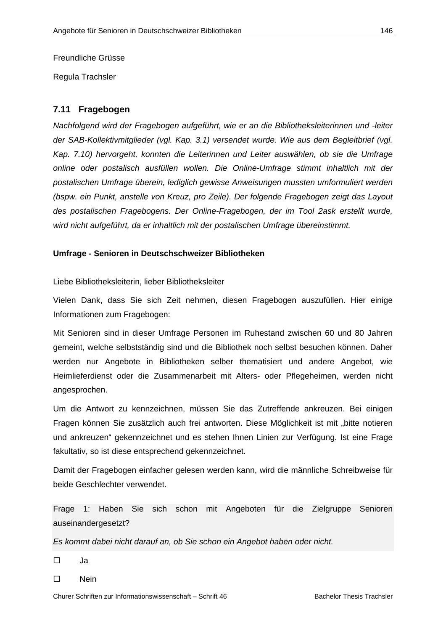Freundliche Grüsse

Regula Trachsler

# **7.11 Fragebogen**

*Nachfolgend wird der Fragebogen aufgeführt, wie er an die Bibliotheksleiterinnen und -leiter der SAB-Kollektivmitglieder (vgl. Kap. 3.1) versendet wurde. Wie aus dem Begleitbrief (vgl. Kap. 7.10) hervorgeht, konnten die Leiterinnen und Leiter auswählen, ob sie die Umfrage online oder postalisch ausfüllen wollen. Die Online-Umfrage stimmt inhaltlich mit der postalischen Umfrage überein, lediglich gewisse Anweisungen mussten umformuliert werden (bspw. ein Punkt, anstelle von Kreuz, pro Zeile). Der folgende Fragebogen zeigt das Layout des postalischen Fragebogens. Der Online-Fragebogen, der im Tool 2ask erstellt wurde, wird nicht aufgeführt, da er inhaltlich mit der postalischen Umfrage übereinstimmt.* 

# **Umfrage - Senioren in Deutschschweizer Bibliotheken**

Liebe Bibliotheksleiterin, lieber Bibliotheksleiter

Vielen Dank, dass Sie sich Zeit nehmen, diesen Fragebogen auszufüllen. Hier einige Informationen zum Fragebogen:

Mit Senioren sind in dieser Umfrage Personen im Ruhestand zwischen 60 und 80 Jahren gemeint, welche selbstständig sind und die Bibliothek noch selbst besuchen können. Daher werden nur Angebote in Bibliotheken selber thematisiert und andere Angebot, wie Heimlieferdienst oder die Zusammenarbeit mit Alters- oder Pflegeheimen, werden nicht angesprochen.

Um die Antwort zu kennzeichnen, müssen Sie das Zutreffende ankreuzen. Bei einigen Fragen können Sie zusätzlich auch frei antworten. Diese Möglichkeit ist mit "bitte notieren und ankreuzen" gekennzeichnet und es stehen Ihnen Linien zur Verfügung. Ist eine Frage fakultativ, so ist diese entsprechend gekennzeichnet.

Damit der Fragebogen einfacher gelesen werden kann, wird die männliche Schreibweise für beide Geschlechter verwendet.

Frage 1: Haben Sie sich schon mit Angeboten für die Zielgruppe Senioren auseinandergesetzt?

*Es kommt dabei nicht darauf an, ob Sie schon ein Angebot haben oder nicht.*

Ja

□ Nein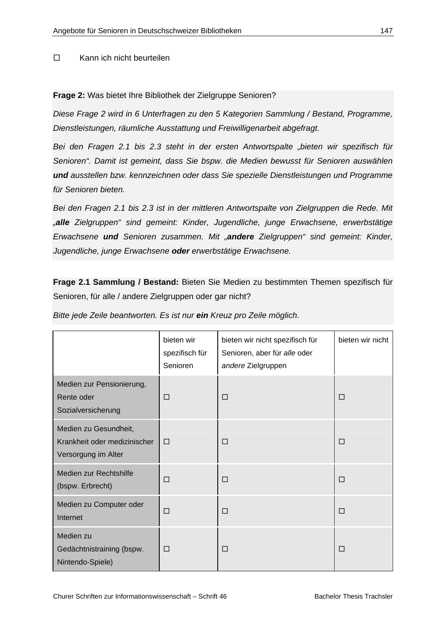# Kann ich nicht beurteilen

# **Frage 2:** Was bietet Ihre Bibliothek der Zielgruppe Senioren?

*Diese Frage 2 wird in 6 Unterfragen zu den 5 Kategorien Sammlung / Bestand, Programme, Dienstleistungen, räumliche Ausstattung und Freiwilligenarbeit abgefragt.* 

*Bei den Fragen 2.1 bis 2.3 steht in der ersten Antwortspalte "bieten wir spezifisch für Senioren". Damit ist gemeint, dass Sie bspw. die Medien bewusst für Senioren auswählen und ausstellen bzw. kennzeichnen oder dass Sie spezielle Dienstleistungen und Programme für Senioren bieten.* 

*Bei den Fragen 2.1 bis 2.3 ist in der mittleren Antwortspalte von Zielgruppen die Rede. Mit "alle Zielgruppen" sind gemeint: Kinder, Jugendliche, junge Erwachsene, erwerbstätige Erwachsene und Senioren zusammen. Mit "andere Zielgruppen" sind gemeint: Kinder, Jugendliche, junge Erwachsene oder erwerbstätige Erwachsene.* 

**Frage 2.1 Sammlung / Bestand:** Bieten Sie Medien zu bestimmten Themen spezifisch für Senioren, für alle / andere Zielgruppen oder gar nicht?

|  |  |  | Bitte jede Zeile beantworten. Es ist nur ein Kreuz pro Zeile möglich. |
|--|--|--|-----------------------------------------------------------------------|
|--|--|--|-----------------------------------------------------------------------|

|                                                                              | bieten wir<br>spezifisch für<br>Senioren | bieten wir nicht spezifisch für<br>Senioren, aber für alle oder<br>andere Zielgruppen | bieten wir nicht |
|------------------------------------------------------------------------------|------------------------------------------|---------------------------------------------------------------------------------------|------------------|
| Medien zur Pensionierung,<br>Rente oder<br>Sozialversicherung                | □                                        | $\Box$                                                                                | $\Box$           |
| Medien zu Gesundheit,<br>Krankheit oder medizinischer<br>Versorgung im Alter | $\Box$                                   | $\Box$                                                                                | $\Box$           |
| Medien zur Rechtshilfe<br>(bspw. Erbrecht)                                   | П                                        | $\Box$                                                                                | $\Box$           |
| Medien zu Computer oder<br>Internet                                          | $\Box$                                   | $\Box$                                                                                | $\Box$           |
| Medien zu<br>Gedächtnistraining (bspw.<br>Nintendo-Spiele)                   | П                                        | $\Box$                                                                                | $\Box$           |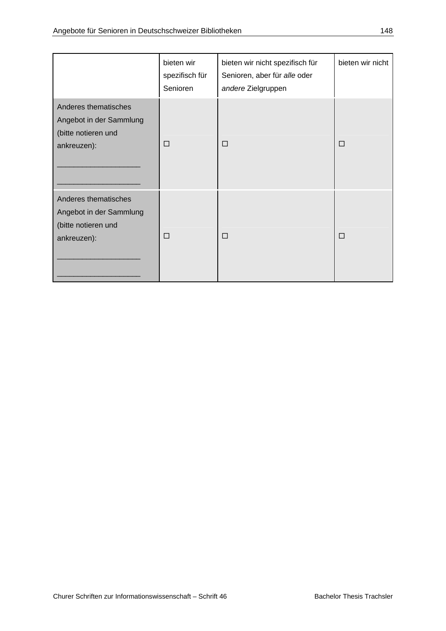|                                                                                       | bieten wir<br>spezifisch für<br>Senioren | bieten wir nicht spezifisch für<br>Senioren, aber für alle oder<br>andere Zielgruppen | bieten wir nicht |
|---------------------------------------------------------------------------------------|------------------------------------------|---------------------------------------------------------------------------------------|------------------|
| Anderes thematisches<br>Angebot in der Sammlung<br>(bitte notieren und<br>ankreuzen): | $\Box$                                   | $\Box$                                                                                | □                |
| Anderes thematisches<br>Angebot in der Sammlung<br>(bitte notieren und<br>ankreuzen): | П                                        | $\Box$                                                                                | □                |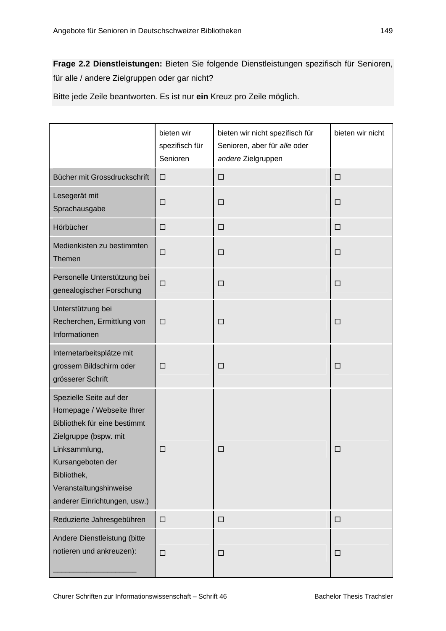**Frage 2.2 Dienstleistungen:** Bieten Sie folgende Dienstleistungen spezifisch für Senioren, für alle / andere Zielgruppen oder gar nicht?

Bitte jede Zeile beantworten. Es ist nur **ein** Kreuz pro Zeile möglich.

|                                                                                                                                                                                                                              | bieten wir<br>spezifisch für<br>Senioren | bieten wir nicht spezifisch für<br>Senioren, aber für alle oder<br>andere Zielgruppen | bieten wir nicht |
|------------------------------------------------------------------------------------------------------------------------------------------------------------------------------------------------------------------------------|------------------------------------------|---------------------------------------------------------------------------------------|------------------|
| Bücher mit Grossdruckschrift                                                                                                                                                                                                 | $\Box$                                   | $\Box$                                                                                | $\Box$           |
| Lesegerät mit<br>Sprachausgabe                                                                                                                                                                                               | □                                        | $\Box$                                                                                | $\Box$           |
| Hörbücher                                                                                                                                                                                                                    | $\Box$                                   | $\Box$                                                                                | $\Box$           |
| Medienkisten zu bestimmten<br>Themen                                                                                                                                                                                         | $\Box$                                   | $\Box$                                                                                | $\Box$           |
| Personelle Unterstützung bei<br>genealogischer Forschung                                                                                                                                                                     | $\Box$                                   | $\Box$                                                                                | $\Box$           |
| Unterstützung bei<br>Recherchen, Ermittlung von<br>Informationen                                                                                                                                                             | $\Box$                                   | $\Box$                                                                                | $\Box$           |
| Internetarbeitsplätze mit<br>grossem Bildschirm oder<br>grösserer Schrift                                                                                                                                                    | $\Box$                                   | □                                                                                     | $\Box$           |
| Spezielle Seite auf der<br>Homepage / Webseite Ihrer<br>Bibliothek für eine bestimmt<br>Zielgruppe (bspw. mit<br>Linksammlung,<br>Kursangeboten der<br>Bibliothek,<br>Veranstaltungshinweise<br>anderer Einrichtungen, usw.) | □                                        | □                                                                                     | □                |
| Reduzierte Jahresgebühren                                                                                                                                                                                                    | $\Box$                                   | $\Box$                                                                                | $\Box$           |
| Andere Dienstleistung (bitte<br>notieren und ankreuzen):                                                                                                                                                                     | $\Box$                                   | $\Box$                                                                                | $\Box$           |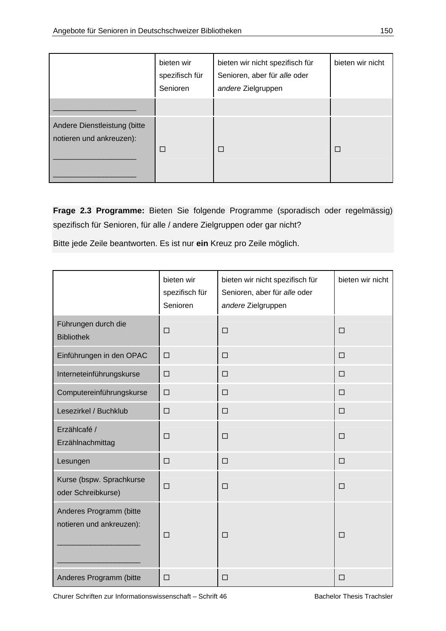|                                                          | bieten wir<br>spezifisch für<br>Senioren | bieten wir nicht spezifisch für<br>Senioren, aber für alle oder<br>andere Zielgruppen | bieten wir nicht |
|----------------------------------------------------------|------------------------------------------|---------------------------------------------------------------------------------------|------------------|
|                                                          |                                          |                                                                                       |                  |
| Andere Dienstleistung (bitte<br>notieren und ankreuzen): | П                                        | П                                                                                     | П                |

**Frage 2.3 Programme:** Bieten Sie folgende Programme (sporadisch oder regelmässig) spezifisch für Senioren, für alle / andere Zielgruppen oder gar nicht?

Bitte jede Zeile beantworten. Es ist nur **ein** Kreuz pro Zeile möglich.

|                                                     | bieten wir<br>spezifisch für<br>Senioren | bieten wir nicht spezifisch für<br>Senioren, aber für alle oder<br>andere Zielgruppen | bieten wir nicht |
|-----------------------------------------------------|------------------------------------------|---------------------------------------------------------------------------------------|------------------|
| Führungen durch die<br><b>Bibliothek</b>            | $\Box$                                   | $\Box$                                                                                | $\Box$           |
| Einführungen in den OPAC                            | $\Box$                                   | $\Box$                                                                                | $\Box$           |
| Interneteinführungskurse                            | $\Box$                                   | $\Box$                                                                                | $\Box$           |
| Computereinführungskurse                            | $\Box$                                   | $\Box$                                                                                | $\Box$           |
| Lesezirkel / Buchklub                               | $\Box$                                   | $\Box$                                                                                | $\Box$           |
| Erzählcafé /<br>Erzählnachmittag                    | $\Box$                                   | $\Box$                                                                                | $\Box$           |
| Lesungen                                            | $\Box$                                   | $\Box$                                                                                | $\Box$           |
| Kurse (bspw. Sprachkurse<br>oder Schreibkurse)      | $\Box$                                   | □                                                                                     | $\Box$           |
| Anderes Programm (bitte<br>notieren und ankreuzen): | $\Box$                                   | $\Box$                                                                                | $\Box$           |
| Anderes Programm (bitte                             | $\Box$                                   | $\Box$                                                                                | $\Box$           |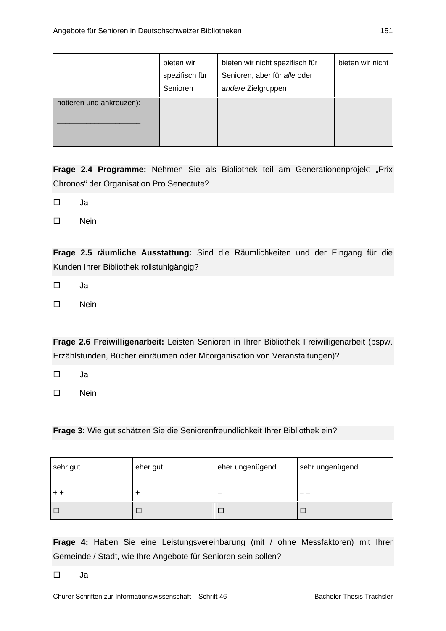|                          | bieten wir<br>spezifisch für<br>Senioren | bieten wir nicht spezifisch für<br>Senioren, aber für alle oder<br>andere Zielgruppen | bieten wir nicht |
|--------------------------|------------------------------------------|---------------------------------------------------------------------------------------|------------------|
| notieren und ankreuzen): |                                          |                                                                                       |                  |

Frage 2.4 Programme: Nehmen Sie als Bibliothek teil am Generationenprojekt "Prix Chronos" der Organisation Pro Senectute?

 $\Box$  Ja

□ Nein

**Frage 2.5 räumliche Ausstattung:** Sind die Räumlichkeiten und der Eingang für die Kunden Ihrer Bibliothek rollstuhlgängig?

 $\square$  Ja

Nein

**Frage 2.6 Freiwilligenarbeit:** Leisten Senioren in Ihrer Bibliothek Freiwilligenarbeit (bspw. Erzählstunden, Bücher einräumen oder Mitorganisation von Veranstaltungen)?

 $\Box$  Ja

 $\square$  Nein

**Frage 3:** Wie gut schätzen Sie die Seniorenfreundlichkeit Ihrer Bibliothek ein?

| sehr gut | eher gut | eher ungenügend | sehr ungenügend |
|----------|----------|-----------------|-----------------|
| $+ +$    |          | _               |                 |
| $\Box$   |          |                 |                 |

**Frage 4:** Haben Sie eine Leistungsvereinbarung (mit / ohne Messfaktoren) mit Ihrer Gemeinde / Stadt, wie Ihre Angebote für Senioren sein sollen?

 $\square$  Ja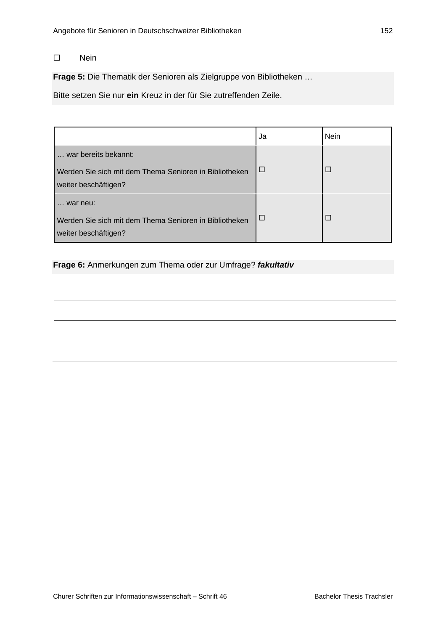Nein

**Frage 5:** Die Thematik der Senioren als Zielgruppe von Bibliotheken …

Bitte setzen Sie nur **ein** Kreuz in der für Sie zutreffenden Zeile.

|                                                                                                        | Ja     | <b>Nein</b> |
|--------------------------------------------------------------------------------------------------------|--------|-------------|
| war bereits bekannt:<br>Werden Sie sich mit dem Thema Senioren in Bibliotheken<br>weiter beschäftigen? | $\Box$ | П           |
| war neu:<br>Werden Sie sich mit dem Thema Senioren in Bibliotheken<br>weiter beschäftigen?             | $\Box$ | П           |

# **Frage 6:** Anmerkungen zum Thema oder zur Umfrage? *fakultativ*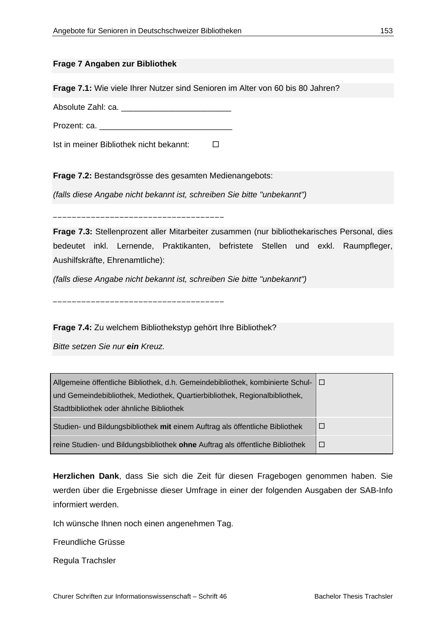### **Frage 7 Angaben zur Bibliothek**

**Frage 7.1:** Wie viele Ihrer Nutzer sind Senioren im Alter von 60 bis 80 Jahren?

Absolute Zahl: ca. \_\_\_\_\_\_\_\_\_\_\_\_\_\_\_\_\_\_\_\_\_\_\_\_

Prozent: ca.

\_\_\_\_\_\_\_\_\_\_\_\_\_\_\_\_\_\_\_\_\_\_\_\_\_\_\_\_\_\_\_\_\_\_\_\_

\_\_\_\_\_\_\_\_\_\_\_\_\_\_\_\_\_\_\_\_\_\_\_\_\_\_\_\_\_\_\_\_\_\_\_\_

Ist in meiner Bibliothek nicht bekannt:

**Frage 7.2:** Bestandsgrösse des gesamten Medienangebots:

*(falls diese Angabe nicht bekannt ist, schreiben Sie bitte "unbekannt")*

**Frage 7.3:** Stellenprozent aller Mitarbeiter zusammen (nur bibliothekarisches Personal, dies bedeutet inkl. Lernende, Praktikanten, befristete Stellen und exkl. Raumpfleger, Aushilfskräfte, Ehrenamtliche):

*(falls diese Angabe nicht bekannt ist, schreiben Sie bitte "unbekannt")*

**Frage 7.4:** Zu welchem Bibliothekstyp gehört Ihre Bibliothek?

*Bitte setzen Sie nur ein Kreuz.*

| Allgemeine öffentliche Bibliothek, d.h. Gemeindebibliothek, kombinierte Schul- □ |  |
|----------------------------------------------------------------------------------|--|
| und Gemeindebibliothek, Mediothek, Quartierbibliothek, Regionalbibliothek,       |  |
| Stadtbibliothek oder ähnliche Bibliothek                                         |  |
| Studien- und Bildungsbibliothek mit einem Auftrag als öffentliche Bibliothek     |  |
| reine Studien- und Bildungsbibliothek ohne Auftrag als öffentliche Bibliothek    |  |

**Herzlichen Dank**, dass Sie sich die Zeit für diesen Fragebogen genommen haben. Sie werden über die Ergebnisse dieser Umfrage in einer der folgenden Ausgaben der SAB-Info informiert werden.

Ich wünsche Ihnen noch einen angenehmen Tag.

Freundliche Grüsse

Regula Trachsler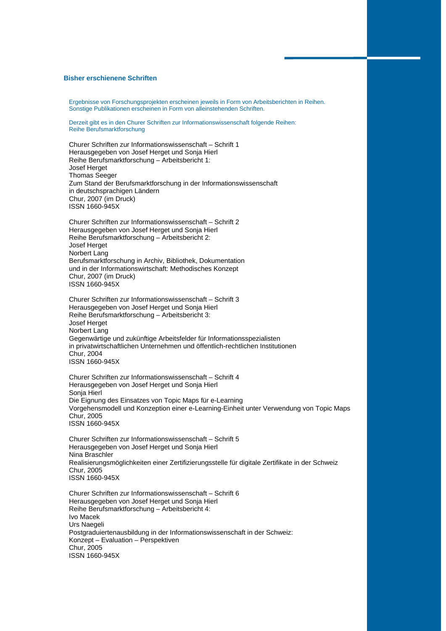#### **Bisher erschienene Schriften**

Ergebnisse von Forschungsprojekten erscheinen jeweils in Form von Arbeitsberichten in Reihen. Sonstige Publikationen erscheinen in Form von alleinstehenden Schriften.

Derzeit gibt es in den Churer Schriften zur Informationswissenschaft folgende Reihen: Reihe Berufsmarktforschung

Churer Schriften zur Informationswissenschaft – Schrift 1 Herausgegeben von Josef Herget und Sonja Hierl Reihe Berufsmarktforschung – Arbeitsbericht 1: Josef Herget Thomas Seeger Zum Stand der Berufsmarktforschung in der Informationswissenschaft in deutschsprachigen Ländern Chur, 2007 (im Druck) ISSN 1660-945X

Churer Schriften zur Informationswissenschaft – Schrift 2 Herausgegeben von Josef Herget und Sonja Hierl Reihe Berufsmarktforschung – Arbeitsbericht 2: Josef Herget Norbert Lang Berufsmarktforschung in Archiv, Bibliothek, Dokumentation und in der Informationswirtschaft: Methodisches Konzept Chur, 2007 (im Druck) ISSN 1660-945X

Churer Schriften zur Informationswissenschaft – Schrift 3 Herausgegeben von Josef Herget und Sonja Hierl Reihe Berufsmarktforschung – Arbeitsbericht 3: Josef Herget Norbert Lang Gegenwärtige und zukünftige Arbeitsfelder für Informationsspezialisten in privatwirtschaftlichen Unternehmen und öffentlich-rechtlichen Institutionen Chur, 2004 ISSN 1660-945X

Churer Schriften zur Informationswissenschaft – Schrift 4 Herausgegeben von Josef Herget und Sonja Hierl Sonja Hierl Die Eignung des Einsatzes von Topic Maps für e-Learning Vorgehensmodell und Konzeption einer e-Learning-Einheit unter Verwendung von Topic Maps Chur, 2005 ISSN 1660-945X

Churer Schriften zur Informationswissenschaft – Schrift 5 Herausgegeben von Josef Herget und Sonja Hierl Nina Braschler Realisierungsmöglichkeiten einer Zertifizierungsstelle für digitale Zertifikate in der Schweiz Chur, 2005 ISSN 1660-945X

Churer Schriften zur Informationswissenschaft – Schrift 6 Herausgegeben von Josef Herget und Sonja Hierl Reihe Berufsmarktforschung – Arbeitsbericht 4: Ivo Macek Urs Naegeli Postgraduiertenausbildung in der Informationswissenschaft in der Schweiz: Konzept – Evaluation – Perspektiven Chur, 2005 ISSN 1660-945X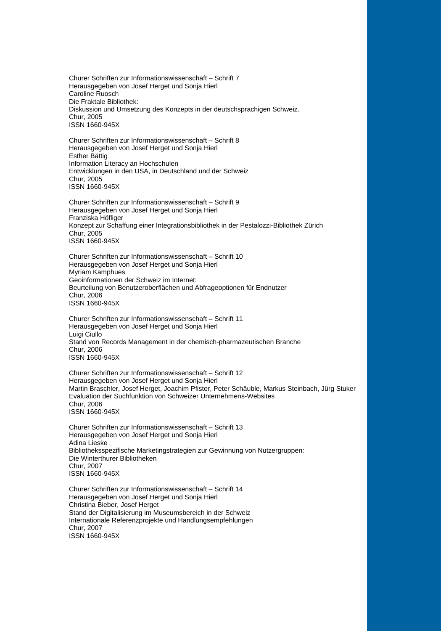Churer Schriften zur Informationswissenschaft – Schrift 7 Herausgegeben von Josef Herget und Sonja Hierl Caroline Ruosch Die Fraktale Bibliothek: Diskussion und Umsetzung des Konzepts in der deutschsprachigen Schweiz. Chur, 2005 ISSN 1660-945X

Churer Schriften zur Informationswissenschaft – Schrift 8 Herausgegeben von Josef Herget und Sonja Hierl Esther Bättig Information Literacy an Hochschulen Entwicklungen in den USA, in Deutschland und der Schweiz Chur, 2005 ISSN 1660-945X

Churer Schriften zur Informationswissenschaft – Schrift 9 Herausgegeben von Josef Herget und Sonja Hierl Franziska Höfliger Konzept zur Schaffung einer Integrationsbibliothek in der Pestalozzi-Bibliothek Zürich Chur, 2005 ISSN 1660-945X

Churer Schriften zur Informationswissenschaft – Schrift 10 Herausgegeben von Josef Herget und Sonja Hierl Myriam Kamphues Geoinformationen der Schweiz im Internet: Beurteilung von Benutzeroberflächen und Abfrageoptionen für Endnutzer Chur, 2006 ISSN 1660-945X

Churer Schriften zur Informationswissenschaft – Schrift 11 Herausgegeben von Josef Herget und Sonja Hierl Luigi Ciullo Stand von Records Management in der chemisch-pharmazeutischen Branche Chur, 2006 ISSN 1660-945X

Churer Schriften zur Informationswissenschaft – Schrift 12 Herausgegeben von Josef Herget und Sonja Hierl Martin Braschler, Josef Herget, Joachim Pfister, Peter Schäuble, Markus Steinbach, Jürg Stuker Evaluation der Suchfunktion von Schweizer Unternehmens-Websites Chur, 2006 ISSN 1660-945X

Churer Schriften zur Informationswissenschaft – Schrift 13 Herausgegeben von Josef Herget und Sonja Hierl Adina Lieske Bibliotheksspezifische Marketingstrategien zur Gewinnung von Nutzergruppen: Die Winterthurer Bibliotheken Chur, 2007 ISSN 1660-945X

Churer Schriften zur Informationswissenschaft – Schrift 14 Herausgegeben von Josef Herget und Sonja Hierl Christina Bieber, Josef Herget Stand der Digitalisierung im Museumsbereich in der Schweiz Internationale Referenzprojekte und Handlungsempfehlungen Chur, 2007 ISSN 1660-945X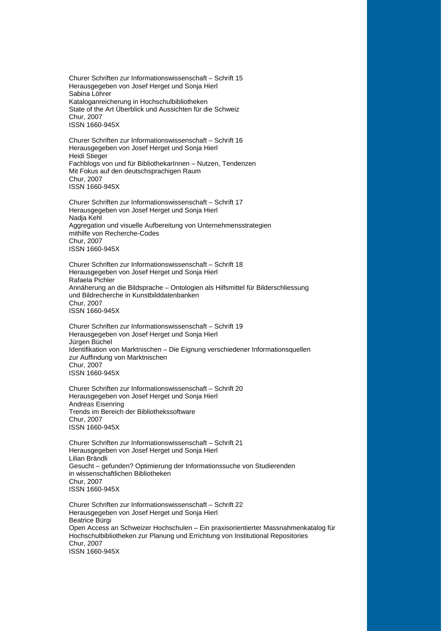Churer Schriften zur Informationswissenschaft – Schrift 15 Herausgegeben von Josef Herget und Sonja Hierl Sabina Löhrer Kataloganreicherung in Hochschulbibliotheken State of the Art Überblick und Aussichten für die Schweiz Chur, 2007 ISSN 1660-945X

Churer Schriften zur Informationswissenschaft – Schrift 16 Herausgegeben von Josef Herget und Sonja Hierl Heidi Stieger Fachblogs von und für BibliothekarInnen – Nutzen, Tendenzen Mit Fokus auf den deutschsprachigen Raum Chur, 2007 ISSN 1660-945X

Churer Schriften zur Informationswissenschaft – Schrift 17 Herausgegeben von Josef Herget und Sonja Hierl Nadja Kehl Aggregation und visuelle Aufbereitung von Unternehmensstrategien mithilfe von Recherche-Codes Chur, 2007 ISSN 1660-945X

Churer Schriften zur Informationswissenschaft – Schrift 18 Herausgegeben von Josef Herget und Sonja Hierl Rafaela Pichler Annäherung an die Bildsprache – Ontologien als Hilfsmittel für Bilderschliessung und Bildrecherche in Kunstbilddatenbanken Chur, 2007 ISSN 1660-945X

Churer Schriften zur Informationswissenschaft – Schrift 19 Herausgegeben von Josef Herget und Sonja Hierl Jürgen Büchel Identifikation von Marktnischen – Die Eignung verschiedener Informationsquellen zur Auffindung von Marktnischen Chur, 2007 ISSN 1660-945X

Churer Schriften zur Informationswissenschaft – Schrift 20 Herausgegeben von Josef Herget und Sonja Hierl Andreas Eisenring Trends im Bereich der Bibliothekssoftware Chur, 2007 ISSN 1660-945X

Churer Schriften zur Informationswissenschaft – Schrift 21 Herausgegeben von Josef Herget und Sonja Hierl Lilian Brändli Gesucht – gefunden? Optimierung der Informationssuche von Studierenden in wissenschaftlichen Bibliotheken Chur, 2007 ISSN 1660-945X

Churer Schriften zur Informationswissenschaft – Schrift 22 Herausgegeben von Josef Herget und Sonja Hierl Beatrice Bürgi Open Access an Schweizer Hochschulen – Ein praxisorientierter Massnahmenkatalog für Hochschulbibliotheken zur Planung und Errichtung von Institutional Repositories Chur, 2007 ISSN 1660-945X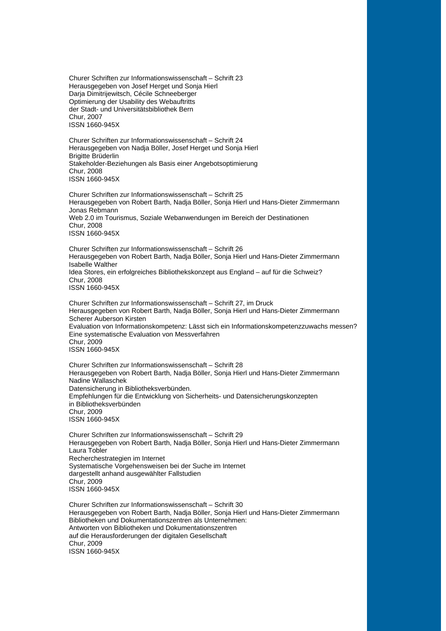Churer Schriften zur Informationswissenschaft – Schrift 23 Herausgegeben von Josef Herget und Sonja Hierl Darja Dimitrijewitsch, Cécile Schneeberger Optimierung der Usability des Webauftritts der Stadt- und Universitätsbibliothek Bern Chur, 2007 ISSN 1660-945X

Churer Schriften zur Informationswissenschaft – Schrift 24 Herausgegeben von Nadja Böller, Josef Herget und Sonja Hierl Brigitte Brüderlin Stakeholder-Beziehungen als Basis einer Angebotsoptimierung Chur, 2008 ISSN 1660-945X

Churer Schriften zur Informationswissenschaft – Schrift 25 Herausgegeben von Robert Barth, Nadja Böller, Sonja Hierl und Hans-Dieter Zimmermann Jonas Rebmann Web 2.0 im Tourismus, Soziale Webanwendungen im Bereich der Destinationen Chur, 2008 ISSN 1660-945X

Churer Schriften zur Informationswissenschaft – Schrift 26 Herausgegeben von Robert Barth, Nadja Böller, Sonja Hierl und Hans-Dieter Zimmermann Isabelle Walther Idea Stores, ein erfolgreiches Bibliothekskonzept aus England – auf für die Schweiz? Chur, 2008 ISSN 1660-945X

Churer Schriften zur Informationswissenschaft – Schrift 27, im Druck Herausgegeben von Robert Barth, Nadja Böller, Sonja Hierl und Hans-Dieter Zimmermann Scherer Auberson Kirsten Evaluation von Informationskompetenz: Lässt sich ein Informationskompetenzzuwachs messen? Eine systematische Evaluation von Messverfahren Chur, 2009 ISSN 1660-945X

Churer Schriften zur Informationswissenschaft – Schrift 28 Herausgegeben von Robert Barth, Nadja Böller, Sonja Hierl und Hans-Dieter Zimmermann Nadine Wallaschek Datensicherung in Bibliotheksverbünden. Empfehlungen für die Entwicklung von Sicherheits- und Datensicherungskonzepten in Bibliotheksverbünden Chur, 2009 ISSN 1660-945X

Churer Schriften zur Informationswissenschaft – Schrift 29 Herausgegeben von Robert Barth, Nadja Böller, Sonja Hierl und Hans-Dieter Zimmermann Laura Tobler Recherchestrategien im Internet Systematische Vorgehensweisen bei der Suche im Internet dargestellt anhand ausgewählter Fallstudien Chur, 2009 ISSN 1660-945X

Churer Schriften zur Informationswissenschaft – Schrift 30 Herausgegeben von Robert Barth, Nadja Böller, Sonja Hierl und Hans-Dieter Zimmermann Bibliotheken und Dokumentationszentren als Unternehmen: Antworten von Bibliotheken und Dokumentationszentren auf die Herausforderungen der digitalen Gesellschaft Chur, 2009 ISSN 1660-945X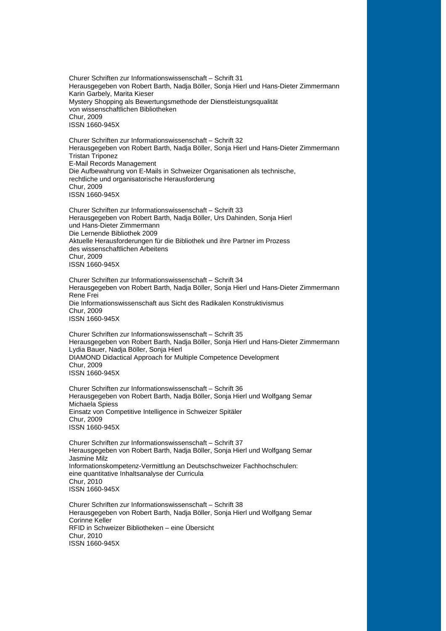Churer Schriften zur Informationswissenschaft – Schrift 31 Herausgegeben von Robert Barth, Nadja Böller, Sonja Hierl und Hans-Dieter Zimmermann Karin Garbely, Marita Kieser Mystery Shopping als Bewertungsmethode der Dienstleistungsqualität von wissenschaftlichen Bibliotheken Chur, 2009 ISSN 1660-945X

Churer Schriften zur Informationswissenschaft – Schrift 32 Herausgegeben von Robert Barth, Nadja Böller, Sonja Hierl und Hans-Dieter Zimmermann Tristan Triponez E-Mail Records Management Die Aufbewahrung von E-Mails in Schweizer Organisationen als technische, rechtliche und organisatorische Herausforderung Chur, 2009 ISSN 1660-945X

Churer Schriften zur Informationswissenschaft – Schrift 33 Herausgegeben von Robert Barth, Nadja Böller, Urs Dahinden, Sonja Hierl und Hans-Dieter Zimmermann Die Lernende Bibliothek 2009 Aktuelle Herausforderungen für die Bibliothek und ihre Partner im Prozess des wissenschaftlichen Arbeitens Chur, 2009 ISSN 1660-945X

Churer Schriften zur Informationswissenschaft – Schrift 34 Herausgegeben von Robert Barth, Nadja Böller, Sonja Hierl und Hans-Dieter Zimmermann Rene Frei Die Informationswissenschaft aus Sicht des Radikalen Konstruktivismus Chur, 2009 ISSN 1660-945X

Churer Schriften zur Informationswissenschaft – Schrift 35 Herausgegeben von Robert Barth, Nadja Böller, Sonja Hierl und Hans-Dieter Zimmermann Lydia Bauer, Nadja Böller, Sonja Hierl DIAMOND Didactical Approach for Multiple Competence Development Chur, 2009 ISSN 1660-945X

Churer Schriften zur Informationswissenschaft – Schrift 36 Herausgegeben von Robert Barth, Nadja Böller, Sonja Hierl und Wolfgang Semar Michaela Spiess Einsatz von Competitive Intelligence in Schweizer Spitäler Chur, 2009 ISSN 1660-945X

Churer Schriften zur Informationswissenschaft – Schrift 37 Herausgegeben von Robert Barth, Nadja Böller, Sonja Hierl und Wolfgang Semar Jasmine Milz Informationskompetenz-Vermittlung an Deutschschweizer Fachhochschulen: eine quantitative Inhaltsanalyse der Curricula Chur, 2010 ISSN 1660-945X

Churer Schriften zur Informationswissenschaft – Schrift 38 Herausgegeben von Robert Barth, Nadja Böller, Sonja Hierl und Wolfgang Semar Corinne Keller RFID in Schweizer Bibliotheken – eine Übersicht Chur, 2010 ISSN 1660-945X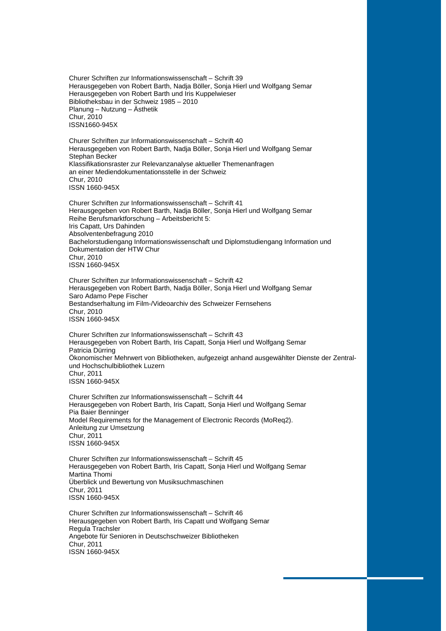Churer Schriften zur Informationswissenschaft – Schrift 39 Herausgegeben von Robert Barth, Nadja Böller, Sonja Hierl und Wolfgang Semar Herausgegeben von Robert Barth und Iris Kuppelwieser Bibliotheksbau in der Schweiz 1985 – 2010 Planung – Nutzung – Ästhetik Chur, 2010 ISSN1660-945X

Churer Schriften zur Informationswissenschaft – Schrift 40 Herausgegeben von Robert Barth, Nadja Böller, Sonja Hierl und Wolfgang Semar Stephan Becker Klassifikationsraster zur Relevanzanalyse aktueller Themenanfragen an einer Mediendokumentationsstelle in der Schweiz Chur, 2010 ISSN 1660-945X

Churer Schriften zur Informationswissenschaft – Schrift 41 Herausgegeben von Robert Barth, Nadja Böller, Sonja Hierl und Wolfgang Semar Reihe Berufsmarktforschung – Arbeitsbericht 5: Iris Capatt, Urs Dahinden Absolventenbefragung 2010 Bachelorstudiengang Informationswissenschaft und Diplomstudiengang Information und Dokumentation der HTW Chur Chur, 2010 ISSN 1660-945X

Churer Schriften zur Informationswissenschaft – Schrift 42 Herausgegeben von Robert Barth, Nadja Böller, Sonja Hierl und Wolfgang Semar Saro Adamo Pepe Fischer Bestandserhaltung im Film-/Videoarchiv des Schweizer Fernsehens Chur, 2010 ISSN 1660-945X

Churer Schriften zur Informationswissenschaft – Schrift 43 Herausgegeben von Robert Barth, Iris Capatt, Sonja Hierl und Wolfgang Semar Patricia Dürring Ökonomischer Mehrwert von Bibliotheken, aufgezeigt anhand ausgewählter Dienste der Zentralund Hochschulbibliothek Luzern Chur, 2011 ISSN 1660-945X

Churer Schriften zur Informationswissenschaft – Schrift 44 Herausgegeben von Robert Barth, Iris Capatt, Sonja Hierl und Wolfgang Semar Pia Baier Benninger Model Requirements for the Management of Electronic Records (MoReq2). Anleitung zur Umsetzung Chur, 2011 ISSN 1660-945X

Churer Schriften zur Informationswissenschaft – Schrift 45 Herausgegeben von Robert Barth, Iris Capatt, Sonja Hierl und Wolfgang Semar Martina Thomi Überblick und Bewertung von Musiksuchmaschinen Chur, 2011 ISSN 1660-945X

Churer Schriften zur Informationswissenschaft – Schrift 46 Herausgegeben von Robert Barth, Iris Capatt und Wolfgang Semar Regula Trachsler Angebote für Senioren in Deutschschweizer Bibliotheken Chur, 2011 ISSN 1660-945X